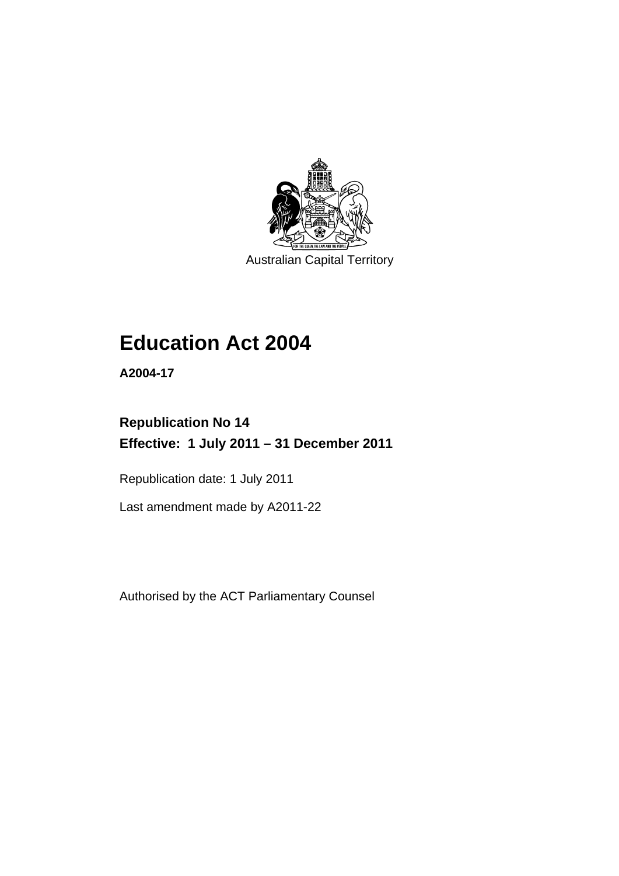

Australian Capital Territory

# **Education Act 2004**

**A2004-17** 

# **Republication No 14 Effective: 1 July 2011 – 31 December 2011**

Republication date: 1 July 2011

Last amendment made by A2011-22

Authorised by the ACT Parliamentary Counsel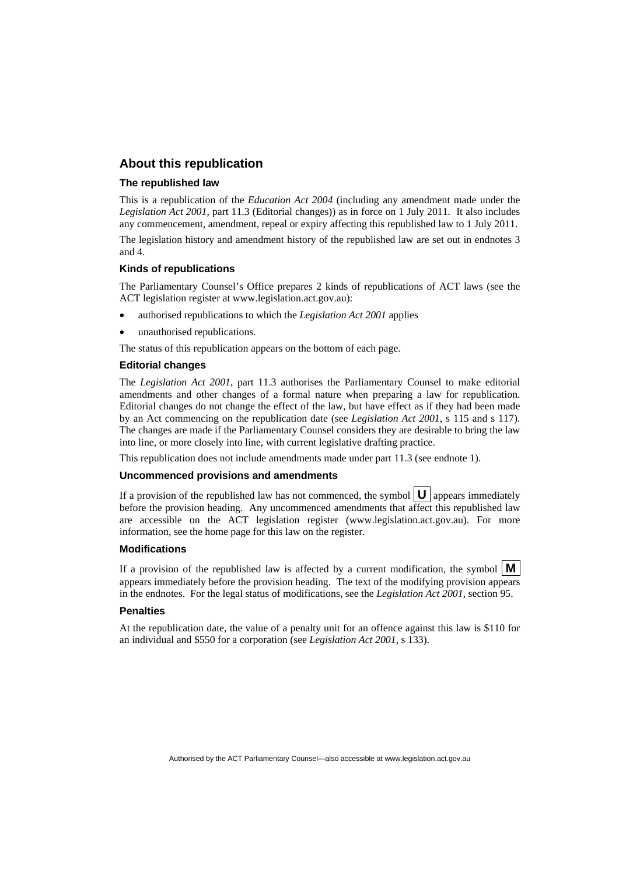# **About this republication**

#### **The republished law**

This is a republication of the *Education Act 2004* (including any amendment made under the *Legislation Act 2001*, part 11.3 (Editorial changes)) as in force on 1 July 2011*.* It also includes any commencement, amendment, repeal or expiry affecting this republished law to 1 July 2011.

The legislation history and amendment history of the republished law are set out in endnotes 3 and 4.

#### **Kinds of republications**

The Parliamentary Counsel's Office prepares 2 kinds of republications of ACT laws (see the ACT legislation register at www.legislation.act.gov.au):

- authorised republications to which the *Legislation Act 2001* applies
- unauthorised republications.

The status of this republication appears on the bottom of each page.

#### **Editorial changes**

The *Legislation Act 2001*, part 11.3 authorises the Parliamentary Counsel to make editorial amendments and other changes of a formal nature when preparing a law for republication. Editorial changes do not change the effect of the law, but have effect as if they had been made by an Act commencing on the republication date (see *Legislation Act 2001*, s 115 and s 117). The changes are made if the Parliamentary Counsel considers they are desirable to bring the law into line, or more closely into line, with current legislative drafting practice.

This republication does not include amendments made under part 11.3 (see endnote 1).

#### **Uncommenced provisions and amendments**

If a provision of the republished law has not commenced, the symbol  $\mathbf{U}$  appears immediately before the provision heading. Any uncommenced amendments that affect this republished law are accessible on the ACT legislation register (www.legislation.act.gov.au). For more information, see the home page for this law on the register.

#### **Modifications**

If a provision of the republished law is affected by a current modification, the symbol  $\mathbf{M}$ appears immediately before the provision heading. The text of the modifying provision appears in the endnotes. For the legal status of modifications, see the *Legislation Act 2001*, section 95.

#### **Penalties**

At the republication date, the value of a penalty unit for an offence against this law is \$110 for an individual and \$550 for a corporation (see *Legislation Act 2001*, s 133).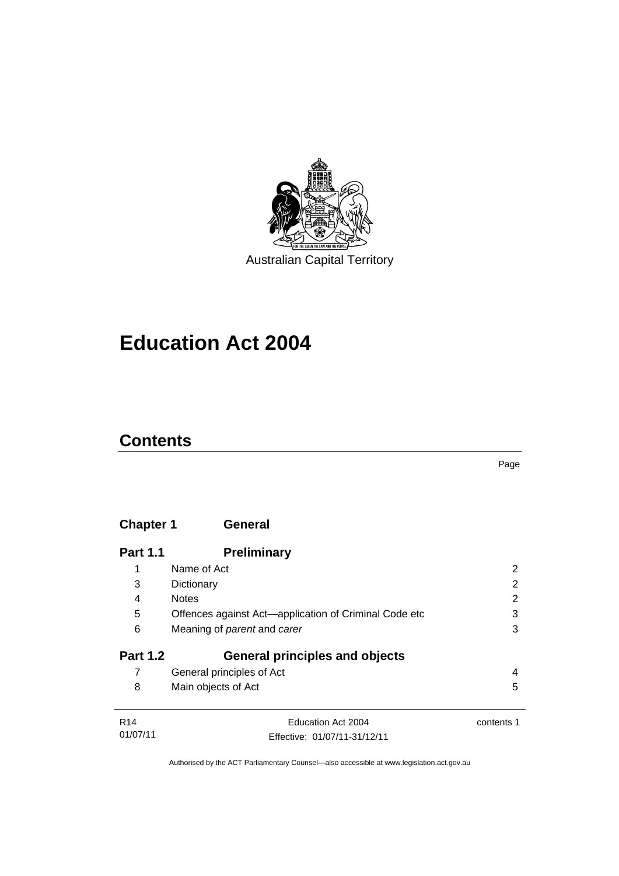

# **Education Act 2004**

# **Contents**

Page

| <b>Chapter 1</b> | <b>General</b>                                        |            |
|------------------|-------------------------------------------------------|------------|
| <b>Part 1.1</b>  | <b>Preliminary</b>                                    |            |
| 1                | Name of Act                                           | 2          |
| 3                | Dictionary                                            | 2          |
| 4                | <b>Notes</b>                                          | 2          |
| 5                | Offences against Act-application of Criminal Code etc | 3          |
| 6                | Meaning of <i>parent</i> and <i>carer</i>             | 3          |
| <b>Part 1.2</b>  | <b>General principles and objects</b>                 |            |
| 7                | General principles of Act                             | 4          |
| 8                | Main objects of Act                                   | 5          |
| R <sub>14</sub>  | Education Act 2004                                    | contents 1 |
| 01/07/11         | Effective: 01/07/11-31/12/11                          |            |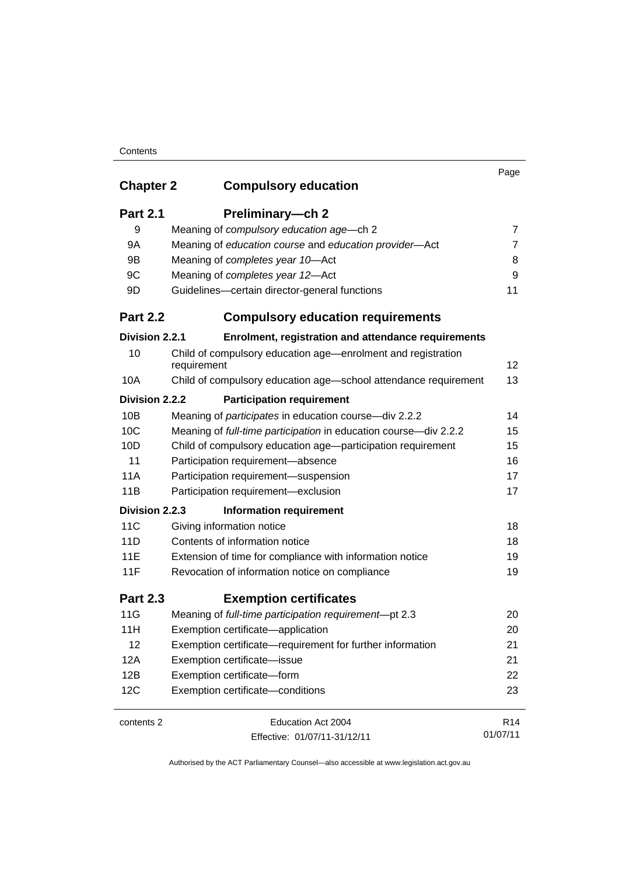## **Contents**

|                  |                                                                             | Page            |
|------------------|-----------------------------------------------------------------------------|-----------------|
| <b>Chapter 2</b> | <b>Compulsory education</b>                                                 |                 |
| <b>Part 2.1</b>  | Preliminary-ch 2                                                            |                 |
| 9                | Meaning of compulsory education age-ch 2                                    | 7               |
| 9A               | Meaning of education course and education provider-Act                      | $\overline{7}$  |
| 9B               | Meaning of completes year 10-Act                                            | 8               |
| 9C               | Meaning of completes year 12-Act                                            | 9               |
| 9D               | Guidelines-certain director-general functions                               | 11              |
| <b>Part 2.2</b>  | <b>Compulsory education requirements</b>                                    |                 |
| Division 2.2.1   | Enrolment, registration and attendance requirements                         |                 |
| 10               | Child of compulsory education age—enrolment and registration<br>requirement | 12              |
| 10A              | Child of compulsory education age-school attendance requirement             | 13              |
| Division 2.2.2   | <b>Participation requirement</b>                                            |                 |
| 10B              | Meaning of participates in education course-div 2.2.2                       | 14              |
| 10C              | Meaning of full-time participation in education course-div 2.2.2            | 15              |
| 10D              | Child of compulsory education age-participation requirement                 | 15              |
| 11               | Participation requirement-absence                                           | 16              |
| 11A              | Participation requirement-suspension                                        | 17              |
| 11B              | Participation requirement-exclusion                                         | 17              |
| Division 2.2.3   | <b>Information requirement</b>                                              |                 |
| 11C              | Giving information notice                                                   | 18              |
| 11D              | Contents of information notice                                              | 18              |
| 11E              | Extension of time for compliance with information notice                    | 19              |
| 11F              | Revocation of information notice on compliance                              | 19              |
| <b>Part 2.3</b>  | <b>Exemption certificates</b>                                               |                 |
| 11G              | Meaning of full-time participation requirement-pt 2.3                       | 20              |
| 11H              | Exemption certificate-application                                           | 20              |
| 12               | Exemption certificate—requirement for further information                   | 21              |
| 12A              | Exemption certificate-issue                                                 | 21              |
| 12B              | Exemption certificate-form                                                  | 22              |
| 12C              | Exemption certificate-conditions                                            | 23              |
| contents 2       | Education Act 2004                                                          | R <sub>14</sub> |
|                  | Effective: 01/07/11-31/12/11                                                | 01/07/11        |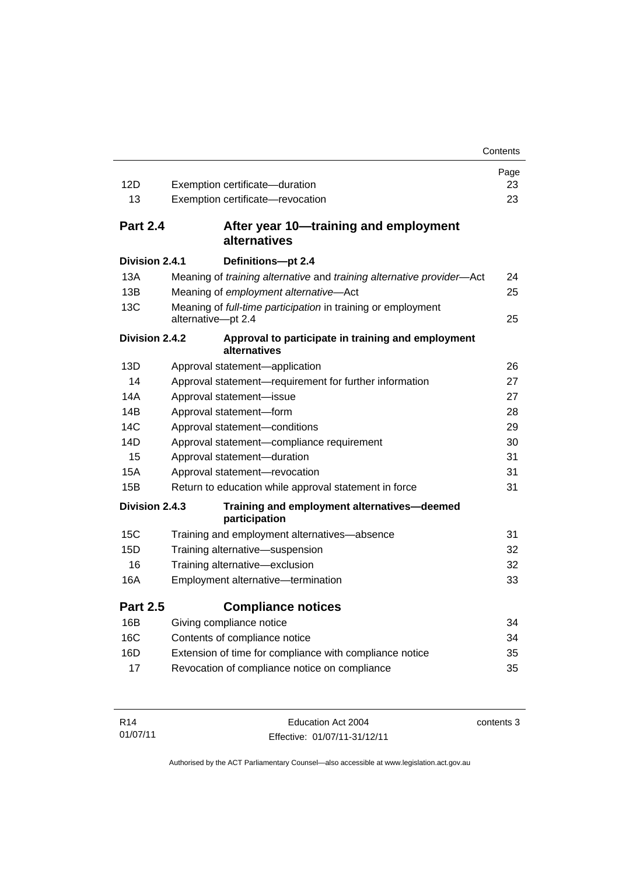|                 |                                                                                    | Contents |
|-----------------|------------------------------------------------------------------------------------|----------|
|                 |                                                                                    | Page     |
| 12D             | Exemption certificate-duration                                                     | 23       |
| 13              | Exemption certificate-revocation                                                   | 23       |
| <b>Part 2.4</b> | After year 10—training and employment<br>alternatives                              |          |
| Division 2.4.1  | Definitions-pt 2.4                                                                 |          |
| 13A             | Meaning of training alternative and training alternative provider-Act              | 24       |
| 13B             | Meaning of employment alternative-Act                                              | 25       |
| 13C             | Meaning of full-time participation in training or employment<br>alternative-pt 2.4 | 25       |
| Division 2.4.2  | Approval to participate in training and employment<br>alternatives                 |          |
| 13D             | Approval statement-application                                                     | 26       |
| 14              | Approval statement-requirement for further information                             | 27       |
| 14A             | Approval statement-issue                                                           | 27       |
| 14B             | Approval statement-form                                                            | 28       |
| 14C             | Approval statement-conditions                                                      | 29       |
| 14D             | Approval statement-compliance requirement                                          | 30       |
| 15              | Approval statement-duration                                                        | 31       |
| 15A             | Approval statement-revocation                                                      | 31       |
| 15B             | Return to education while approval statement in force                              | 31       |
| Division 2.4.3  | Training and employment alternatives-deemed<br>participation                       |          |
| 15C             | Training and employment alternatives-absence                                       | 31       |
| 15D             | Training alternative-suspension                                                    | 32       |
| 16              | Training alternative-exclusion                                                     | 32       |
| 16A             | Employment alternative-termination                                                 | 33       |
| <b>Part 2.5</b> | <b>Compliance notices</b>                                                          |          |
| 16B             | Giving compliance notice                                                           | 34       |
| 16C             | Contents of compliance notice                                                      | 34       |
| 16D             | Extension of time for compliance with compliance notice                            | 35       |
| 17              | Revocation of compliance notice on compliance                                      | 35       |
|                 |                                                                                    |          |

| R <sub>14</sub> | Education Act 2004           | contents 3 |
|-----------------|------------------------------|------------|
| 01/07/11        | Effective: 01/07/11-31/12/11 |            |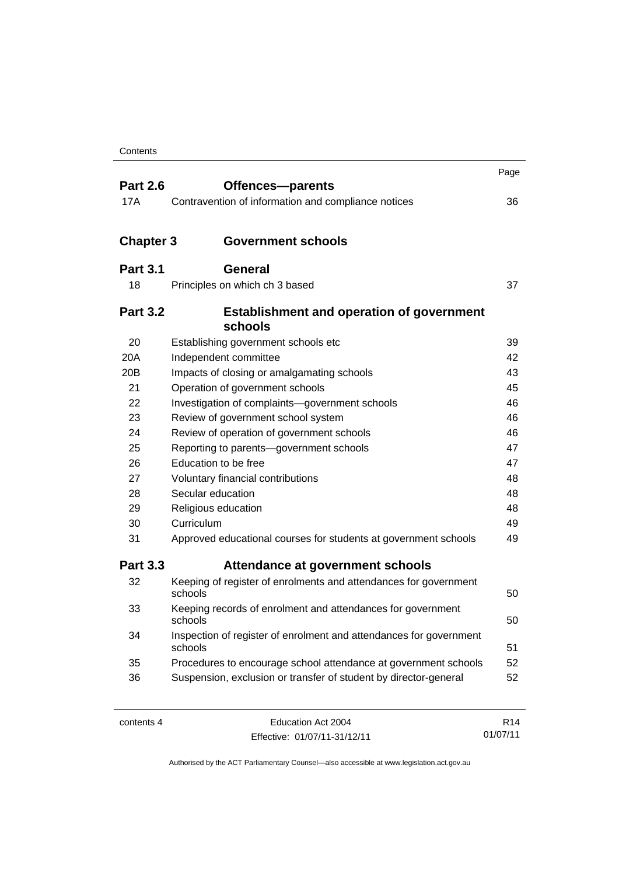|                  |                                                                               | Page |
|------------------|-------------------------------------------------------------------------------|------|
| <b>Part 2.6</b>  | Offences-parents                                                              |      |
| 17A              | Contravention of information and compliance notices                           | 36   |
| <b>Chapter 3</b> | <b>Government schools</b>                                                     |      |
|                  |                                                                               |      |
| <b>Part 3.1</b>  | <b>General</b>                                                                |      |
| 18               | Principles on which ch 3 based                                                | 37   |
| <b>Part 3.2</b>  | <b>Establishment and operation of government</b><br>schools                   |      |
| 20               | Establishing government schools etc                                           | 39   |
| 20A              | Independent committee                                                         | 42   |
| 20 <sub>B</sub>  | Impacts of closing or amalgamating schools                                    | 43   |
| 21               | Operation of government schools                                               | 45   |
| 22               | Investigation of complaints-government schools                                | 46   |
| 23               | Review of government school system                                            | 46   |
| 24               | Review of operation of government schools                                     | 46   |
| 25               | Reporting to parents-government schools                                       | 47   |
| 26               | Education to be free                                                          | 47   |
| 27               | Voluntary financial contributions                                             | 48   |
| 28               | Secular education                                                             | 48   |
| 29               | Religious education                                                           | 48   |
| 30               | Curriculum                                                                    | 49   |
| 31               | Approved educational courses for students at government schools               | 49   |
| <b>Part 3.3</b>  | Attendance at government schools                                              |      |
| 32               | Keeping of register of enrolments and attendances for government<br>schools   | 50   |
| 33               | Keeping records of enrolment and attendances for government<br>schools        | 50   |
| 34               | Inspection of register of enrolment and attendances for government<br>schools | 51   |
| 35               | Procedures to encourage school attendance at government schools               | 52   |
| 36               | Suspension, exclusion or transfer of student by director-general              | 52   |
|                  |                                                                               |      |

| contents 4 |  |
|------------|--|
|------------|--|

Education Act 2004 Effective: 01/07/11-31/12/11

R14 01/07/11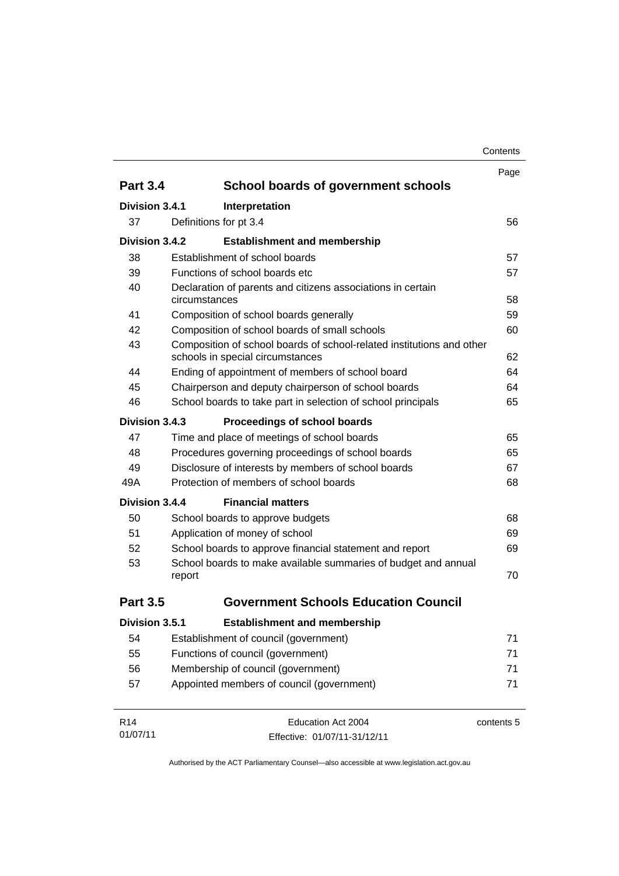|                             |               |                                                                                                           | Page       |
|-----------------------------|---------------|-----------------------------------------------------------------------------------------------------------|------------|
| <b>Part 3.4</b>             |               | School boards of government schools                                                                       |            |
| Division 3.4.1              |               | Interpretation                                                                                            |            |
| 37                          |               | Definitions for pt 3.4                                                                                    | 56         |
| Division 3.4.2              |               | <b>Establishment and membership</b>                                                                       |            |
| 38                          |               | Establishment of school boards                                                                            | 57         |
| 39                          |               | Functions of school boards etc.                                                                           | 57         |
| 40                          | circumstances | Declaration of parents and citizens associations in certain                                               | 58         |
| 41                          |               | Composition of school boards generally                                                                    | 59         |
| 42                          |               | Composition of school boards of small schools                                                             | 60         |
| 43                          |               | Composition of school boards of school-related institutions and other<br>schools in special circumstances | 62         |
| 44                          |               | Ending of appointment of members of school board                                                          | 64         |
| 45                          |               | Chairperson and deputy chairperson of school boards                                                       | 64         |
| 46                          |               | School boards to take part in selection of school principals                                              | 65         |
| Division 3.4.3              |               | Proceedings of school boards                                                                              |            |
| 47                          |               | Time and place of meetings of school boards                                                               | 65         |
| 48                          |               | Procedures governing proceedings of school boards                                                         | 65         |
| 49                          |               | Disclosure of interests by members of school boards                                                       | 67         |
| 49A                         |               | Protection of members of school boards                                                                    | 68         |
| Division 3.4.4              |               | <b>Financial matters</b>                                                                                  |            |
| 50                          |               | School boards to approve budgets                                                                          | 68         |
| 51                          |               | Application of money of school                                                                            | 69         |
| 52                          |               | School boards to approve financial statement and report                                                   | 69         |
| 53                          | report        | School boards to make available summaries of budget and annual                                            | 70         |
| <b>Part 3.5</b>             |               | <b>Government Schools Education Council</b>                                                               |            |
| Division 3.5.1              |               | <b>Establishment and membership</b>                                                                       |            |
| 54                          |               | Establishment of council (government)                                                                     | 71         |
| 55                          |               | Functions of council (government)                                                                         | 71         |
| 56                          |               | Membership of council (government)                                                                        | 71         |
| 57                          |               | Appointed members of council (government)                                                                 | 71         |
| R <sub>14</sub><br>01/07/11 |               | Education Act 2004<br>Effective: 01/07/11-31/12/11                                                        | contents 5 |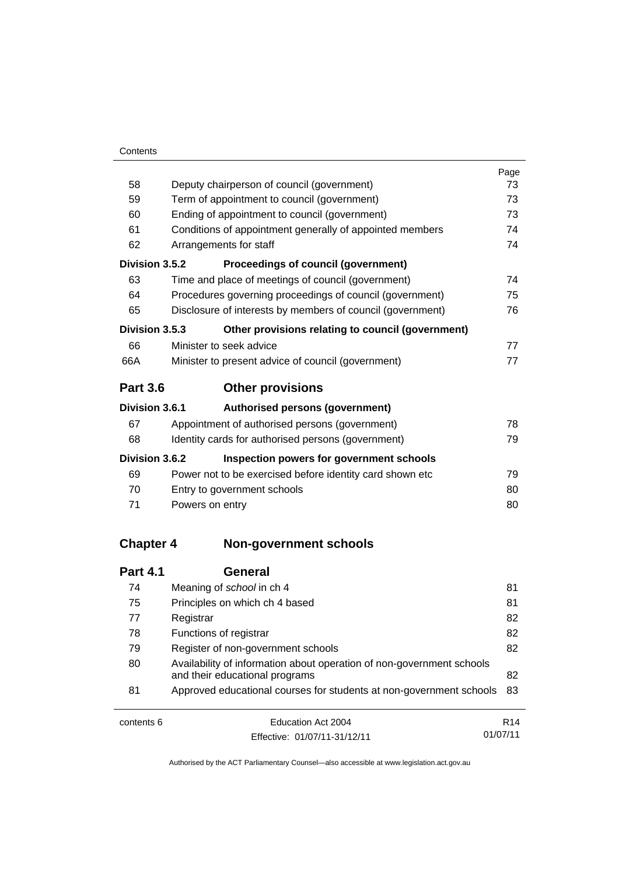|                  |                                                                       | Page |  |
|------------------|-----------------------------------------------------------------------|------|--|
| 58               | Deputy chairperson of council (government)                            |      |  |
| 59               | Term of appointment to council (government)<br>73                     |      |  |
| 60               | Ending of appointment to council (government)<br>73                   |      |  |
| 61               | Conditions of appointment generally of appointed members              |      |  |
| 62               | Arrangements for staff                                                | 74   |  |
| Division 3.5.2   | Proceedings of council (government)                                   |      |  |
| 63               | Time and place of meetings of council (government)                    | 74   |  |
| 64               | Procedures governing proceedings of council (government)              | 75   |  |
| 65               | Disclosure of interests by members of council (government)            | 76   |  |
| Division 3.5.3   | Other provisions relating to council (government)                     |      |  |
| 66               | Minister to seek advice                                               | 77   |  |
| 66A              | Minister to present advice of council (government)                    | 77   |  |
| <b>Part 3.6</b>  | <b>Other provisions</b>                                               |      |  |
| Division 3.6.1   | Authorised persons (government)                                       |      |  |
| 67               | Appointment of authorised persons (government)                        | 78   |  |
| 68               | Identity cards for authorised persons (government)                    | 79   |  |
| Division 3.6.2   | Inspection powers for government schools                              |      |  |
| 69               | Power not to be exercised before identity card shown etc              | 79   |  |
| 70               | Entry to government schools                                           | 80   |  |
| 71               | Powers on entry                                                       | 80   |  |
| <b>Chapter 4</b> | <b>Non-government schools</b>                                         |      |  |
|                  |                                                                       |      |  |
| <b>Part 4.1</b>  | <b>General</b>                                                        |      |  |
| 74               | Meaning of school in ch 4                                             | 81   |  |
| 75               | Principles on which ch 4 based                                        | 81   |  |
| 77               | Registrar                                                             | 82   |  |
| 78               | Functions of registrar                                                | 82   |  |
| 79               | Register of non-government schools                                    | 82   |  |
| 80               | Availability of information about operation of non-government schools |      |  |

[and their educational programs 82](#page-93-3) 81 [Approved educational courses for students at non-government schools 83](#page-94-0)

| contents 6 | Education Act 2004           | R <sub>14</sub> |
|------------|------------------------------|-----------------|
|            | Effective: 01/07/11-31/12/11 | 01/07/11        |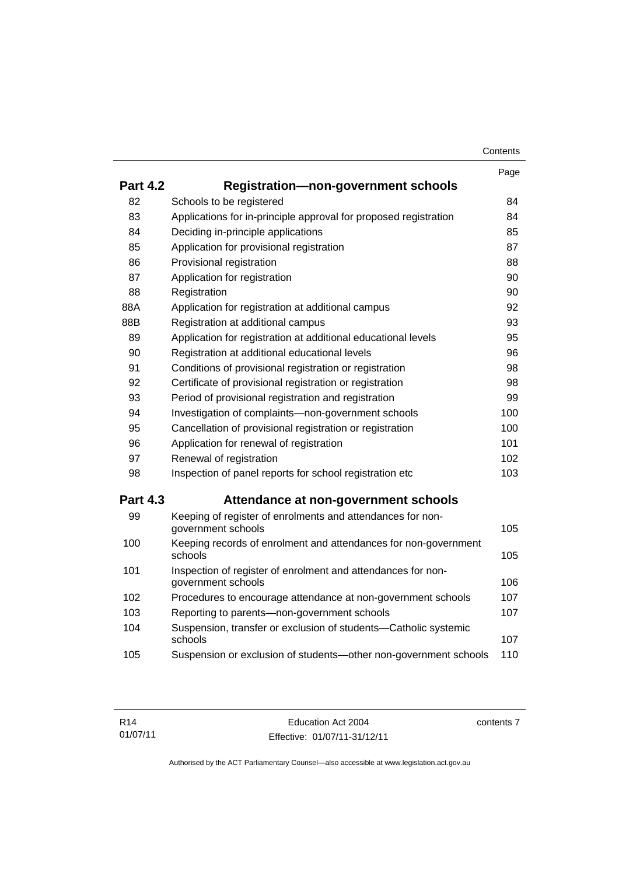|                 |                                                                                    | Page |
|-----------------|------------------------------------------------------------------------------------|------|
| <b>Part 4.2</b> | <b>Registration-non-government schools</b>                                         |      |
| 82              | Schools to be registered                                                           | 84   |
| 83              | Applications for in-principle approval for proposed registration                   | 84   |
| 84              | Deciding in-principle applications                                                 | 85   |
| 85              | Application for provisional registration                                           | 87   |
| 86              | Provisional registration                                                           | 88   |
| 87              | Application for registration                                                       | 90   |
| 88              | Registration                                                                       | 90   |
| 88A             | Application for registration at additional campus                                  | 92   |
| 88B             | Registration at additional campus                                                  | 93   |
| 89              | Application for registration at additional educational levels                      | 95   |
| 90              | Registration at additional educational levels                                      | 96   |
| 91              | Conditions of provisional registration or registration                             | 98   |
| 92              | Certificate of provisional registration or registration                            | 98   |
| 93              | Period of provisional registration and registration                                | 99   |
| 94              | Investigation of complaints-non-government schools                                 | 100  |
| 95              | Cancellation of provisional registration or registration                           | 100  |
| 96              | Application for renewal of registration                                            | 101  |
| 97              | Renewal of registration                                                            | 102  |
| 98              | Inspection of panel reports for school registration etc                            | 103  |
| <b>Part 4.3</b> | Attendance at non-government schools                                               |      |
| 99              | Keeping of register of enrolments and attendances for non-<br>government schools   | 105  |
| 100             | Keeping records of enrolment and attendances for non-government<br>schools         | 105  |
| 101             | Inspection of register of enrolment and attendances for non-<br>government schools | 106  |
| 102             | Procedures to encourage attendance at non-government schools                       | 107  |
| 103             | Reporting to parents-non-government schools                                        | 107  |
| 104             | Suspension, transfer or exclusion of students-Catholic systemic<br>schools         | 107  |
| 105             | Suspension or exclusion of students-other non-government schools                   | 110  |

contents 7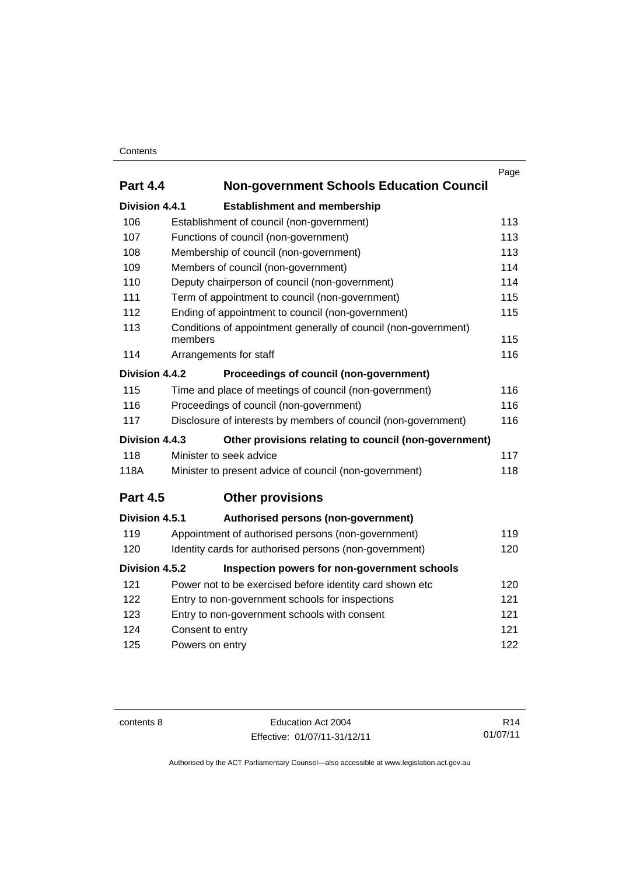## **Contents**

| <b>Part 4.4</b> | <b>Non-government Schools Education Council</b>                 | Page |
|-----------------|-----------------------------------------------------------------|------|
| Division 4.4.1  | <b>Establishment and membership</b>                             |      |
| 106             | Establishment of council (non-government)                       | 113  |
| 107             | Functions of council (non-government)                           | 113  |
| 108             | Membership of council (non-government)                          | 113  |
| 109             | Members of council (non-government)                             | 114  |
| 110             | Deputy chairperson of council (non-government)                  | 114  |
| 111             | Term of appointment to council (non-government)                 | 115  |
| 112             | Ending of appointment to council (non-government)               | 115  |
| 113             | Conditions of appointment generally of council (non-government) |      |
|                 | members                                                         | 115  |
| 114             | Arrangements for staff                                          | 116  |
| Division 4.4.2  | Proceedings of council (non-government)                         |      |
| 115             | Time and place of meetings of council (non-government)          | 116  |
| 116             | Proceedings of council (non-government)                         | 116  |
| 117             | Disclosure of interests by members of council (non-government)  | 116  |
| Division 4.4.3  | Other provisions relating to council (non-government)           |      |
| 118             | Minister to seek advice                                         | 117  |
| 118A            | Minister to present advice of council (non-government)          | 118  |
| <b>Part 4.5</b> | <b>Other provisions</b>                                         |      |
| Division 4.5.1  | Authorised persons (non-government)                             |      |
| 119             | Appointment of authorised persons (non-government)              | 119  |
| 120             | Identity cards for authorised persons (non-government)          | 120  |
| Division 4.5.2  | Inspection powers for non-government schools                    |      |
| 121             | Power not to be exercised before identity card shown etc        | 120  |
| 122             | Entry to non-government schools for inspections                 | 121  |
| 123             | Entry to non-government schools with consent                    | 121  |
| 124             | Consent to entry                                                | 121  |
| 125             | Powers on entry                                                 | 122  |
|                 |                                                                 |      |

contents 8 Education Act 2004 Effective: 01/07/11-31/12/11

R14 01/07/11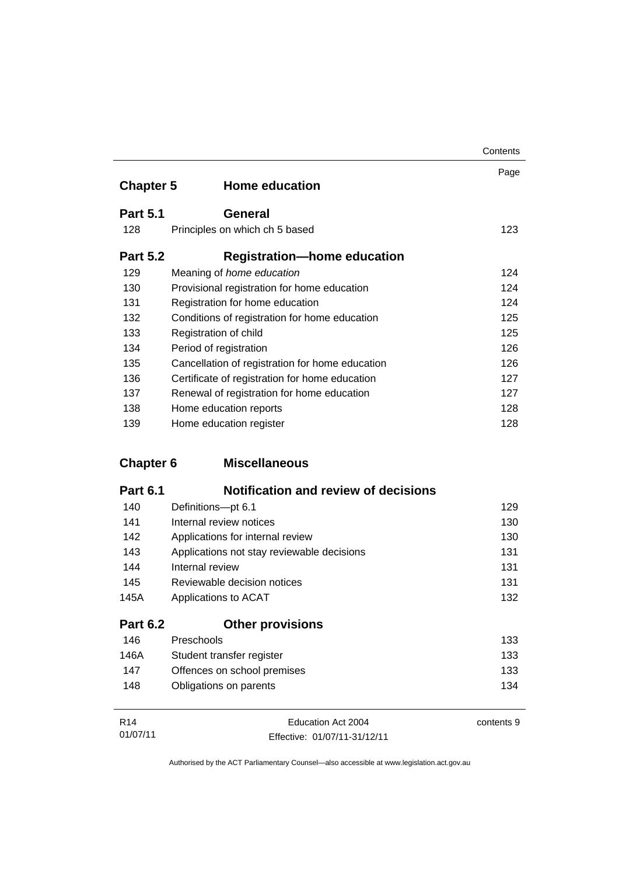|                  |                                                 | Contents |
|------------------|-------------------------------------------------|----------|
| <b>Chapter 5</b> | <b>Home education</b>                           | Page     |
| <b>Part 5.1</b>  | General                                         |          |
| 128              | Principles on which ch 5 based                  | 123      |
| <b>Part 5.2</b>  | <b>Registration-home education</b>              |          |
| 129              | Meaning of home education                       | 124      |
| 130              | Provisional registration for home education     | 124      |
| 131              | Registration for home education                 | 124      |
| 132              | Conditions of registration for home education   | 125      |
| 133              | Registration of child                           | 125      |
| 134              | Period of registration                          | 126      |
| 135              | Cancellation of registration for home education | 126      |
| 136              | Certificate of registration for home education  | 127      |
| 137              | Renewal of registration for home education      | 127      |
| 138              | Home education reports                          | 128      |
| 139              | Home education register                         | 128      |

# **Chapter 6 [Miscellaneous](#page-140-0)**

| <b>Part 6.1</b> | <b>Notification and review of decisions</b> |     |
|-----------------|---------------------------------------------|-----|
| 140             | Definitions-pt 6.1                          | 129 |
| 141             | Internal review notices                     | 130 |
| 142             | Applications for internal review            | 130 |
| 143             | Applications not stay reviewable decisions  | 131 |
| 144             | Internal review                             | 131 |
| 145             | Reviewable decision notices                 | 131 |
| 145A            | Applications to ACAT                        | 132 |
| <b>Part 6.2</b> | <b>Other provisions</b>                     |     |
| 146             | Preschools                                  | 133 |
| 146A            | Student transfer register                   | 133 |
| 147             | Offences on school premises                 | 133 |

| R <sub>14</sub> | Education Act 2004           | contents 9 |
|-----------------|------------------------------|------------|
| 01/07/11        | Effective: 01/07/11-31/12/11 |            |

148 [Obligations on parents 134](#page-145-0)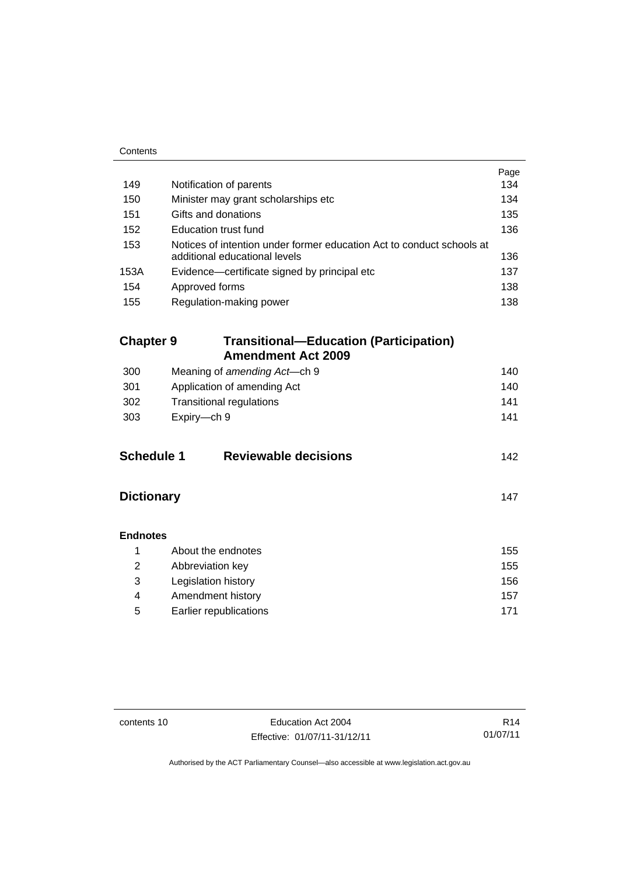| Contents          |                                                                                                        |      |
|-------------------|--------------------------------------------------------------------------------------------------------|------|
|                   |                                                                                                        | Page |
| 149               | Notification of parents                                                                                | 134  |
| 150               | Minister may grant scholarships etc                                                                    | 134  |
| 151               | Gifts and donations                                                                                    | 135  |
| 152               | <b>Education trust fund</b>                                                                            | 136  |
| 153               | Notices of intention under former education Act to conduct schools at<br>additional educational levels | 136  |
| 153A              | Evidence-certificate signed by principal etc                                                           | 137  |
| 154               | Approved forms                                                                                         | 138  |
| 155               | Regulation-making power                                                                                | 138  |
|                   |                                                                                                        |      |
| <b>Chapter 9</b>  | <b>Transitional-Education (Participation)</b><br><b>Amendment Act 2009</b>                             |      |
| 300               | Meaning of amending Act-ch 9                                                                           | 140  |
| 301               | Application of amending Act                                                                            | 140  |
| 302               | <b>Transitional regulations</b>                                                                        | 141  |
| 303               | Expiry-ch 9                                                                                            | 141  |
|                   |                                                                                                        |      |
| <b>Schedule 1</b> | <b>Reviewable decisions</b>                                                                            | 142  |
| <b>Dictionary</b> |                                                                                                        | 147  |
| <b>Endnotes</b>   |                                                                                                        |      |
| 1                 | About the endnotes                                                                                     | 155  |
| $\overline{2}$    | Abbreviation key                                                                                       | 155  |
| 3                 | Legislation history                                                                                    | 156  |
| 4                 | Amendment history                                                                                      | 157  |
| 5                 | Earlier republications                                                                                 | 171  |

L.

contents 10 Education Act 2004 Effective: 01/07/11-31/12/11

R14 01/07/11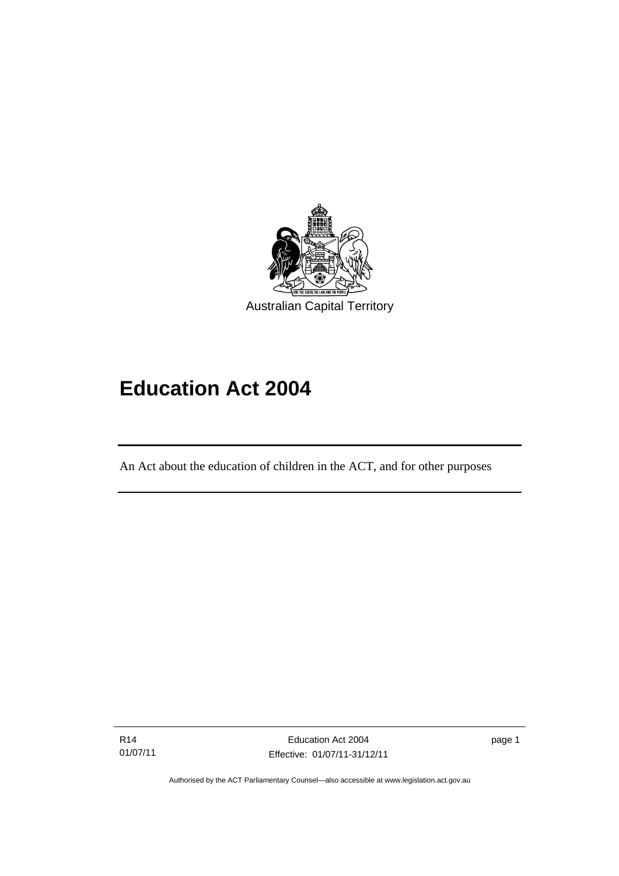

# **Education Act 2004**

An Act about the education of children in the ACT, and for other purposes

R14 01/07/11

l

page 1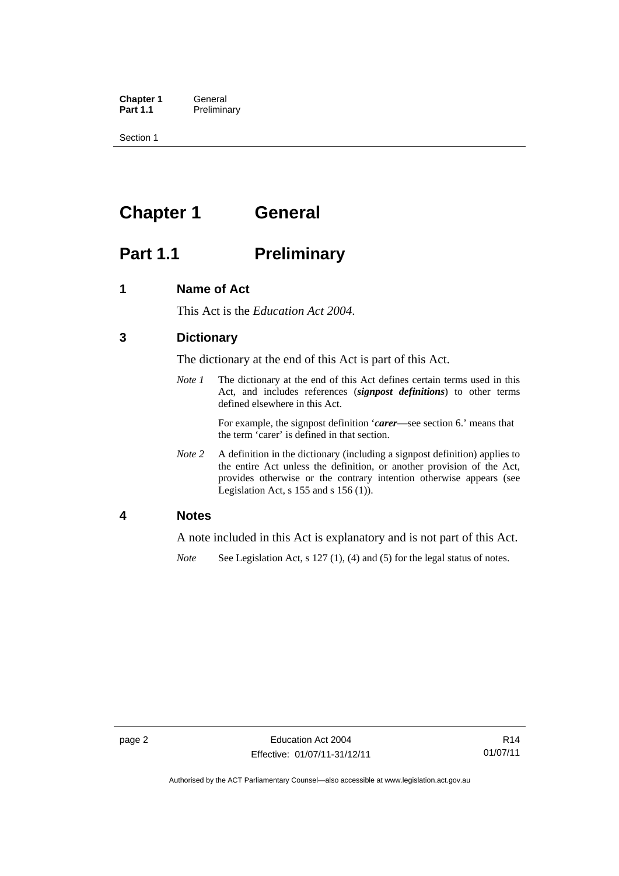**Chapter 1 General**<br>**Part 1.1 Prelimina Preliminary** 

Section 1

# <span id="page-13-0"></span>**Chapter 1 General**

# <span id="page-13-1"></span>**Part 1.1** Preliminary

# <span id="page-13-2"></span>**1 Name of Act**

This Act is the *Education Act 2004*.

# <span id="page-13-3"></span>**3 Dictionary**

The dictionary at the end of this Act is part of this Act.

*Note 1* The dictionary at the end of this Act defines certain terms used in this Act, and includes references (*signpost definitions*) to other terms defined elsewhere in this Act.

> For example, the signpost definition '*carer*—see section 6.' means that the term 'carer' is defined in that section.

*Note 2* A definition in the dictionary (including a signpost definition) applies to the entire Act unless the definition, or another provision of the Act, provides otherwise or the contrary intention otherwise appears (see Legislation Act,  $s$  155 and  $s$  156 (1)).

### <span id="page-13-4"></span>**4 Notes**

A note included in this Act is explanatory and is not part of this Act.

*Note* See Legislation Act, s 127 (1), (4) and (5) for the legal status of notes.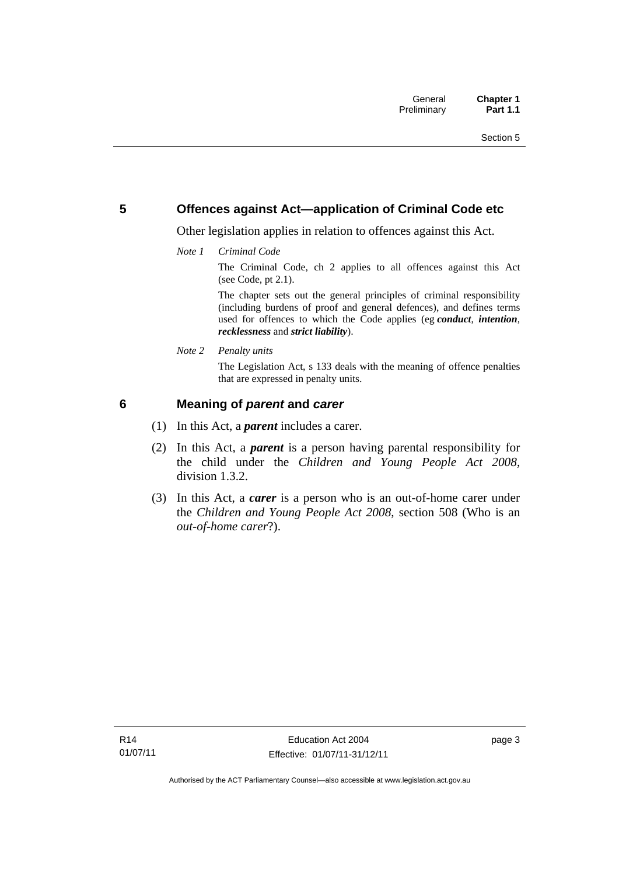# <span id="page-14-0"></span>**5 Offences against Act—application of Criminal Code etc**

Other legislation applies in relation to offences against this Act.

*Note 1 Criminal Code*

The Criminal Code, ch 2 applies to all offences against this Act (see Code, pt 2.1).

The chapter sets out the general principles of criminal responsibility (including burdens of proof and general defences), and defines terms used for offences to which the Code applies (eg *conduct*, *intention*, *recklessness* and *strict liability*).

*Note 2 Penalty units* 

The Legislation Act, s 133 deals with the meaning of offence penalties that are expressed in penalty units.

# <span id="page-14-1"></span>**6 Meaning of** *parent* **and** *carer*

- (1) In this Act, a *parent* includes a carer.
- (2) In this Act, a *parent* is a person having parental responsibility for the child under the *Children and Young People Act 2008*, division 1.3.2.
- (3) In this Act, a *carer* is a person who is an out-of-home carer under the *Children and Young People Act 2008*, section 508 (Who is an *out-of-home carer*?).

page 3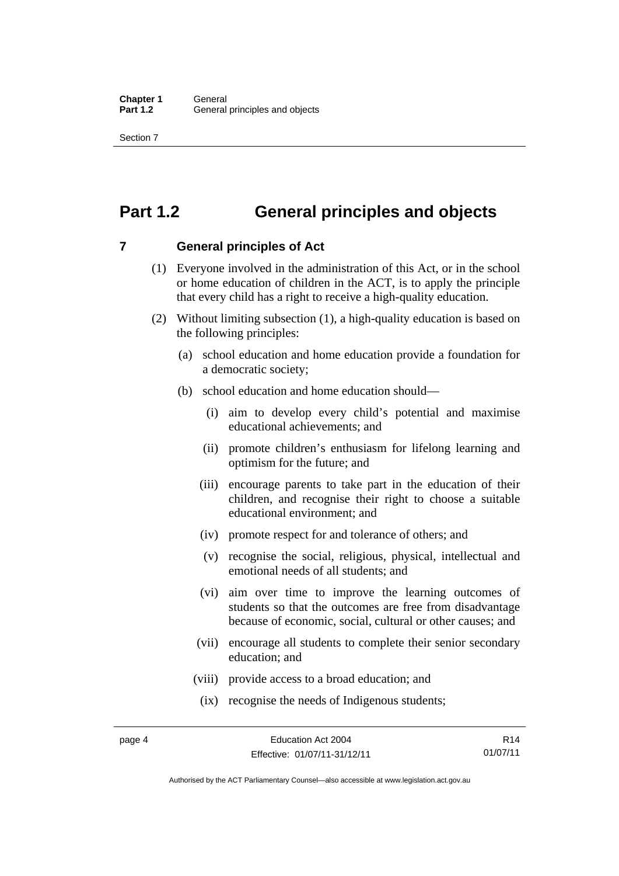Section 7

# <span id="page-15-0"></span>**Part 1.2 General principles and objects**

<span id="page-15-1"></span>**7 General principles of Act** 

- (1) Everyone involved in the administration of this Act, or in the school or home education of children in the ACT, is to apply the principle that every child has a right to receive a high-quality education.
- (2) Without limiting subsection (1), a high-quality education is based on the following principles:
	- (a) school education and home education provide a foundation for a democratic society;
	- (b) school education and home education should—
		- (i) aim to develop every child's potential and maximise educational achievements; and
		- (ii) promote children's enthusiasm for lifelong learning and optimism for the future; and
		- (iii) encourage parents to take part in the education of their children, and recognise their right to choose a suitable educational environment; and
		- (iv) promote respect for and tolerance of others; and
		- (v) recognise the social, religious, physical, intellectual and emotional needs of all students; and
		- (vi) aim over time to improve the learning outcomes of students so that the outcomes are free from disadvantage because of economic, social, cultural or other causes; and
		- (vii) encourage all students to complete their senior secondary education; and
		- (viii) provide access to a broad education; and
		- (ix) recognise the needs of Indigenous students;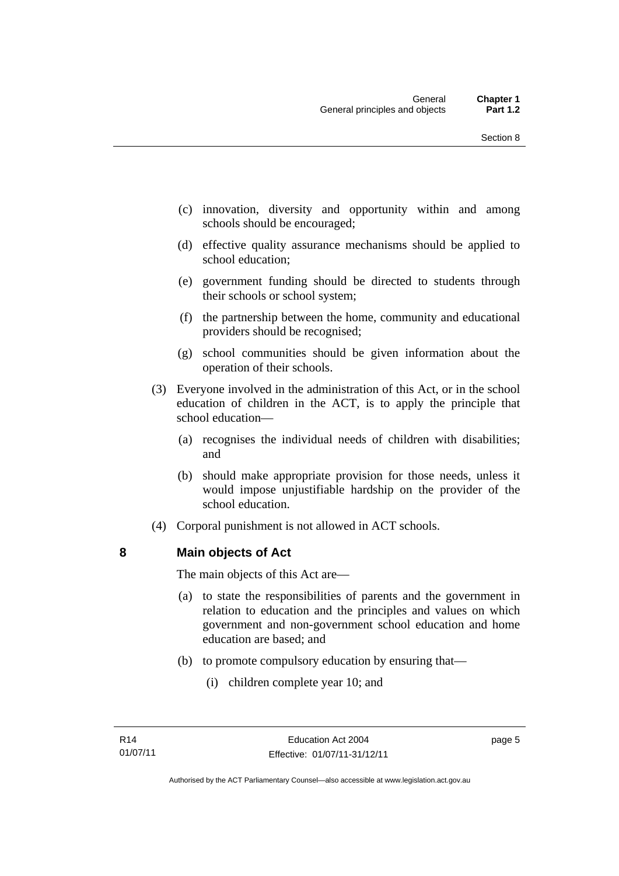- (c) innovation, diversity and opportunity within and among schools should be encouraged;
- (d) effective quality assurance mechanisms should be applied to school education;
- (e) government funding should be directed to students through their schools or school system;
- (f) the partnership between the home, community and educational providers should be recognised;
- (g) school communities should be given information about the operation of their schools.
- (3) Everyone involved in the administration of this Act, or in the school education of children in the ACT, is to apply the principle that school education—
	- (a) recognises the individual needs of children with disabilities; and
	- (b) should make appropriate provision for those needs, unless it would impose unjustifiable hardship on the provider of the school education.
- (4) Corporal punishment is not allowed in ACT schools.

# <span id="page-16-0"></span>**8 Main objects of Act**

The main objects of this Act are—

- (a) to state the responsibilities of parents and the government in relation to education and the principles and values on which government and non-government school education and home education are based; and
- (b) to promote compulsory education by ensuring that—
	- (i) children complete year 10; and

page 5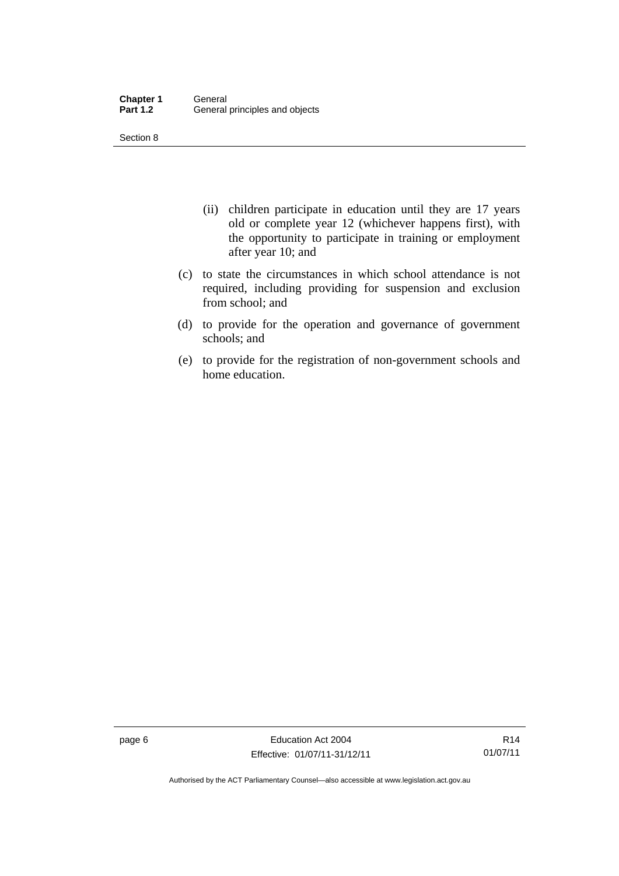Section 8

- (ii) children participate in education until they are 17 years old or complete year 12 (whichever happens first), with the opportunity to participate in training or employment after year 10; and
- (c) to state the circumstances in which school attendance is not required, including providing for suspension and exclusion from school; and
- (d) to provide for the operation and governance of government schools; and
- (e) to provide for the registration of non-government schools and home education.

page 6 **Education Act 2004** Effective: 01/07/11-31/12/11

R14 01/07/11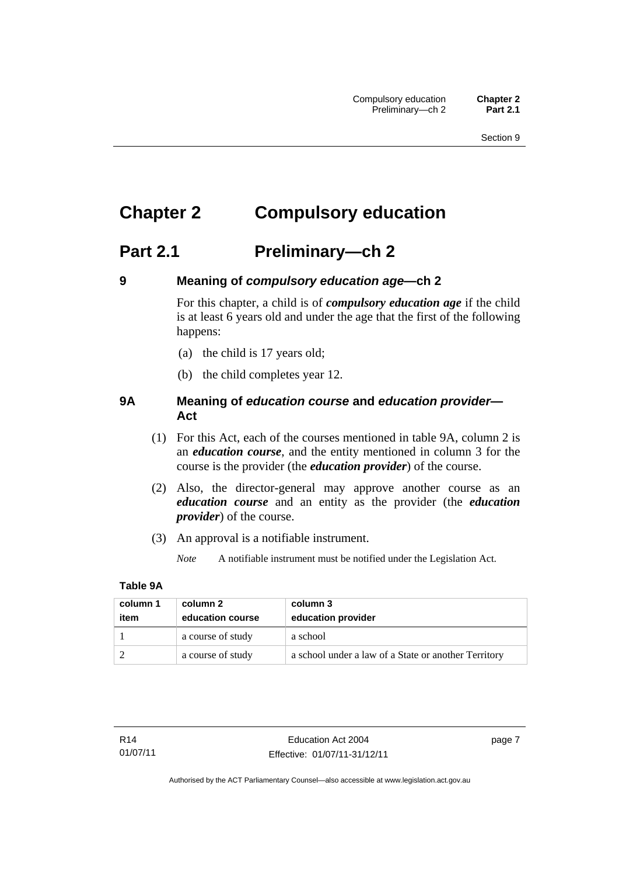# <span id="page-18-0"></span>**Chapter 2 Compulsory education**

# <span id="page-18-1"></span>**Part 2.1 Preliminary—ch 2**

<span id="page-18-2"></span>

# **9 Meaning of** *compulsory education age***—ch 2**

For this chapter, a child is of *compulsory education age* if the child is at least 6 years old and under the age that the first of the following happens:

- (a) the child is 17 years old;
- (b) the child completes year 12.

# <span id="page-18-3"></span>**9A Meaning of** *education course* **and** *education provider***— Act**

- (1) For this Act, each of the courses mentioned in table 9A, column 2 is an *education course*, and the entity mentioned in column 3 for the course is the provider (the *education provider*) of the course.
- (2) Also, the director-general may approve another course as an *education course* and an entity as the provider (the *education provider*) of the course.
- (3) An approval is a notifiable instrument.
	- *Note* A notifiable instrument must be notified under the Legislation Act.

### **Table 9A**

| column 1 | column 2          | column 3                                             |
|----------|-------------------|------------------------------------------------------|
| item     | education course  | education provider                                   |
|          | a course of study | a school                                             |
|          | a course of study | a school under a law of a State or another Territory |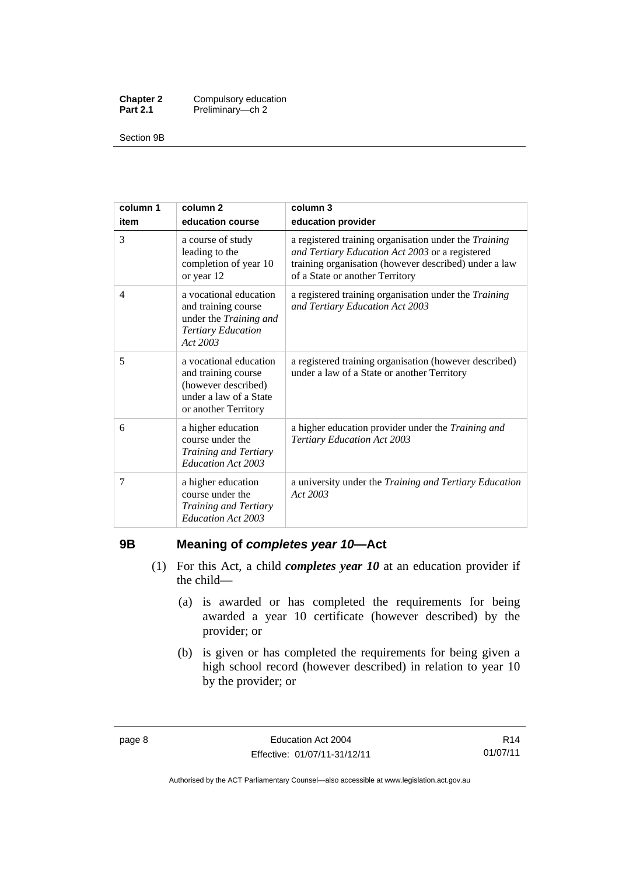| <b>Chapter 2</b> | Compulsory education |
|------------------|----------------------|
| <b>Part 2.1</b>  | Preliminary-ch 2     |

Section 9B

| column 1<br>item | column <sub>2</sub><br>education course                                                                                | column 3<br>education provider                                                                                                                                                                       |
|------------------|------------------------------------------------------------------------------------------------------------------------|------------------------------------------------------------------------------------------------------------------------------------------------------------------------------------------------------|
| 3                | a course of study<br>leading to the<br>completion of year 10<br>or year 12                                             | a registered training organisation under the Training<br>and Tertiary Education Act 2003 or a registered<br>training organisation (however described) under a law<br>of a State or another Territory |
| 4                | a vocational education<br>and training course<br>under the Training and<br><b>Tertiary Education</b><br>Act 2003       | a registered training organisation under the Training<br>and Tertiary Education Act 2003                                                                                                             |
| 5                | a vocational education<br>and training course<br>(however described)<br>under a law of a State<br>or another Territory | a registered training organisation (however described)<br>under a law of a State or another Territory                                                                                                |
| 6                | a higher education<br>course under the<br>Training and Tertiary<br>Education Act 2003                                  | a higher education provider under the Training and<br><b>Tertiary Education Act 2003</b>                                                                                                             |
| 7                | a higher education<br>course under the<br>Training and Tertiary<br>Education Act 2003                                  | a university under the Training and Tertiary Education<br>Act 2003                                                                                                                                   |

# <span id="page-19-0"></span>**9B Meaning of** *completes year 10***—Act**

- (1) For this Act, a child *completes year 10* at an education provider if the child—
	- (a) is awarded or has completed the requirements for being awarded a year 10 certificate (however described) by the provider; or
	- (b) is given or has completed the requirements for being given a high school record (however described) in relation to year 10 by the provider; or

R14 01/07/11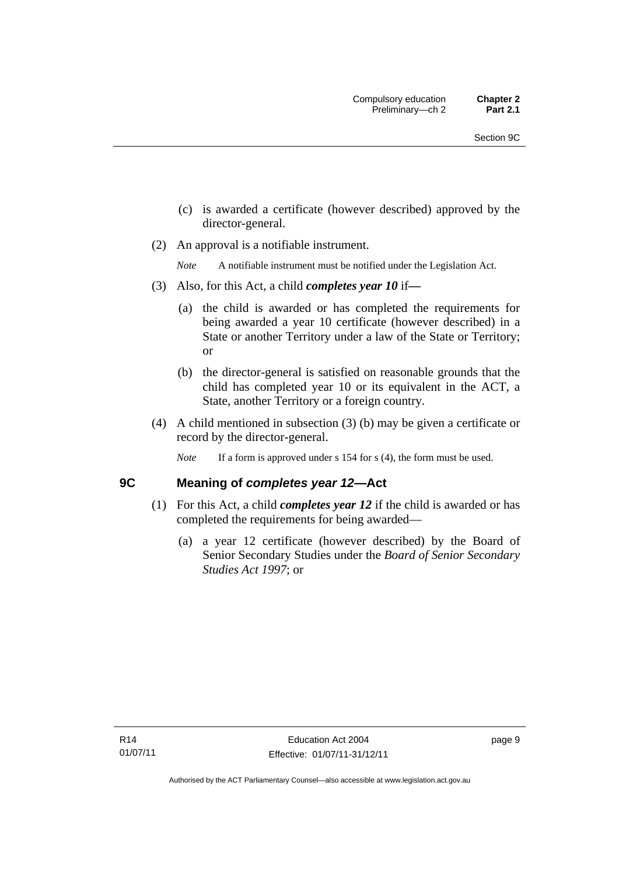- (c) is awarded a certificate (however described) approved by the director-general.
- (2) An approval is a notifiable instrument.

*Note* A notifiable instrument must be notified under the Legislation Act.

- (3) Also, for this Act, a child *completes year 10* if*—*
	- (a) the child is awarded or has completed the requirements for being awarded a year 10 certificate (however described) in a State or another Territory under a law of the State or Territory; or
	- (b) the director-general is satisfied on reasonable grounds that the child has completed year 10 or its equivalent in the ACT, a State, another Territory or a foreign country.
- (4) A child mentioned in subsection (3) (b) may be given a certificate or record by the director-general.
	- *Note* If a form is approved under s 154 for s (4), the form must be used.

# <span id="page-20-0"></span>**9C Meaning of** *completes year 12***—Act**

- (1) For this Act, a child *completes year 12* if the child is awarded or has completed the requirements for being awarded—
	- (a) a year 12 certificate (however described) by the Board of Senior Secondary Studies under the *Board of Senior Secondary Studies Act 1997*; or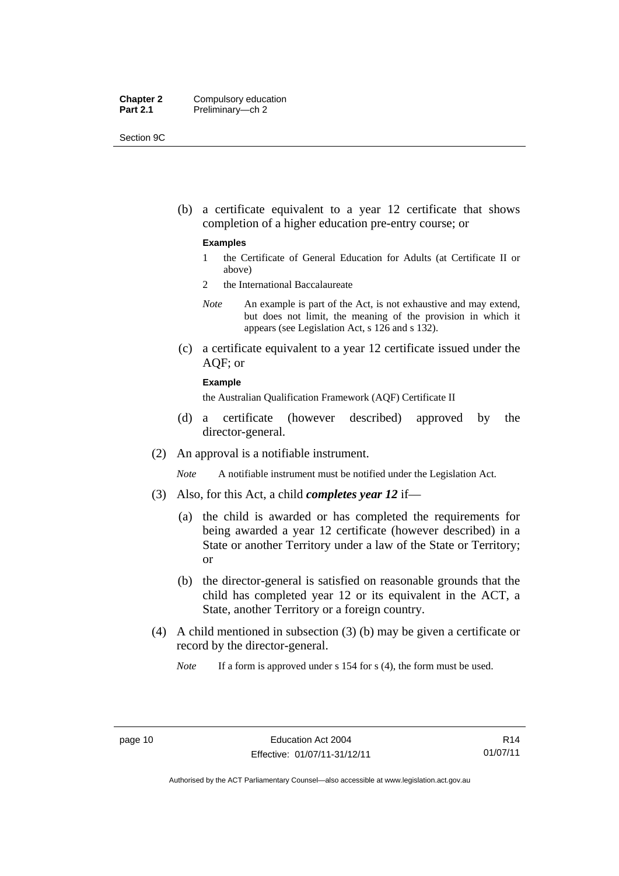| <b>Chapter 2</b> | Compulsory education |
|------------------|----------------------|
| <b>Part 2.1</b>  | Preliminary-ch 2     |

Section 9C

 (b) a certificate equivalent to a year 12 certificate that shows completion of a higher education pre-entry course; or

#### **Examples**

- 1 the Certificate of General Education for Adults (at Certificate II or above)
- 2 the International Baccalaureate
- *Note* An example is part of the Act, is not exhaustive and may extend, but does not limit, the meaning of the provision in which it appears (see Legislation Act, s 126 and s 132).
- (c) a certificate equivalent to a year 12 certificate issued under the AQF; or

#### **Example**

the Australian Qualification Framework (AQF) Certificate II

- (d) a certificate (however described) approved by the director-general.
- (2) An approval is a notifiable instrument.

*Note* A notifiable instrument must be notified under the Legislation Act.

- (3) Also, for this Act, a child *completes year 12* if—
	- (a) the child is awarded or has completed the requirements for being awarded a year 12 certificate (however described) in a State or another Territory under a law of the State or Territory; or
	- (b) the director-general is satisfied on reasonable grounds that the child has completed year 12 or its equivalent in the ACT, a State, another Territory or a foreign country.
- (4) A child mentioned in subsection (3) (b) may be given a certificate or record by the director-general.

*Note* If a form is approved under s 154 for s (4), the form must be used.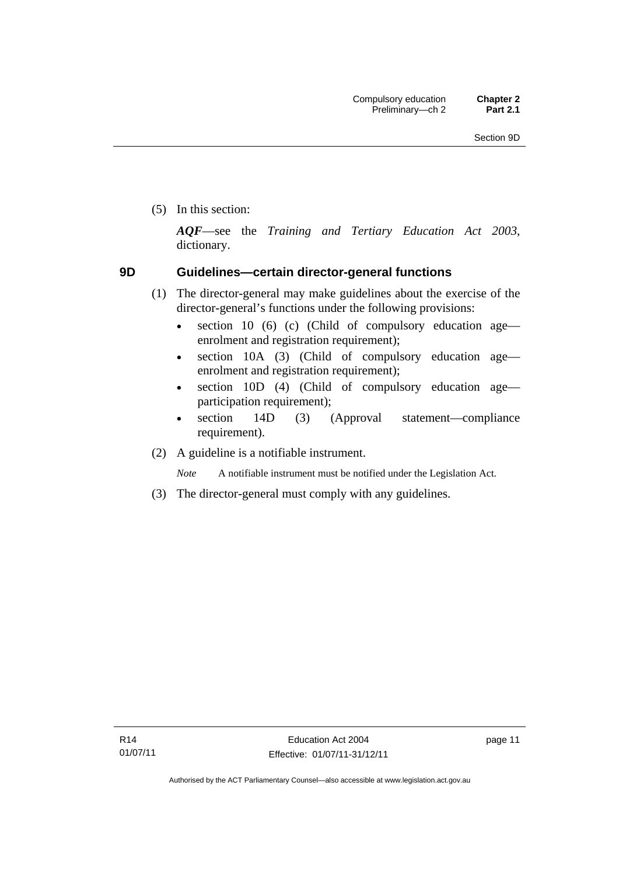(5) In this section:

*AQF*—see the *Training and Tertiary Education Act 2003*, dictionary.

# <span id="page-22-0"></span>**9D Guidelines—certain director-general functions**

- (1) The director-general may make guidelines about the exercise of the director-general's functions under the following provisions:
	- $\bullet$  section 10 (6) (c) (Child of compulsory education age enrolment and registration requirement);
	- section 10A (3) (Child of compulsory education age enrolment and registration requirement);
	- section 10D (4) (Child of compulsory education age participation requirement);
	- section 14D (3) (Approval statement—compliance requirement).
- (2) A guideline is a notifiable instrument.

*Note* A notifiable instrument must be notified under the Legislation Act.

(3) The director-general must comply with any guidelines.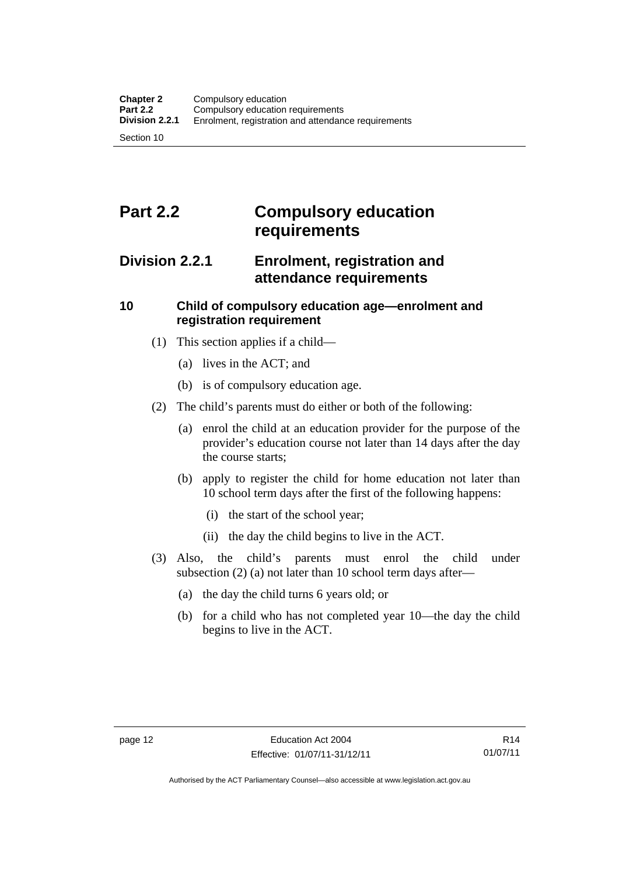# <span id="page-23-0"></span>**Part 2.2 Compulsory education requirements**

# <span id="page-23-1"></span>**Division 2.2.1 Enrolment, registration and attendance requirements**

# <span id="page-23-2"></span>**10 Child of compulsory education age—enrolment and registration requirement**

- (1) This section applies if a child—
	- (a) lives in the ACT; and
	- (b) is of compulsory education age.
- (2) The child's parents must do either or both of the following:
	- (a) enrol the child at an education provider for the purpose of the provider's education course not later than 14 days after the day the course starts;
	- (b) apply to register the child for home education not later than 10 school term days after the first of the following happens:
		- (i) the start of the school year;
		- (ii) the day the child begins to live in the ACT.
- (3) Also, the child's parents must enrol the child under subsection (2) (a) not later than 10 school term days after—
	- (a) the day the child turns 6 years old; or
	- (b) for a child who has not completed year 10—the day the child begins to live in the ACT.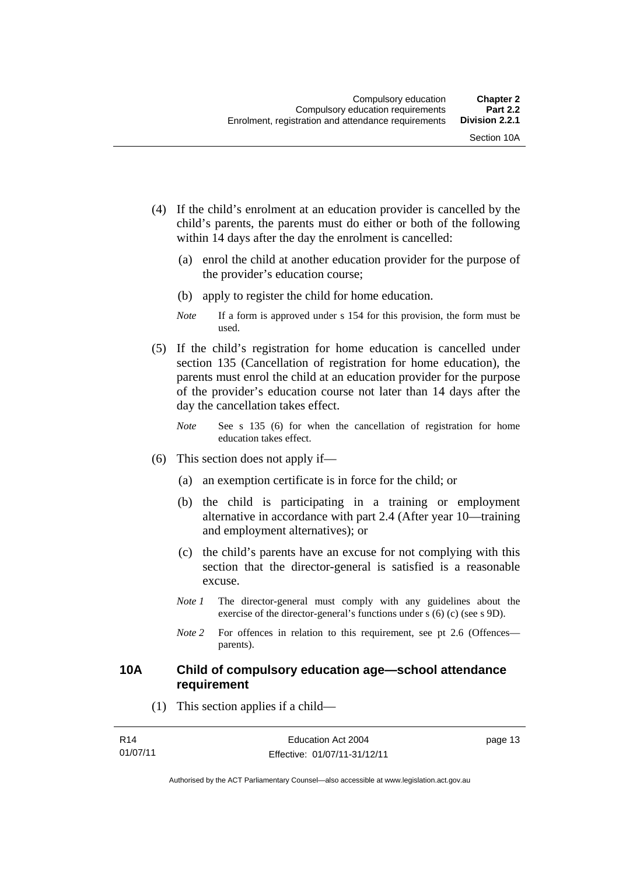- (4) If the child's enrolment at an education provider is cancelled by the child's parents, the parents must do either or both of the following within 14 days after the day the enrolment is cancelled:
	- (a) enrol the child at another education provider for the purpose of the provider's education course;
	- (b) apply to register the child for home education.
	- *Note* If a form is approved under s 154 for this provision, the form must be used.
- (5) If the child's registration for home education is cancelled under section 135 (Cancellation of registration for home education), the parents must enrol the child at an education provider for the purpose of the provider's education course not later than 14 days after the day the cancellation takes effect.
	- *Note* See s 135 (6) for when the cancellation of registration for home education takes effect.
- (6) This section does not apply if—
	- (a) an exemption certificate is in force for the child; or
	- (b) the child is participating in a training or employment alternative in accordance with part 2.4 (After year 10—training and employment alternatives); or
	- (c) the child's parents have an excuse for not complying with this section that the director-general is satisfied is a reasonable excuse.
	- *Note 1* The director-general must comply with any guidelines about the exercise of the director-general's functions under s (6) (c) (see s 9D).
	- *Note* 2 For offences in relation to this requirement, see pt 2.6 (Offences parents).

# <span id="page-24-0"></span>**10A Child of compulsory education age—school attendance requirement**

(1) This section applies if a child—

| R14      | Education Act 2004           | page 13 |
|----------|------------------------------|---------|
| 01/07/11 | Effective: 01/07/11-31/12/11 |         |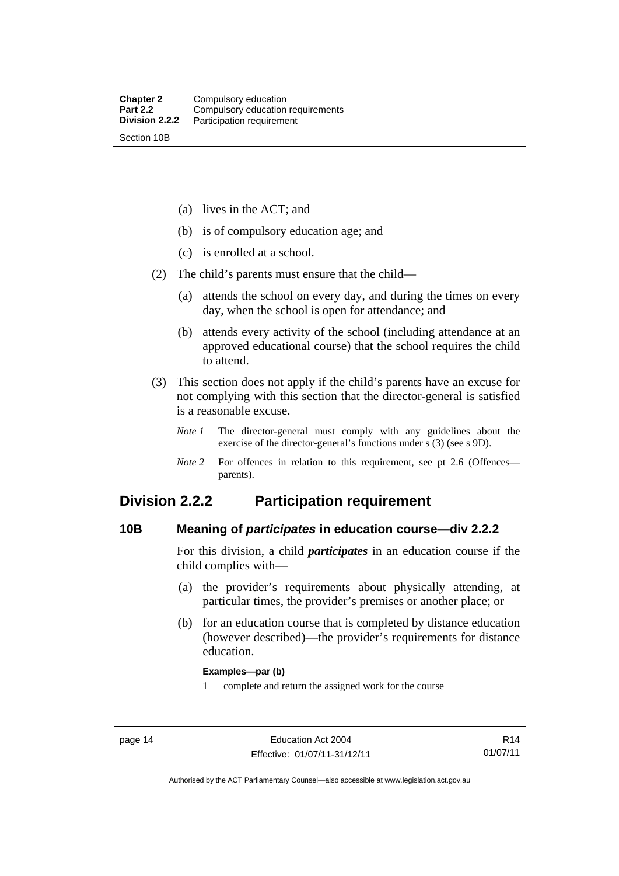(a) lives in the ACT; and

(b) is of compulsory education age; and

(c) is enrolled at a school.

(2) The child's parents must ensure that the child—

 (a) attends the school on every day, and during the times on every day, when the school is open for attendance; and

 (b) attends every activity of the school (including attendance at an approved educational course) that the school requires the child to attend.

 (3) This section does not apply if the child's parents have an excuse for not complying with this section that the director-general is satisfied is a reasonable excuse.

*Note 1* The director-general must comply with any guidelines about the exercise of the director-general's functions under s (3) (see s 9D).

*Note 2* For offences in relation to this requirement, see pt 2.6 (Offences parents).

# <span id="page-25-0"></span>**Division 2.2.2 Participation requirement**

# <span id="page-25-1"></span>**10B Meaning of** *participates* **in education course—div 2.2.2**

For this division, a child *participates* in an education course if the child complies with—

- (a) the provider's requirements about physically attending, at particular times, the provider's premises or another place; or
- (b) for an education course that is completed by distance education (however described)—the provider's requirements for distance education.

#### **Examples—par (b)**

1 complete and return the assigned work for the course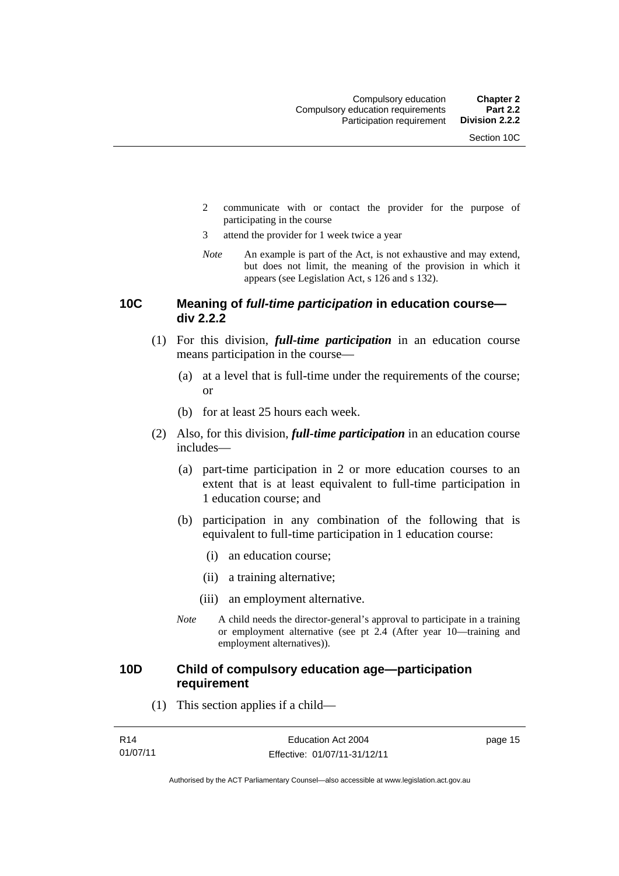- 2 communicate with or contact the provider for the purpose of participating in the course
- 3 attend the provider for 1 week twice a year
- *Note* An example is part of the Act, is not exhaustive and may extend, but does not limit, the meaning of the provision in which it appears (see Legislation Act, s 126 and s 132).

## <span id="page-26-0"></span>**10C Meaning of** *full-time participation* **in education course div 2.2.2**

- (1) For this division, *full-time participation* in an education course means participation in the course—
	- (a) at a level that is full-time under the requirements of the course; or
	- (b) for at least 25 hours each week.
- (2) Also, for this division, *full-time participation* in an education course includes—
	- (a) part-time participation in 2 or more education courses to an extent that is at least equivalent to full-time participation in 1 education course; and
	- (b) participation in any combination of the following that is equivalent to full-time participation in 1 education course:
		- (i) an education course;
		- (ii) a training alternative;
		- (iii) an employment alternative.
	- *Note* A child needs the director-general's approval to participate in a training or employment alternative (see pt 2.4 (After year 10—training and employment alternatives)).

# <span id="page-26-1"></span>**10D Child of compulsory education age—participation requirement**

(1) This section applies if a child—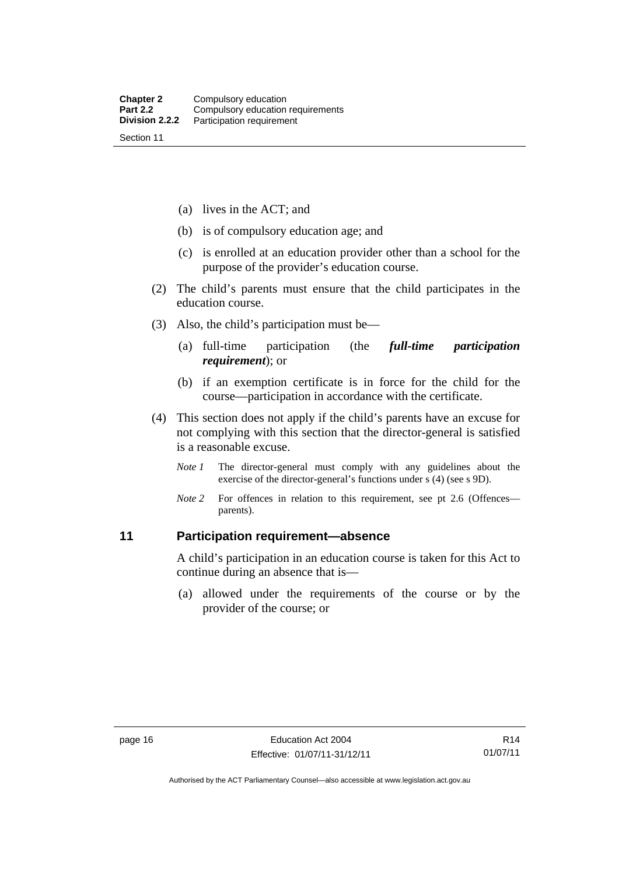(a) lives in the ACT; and

- (b) is of compulsory education age; and
- (c) is enrolled at an education provider other than a school for the purpose of the provider's education course.
- (2) The child's parents must ensure that the child participates in the education course.
- (3) Also, the child's participation must be—
	- (a) full-time participation (the *full-time participation requirement*); or
	- (b) if an exemption certificate is in force for the child for the course—participation in accordance with the certificate.
- (4) This section does not apply if the child's parents have an excuse for not complying with this section that the director-general is satisfied is a reasonable excuse.
	- *Note 1* The director-general must comply with any guidelines about the exercise of the director-general's functions under s (4) (see s 9D).
	- *Note* 2 For offences in relation to this requirement, see pt 2.6 (Offences parents).

# <span id="page-27-0"></span>**11 Participation requirement—absence**

A child's participation in an education course is taken for this Act to continue during an absence that is—

 (a) allowed under the requirements of the course or by the provider of the course; or

Authorised by the ACT Parliamentary Counsel—also accessible at www.legislation.act.gov.au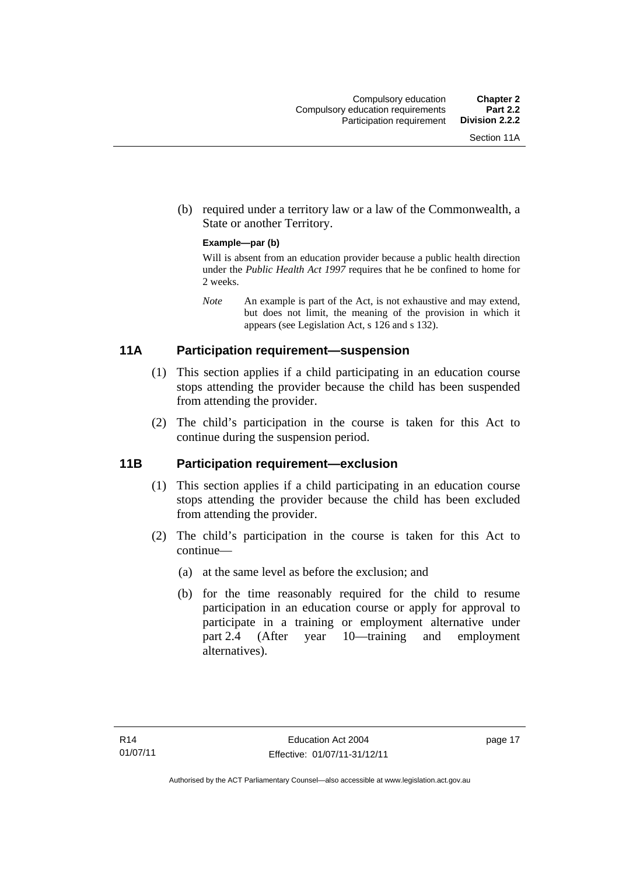(b) required under a territory law or a law of the Commonwealth, a State or another Territory.

#### **Example—par (b)**

Will is absent from an education provider because a public health direction under the *Public Health Act 1997* requires that he be confined to home for 2 weeks.

*Note* An example is part of the Act, is not exhaustive and may extend, but does not limit, the meaning of the provision in which it appears (see Legislation Act, s 126 and s 132).

# <span id="page-28-0"></span>**11A Participation requirement—suspension**

- (1) This section applies if a child participating in an education course stops attending the provider because the child has been suspended from attending the provider.
- (2) The child's participation in the course is taken for this Act to continue during the suspension period.

# <span id="page-28-1"></span>**11B Participation requirement—exclusion**

- (1) This section applies if a child participating in an education course stops attending the provider because the child has been excluded from attending the provider.
- (2) The child's participation in the course is taken for this Act to continue—
	- (a) at the same level as before the exclusion; and
	- (b) for the time reasonably required for the child to resume participation in an education course or apply for approval to participate in a training or employment alternative under part 2.4 (After year 10—training and employment alternatives).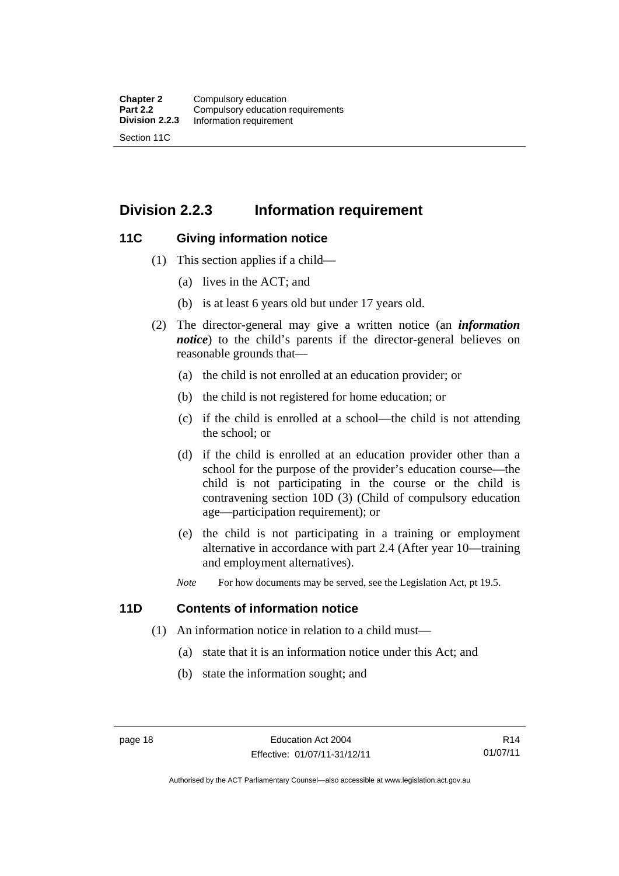# <span id="page-29-0"></span>**Division 2.2.3 Information requirement**

# <span id="page-29-1"></span>**11C Giving information notice**

- (1) This section applies if a child—
	- (a) lives in the ACT; and
	- (b) is at least 6 years old but under 17 years old.
- (2) The director-general may give a written notice (an *information notice*) to the child's parents if the director-general believes on reasonable grounds that—
	- (a) the child is not enrolled at an education provider; or
	- (b) the child is not registered for home education; or
	- (c) if the child is enrolled at a school—the child is not attending the school; or
	- (d) if the child is enrolled at an education provider other than a school for the purpose of the provider's education course—the child is not participating in the course or the child is contravening section 10D (3) (Child of compulsory education age—participation requirement); or
	- (e) the child is not participating in a training or employment alternative in accordance with part 2.4 (After year 10—training and employment alternatives).
	- *Note* For how documents may be served, see the Legislation Act, pt 19.5.

# <span id="page-29-2"></span>**11D Contents of information notice**

- (1) An information notice in relation to a child must—
	- (a) state that it is an information notice under this Act; and
	- (b) state the information sought; and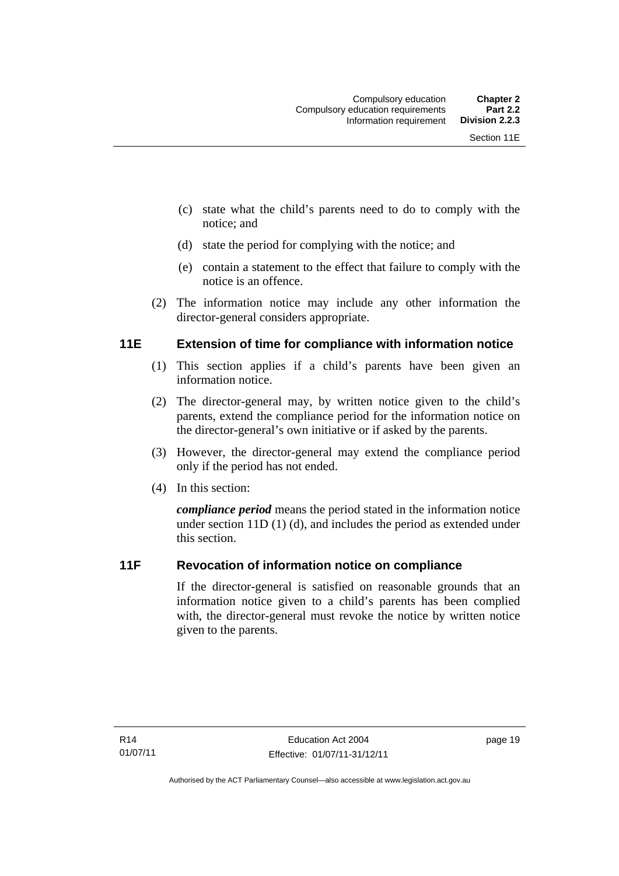- (c) state what the child's parents need to do to comply with the notice; and
- (d) state the period for complying with the notice; and
- (e) contain a statement to the effect that failure to comply with the notice is an offence.
- (2) The information notice may include any other information the director-general considers appropriate.

# <span id="page-30-0"></span>**11E Extension of time for compliance with information notice**

- (1) This section applies if a child's parents have been given an information notice.
- (2) The director-general may, by written notice given to the child's parents, extend the compliance period for the information notice on the director-general's own initiative or if asked by the parents.
- (3) However, the director-general may extend the compliance period only if the period has not ended.
- (4) In this section:

*compliance period* means the period stated in the information notice under section 11D (1) (d), and includes the period as extended under this section.

# <span id="page-30-1"></span>**11F Revocation of information notice on compliance**

If the director-general is satisfied on reasonable grounds that an information notice given to a child's parents has been complied with, the director-general must revoke the notice by written notice given to the parents.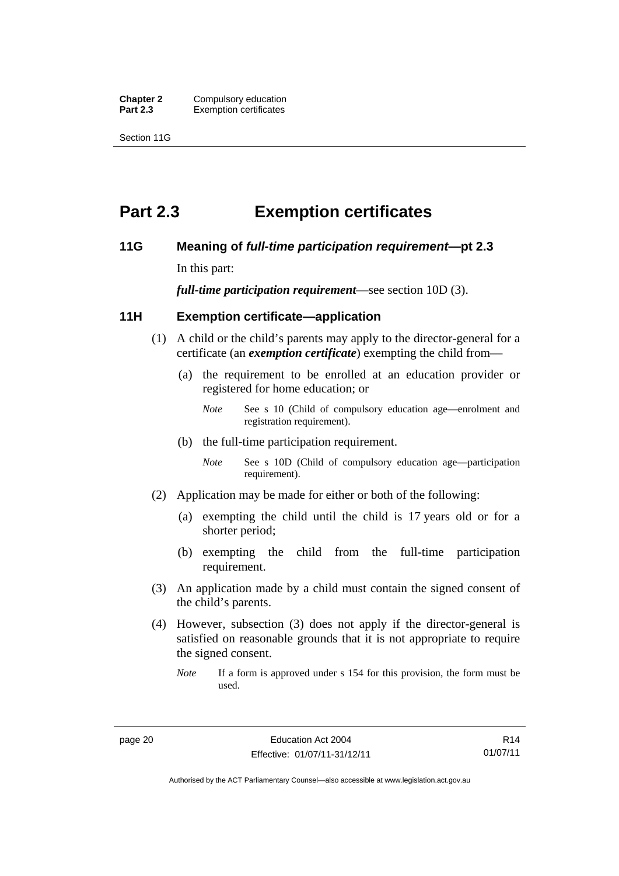**Chapter 2** Compulsory education<br>**Part 2.3** Exemption certificates **Exemption certificates** 

Section 11G

# <span id="page-31-0"></span>**Part 2.3 Exemption certificates**

## <span id="page-31-1"></span>**11G Meaning of** *full-time participation requirement***—pt 2.3**

In this part:

*full-time participation requirement*—see section 10D (3).

# <span id="page-31-2"></span>**11H Exemption certificate—application**

- (1) A child or the child's parents may apply to the director-general for a certificate (an *exemption certificate*) exempting the child from—
	- (a) the requirement to be enrolled at an education provider or registered for home education; or
		- *Note* See s 10 (Child of compulsory education age—enrolment and registration requirement).
	- (b) the full-time participation requirement.
		- *Note* See s 10D (Child of compulsory education age—participation requirement).
- (2) Application may be made for either or both of the following:
	- (a) exempting the child until the child is 17 years old or for a shorter period;
	- (b) exempting the child from the full-time participation requirement.
- (3) An application made by a child must contain the signed consent of the child's parents.
- (4) However, subsection (3) does not apply if the director-general is satisfied on reasonable grounds that it is not appropriate to require the signed consent.
	- *Note* If a form is approved under s 154 for this provision, the form must be used.

R14 01/07/11

Authorised by the ACT Parliamentary Counsel—also accessible at www.legislation.act.gov.au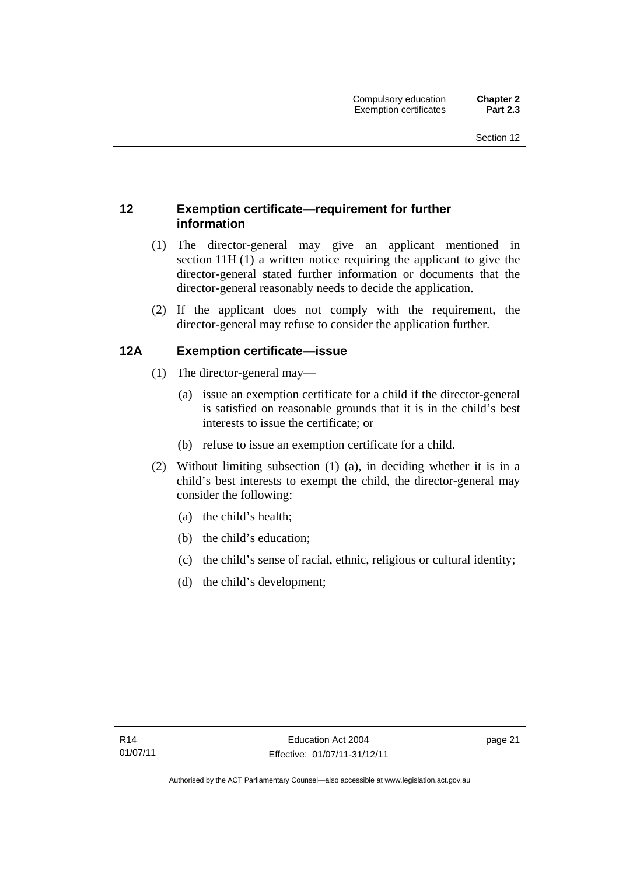# <span id="page-32-0"></span>**12 Exemption certificate—requirement for further information**

- (1) The director-general may give an applicant mentioned in section 11H (1) a written notice requiring the applicant to give the director-general stated further information or documents that the director-general reasonably needs to decide the application.
- (2) If the applicant does not comply with the requirement, the director-general may refuse to consider the application further.

# <span id="page-32-1"></span>**12A Exemption certificate—issue**

- (1) The director-general may—
	- (a) issue an exemption certificate for a child if the director-general is satisfied on reasonable grounds that it is in the child's best interests to issue the certificate; or
	- (b) refuse to issue an exemption certificate for a child.
- (2) Without limiting subsection (1) (a), in deciding whether it is in a child's best interests to exempt the child, the director-general may consider the following:
	- (a) the child's health;
	- (b) the child's education;
	- (c) the child's sense of racial, ethnic, religious or cultural identity;
	- (d) the child's development;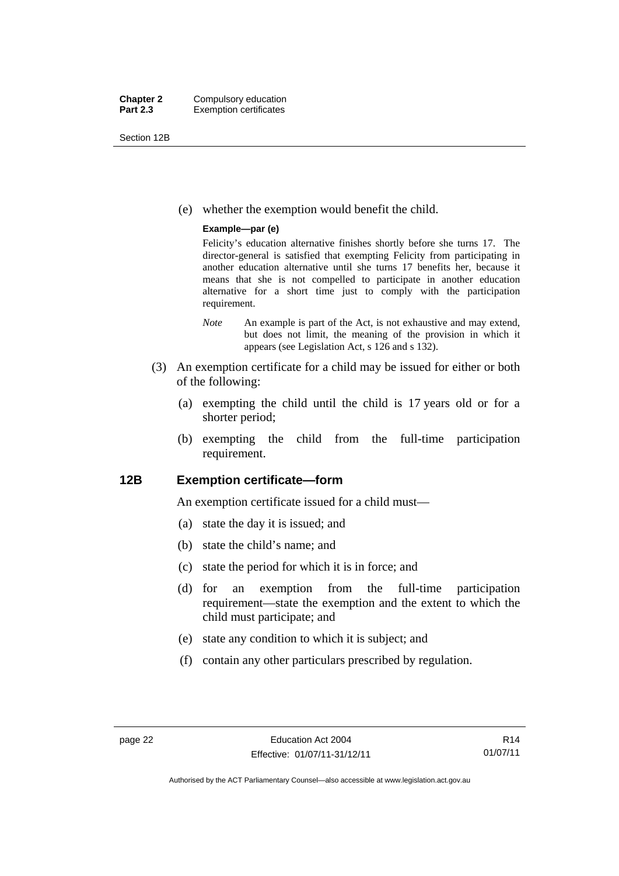Section 12B

(e) whether the exemption would benefit the child.

#### **Example—par (e)**

Felicity's education alternative finishes shortly before she turns 17. The director-general is satisfied that exempting Felicity from participating in another education alternative until she turns 17 benefits her, because it means that she is not compelled to participate in another education alternative for a short time just to comply with the participation requirement.

- *Note* An example is part of the Act, is not exhaustive and may extend, but does not limit, the meaning of the provision in which it appears (see Legislation Act, s 126 and s 132).
- (3) An exemption certificate for a child may be issued for either or both of the following:
	- (a) exempting the child until the child is 17 years old or for a shorter period;
	- (b) exempting the child from the full-time participation requirement.

## <span id="page-33-0"></span>**12B Exemption certificate—form**

An exemption certificate issued for a child must—

- (a) state the day it is issued; and
- (b) state the child's name; and
- (c) state the period for which it is in force; and
- (d) for an exemption from the full-time participation requirement—state the exemption and the extent to which the child must participate; and
- (e) state any condition to which it is subject; and
- (f) contain any other particulars prescribed by regulation.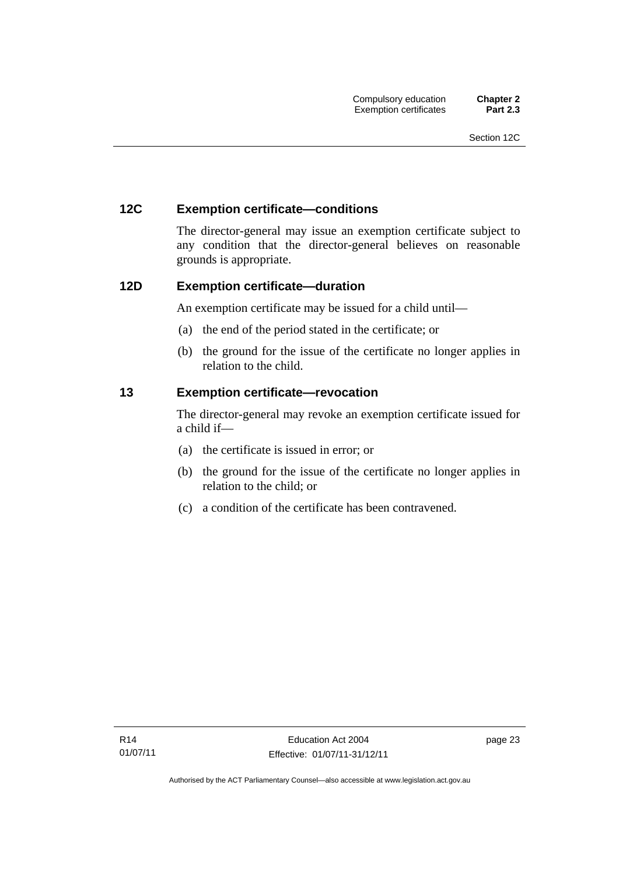# <span id="page-34-0"></span>**12C Exemption certificate—conditions**

The director-general may issue an exemption certificate subject to any condition that the director-general believes on reasonable grounds is appropriate.

# <span id="page-34-1"></span>**12D Exemption certificate—duration**

An exemption certificate may be issued for a child until—

- (a) the end of the period stated in the certificate; or
- (b) the ground for the issue of the certificate no longer applies in relation to the child.

# <span id="page-34-2"></span>**13 Exemption certificate—revocation**

The director-general may revoke an exemption certificate issued for a child if—

- (a) the certificate is issued in error; or
- (b) the ground for the issue of the certificate no longer applies in relation to the child; or
- (c) a condition of the certificate has been contravened.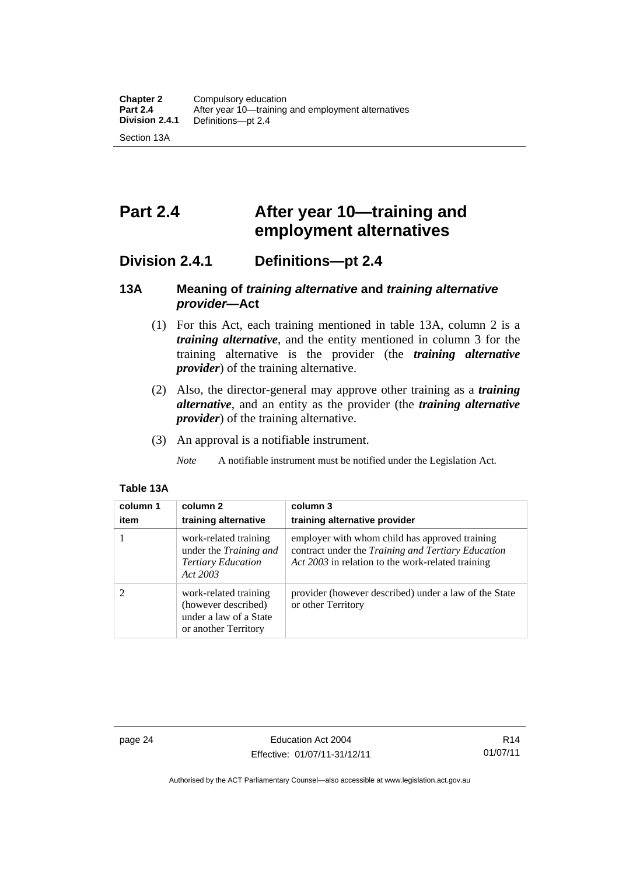# <span id="page-35-0"></span>**Part 2.4 After year 10—training and employment alternatives**

# <span id="page-35-1"></span>**Division 2.4.1 Definitions—pt 2.4**

# <span id="page-35-2"></span>**13A Meaning of** *training alternative* **and** *training alternative provider***—Act**

- (1) For this Act, each training mentioned in table 13A, column 2 is a *training alternative*, and the entity mentioned in column 3 for the training alternative is the provider (the *training alternative provider*) of the training alternative.
- (2) Also, the director-general may approve other training as a *training alternative*, and an entity as the provider (the *training alternative provider*) of the training alternative.
- (3) An approval is a notifiable instrument.

*Note* A notifiable instrument must be notified under the Legislation Act.

### **Table 13A**

| column 1<br>item | column 2<br>training alternative                                                               | column 3<br>training alternative provider                                                                                                                 |
|------------------|------------------------------------------------------------------------------------------------|-----------------------------------------------------------------------------------------------------------------------------------------------------------|
|                  | work-related training<br>under the Training and<br><b>Tertiary Education</b><br>Act 2003       | employer with whom child has approved training<br>contract under the Training and Tertiary Education<br>Act 2003 in relation to the work-related training |
| っ                | work-related training<br>(however described)<br>under a law of a State<br>or another Territory | provider (however described) under a law of the State<br>or other Territory                                                                               |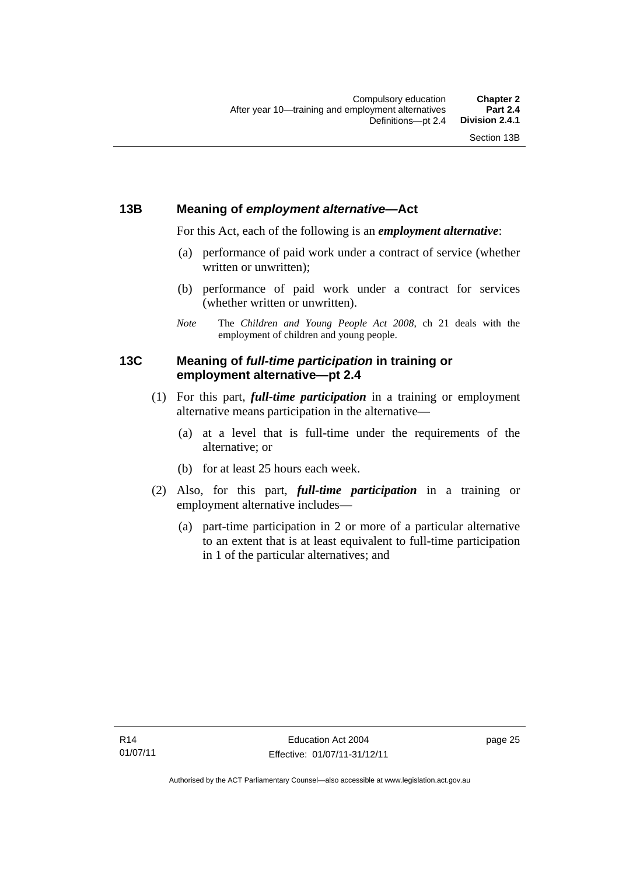# **13B Meaning of** *employment alternative***—Act**

For this Act, each of the following is an *employment alternative*:

- (a) performance of paid work under a contract of service (whether written or unwritten);
- (b) performance of paid work under a contract for services (whether written or unwritten).
- *Note* The *Children and Young People Act 2008*, ch 21 deals with the employment of children and young people.

# **13C Meaning of** *full-time participation* **in training or employment alternative—pt 2.4**

- (1) For this part, *full-time participation* in a training or employment alternative means participation in the alternative—
	- (a) at a level that is full-time under the requirements of the alternative; or
	- (b) for at least 25 hours each week.
- (2) Also, for this part, *full-time participation* in a training or employment alternative includes—
	- (a) part-time participation in 2 or more of a particular alternative to an extent that is at least equivalent to full-time participation in 1 of the particular alternatives; and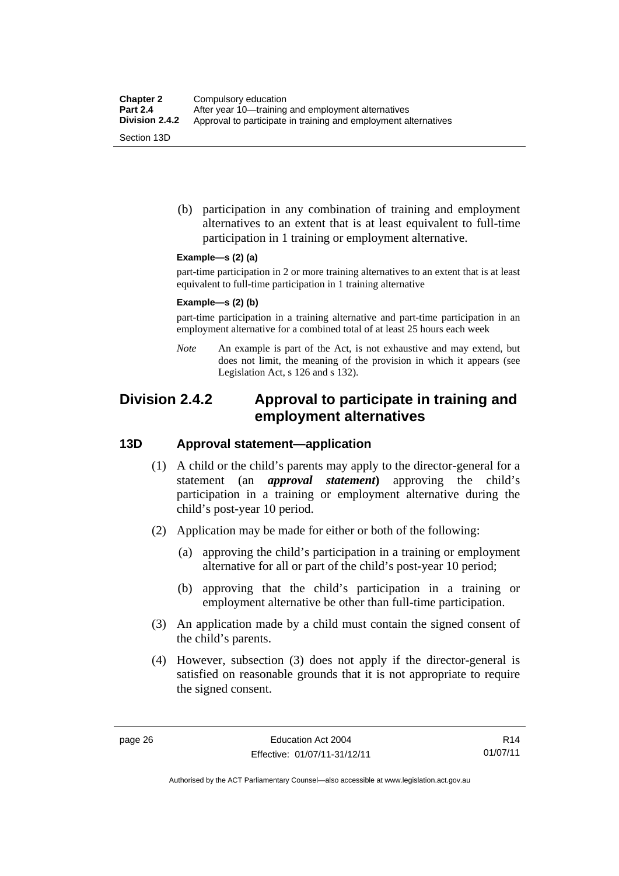(b) participation in any combination of training and employment alternatives to an extent that is at least equivalent to full-time participation in 1 training or employment alternative.

#### **Example—s (2) (a)**

part-time participation in 2 or more training alternatives to an extent that is at least equivalent to full-time participation in 1 training alternative

#### **Example—s (2) (b)**

part-time participation in a training alternative and part-time participation in an employment alternative for a combined total of at least 25 hours each week

*Note* An example is part of the Act, is not exhaustive and may extend, but does not limit, the meaning of the provision in which it appears (see Legislation Act, s 126 and s 132).

# **Division 2.4.2 Approval to participate in training and employment alternatives**

# **13D Approval statement—application**

- (1) A child or the child's parents may apply to the director-general for a statement (an *approval statement***)** approving the child's participation in a training or employment alternative during the child's post-year 10 period.
- (2) Application may be made for either or both of the following:
	- (a) approving the child's participation in a training or employment alternative for all or part of the child's post-year 10 period;
	- (b) approving that the child's participation in a training or employment alternative be other than full-time participation.
- (3) An application made by a child must contain the signed consent of the child's parents.
- (4) However, subsection (3) does not apply if the director-general is satisfied on reasonable grounds that it is not appropriate to require the signed consent.

R14 01/07/11

Authorised by the ACT Parliamentary Counsel—also accessible at www.legislation.act.gov.au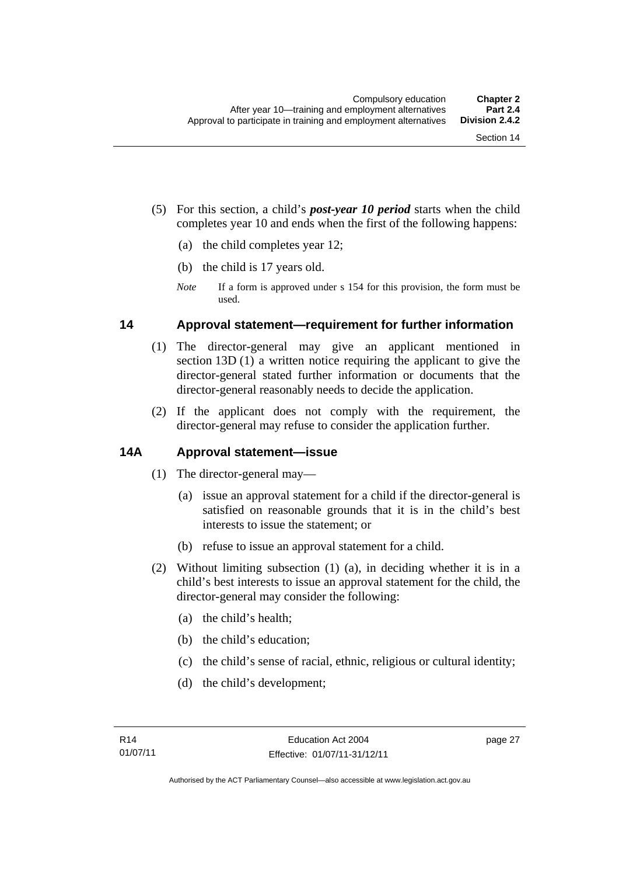- (5) For this section, a child's *post-year 10 period* starts when the child completes year 10 and ends when the first of the following happens:
	- (a) the child completes year 12;
	- (b) the child is 17 years old.
	- *Note* If a form is approved under s 154 for this provision, the form must be used.

# **14 Approval statement—requirement for further information**

- (1) The director-general may give an applicant mentioned in section 13D (1) a written notice requiring the applicant to give the director-general stated further information or documents that the director-general reasonably needs to decide the application.
- (2) If the applicant does not comply with the requirement, the director-general may refuse to consider the application further.

# **14A Approval statement—issue**

- (1) The director-general may—
	- (a) issue an approval statement for a child if the director-general is satisfied on reasonable grounds that it is in the child's best interests to issue the statement; or
	- (b) refuse to issue an approval statement for a child.
- (2) Without limiting subsection (1) (a), in deciding whether it is in a child's best interests to issue an approval statement for the child, the director-general may consider the following:
	- (a) the child's health;
	- (b) the child's education;
	- (c) the child's sense of racial, ethnic, religious or cultural identity;
	- (d) the child's development;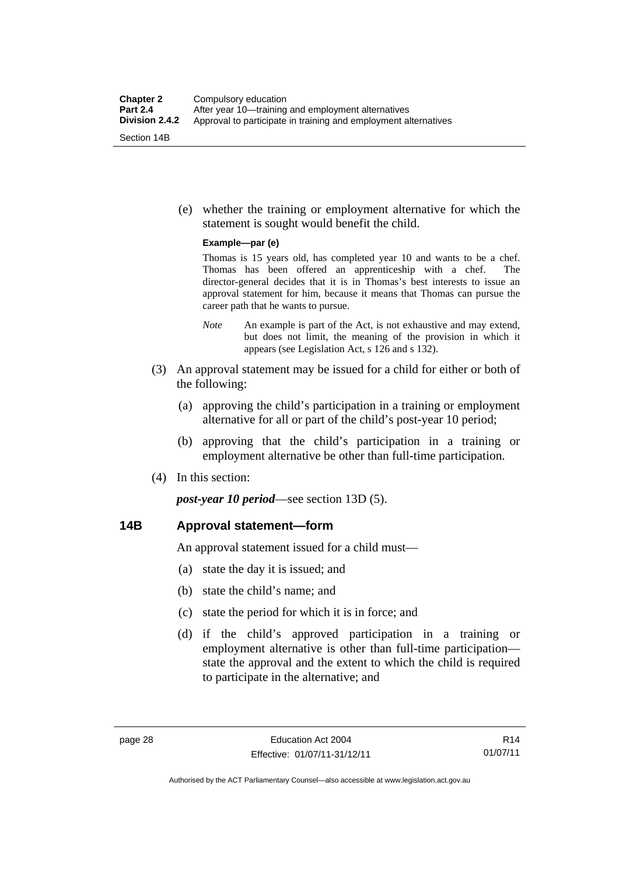(e) whether the training or employment alternative for which the statement is sought would benefit the child.

#### **Example—par (e)**

Thomas is 15 years old, has completed year 10 and wants to be a chef. Thomas has been offered an apprenticeship with a chef. The director-general decides that it is in Thomas's best interests to issue an approval statement for him, because it means that Thomas can pursue the career path that he wants to pursue.

- *Note* An example is part of the Act, is not exhaustive and may extend, but does not limit, the meaning of the provision in which it appears (see Legislation Act, s 126 and s 132).
- (3) An approval statement may be issued for a child for either or both of the following:
	- (a) approving the child's participation in a training or employment alternative for all or part of the child's post-year 10 period;
	- (b) approving that the child's participation in a training or employment alternative be other than full-time participation.
- (4) In this section:

*post-year 10 period*—see section 13D (5).

# **14B Approval statement—form**

An approval statement issued for a child must—

- (a) state the day it is issued; and
- (b) state the child's name; and
- (c) state the period for which it is in force; and
- (d) if the child's approved participation in a training or employment alternative is other than full-time participation state the approval and the extent to which the child is required to participate in the alternative; and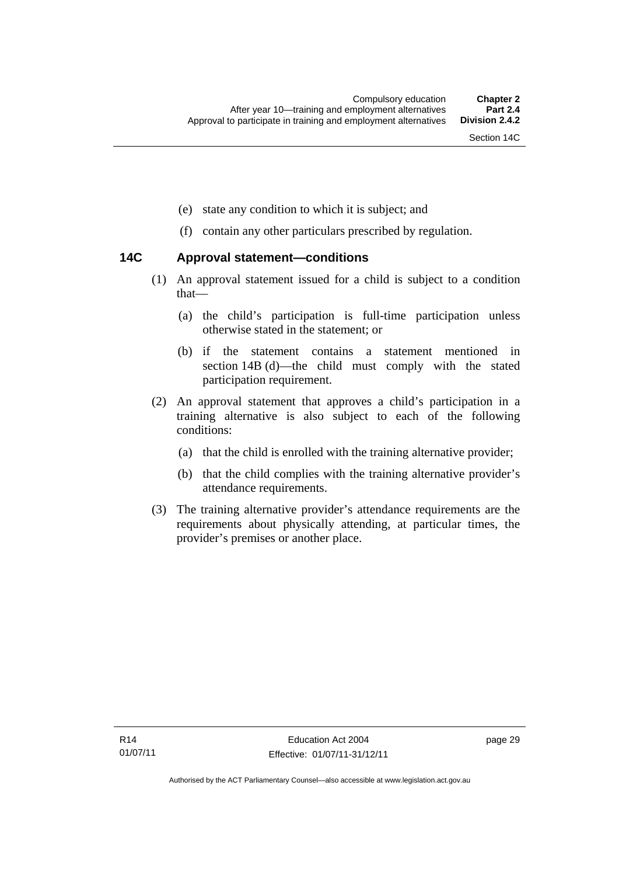- (e) state any condition to which it is subject; and
- (f) contain any other particulars prescribed by regulation.

# **14C Approval statement—conditions**

- (1) An approval statement issued for a child is subject to a condition that—
	- (a) the child's participation is full-time participation unless otherwise stated in the statement; or
	- (b) if the statement contains a statement mentioned in section 14B (d)—the child must comply with the stated participation requirement.
- (2) An approval statement that approves a child's participation in a training alternative is also subject to each of the following conditions:
	- (a) that the child is enrolled with the training alternative provider;
	- (b) that the child complies with the training alternative provider's attendance requirements.
- (3) The training alternative provider's attendance requirements are the requirements about physically attending, at particular times, the provider's premises or another place.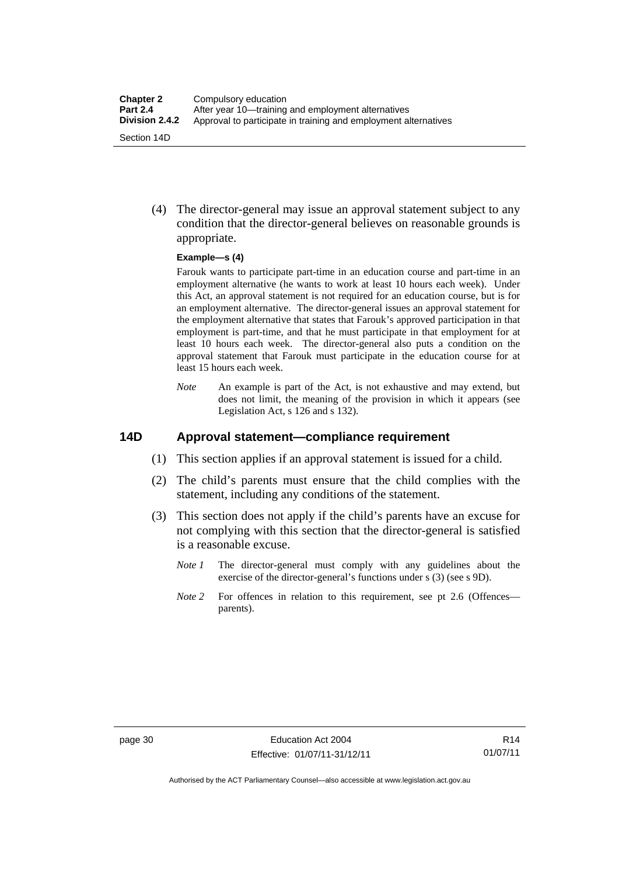(4) The director-general may issue an approval statement subject to any condition that the director-general believes on reasonable grounds is appropriate.

#### **Example—s (4)**

Farouk wants to participate part-time in an education course and part-time in an employment alternative (he wants to work at least 10 hours each week). Under this Act, an approval statement is not required for an education course, but is for an employment alternative. The director-general issues an approval statement for the employment alternative that states that Farouk's approved participation in that employment is part-time, and that he must participate in that employment for at least 10 hours each week. The director-general also puts a condition on the approval statement that Farouk must participate in the education course for at least 15 hours each week.

*Note* An example is part of the Act, is not exhaustive and may extend, but does not limit, the meaning of the provision in which it appears (see Legislation Act, s 126 and s 132).

# **14D Approval statement—compliance requirement**

- (1) This section applies if an approval statement is issued for a child.
- (2) The child's parents must ensure that the child complies with the statement, including any conditions of the statement.
- (3) This section does not apply if the child's parents have an excuse for not complying with this section that the director-general is satisfied is a reasonable excuse.
	- *Note 1* The director-general must comply with any guidelines about the exercise of the director-general's functions under s (3) (see s 9D).
	- *Note 2* For offences in relation to this requirement, see pt 2.6 (Offences parents).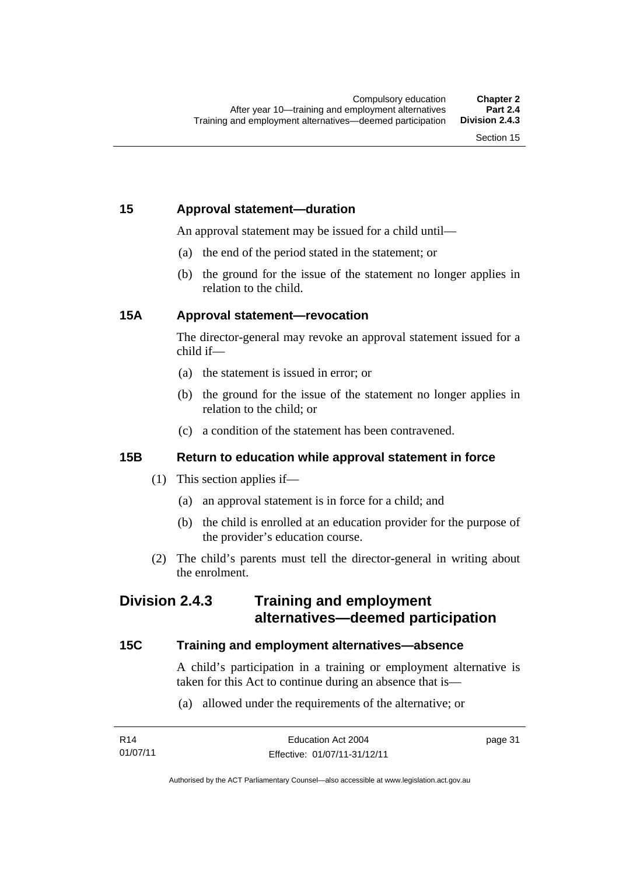# **15 Approval statement—duration**

An approval statement may be issued for a child until—

- (a) the end of the period stated in the statement; or
- (b) the ground for the issue of the statement no longer applies in relation to the child.

# **15A Approval statement—revocation**

The director-general may revoke an approval statement issued for a child if—

- (a) the statement is issued in error; or
- (b) the ground for the issue of the statement no longer applies in relation to the child; or
- (c) a condition of the statement has been contravened.

# **15B Return to education while approval statement in force**

- (1) This section applies if—
	- (a) an approval statement is in force for a child; and
	- (b) the child is enrolled at an education provider for the purpose of the provider's education course.
- (2) The child's parents must tell the director-general in writing about the enrolment.

# **Division 2.4.3 Training and employment alternatives—deemed participation**

# **15C Training and employment alternatives—absence**

A child's participation in a training or employment alternative is taken for this Act to continue during an absence that is—

(a) allowed under the requirements of the alternative; or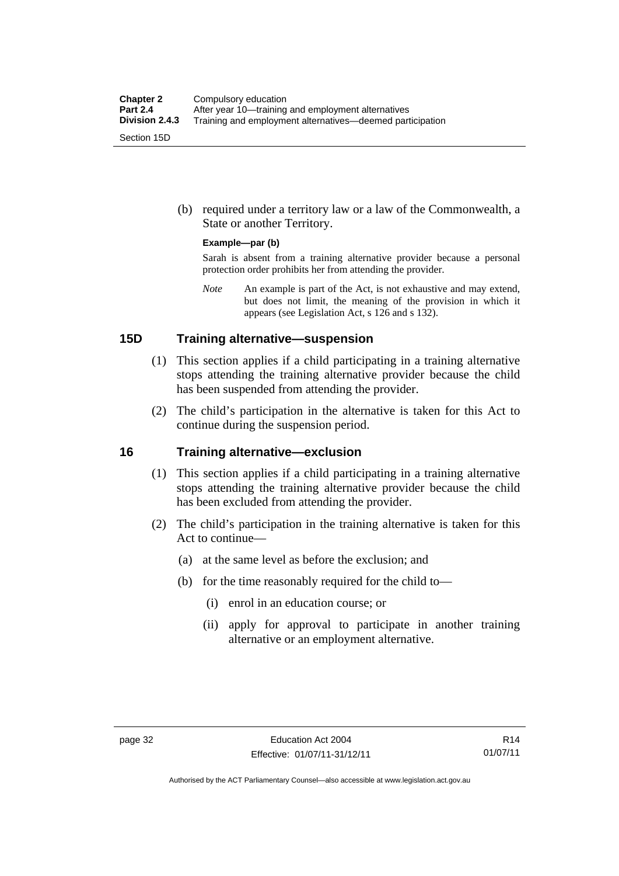(b) required under a territory law or a law of the Commonwealth, a State or another Territory.

#### **Example—par (b)**

Sarah is absent from a training alternative provider because a personal protection order prohibits her from attending the provider.

*Note* An example is part of the Act, is not exhaustive and may extend, but does not limit, the meaning of the provision in which it appears (see Legislation Act, s 126 and s 132).

### **15D Training alternative—suspension**

- (1) This section applies if a child participating in a training alternative stops attending the training alternative provider because the child has been suspended from attending the provider.
- (2) The child's participation in the alternative is taken for this Act to continue during the suspension period.

#### **16 Training alternative—exclusion**

- (1) This section applies if a child participating in a training alternative stops attending the training alternative provider because the child has been excluded from attending the provider.
- (2) The child's participation in the training alternative is taken for this Act to continue—
	- (a) at the same level as before the exclusion; and
	- (b) for the time reasonably required for the child to—
		- (i) enrol in an education course; or
		- (ii) apply for approval to participate in another training alternative or an employment alternative.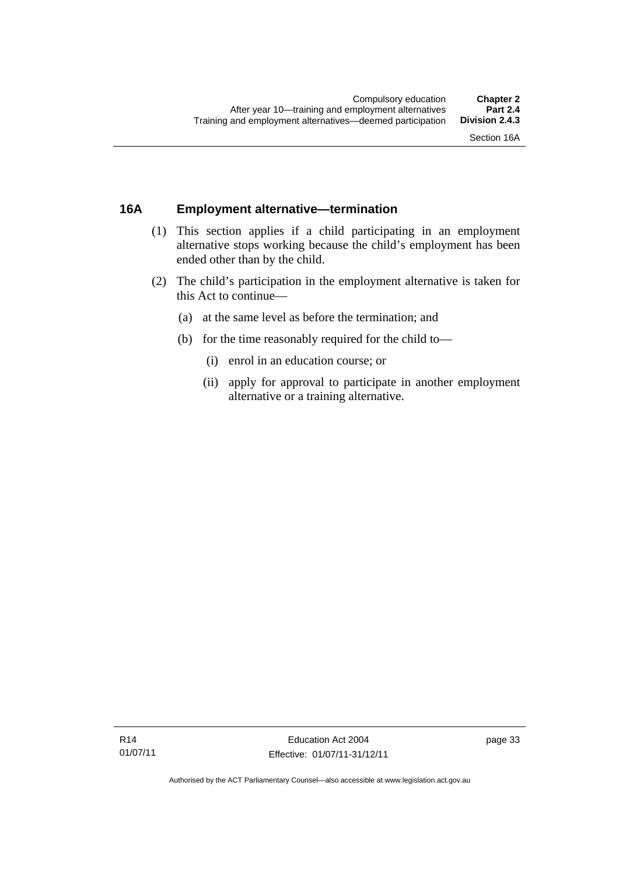# **16A Employment alternative—termination**

- (1) This section applies if a child participating in an employment alternative stops working because the child's employment has been ended other than by the child.
- (2) The child's participation in the employment alternative is taken for this Act to continue—
	- (a) at the same level as before the termination; and
	- (b) for the time reasonably required for the child to—
		- (i) enrol in an education course; or
		- (ii) apply for approval to participate in another employment alternative or a training alternative.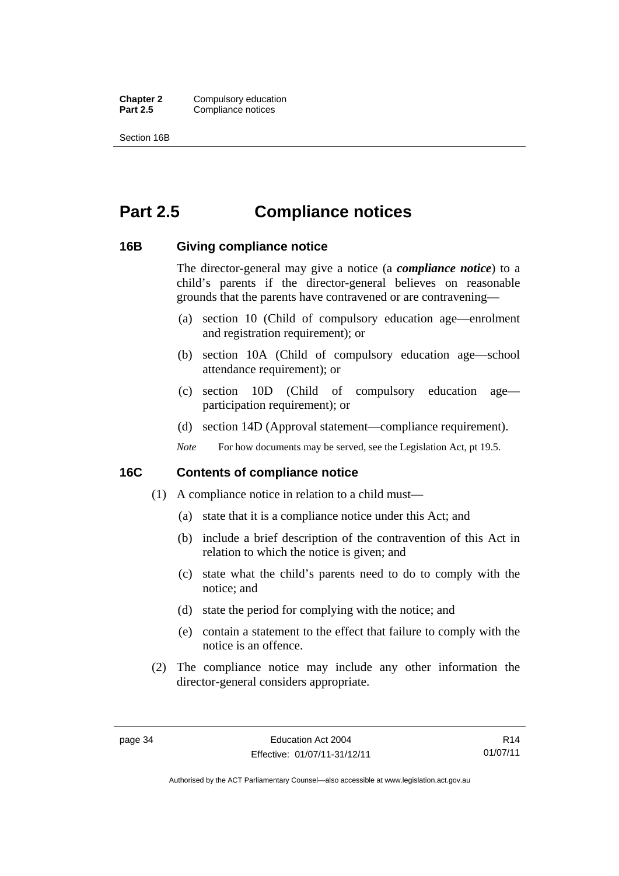**Chapter 2** Compulsory education<br>**Part 2.5** Compliance notices **Compliance notices** 

Section 16B

# **Part 2.5 Compliance notices**

### **16B Giving compliance notice**

The director-general may give a notice (a *compliance notice*) to a child's parents if the director-general believes on reasonable grounds that the parents have contravened or are contravening—

- (a) section 10 (Child of compulsory education age—enrolment and registration requirement); or
- (b) section 10A (Child of compulsory education age—school attendance requirement); or
- (c) section 10D (Child of compulsory education age participation requirement); or
- (d) section 14D (Approval statement—compliance requirement).
- *Note* For how documents may be served, see the Legislation Act, pt 19.5.

# **16C Contents of compliance notice**

- (1) A compliance notice in relation to a child must—
	- (a) state that it is a compliance notice under this Act; and
	- (b) include a brief description of the contravention of this Act in relation to which the notice is given; and
	- (c) state what the child's parents need to do to comply with the notice; and
	- (d) state the period for complying with the notice; and
	- (e) contain a statement to the effect that failure to comply with the notice is an offence.
- (2) The compliance notice may include any other information the director-general considers appropriate.

R14 01/07/11

Authorised by the ACT Parliamentary Counsel—also accessible at www.legislation.act.gov.au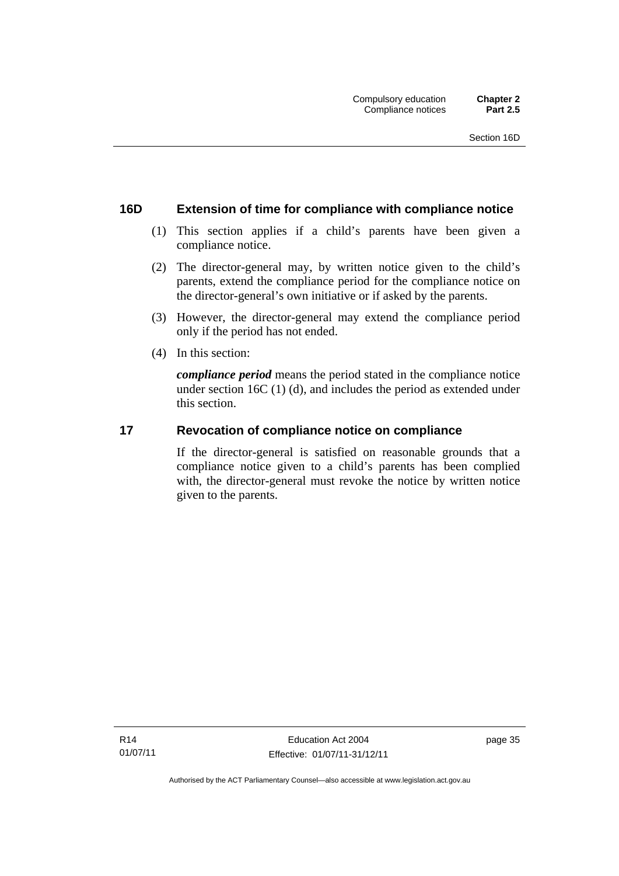# **16D Extension of time for compliance with compliance notice**

- (1) This section applies if a child's parents have been given a compliance notice.
- (2) The director-general may, by written notice given to the child's parents, extend the compliance period for the compliance notice on the director-general's own initiative or if asked by the parents.
- (3) However, the director-general may extend the compliance period only if the period has not ended.
- (4) In this section:

*compliance period* means the period stated in the compliance notice under section 16C (1) (d), and includes the period as extended under this section.

# **17 Revocation of compliance notice on compliance**

If the director-general is satisfied on reasonable grounds that a compliance notice given to a child's parents has been complied with, the director-general must revoke the notice by written notice given to the parents.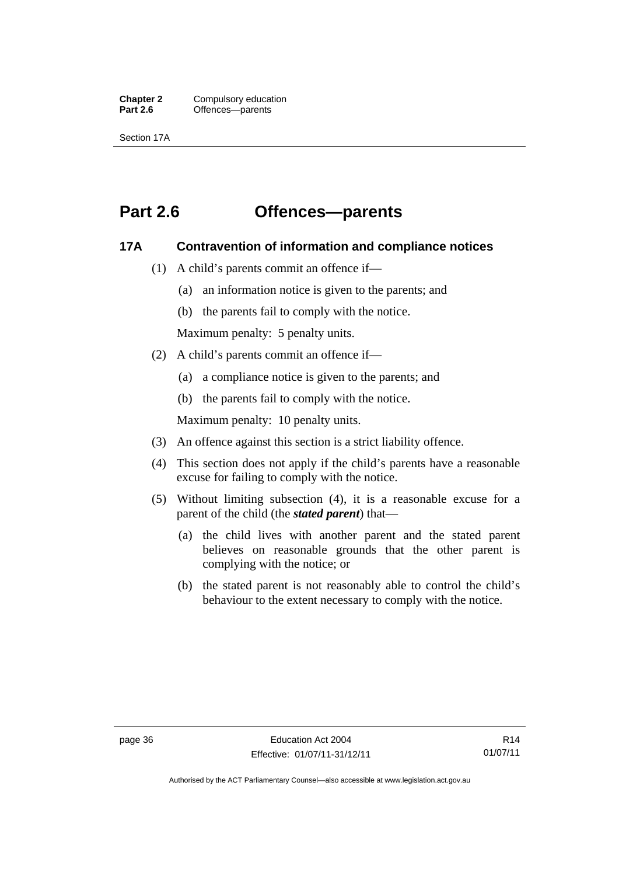**Chapter 2** Compulsory education<br>**Part 2.6 C** Offences—parents Offences—parents

Section 17A

# **Part 2.6 Offences—parents**

### **17A Contravention of information and compliance notices**

- (1) A child's parents commit an offence if—
	- (a) an information notice is given to the parents; and
	- (b) the parents fail to comply with the notice.

Maximum penalty: 5 penalty units.

- (2) A child's parents commit an offence if—
	- (a) a compliance notice is given to the parents; and
	- (b) the parents fail to comply with the notice.

Maximum penalty: 10 penalty units.

- (3) An offence against this section is a strict liability offence.
- (4) This section does not apply if the child's parents have a reasonable excuse for failing to comply with the notice.
- (5) Without limiting subsection (4), it is a reasonable excuse for a parent of the child (the *stated parent*) that—
	- (a) the child lives with another parent and the stated parent believes on reasonable grounds that the other parent is complying with the notice; or
	- (b) the stated parent is not reasonably able to control the child's behaviour to the extent necessary to comply with the notice.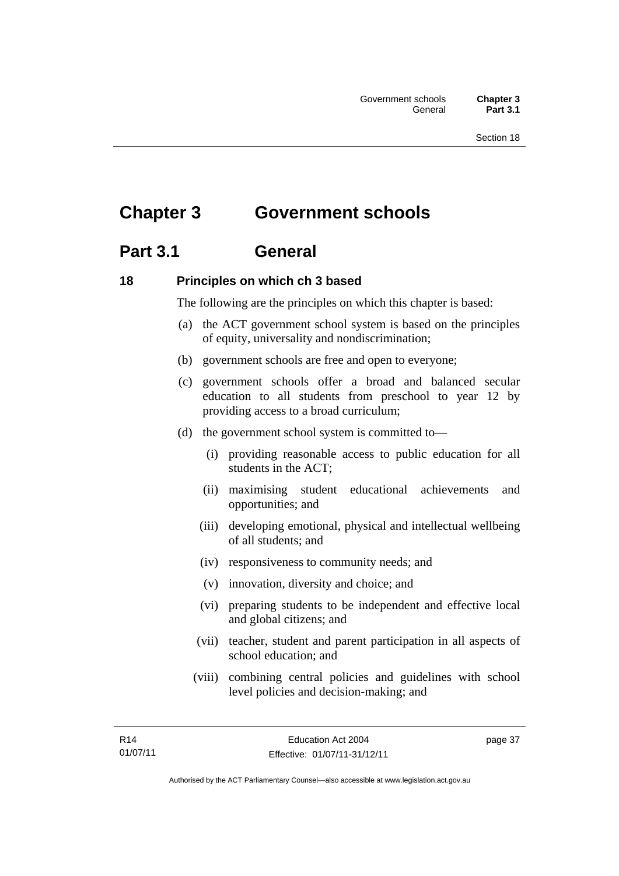# **Chapter 3 Government schools**

# **Part 3.1 General**

# **18 Principles on which ch 3 based**

The following are the principles on which this chapter is based:

- (a) the ACT government school system is based on the principles of equity, universality and nondiscrimination;
- (b) government schools are free and open to everyone;
- (c) government schools offer a broad and balanced secular education to all students from preschool to year 12 by providing access to a broad curriculum;
- (d) the government school system is committed to—
	- (i) providing reasonable access to public education for all students in the ACT;
	- (ii) maximising student educational achievements and opportunities; and
	- (iii) developing emotional, physical and intellectual wellbeing of all students; and
	- (iv) responsiveness to community needs; and
	- (v) innovation, diversity and choice; and
	- (vi) preparing students to be independent and effective local and global citizens; and
	- (vii) teacher, student and parent participation in all aspects of school education; and
	- (viii) combining central policies and guidelines with school level policies and decision-making; and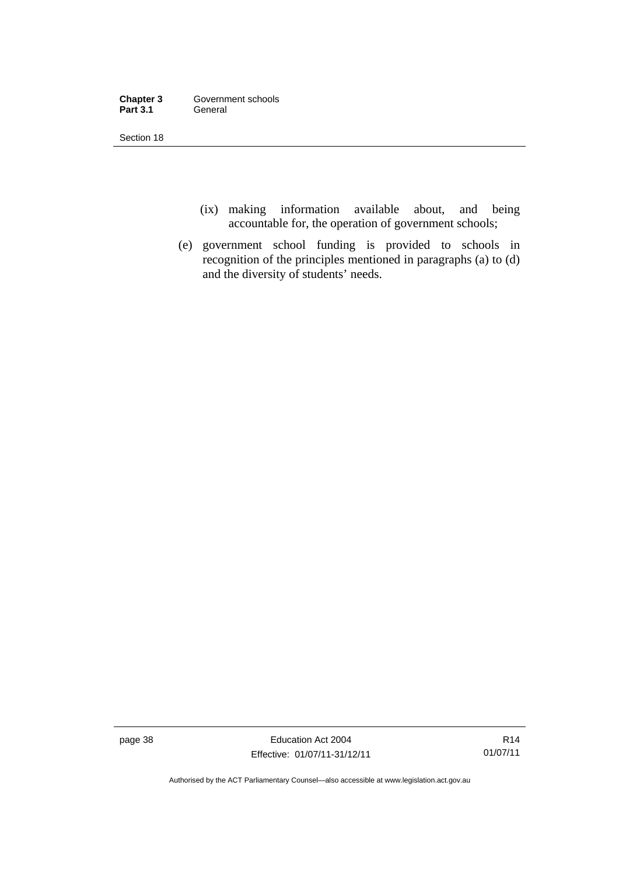| Chapter 3       | Government schools |
|-----------------|--------------------|
| <b>Part 3.1</b> | General            |

Section 18

- (ix) making information available about, and being accountable for, the operation of government schools;
- (e) government school funding is provided to schools in recognition of the principles mentioned in paragraphs (a) to (d) and the diversity of students' needs.

page 38 Education Act 2004 Effective: 01/07/11-31/12/11

Authorised by the ACT Parliamentary Counsel—also accessible at www.legislation.act.gov.au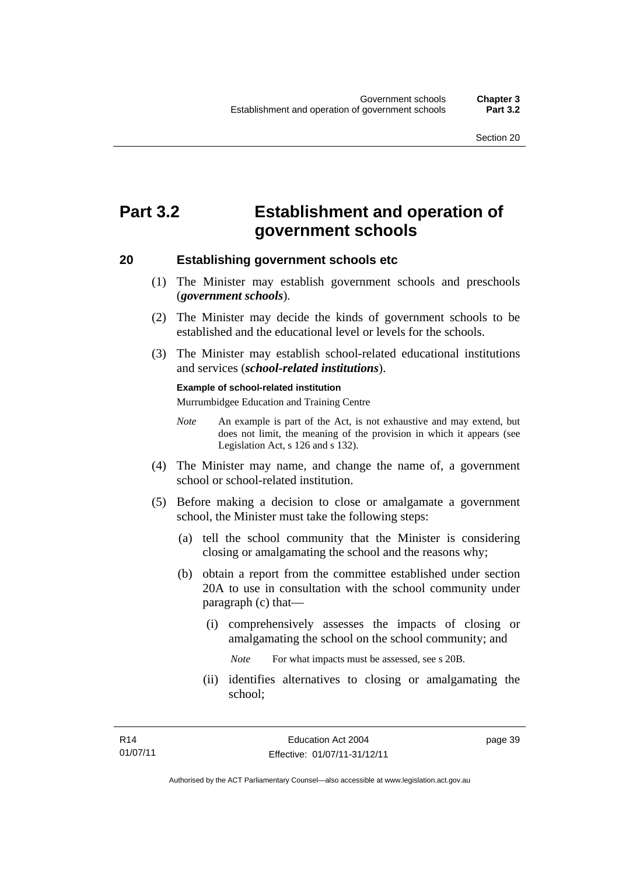# **Part 3.2 Establishment and operation of government schools**

#### **20 Establishing government schools etc**

- (1) The Minister may establish government schools and preschools (*government schools*).
- (2) The Minister may decide the kinds of government schools to be established and the educational level or levels for the schools.
- (3) The Minister may establish school-related educational institutions and services (*school-related institutions*).

#### **Example of school-related institution**

Murrumbidgee Education and Training Centre

- *Note* An example is part of the Act, is not exhaustive and may extend, but does not limit, the meaning of the provision in which it appears (see Legislation Act, s 126 and s 132).
- (4) The Minister may name, and change the name of, a government school or school-related institution.
- (5) Before making a decision to close or amalgamate a government school, the Minister must take the following steps:
	- (a) tell the school community that the Minister is considering closing or amalgamating the school and the reasons why;
	- (b) obtain a report from the committee established under section 20A to use in consultation with the school community under paragraph (c) that—
		- (i) comprehensively assesses the impacts of closing or amalgamating the school on the school community; and

*Note* For what impacts must be assessed, see s 20B.

(ii) identifies alternatives to closing or amalgamating the school;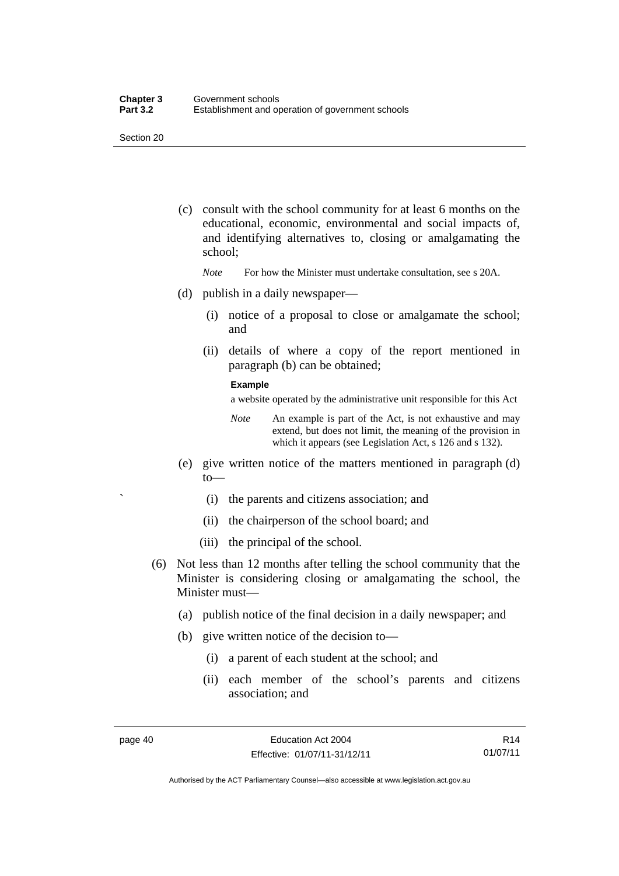Section 20

- (c) consult with the school community for at least 6 months on the educational, economic, environmental and social impacts of, and identifying alternatives to, closing or amalgamating the school;
	- *Note* For how the Minister must undertake consultation, see s 20A.
- (d) publish in a daily newspaper—
	- (i) notice of a proposal to close or amalgamate the school; and
	- (ii) details of where a copy of the report mentioned in paragraph (b) can be obtained;

#### **Example**

a website operated by the administrative unit responsible for this Act

- *Note* An example is part of the Act, is not exhaustive and may extend, but does not limit, the meaning of the provision in which it appears (see Legislation Act, s 126 and s 132).
- (e) give written notice of the matters mentioned in paragraph (d) to—
	- ` (i) the parents and citizens association; and
	- (ii) the chairperson of the school board; and
	- (iii) the principal of the school.
- (6) Not less than 12 months after telling the school community that the Minister is considering closing or amalgamating the school, the Minister must—
	- (a) publish notice of the final decision in a daily newspaper; and
	- (b) give written notice of the decision to—
		- (i) a parent of each student at the school; and
		- (ii) each member of the school's parents and citizens association; and

R14 01/07/11

Authorised by the ACT Parliamentary Counsel—also accessible at www.legislation.act.gov.au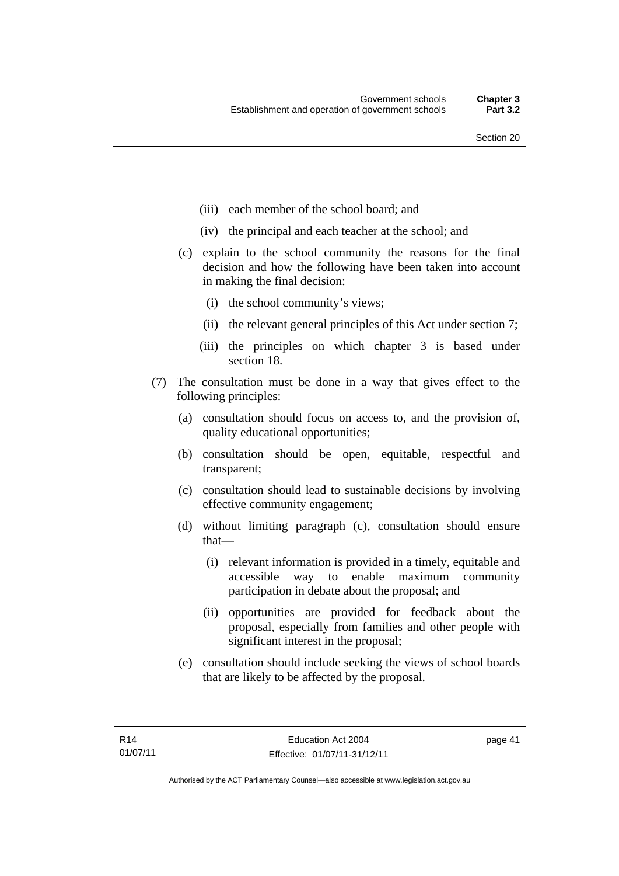- (iii) each member of the school board; and
- (iv) the principal and each teacher at the school; and
- (c) explain to the school community the reasons for the final decision and how the following have been taken into account in making the final decision:
	- (i) the school community's views;
	- (ii) the relevant general principles of this Act under section 7;
	- (iii) the principles on which chapter 3 is based under section 18.
- (7) The consultation must be done in a way that gives effect to the following principles:
	- (a) consultation should focus on access to, and the provision of, quality educational opportunities;
	- (b) consultation should be open, equitable, respectful and transparent;
	- (c) consultation should lead to sustainable decisions by involving effective community engagement;
	- (d) without limiting paragraph (c), consultation should ensure that—
		- (i) relevant information is provided in a timely, equitable and accessible way to enable maximum community participation in debate about the proposal; and
		- (ii) opportunities are provided for feedback about the proposal, especially from families and other people with significant interest in the proposal;
	- (e) consultation should include seeking the views of school boards that are likely to be affected by the proposal.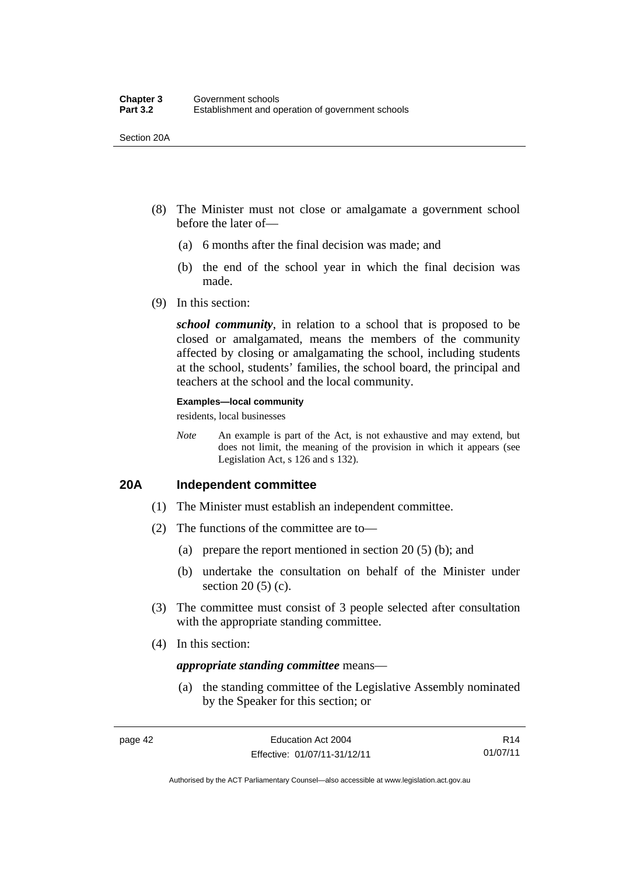Section 20A

- (8) The Minister must not close or amalgamate a government school before the later of—
	- (a) 6 months after the final decision was made; and
	- (b) the end of the school year in which the final decision was made.
- (9) In this section:

*school community*, in relation to a school that is proposed to be closed or amalgamated, means the members of the community affected by closing or amalgamating the school, including students at the school, students' families, the school board, the principal and teachers at the school and the local community.

#### **Examples—local community**

residents, local businesses

*Note* An example is part of the Act, is not exhaustive and may extend, but does not limit, the meaning of the provision in which it appears (see Legislation Act, s 126 and s 132).

# **20A Independent committee**

- (1) The Minister must establish an independent committee.
- (2) The functions of the committee are to—
	- (a) prepare the report mentioned in section 20 (5) (b); and
	- (b) undertake the consultation on behalf of the Minister under section  $20(5)(c)$ .
- (3) The committee must consist of 3 people selected after consultation with the appropriate standing committee.
- (4) In this section:

#### *appropriate standing committee* means—

 (a) the standing committee of the Legislative Assembly nominated by the Speaker for this section; or

R14 01/07/11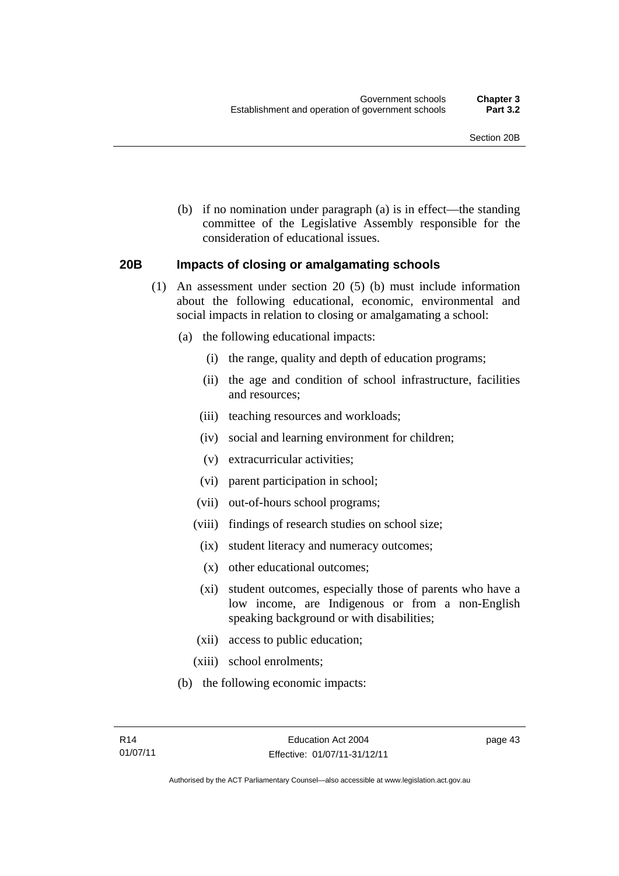(b) if no nomination under paragraph (a) is in effect—the standing committee of the Legislative Assembly responsible for the consideration of educational issues.

### **20B Impacts of closing or amalgamating schools**

- (1) An assessment under section 20 (5) (b) must include information about the following educational, economic, environmental and social impacts in relation to closing or amalgamating a school:
	- (a) the following educational impacts:
		- (i) the range, quality and depth of education programs;
		- (ii) the age and condition of school infrastructure, facilities and resources;
		- (iii) teaching resources and workloads;
		- (iv) social and learning environment for children;
		- (v) extracurricular activities;
		- (vi) parent participation in school;
		- (vii) out-of-hours school programs;
		- (viii) findings of research studies on school size;
		- (ix) student literacy and numeracy outcomes;
		- (x) other educational outcomes;
		- (xi) student outcomes, especially those of parents who have a low income, are Indigenous or from a non-English speaking background or with disabilities;
		- (xii) access to public education;
		- (xiii) school enrolments;
	- (b) the following economic impacts: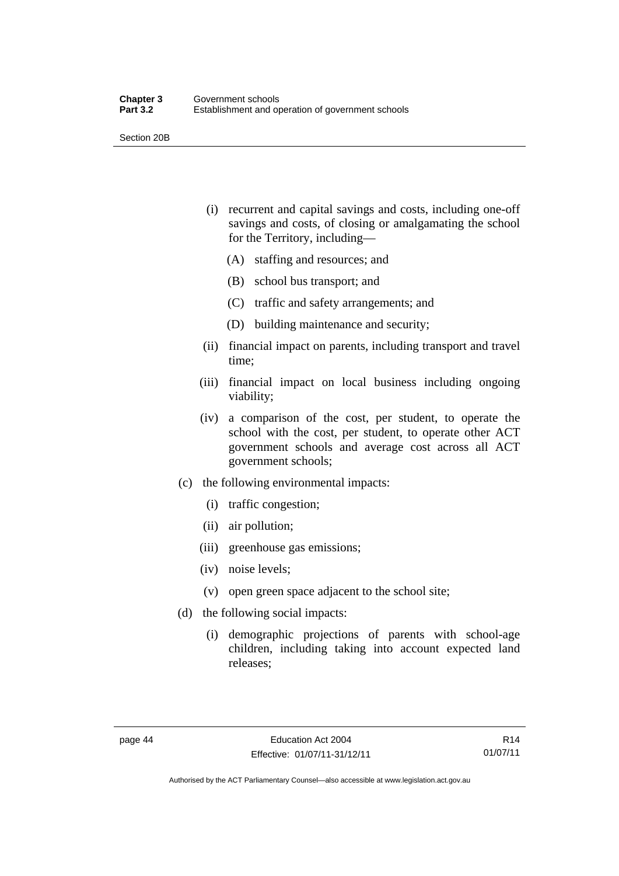Section 20B

- (i) recurrent and capital savings and costs, including one-off savings and costs, of closing or amalgamating the school for the Territory, including—
	- (A) staffing and resources; and
	- (B) school bus transport; and
	- (C) traffic and safety arrangements; and
	- (D) building maintenance and security;
- (ii) financial impact on parents, including transport and travel time;
- (iii) financial impact on local business including ongoing viability;
- (iv) a comparison of the cost, per student, to operate the school with the cost, per student, to operate other ACT government schools and average cost across all ACT government schools;
- (c) the following environmental impacts:
	- (i) traffic congestion;
	- (ii) air pollution;
	- (iii) greenhouse gas emissions;
	- (iv) noise levels;
	- (v) open green space adjacent to the school site;
- (d) the following social impacts:
	- (i) demographic projections of parents with school-age children, including taking into account expected land releases;

R14 01/07/11

Authorised by the ACT Parliamentary Counsel—also accessible at www.legislation.act.gov.au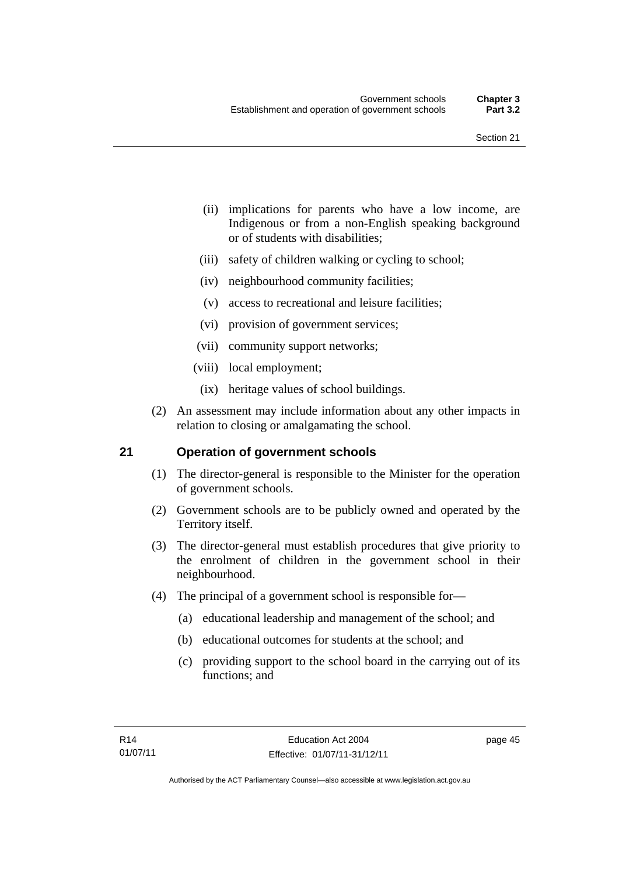- (ii) implications for parents who have a low income, are Indigenous or from a non-English speaking background or of students with disabilities;
- (iii) safety of children walking or cycling to school;
- (iv) neighbourhood community facilities;
- (v) access to recreational and leisure facilities;
- (vi) provision of government services;
- (vii) community support networks;
- (viii) local employment;
- (ix) heritage values of school buildings.
- (2) An assessment may include information about any other impacts in relation to closing or amalgamating the school.

# **21 Operation of government schools**

- (1) The director-general is responsible to the Minister for the operation of government schools.
- (2) Government schools are to be publicly owned and operated by the Territory itself.
- (3) The director-general must establish procedures that give priority to the enrolment of children in the government school in their neighbourhood.
- (4) The principal of a government school is responsible for—
	- (a) educational leadership and management of the school; and
	- (b) educational outcomes for students at the school; and
	- (c) providing support to the school board in the carrying out of its functions; and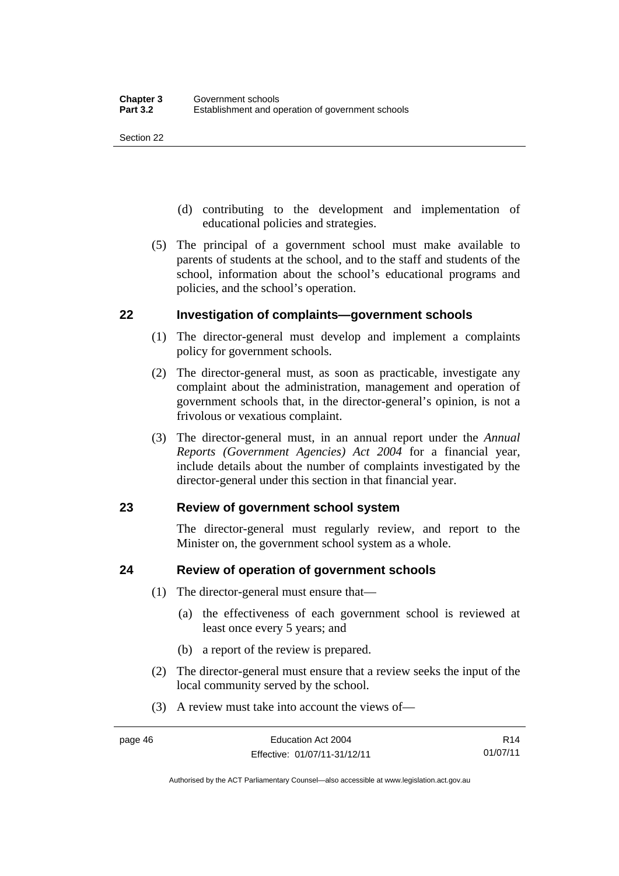Section 22

- (d) contributing to the development and implementation of educational policies and strategies.
- (5) The principal of a government school must make available to parents of students at the school, and to the staff and students of the school, information about the school's educational programs and policies, and the school's operation.

# **22 Investigation of complaints—government schools**

- (1) The director-general must develop and implement a complaints policy for government schools.
- (2) The director-general must, as soon as practicable, investigate any complaint about the administration, management and operation of government schools that, in the director-general's opinion, is not a frivolous or vexatious complaint.
- (3) The director-general must, in an annual report under the *Annual Reports (Government Agencies) Act 2004* for a financial year, include details about the number of complaints investigated by the director-general under this section in that financial year.

# **23 Review of government school system**

The director-general must regularly review, and report to the Minister on, the government school system as a whole.

# **24 Review of operation of government schools**

- (1) The director-general must ensure that—
	- (a) the effectiveness of each government school is reviewed at least once every 5 years; and
	- (b) a report of the review is prepared.
- (2) The director-general must ensure that a review seeks the input of the local community served by the school.
- (3) A review must take into account the views of—

R14 01/07/11

Authorised by the ACT Parliamentary Counsel—also accessible at www.legislation.act.gov.au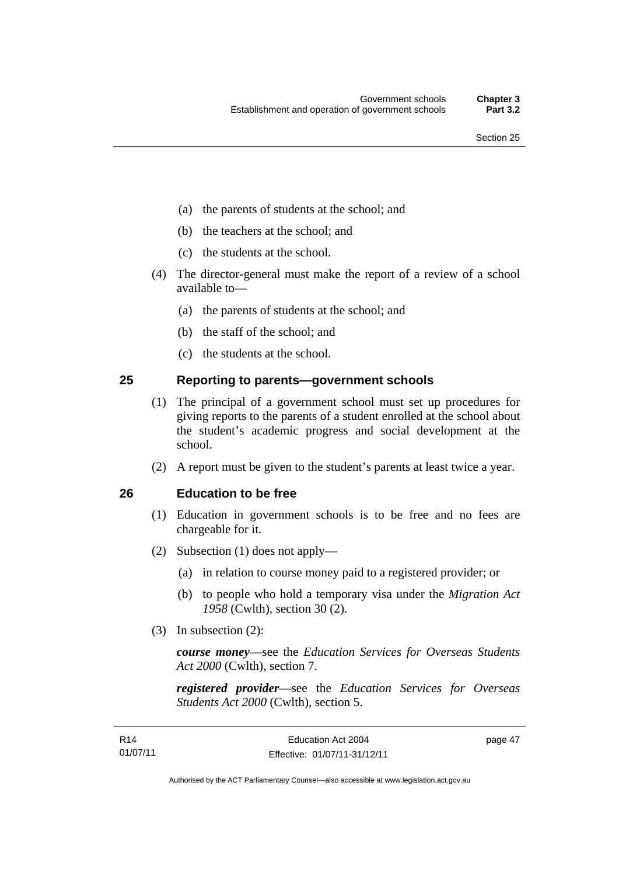- (a) the parents of students at the school; and
- (b) the teachers at the school; and
- (c) the students at the school.
- (4) The director-general must make the report of a review of a school available to—
	- (a) the parents of students at the school; and
	- (b) the staff of the school; and
	- (c) the students at the school.

### **25 Reporting to parents—government schools**

- (1) The principal of a government school must set up procedures for giving reports to the parents of a student enrolled at the school about the student's academic progress and social development at the school.
- (2) A report must be given to the student's parents at least twice a year.

#### **26 Education to be free**

- (1) Education in government schools is to be free and no fees are chargeable for it.
- (2) Subsection (1) does not apply—
	- (a) in relation to course money paid to a registered provider; or
	- (b) to people who hold a temporary visa under the *Migration Act 1958* (Cwlth), section 30 (2).
- (3) In subsection (2):

*course money*—see the *Education Services for Overseas Students Act 2000* (Cwlth), section 7.

*registered provider*—see the *Education Services for Overseas Students Act 2000* (Cwlth), section 5.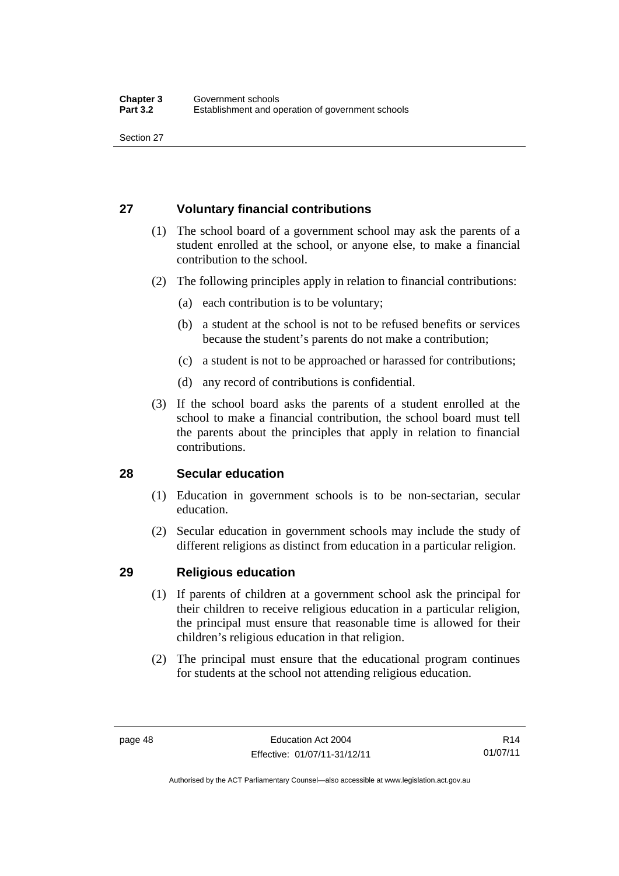# **27 Voluntary financial contributions**

- (1) The school board of a government school may ask the parents of a student enrolled at the school, or anyone else, to make a financial contribution to the school.
- (2) The following principles apply in relation to financial contributions:
	- (a) each contribution is to be voluntary;
	- (b) a student at the school is not to be refused benefits or services because the student's parents do not make a contribution;
	- (c) a student is not to be approached or harassed for contributions;
	- (d) any record of contributions is confidential.
- (3) If the school board asks the parents of a student enrolled at the school to make a financial contribution, the school board must tell the parents about the principles that apply in relation to financial contributions.

# **28 Secular education**

- (1) Education in government schools is to be non-sectarian, secular education.
- (2) Secular education in government schools may include the study of different religions as distinct from education in a particular religion.

# **29 Religious education**

- (1) If parents of children at a government school ask the principal for their children to receive religious education in a particular religion, the principal must ensure that reasonable time is allowed for their children's religious education in that religion.
- (2) The principal must ensure that the educational program continues for students at the school not attending religious education.

Authorised by the ACT Parliamentary Counsel—also accessible at www.legislation.act.gov.au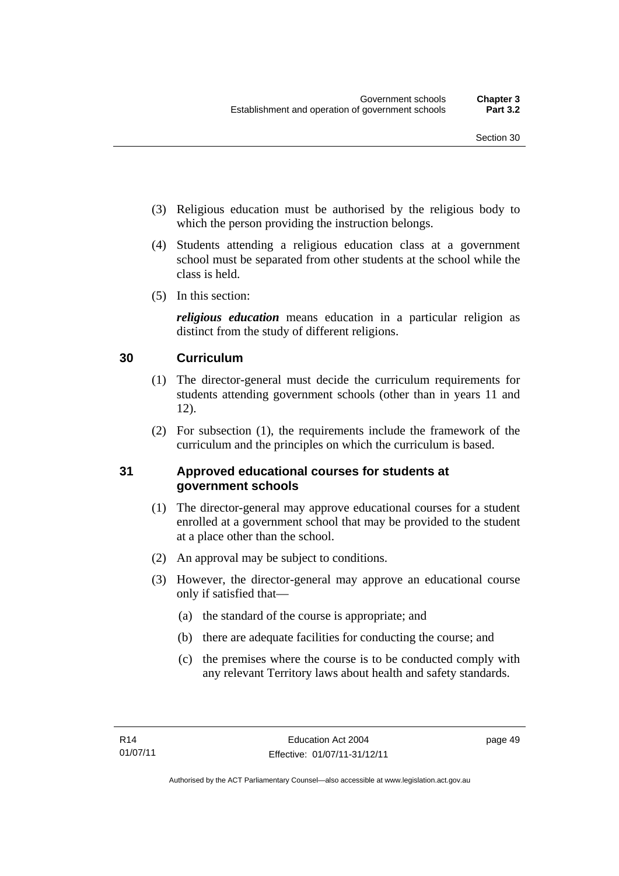- (3) Religious education must be authorised by the religious body to which the person providing the instruction belongs.
- (4) Students attending a religious education class at a government school must be separated from other students at the school while the class is held.
- (5) In this section:

*religious education* means education in a particular religion as distinct from the study of different religions.

# **30 Curriculum**

- (1) The director-general must decide the curriculum requirements for students attending government schools (other than in years 11 and 12).
- (2) For subsection (1), the requirements include the framework of the curriculum and the principles on which the curriculum is based.

# **31 Approved educational courses for students at government schools**

- (1) The director-general may approve educational courses for a student enrolled at a government school that may be provided to the student at a place other than the school.
- (2) An approval may be subject to conditions.
- (3) However, the director-general may approve an educational course only if satisfied that—
	- (a) the standard of the course is appropriate; and
	- (b) there are adequate facilities for conducting the course; and
	- (c) the premises where the course is to be conducted comply with any relevant Territory laws about health and safety standards.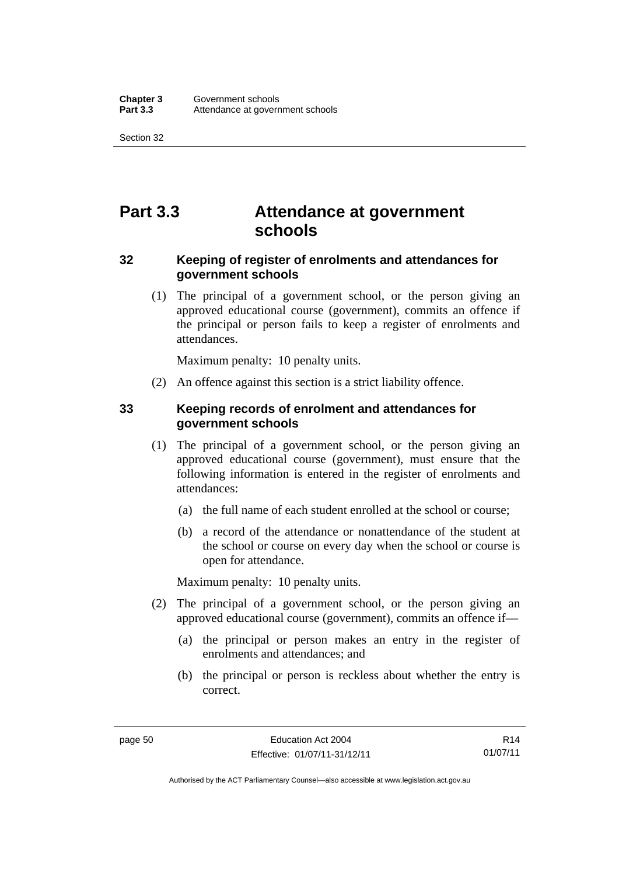Section 32

# **Part 3.3 Attendance at government schools**

# **32 Keeping of register of enrolments and attendances for government schools**

 (1) The principal of a government school, or the person giving an approved educational course (government), commits an offence if the principal or person fails to keep a register of enrolments and attendances.

Maximum penalty: 10 penalty units.

(2) An offence against this section is a strict liability offence.

# **33 Keeping records of enrolment and attendances for government schools**

- (1) The principal of a government school, or the person giving an approved educational course (government), must ensure that the following information is entered in the register of enrolments and attendances:
	- (a) the full name of each student enrolled at the school or course;
	- (b) a record of the attendance or nonattendance of the student at the school or course on every day when the school or course is open for attendance.

Maximum penalty: 10 penalty units.

- (2) The principal of a government school, or the person giving an approved educational course (government), commits an offence if—
	- (a) the principal or person makes an entry in the register of enrolments and attendances; and
	- (b) the principal or person is reckless about whether the entry is correct.

R14 01/07/11

Authorised by the ACT Parliamentary Counsel—also accessible at www.legislation.act.gov.au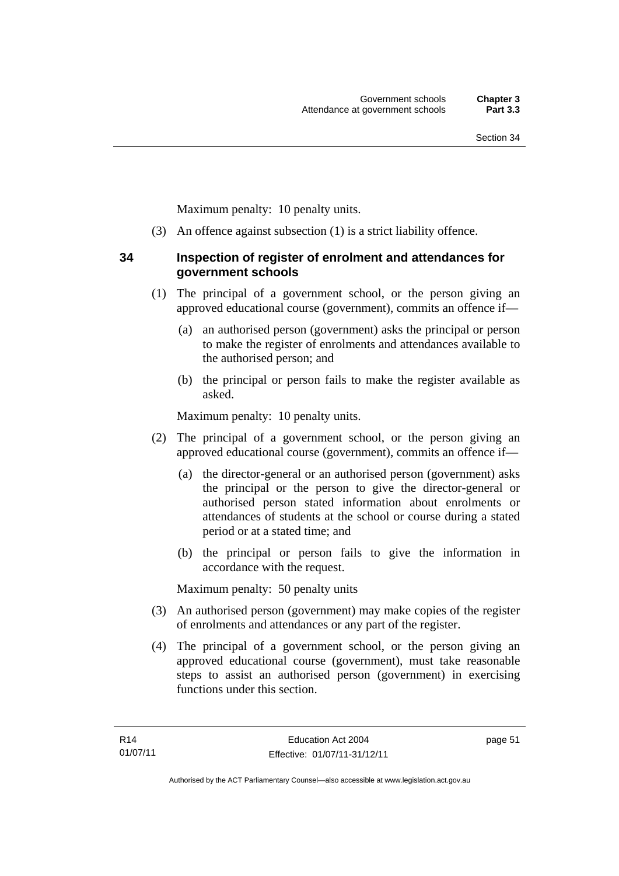Maximum penalty: 10 penalty units.

(3) An offence against subsection (1) is a strict liability offence.

# **34 Inspection of register of enrolment and attendances for government schools**

- (1) The principal of a government school, or the person giving an approved educational course (government), commits an offence if—
	- (a) an authorised person (government) asks the principal or person to make the register of enrolments and attendances available to the authorised person; and
	- (b) the principal or person fails to make the register available as asked.

Maximum penalty: 10 penalty units.

- (2) The principal of a government school, or the person giving an approved educational course (government), commits an offence if—
	- (a) the director-general or an authorised person (government) asks the principal or the person to give the director-general or authorised person stated information about enrolments or attendances of students at the school or course during a stated period or at a stated time; and
	- (b) the principal or person fails to give the information in accordance with the request.

Maximum penalty: 50 penalty units

- (3) An authorised person (government) may make copies of the register of enrolments and attendances or any part of the register.
- (4) The principal of a government school, or the person giving an approved educational course (government), must take reasonable steps to assist an authorised person (government) in exercising functions under this section.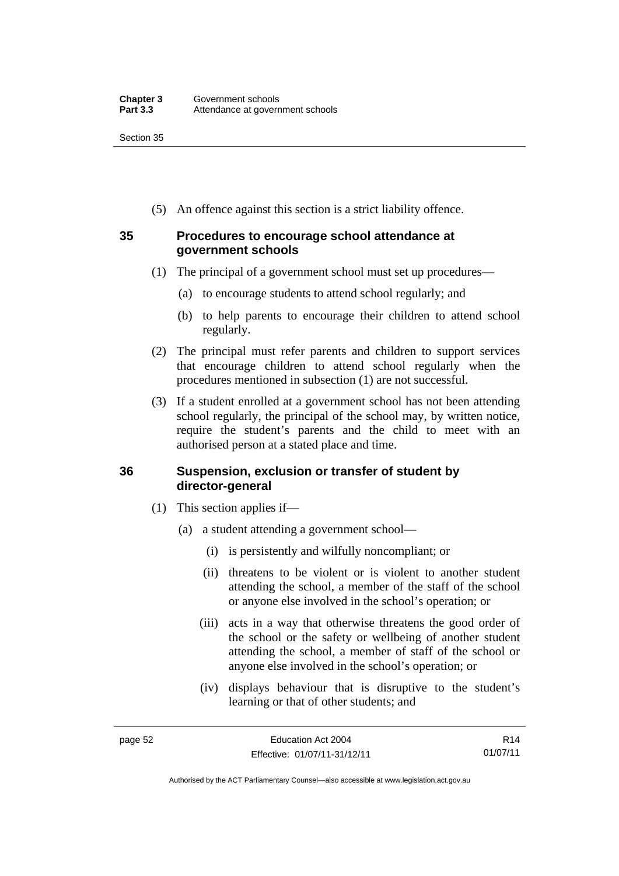(5) An offence against this section is a strict liability offence.

# **35 Procedures to encourage school attendance at government schools**

- (1) The principal of a government school must set up procedures—
	- (a) to encourage students to attend school regularly; and
	- (b) to help parents to encourage their children to attend school regularly.
- (2) The principal must refer parents and children to support services that encourage children to attend school regularly when the procedures mentioned in subsection (1) are not successful.
- (3) If a student enrolled at a government school has not been attending school regularly, the principal of the school may, by written notice, require the student's parents and the child to meet with an authorised person at a stated place and time.

# **36 Suspension, exclusion or transfer of student by director-general**

- (1) This section applies if—
	- (a) a student attending a government school—
		- (i) is persistently and wilfully noncompliant; or
		- (ii) threatens to be violent or is violent to another student attending the school, a member of the staff of the school or anyone else involved in the school's operation; or
		- (iii) acts in a way that otherwise threatens the good order of the school or the safety or wellbeing of another student attending the school, a member of staff of the school or anyone else involved in the school's operation; or
		- (iv) displays behaviour that is disruptive to the student's learning or that of other students; and

R14 01/07/11

Authorised by the ACT Parliamentary Counsel—also accessible at www.legislation.act.gov.au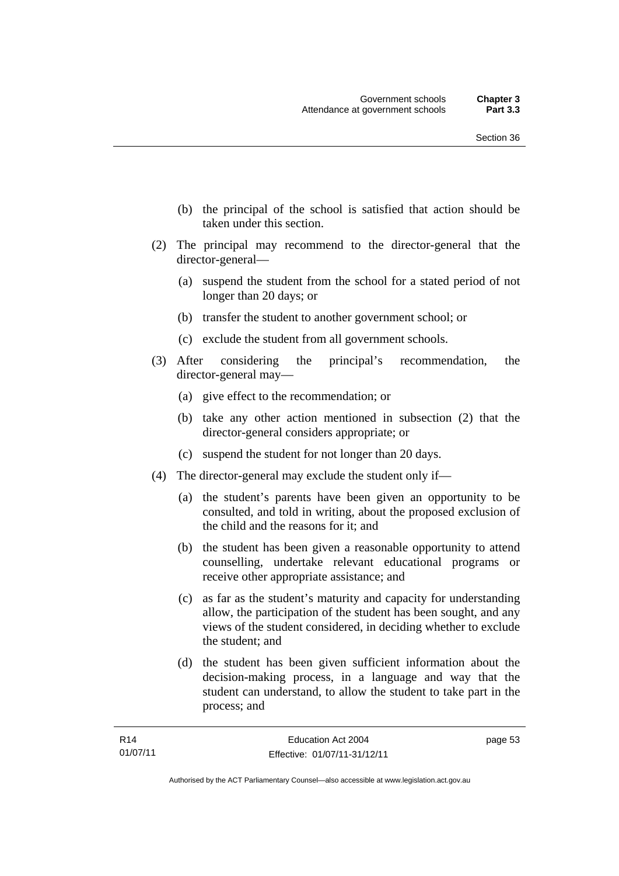- (b) the principal of the school is satisfied that action should be taken under this section.
- (2) The principal may recommend to the director-general that the director-general—
	- (a) suspend the student from the school for a stated period of not longer than 20 days; or
	- (b) transfer the student to another government school; or
	- (c) exclude the student from all government schools.
- (3) After considering the principal's recommendation, the director-general may—
	- (a) give effect to the recommendation; or
	- (b) take any other action mentioned in subsection (2) that the director-general considers appropriate; or
	- (c) suspend the student for not longer than 20 days.
- (4) The director-general may exclude the student only if—
	- (a) the student's parents have been given an opportunity to be consulted, and told in writing, about the proposed exclusion of the child and the reasons for it; and
	- (b) the student has been given a reasonable opportunity to attend counselling, undertake relevant educational programs or receive other appropriate assistance; and
	- (c) as far as the student's maturity and capacity for understanding allow, the participation of the student has been sought, and any views of the student considered, in deciding whether to exclude the student; and
	- (d) the student has been given sufficient information about the decision-making process, in a language and way that the student can understand, to allow the student to take part in the process; and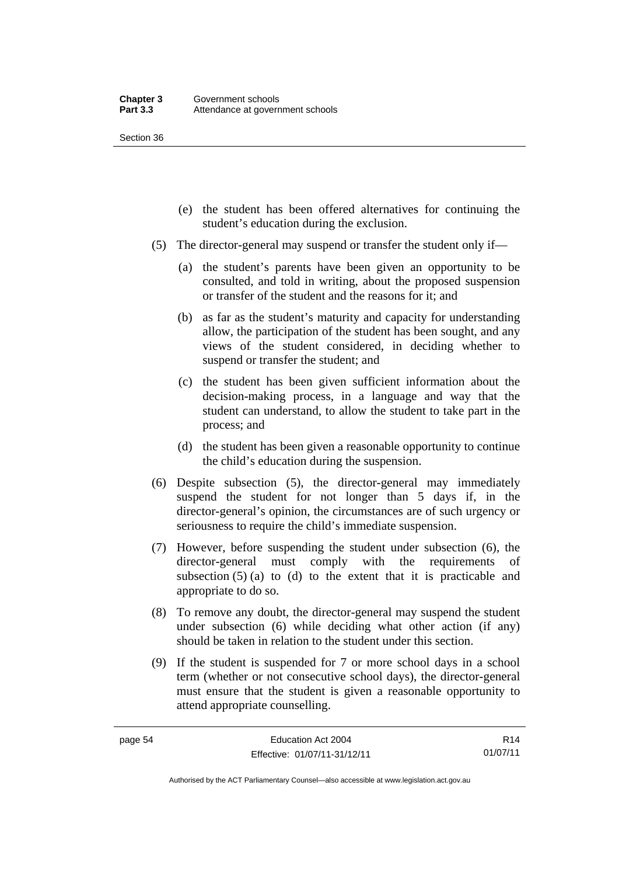Section 36

- (e) the student has been offered alternatives for continuing the student's education during the exclusion.
- (5) The director-general may suspend or transfer the student only if—
	- (a) the student's parents have been given an opportunity to be consulted, and told in writing, about the proposed suspension or transfer of the student and the reasons for it; and
	- (b) as far as the student's maturity and capacity for understanding allow, the participation of the student has been sought, and any views of the student considered, in deciding whether to suspend or transfer the student; and
	- (c) the student has been given sufficient information about the decision-making process, in a language and way that the student can understand, to allow the student to take part in the process; and
	- (d) the student has been given a reasonable opportunity to continue the child's education during the suspension.
- (6) Despite subsection (5), the director-general may immediately suspend the student for not longer than 5 days if, in the director-general's opinion, the circumstances are of such urgency or seriousness to require the child's immediate suspension.
- (7) However, before suspending the student under subsection (6), the director-general must comply with the requirements of subsection  $(5)$  (a) to  $(d)$  to the extent that it is practicable and appropriate to do so.
- (8) To remove any doubt, the director-general may suspend the student under subsection (6) while deciding what other action (if any) should be taken in relation to the student under this section.
- (9) If the student is suspended for 7 or more school days in a school term (whether or not consecutive school days), the director-general must ensure that the student is given a reasonable opportunity to attend appropriate counselling.

R14 01/07/11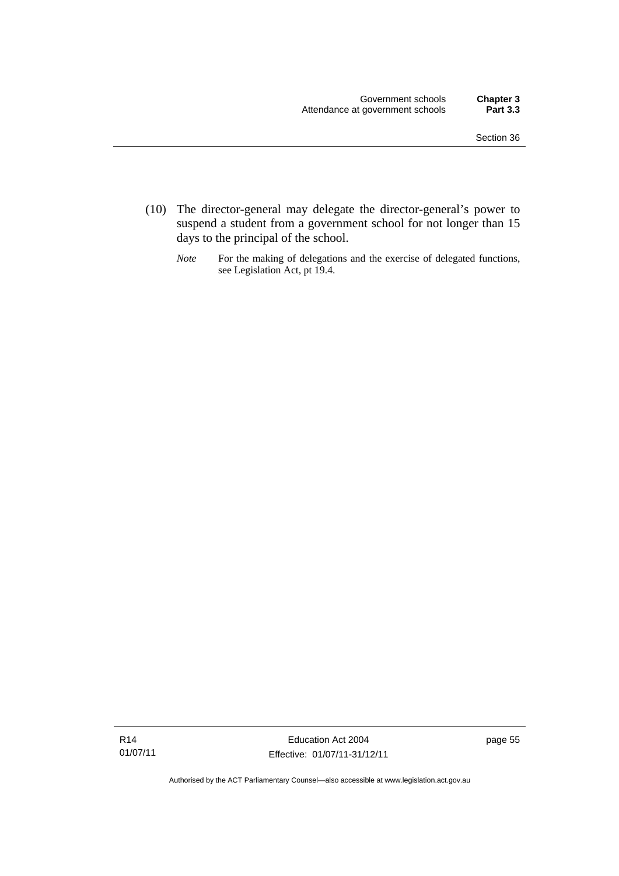- (10) The director-general may delegate the director-general's power to suspend a student from a government school for not longer than 15 days to the principal of the school.
	- *Note* For the making of delegations and the exercise of delegated functions, see Legislation Act, pt 19.4.

Authorised by the ACT Parliamentary Counsel—also accessible at www.legislation.act.gov.au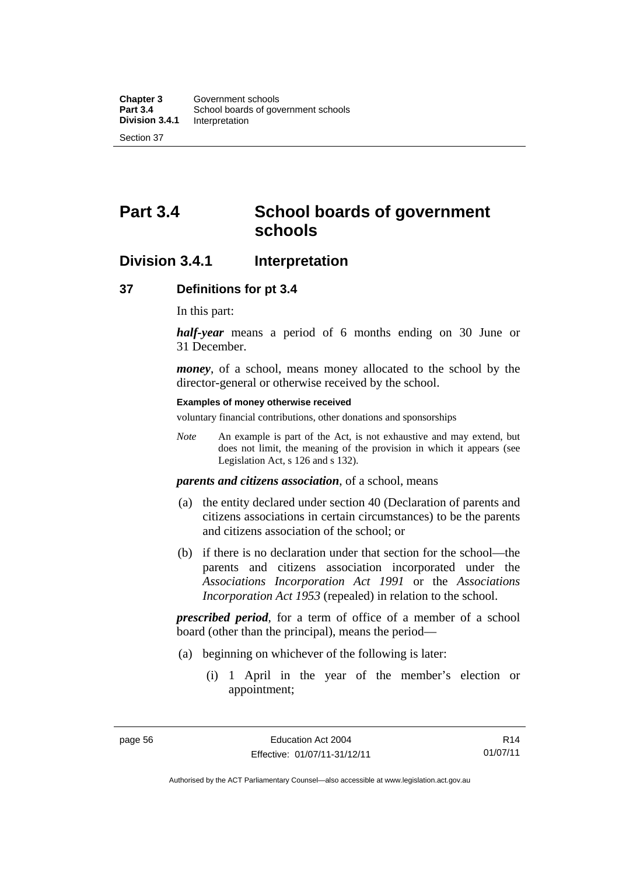# **Part 3.4 School boards of government schools**

# **Division 3.4.1 Interpretation**

### **37 Definitions for pt 3.4**

In this part:

*half-year* means a period of 6 months ending on 30 June or 31 December.

*money*, of a school, means money allocated to the school by the director-general or otherwise received by the school.

#### **Examples of money otherwise received**

voluntary financial contributions, other donations and sponsorships

*Note* An example is part of the Act, is not exhaustive and may extend, but does not limit, the meaning of the provision in which it appears (see Legislation Act, s 126 and s 132).

*parents and citizens association*, of a school, means

- (a) the entity declared under section 40 (Declaration of parents and citizens associations in certain circumstances) to be the parents and citizens association of the school; or
- (b) if there is no declaration under that section for the school—the parents and citizens association incorporated under the *Associations Incorporation Act 1991* or the *Associations Incorporation Act 1953* (repealed) in relation to the school.

*prescribed period*, for a term of office of a member of a school board (other than the principal), means the period—

- (a) beginning on whichever of the following is later:
	- (i) 1 April in the year of the member's election or appointment;

Authorised by the ACT Parliamentary Counsel—also accessible at www.legislation.act.gov.au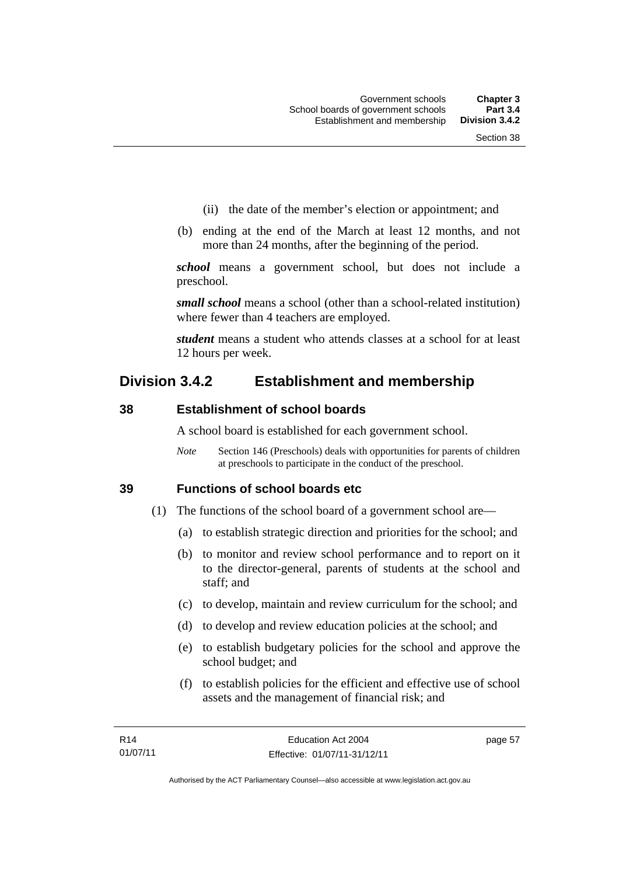- (ii) the date of the member's election or appointment; and
- (b) ending at the end of the March at least 12 months, and not more than 24 months, after the beginning of the period.

*school* means a government school, but does not include a preschool.

*small school* means a school (other than a school-related institution) where fewer than 4 teachers are employed.

*student* means a student who attends classes at a school for at least 12 hours per week.

# **Division 3.4.2 Establishment and membership**

# **38 Establishment of school boards**

A school board is established for each government school.

*Note* Section 146 (Preschools) deals with opportunities for parents of children at preschools to participate in the conduct of the preschool.

# **39 Functions of school boards etc**

- (1) The functions of the school board of a government school are—
	- (a) to establish strategic direction and priorities for the school; and
	- (b) to monitor and review school performance and to report on it to the director-general, parents of students at the school and staff; and
	- (c) to develop, maintain and review curriculum for the school; and
	- (d) to develop and review education policies at the school; and
	- (e) to establish budgetary policies for the school and approve the school budget; and
	- (f) to establish policies for the efficient and effective use of school assets and the management of financial risk; and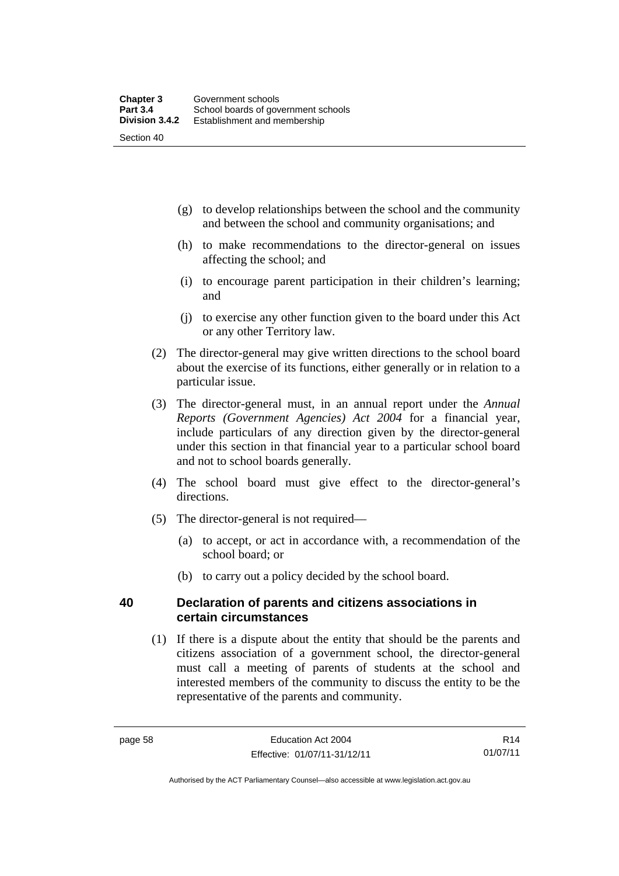- (g) to develop relationships between the school and the community and between the school and community organisations; and
- (h) to make recommendations to the director-general on issues affecting the school; and
- (i) to encourage parent participation in their children's learning; and
- (j) to exercise any other function given to the board under this Act or any other Territory law.
- (2) The director-general may give written directions to the school board about the exercise of its functions, either generally or in relation to a particular issue.
- (3) The director-general must, in an annual report under the *Annual Reports (Government Agencies) Act 2004* for a financial year, include particulars of any direction given by the director-general under this section in that financial year to a particular school board and not to school boards generally.
- (4) The school board must give effect to the director-general's directions.
- (5) The director-general is not required—
	- (a) to accept, or act in accordance with, a recommendation of the school board; or
	- (b) to carry out a policy decided by the school board.

### **40 Declaration of parents and citizens associations in certain circumstances**

 (1) If there is a dispute about the entity that should be the parents and citizens association of a government school, the director-general must call a meeting of parents of students at the school and interested members of the community to discuss the entity to be the representative of the parents and community.

R14 01/07/11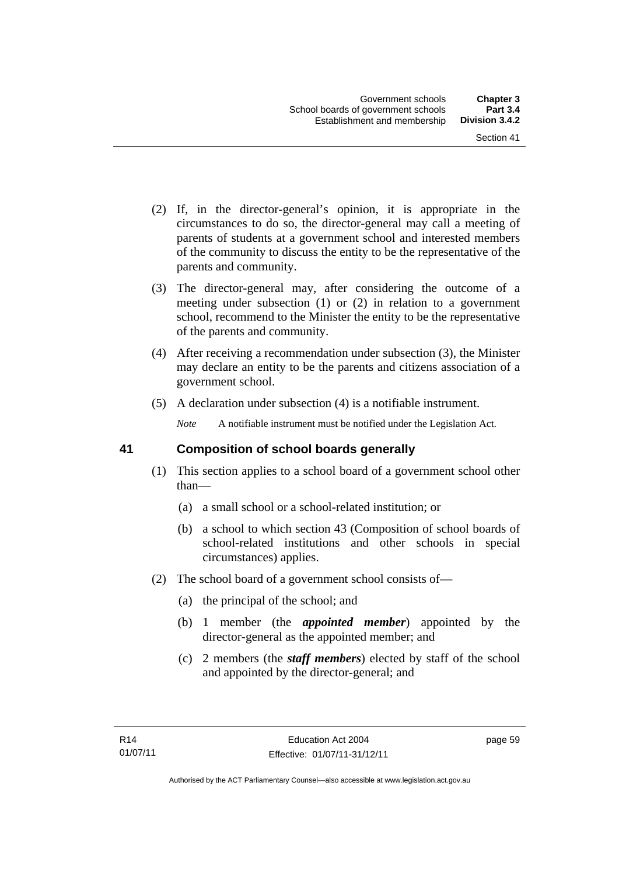- (2) If, in the director-general's opinion, it is appropriate in the circumstances to do so, the director-general may call a meeting of parents of students at a government school and interested members of the community to discuss the entity to be the representative of the parents and community.
- (3) The director-general may, after considering the outcome of a meeting under subsection (1) or (2) in relation to a government school, recommend to the Minister the entity to be the representative of the parents and community.
- (4) After receiving a recommendation under subsection (3), the Minister may declare an entity to be the parents and citizens association of a government school.
- (5) A declaration under subsection (4) is a notifiable instrument.

*Note* A notifiable instrument must be notified under the Legislation Act.

# **41 Composition of school boards generally**

- (1) This section applies to a school board of a government school other than—
	- (a) a small school or a school-related institution; or
	- (b) a school to which section 43 (Composition of school boards of school-related institutions and other schools in special circumstances) applies.
- (2) The school board of a government school consists of—
	- (a) the principal of the school; and
	- (b) 1 member (the *appointed member*) appointed by the director-general as the appointed member; and
	- (c) 2 members (the *staff members*) elected by staff of the school and appointed by the director-general; and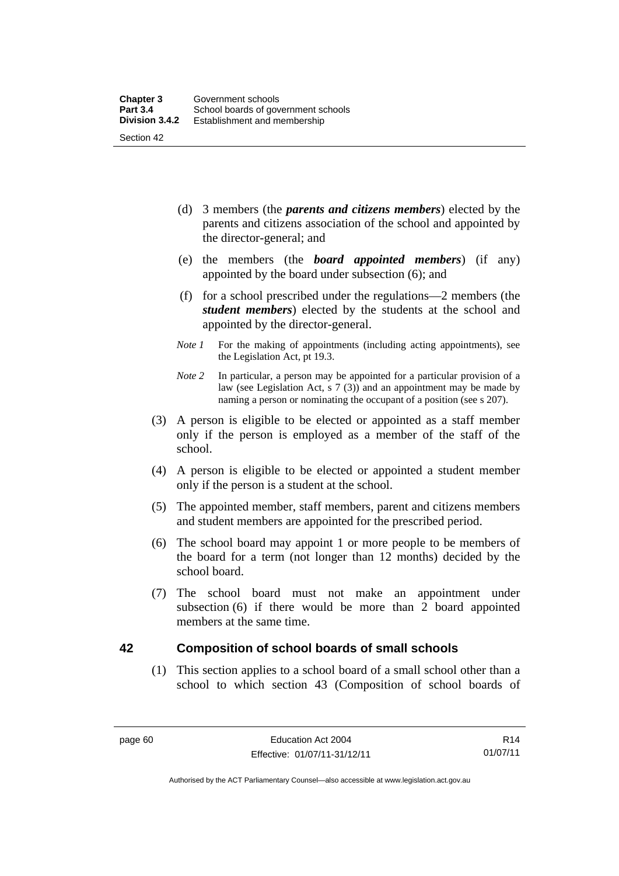- (d) 3 members (the *parents and citizens members*) elected by the parents and citizens association of the school and appointed by the director-general; and
- (e) the members (the *board appointed members*) (if any) appointed by the board under subsection (6); and
- (f) for a school prescribed under the regulations—2 members (the *student members*) elected by the students at the school and appointed by the director-general.
- *Note 1* For the making of appointments (including acting appointments), see the Legislation Act, pt 19.3.
- *Note 2* In particular, a person may be appointed for a particular provision of a law (see Legislation Act, s 7 (3)) and an appointment may be made by naming a person or nominating the occupant of a position (see s 207).
- (3) A person is eligible to be elected or appointed as a staff member only if the person is employed as a member of the staff of the school.
- (4) A person is eligible to be elected or appointed a student member only if the person is a student at the school.
- (5) The appointed member, staff members, parent and citizens members and student members are appointed for the prescribed period.
- (6) The school board may appoint 1 or more people to be members of the board for a term (not longer than 12 months) decided by the school board.
- (7) The school board must not make an appointment under subsection (6) if there would be more than 2 board appointed members at the same time.

# **42 Composition of school boards of small schools**

(1) This section applies to a school board of a small school other than a school to which section 43 (Composition of school boards of

R14 01/07/11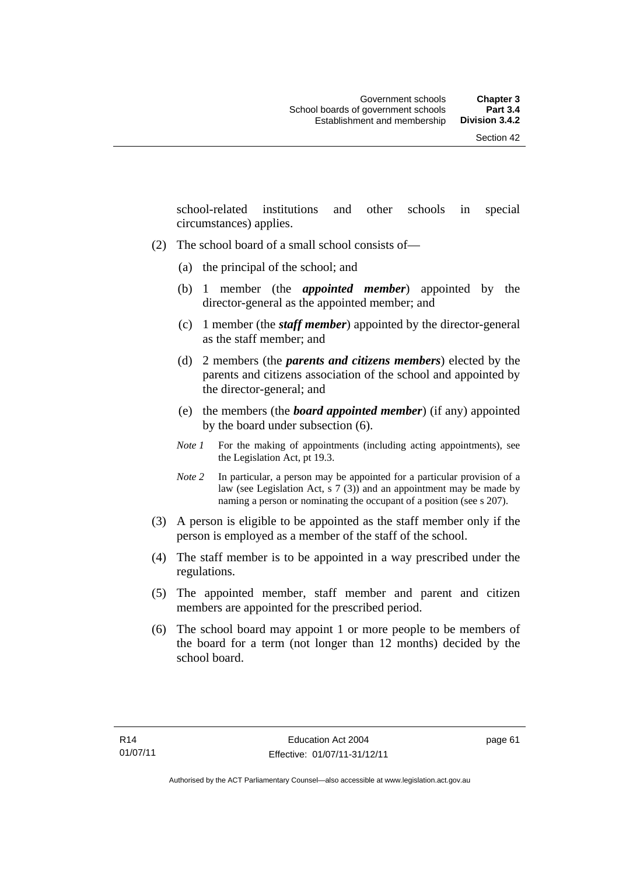school-related institutions and other schools in special circumstances) applies.

- (2) The school board of a small school consists of—
	- (a) the principal of the school; and
	- (b) 1 member (the *appointed member*) appointed by the director-general as the appointed member; and
	- (c) 1 member (the *staff member*) appointed by the director-general as the staff member; and
	- (d) 2 members (the *parents and citizens members*) elected by the parents and citizens association of the school and appointed by the director-general; and
	- (e) the members (the *board appointed member*) (if any) appointed by the board under subsection (6).
	- *Note 1* For the making of appointments (including acting appointments), see the Legislation Act, pt 19.3.
	- *Note 2* In particular, a person may be appointed for a particular provision of a law (see Legislation Act, s 7 (3)) and an appointment may be made by naming a person or nominating the occupant of a position (see s 207).
- (3) A person is eligible to be appointed as the staff member only if the person is employed as a member of the staff of the school.
- (4) The staff member is to be appointed in a way prescribed under the regulations.
- (5) The appointed member, staff member and parent and citizen members are appointed for the prescribed period.
- (6) The school board may appoint 1 or more people to be members of the board for a term (not longer than 12 months) decided by the school board.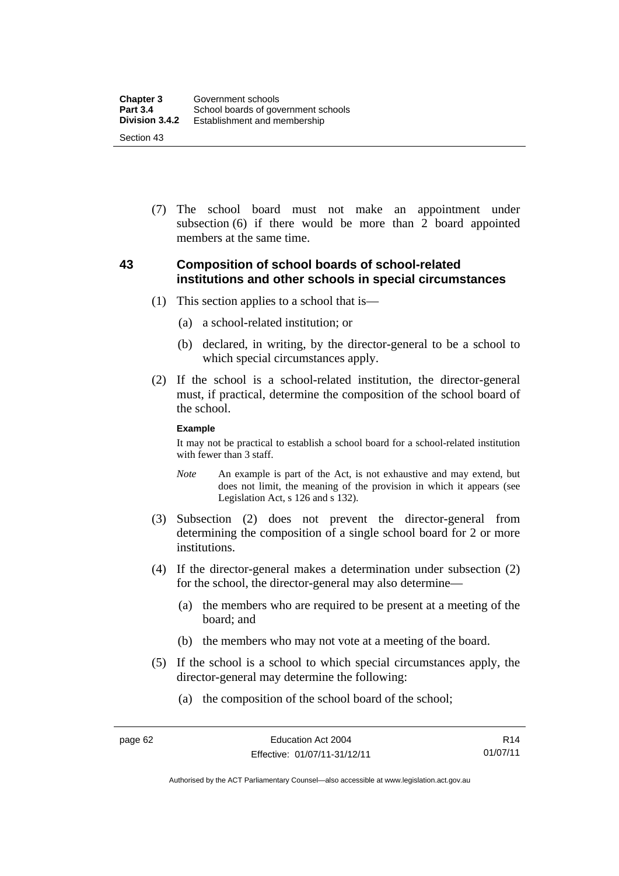(7) The school board must not make an appointment under subsection (6) if there would be more than 2 board appointed members at the same time.

### **43 Composition of school boards of school-related institutions and other schools in special circumstances**

- (1) This section applies to a school that is—
	- (a) a school-related institution; or
	- (b) declared, in writing, by the director-general to be a school to which special circumstances apply.
- (2) If the school is a school-related institution, the director-general must, if practical, determine the composition of the school board of the school.

#### **Example**

It may not be practical to establish a school board for a school-related institution with fewer than 3 staff.

- *Note* An example is part of the Act, is not exhaustive and may extend, but does not limit, the meaning of the provision in which it appears (see Legislation Act, s 126 and s 132).
- (3) Subsection (2) does not prevent the director-general from determining the composition of a single school board for 2 or more institutions.
- (4) If the director-general makes a determination under subsection (2) for the school, the director-general may also determine—
	- (a) the members who are required to be present at a meeting of the board; and
	- (b) the members who may not vote at a meeting of the board.
- (5) If the school is a school to which special circumstances apply, the director-general may determine the following:
	- (a) the composition of the school board of the school;

Authorised by the ACT Parliamentary Counsel—also accessible at www.legislation.act.gov.au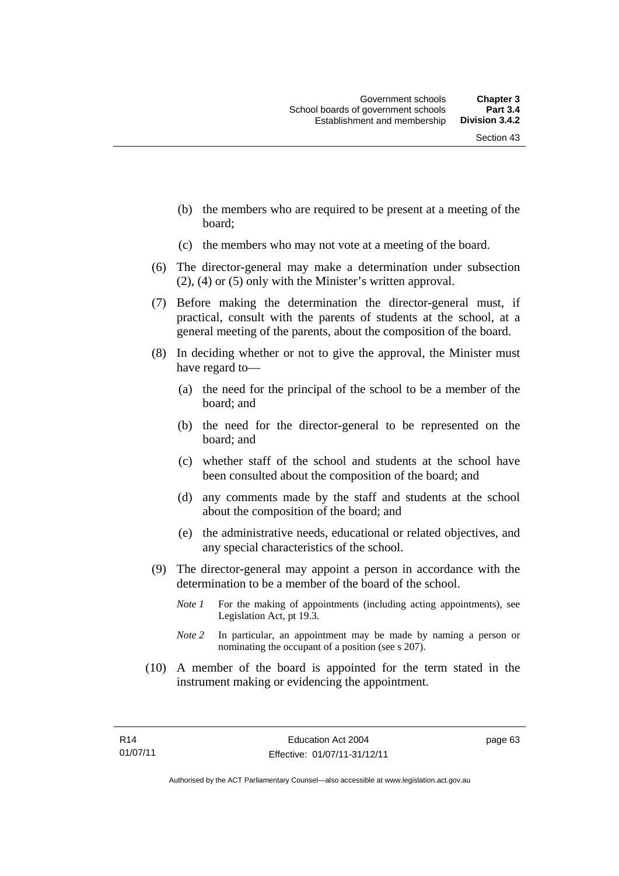- (b) the members who are required to be present at a meeting of the board;
- (c) the members who may not vote at a meeting of the board.
- (6) The director-general may make a determination under subsection (2), (4) or (5) only with the Minister's written approval.
- (7) Before making the determination the director-general must, if practical, consult with the parents of students at the school, at a general meeting of the parents, about the composition of the board.
- (8) In deciding whether or not to give the approval, the Minister must have regard to—
	- (a) the need for the principal of the school to be a member of the board; and
	- (b) the need for the director-general to be represented on the board; and
	- (c) whether staff of the school and students at the school have been consulted about the composition of the board; and
	- (d) any comments made by the staff and students at the school about the composition of the board; and
	- (e) the administrative needs, educational or related objectives, and any special characteristics of the school.
- (9) The director-general may appoint a person in accordance with the determination to be a member of the board of the school.
	- *Note 1* For the making of appointments (including acting appointments), see Legislation Act, pt 19.3.
	- *Note 2* In particular, an appointment may be made by naming a person or nominating the occupant of a position (see s 207).
- (10) A member of the board is appointed for the term stated in the instrument making or evidencing the appointment.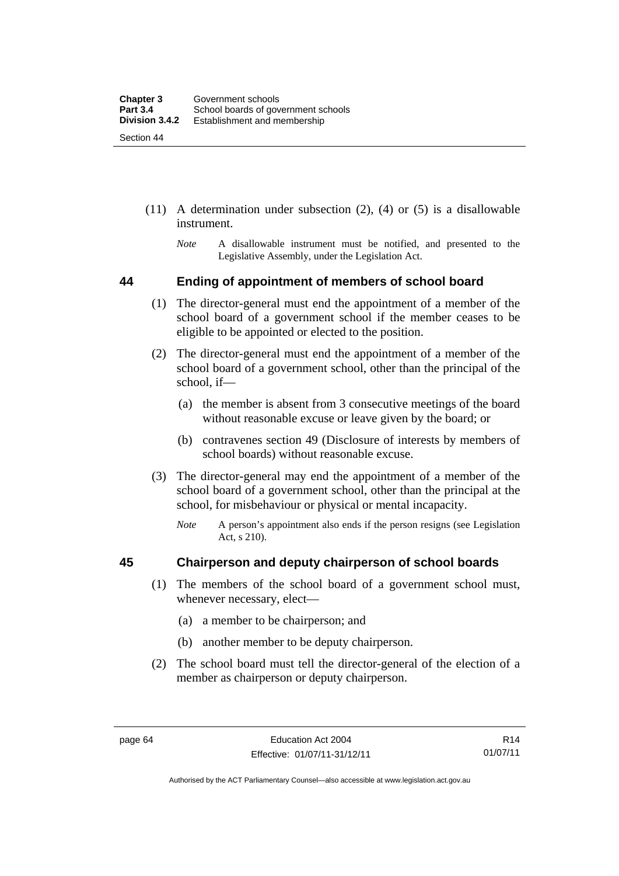- (11) A determination under subsection (2), (4) or (5) is a disallowable instrument.
	- *Note* A disallowable instrument must be notified, and presented to the Legislative Assembly, under the Legislation Act.

### **44 Ending of appointment of members of school board**

- (1) The director-general must end the appointment of a member of the school board of a government school if the member ceases to be eligible to be appointed or elected to the position.
- (2) The director-general must end the appointment of a member of the school board of a government school, other than the principal of the school, if—
	- (a) the member is absent from 3 consecutive meetings of the board without reasonable excuse or leave given by the board; or
	- (b) contravenes section 49 (Disclosure of interests by members of school boards) without reasonable excuse.
- (3) The director-general may end the appointment of a member of the school board of a government school, other than the principal at the school, for misbehaviour or physical or mental incapacity.
	- *Note* A person's appointment also ends if the person resigns (see Legislation Act, s 210).

### **45 Chairperson and deputy chairperson of school boards**

- (1) The members of the school board of a government school must, whenever necessary, elect—
	- (a) a member to be chairperson; and
	- (b) another member to be deputy chairperson.
- (2) The school board must tell the director-general of the election of a member as chairperson or deputy chairperson.

Authorised by the ACT Parliamentary Counsel—also accessible at www.legislation.act.gov.au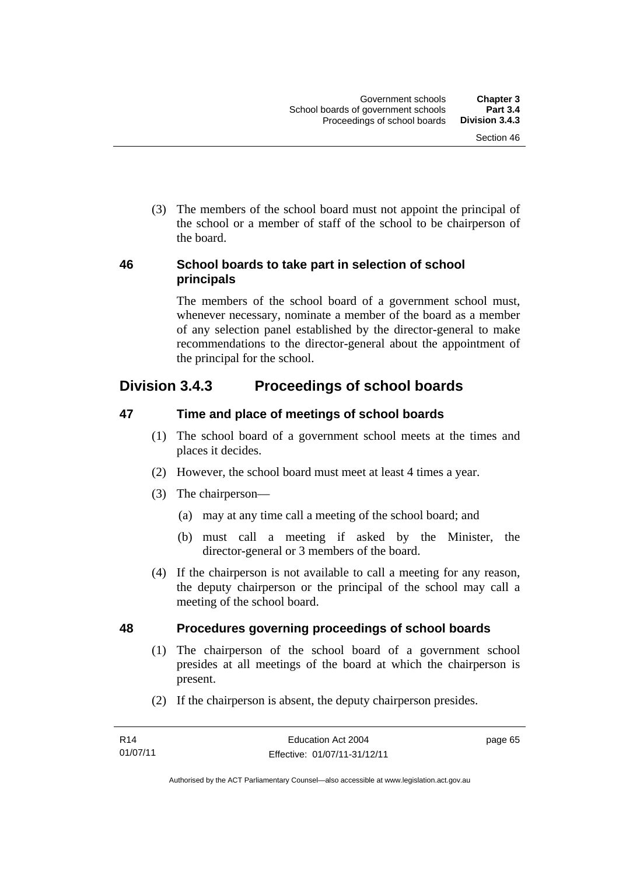(3) The members of the school board must not appoint the principal of the school or a member of staff of the school to be chairperson of the board.

### **46 School boards to take part in selection of school principals**

The members of the school board of a government school must, whenever necessary, nominate a member of the board as a member of any selection panel established by the director-general to make recommendations to the director-general about the appointment of the principal for the school.

# **Division 3.4.3 Proceedings of school boards**

# **47 Time and place of meetings of school boards**

- (1) The school board of a government school meets at the times and places it decides.
- (2) However, the school board must meet at least 4 times a year.
- (3) The chairperson—
	- (a) may at any time call a meeting of the school board; and
	- (b) must call a meeting if asked by the Minister, the director-general or 3 members of the board.
- (4) If the chairperson is not available to call a meeting for any reason, the deputy chairperson or the principal of the school may call a meeting of the school board.

# **48 Procedures governing proceedings of school boards**

- (1) The chairperson of the school board of a government school presides at all meetings of the board at which the chairperson is present.
- (2) If the chairperson is absent, the deputy chairperson presides.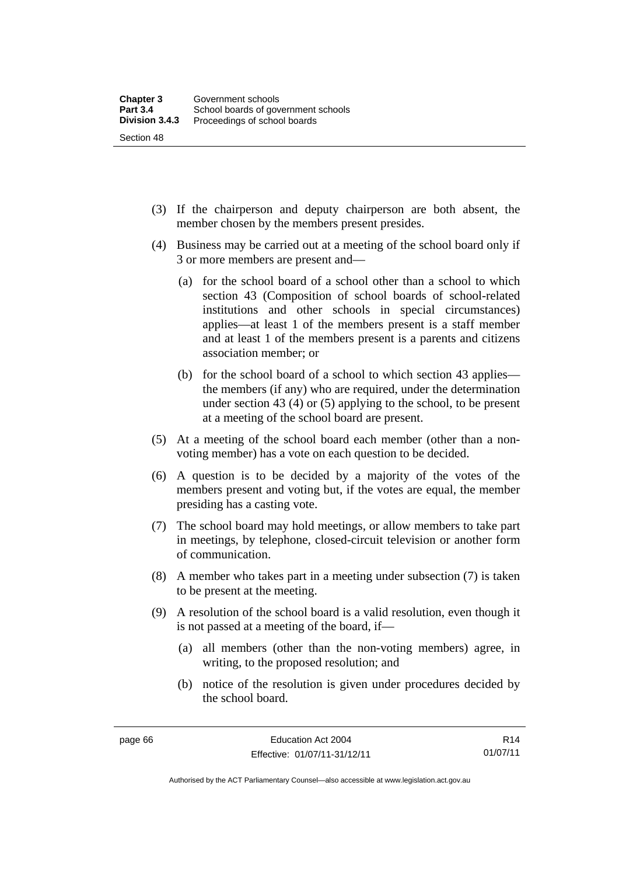(3) If the chairperson and deputy chairperson are both absent, the member chosen by the members present presides.

- (4) Business may be carried out at a meeting of the school board only if 3 or more members are present and—
	- (a) for the school board of a school other than a school to which section 43 (Composition of school boards of school-related institutions and other schools in special circumstances) applies—at least 1 of the members present is a staff member and at least 1 of the members present is a parents and citizens association member; or
	- (b) for the school board of a school to which section 43 applies the members (if any) who are required, under the determination under section 43 (4) or (5) applying to the school, to be present at a meeting of the school board are present.
- (5) At a meeting of the school board each member (other than a nonvoting member) has a vote on each question to be decided.
- (6) A question is to be decided by a majority of the votes of the members present and voting but, if the votes are equal, the member presiding has a casting vote.
- (7) The school board may hold meetings, or allow members to take part in meetings, by telephone, closed-circuit television or another form of communication.
- (8) A member who takes part in a meeting under subsection (7) is taken to be present at the meeting.
- (9) A resolution of the school board is a valid resolution, even though it is not passed at a meeting of the board, if—
	- (a) all members (other than the non-voting members) agree, in writing, to the proposed resolution; and
	- (b) notice of the resolution is given under procedures decided by the school board.

Authorised by the ACT Parliamentary Counsel—also accessible at www.legislation.act.gov.au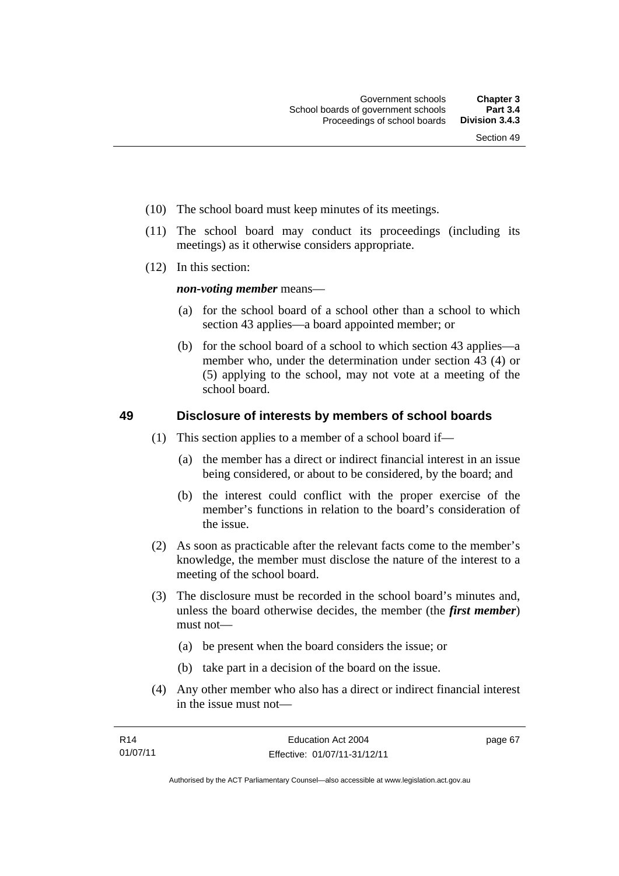- (10) The school board must keep minutes of its meetings.
- (11) The school board may conduct its proceedings (including its meetings) as it otherwise considers appropriate.
- (12) In this section:

*non-voting member* means—

- (a) for the school board of a school other than a school to which section 43 applies—a board appointed member; or
- (b) for the school board of a school to which section 43 applies—a member who, under the determination under section 43 (4) or (5) applying to the school, may not vote at a meeting of the school board.

### **49 Disclosure of interests by members of school boards**

- (1) This section applies to a member of a school board if—
	- (a) the member has a direct or indirect financial interest in an issue being considered, or about to be considered, by the board; and
	- (b) the interest could conflict with the proper exercise of the member's functions in relation to the board's consideration of the issue.
- (2) As soon as practicable after the relevant facts come to the member's knowledge, the member must disclose the nature of the interest to a meeting of the school board.
- (3) The disclosure must be recorded in the school board's minutes and, unless the board otherwise decides, the member (the *first member*) must not—
	- (a) be present when the board considers the issue; or
	- (b) take part in a decision of the board on the issue.
- (4) Any other member who also has a direct or indirect financial interest in the issue must not—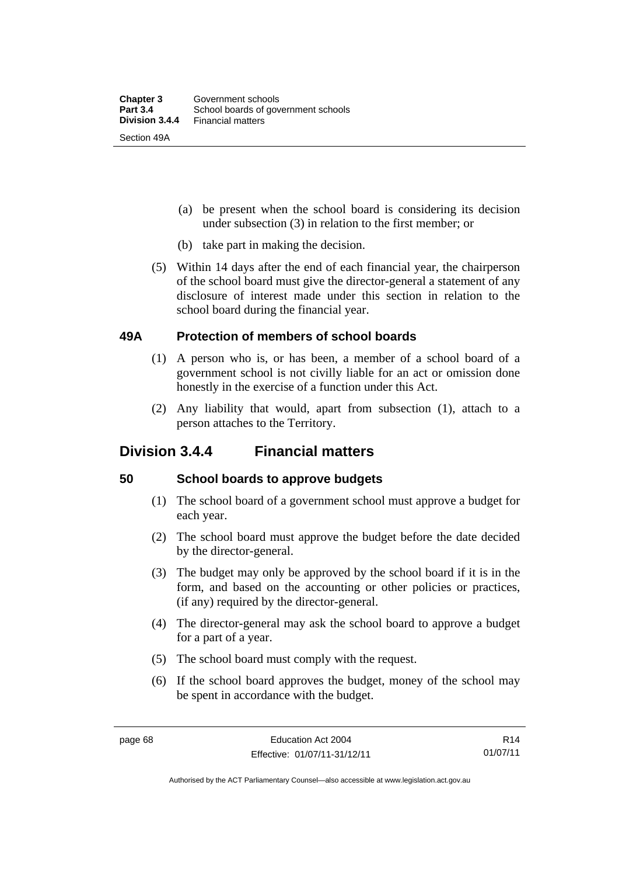- (a) be present when the school board is considering its decision under subsection (3) in relation to the first member; or
- (b) take part in making the decision.
- (5) Within 14 days after the end of each financial year, the chairperson of the school board must give the director-general a statement of any disclosure of interest made under this section in relation to the school board during the financial year.

### **49A Protection of members of school boards**

- (1) A person who is, or has been, a member of a school board of a government school is not civilly liable for an act or omission done honestly in the exercise of a function under this Act.
- (2) Any liability that would, apart from subsection (1), attach to a person attaches to the Territory.

# **Division 3.4.4 Financial matters**

### **50 School boards to approve budgets**

- (1) The school board of a government school must approve a budget for each year.
- (2) The school board must approve the budget before the date decided by the director-general.
- (3) The budget may only be approved by the school board if it is in the form, and based on the accounting or other policies or practices, (if any) required by the director-general.
- (4) The director-general may ask the school board to approve a budget for a part of a year.
- (5) The school board must comply with the request.
- (6) If the school board approves the budget, money of the school may be spent in accordance with the budget.

R14 01/07/11

Authorised by the ACT Parliamentary Counsel—also accessible at www.legislation.act.gov.au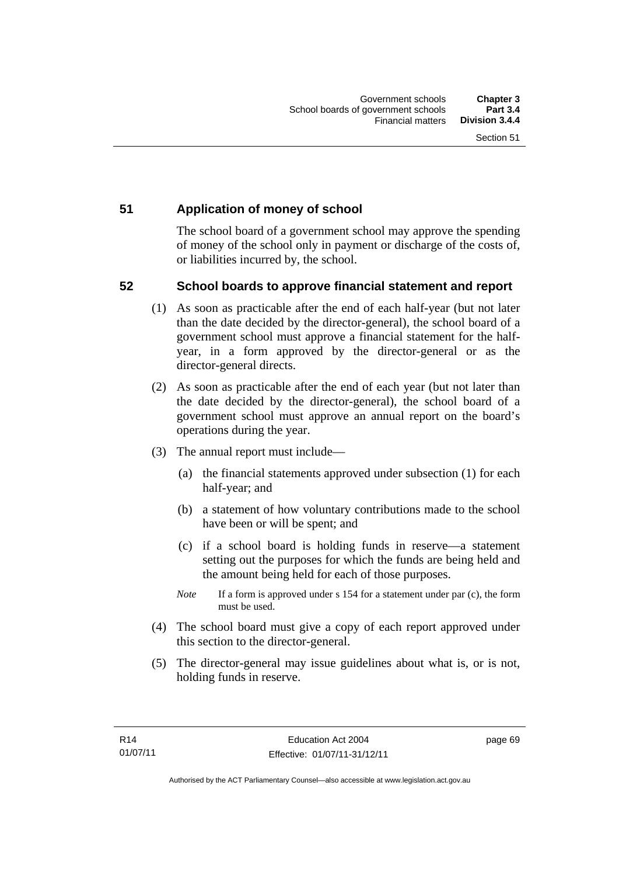### **51 Application of money of school**

The school board of a government school may approve the spending of money of the school only in payment or discharge of the costs of, or liabilities incurred by, the school.

### **52 School boards to approve financial statement and report**

- (1) As soon as practicable after the end of each half-year (but not later than the date decided by the director-general), the school board of a government school must approve a financial statement for the halfyear, in a form approved by the director-general or as the director-general directs.
- (2) As soon as practicable after the end of each year (but not later than the date decided by the director-general), the school board of a government school must approve an annual report on the board's operations during the year.
- (3) The annual report must include—
	- (a) the financial statements approved under subsection (1) for each half-year; and
	- (b) a statement of how voluntary contributions made to the school have been or will be spent; and
	- (c) if a school board is holding funds in reserve—a statement setting out the purposes for which the funds are being held and the amount being held for each of those purposes.
	- *Note* If a form is approved under s 154 for a statement under par (c), the form must be used.
- (4) The school board must give a copy of each report approved under this section to the director-general.
- (5) The director-general may issue guidelines about what is, or is not, holding funds in reserve.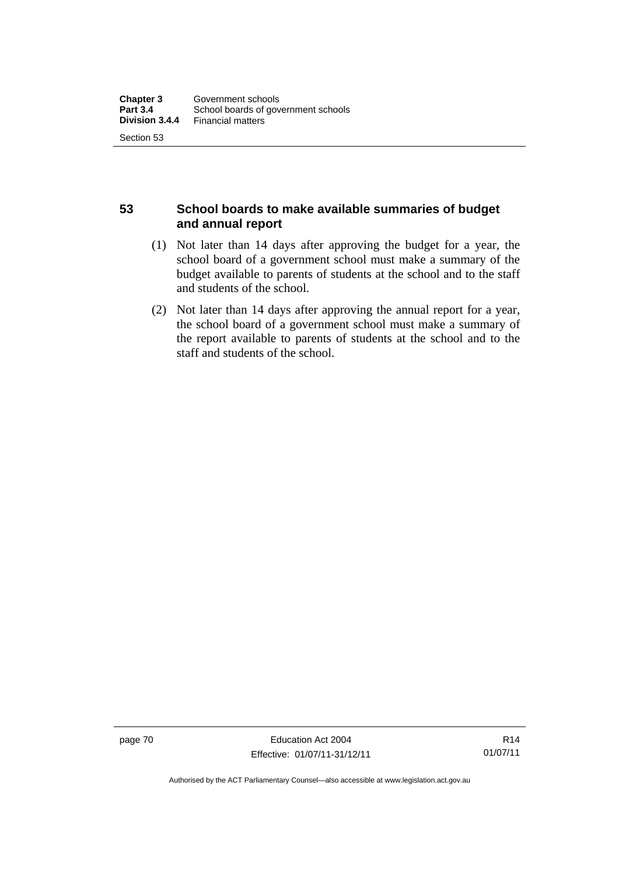### **53 School boards to make available summaries of budget and annual report**

- (1) Not later than 14 days after approving the budget for a year, the school board of a government school must make a summary of the budget available to parents of students at the school and to the staff and students of the school.
- (2) Not later than 14 days after approving the annual report for a year, the school board of a government school must make a summary of the report available to parents of students at the school and to the staff and students of the school.

page 70 Education Act 2004 Effective: 01/07/11-31/12/11

R14 01/07/11

Authorised by the ACT Parliamentary Counsel—also accessible at www.legislation.act.gov.au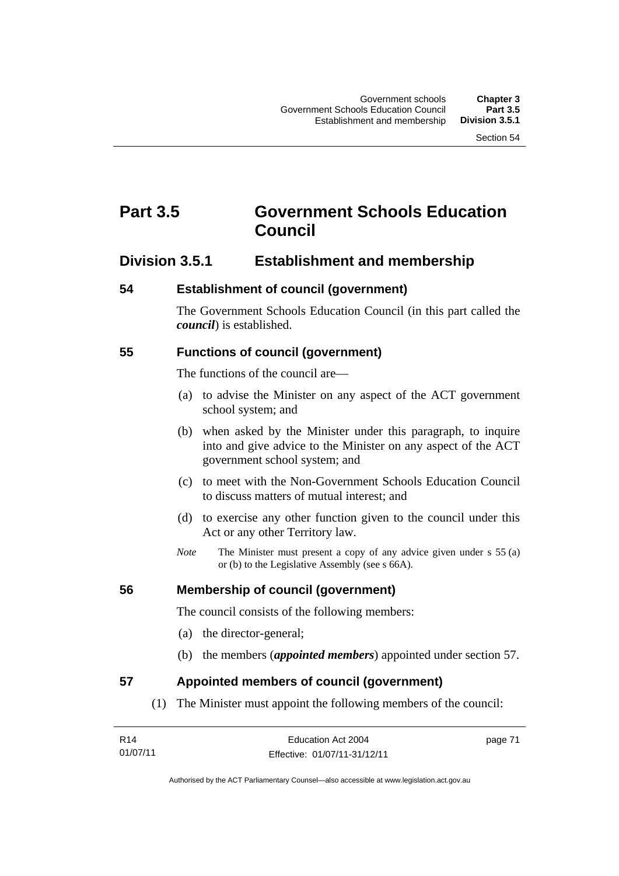# **Part 3.5 Government Schools Education Council**

# **Division 3.5.1 Establishment and membership**

#### **54 Establishment of council (government)**

The Government Schools Education Council (in this part called the *council*) is established.

### **55 Functions of council (government)**

The functions of the council are—

- (a) to advise the Minister on any aspect of the ACT government school system; and
- (b) when asked by the Minister under this paragraph, to inquire into and give advice to the Minister on any aspect of the ACT government school system; and
- (c) to meet with the Non-Government Schools Education Council to discuss matters of mutual interest; and
- (d) to exercise any other function given to the council under this Act or any other Territory law.
- *Note* The Minister must present a copy of any advice given under s 55 (a) or (b) to the Legislative Assembly (see s 66A).

### **56 Membership of council (government)**

The council consists of the following members:

- (a) the director-general;
- (b) the members (*appointed members*) appointed under section 57.

### **57 Appointed members of council (government)**

(1) The Minister must appoint the following members of the council:

| R <sub>14</sub> | Education Act 2004           | page 71 |
|-----------------|------------------------------|---------|
| 01/07/11        | Effective: 01/07/11-31/12/11 |         |

Authorised by the ACT Parliamentary Counsel—also accessible at www.legislation.act.gov.au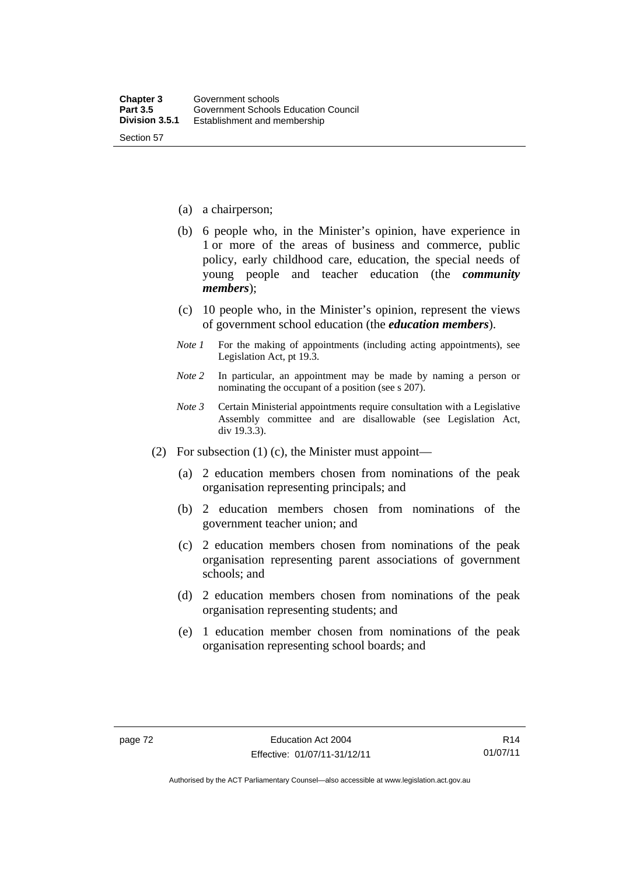- (a) a chairperson;
- (b) 6 people who, in the Minister's opinion, have experience in 1 or more of the areas of business and commerce, public policy, early childhood care, education, the special needs of young people and teacher education (the *community members*);
- (c) 10 people who, in the Minister's opinion, represent the views of government school education (the *education members*).
- *Note 1* For the making of appointments (including acting appointments), see Legislation Act, pt 19.3.
- *Note 2* In particular, an appointment may be made by naming a person or nominating the occupant of a position (see s 207).
- *Note 3* Certain Ministerial appointments require consultation with a Legislative Assembly committee and are disallowable (see Legislation Act, div 19.3.3).
- (2) For subsection (1) (c), the Minister must appoint—
	- (a) 2 education members chosen from nominations of the peak organisation representing principals; and
	- (b) 2 education members chosen from nominations of the government teacher union; and
	- (c) 2 education members chosen from nominations of the peak organisation representing parent associations of government schools; and
	- (d) 2 education members chosen from nominations of the peak organisation representing students; and
	- (e) 1 education member chosen from nominations of the peak organisation representing school boards; and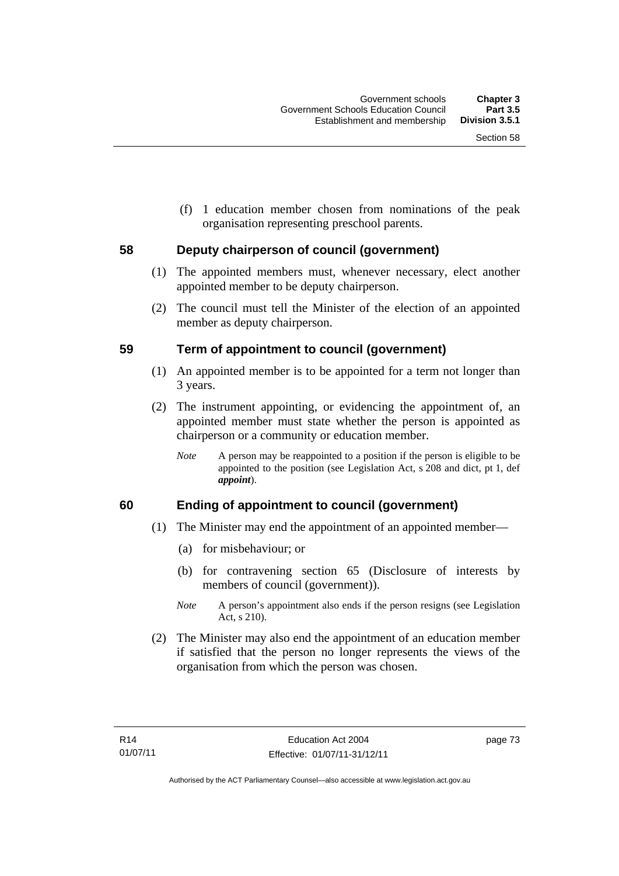(f) 1 education member chosen from nominations of the peak organisation representing preschool parents.

### **58 Deputy chairperson of council (government)**

- (1) The appointed members must, whenever necessary, elect another appointed member to be deputy chairperson.
- (2) The council must tell the Minister of the election of an appointed member as deputy chairperson.

### **59 Term of appointment to council (government)**

- (1) An appointed member is to be appointed for a term not longer than 3 years.
- (2) The instrument appointing, or evidencing the appointment of, an appointed member must state whether the person is appointed as chairperson or a community or education member.
	- *Note* A person may be reappointed to a position if the person is eligible to be appointed to the position (see Legislation Act, s 208 and dict, pt 1, def *appoint*).

### **60 Ending of appointment to council (government)**

- (1) The Minister may end the appointment of an appointed member—
	- (a) for misbehaviour; or
	- (b) for contravening section 65 (Disclosure of interests by members of council (government)).
	- *Note* A person's appointment also ends if the person resigns (see Legislation Act, s 210).
- (2) The Minister may also end the appointment of an education member if satisfied that the person no longer represents the views of the organisation from which the person was chosen.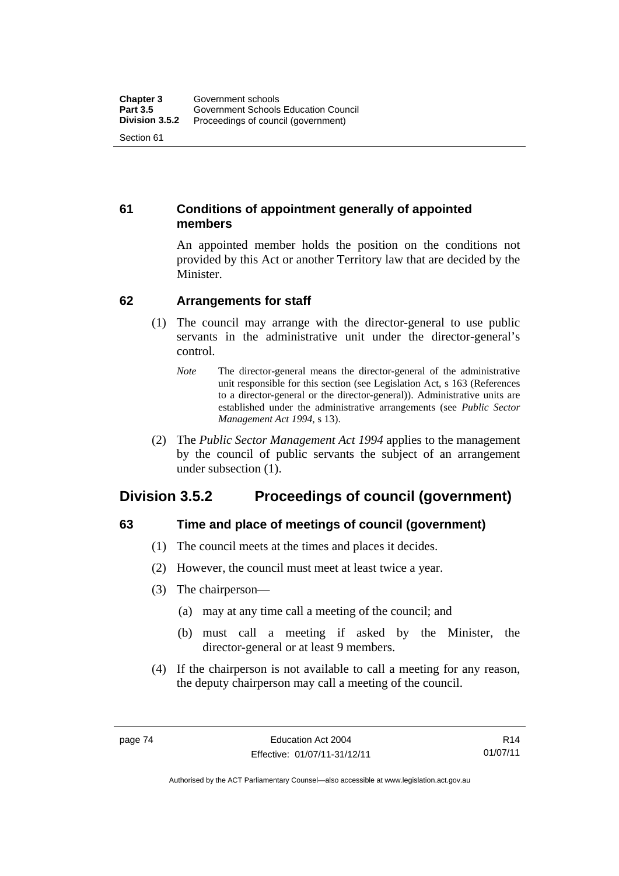### **61 Conditions of appointment generally of appointed members**

An appointed member holds the position on the conditions not provided by this Act or another Territory law that are decided by the Minister.

### **62 Arrangements for staff**

- (1) The council may arrange with the director-general to use public servants in the administrative unit under the director-general's control.
	- *Note* The director-general means the director-general of the administrative unit responsible for this section (see Legislation Act, s 163 (References to a director-general or the director-general)). Administrative units are established under the administrative arrangements (see *Public Sector Management Act 1994*, s 13).
- (2) The *Public Sector Management Act 1994* applies to the management by the council of public servants the subject of an arrangement under subsection (1).

# **Division 3.5.2 Proceedings of council (government)**

# **63 Time and place of meetings of council (government)**

- (1) The council meets at the times and places it decides.
- (2) However, the council must meet at least twice a year.
- (3) The chairperson—
	- (a) may at any time call a meeting of the council; and
	- (b) must call a meeting if asked by the Minister, the director-general or at least 9 members.
- (4) If the chairperson is not available to call a meeting for any reason, the deputy chairperson may call a meeting of the council.

R14 01/07/11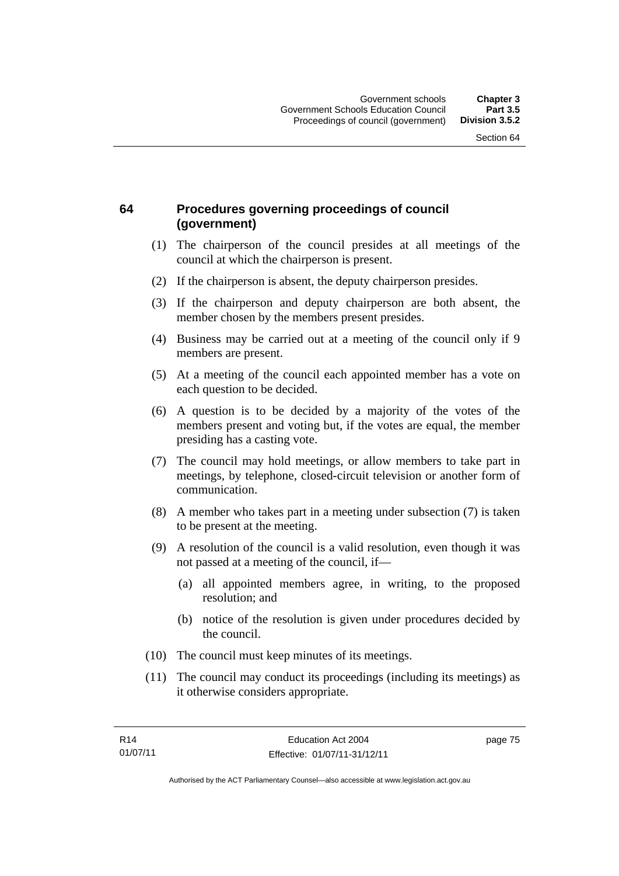## **64 Procedures governing proceedings of council (government)**

- (1) The chairperson of the council presides at all meetings of the council at which the chairperson is present.
- (2) If the chairperson is absent, the deputy chairperson presides.
- (3) If the chairperson and deputy chairperson are both absent, the member chosen by the members present presides.
- (4) Business may be carried out at a meeting of the council only if 9 members are present.
- (5) At a meeting of the council each appointed member has a vote on each question to be decided.
- (6) A question is to be decided by a majority of the votes of the members present and voting but, if the votes are equal, the member presiding has a casting vote.
- (7) The council may hold meetings, or allow members to take part in meetings, by telephone, closed-circuit television or another form of communication.
- (8) A member who takes part in a meeting under subsection (7) is taken to be present at the meeting.
- (9) A resolution of the council is a valid resolution, even though it was not passed at a meeting of the council, if—
	- (a) all appointed members agree, in writing, to the proposed resolution; and
	- (b) notice of the resolution is given under procedures decided by the council.
- (10) The council must keep minutes of its meetings.
- (11) The council may conduct its proceedings (including its meetings) as it otherwise considers appropriate.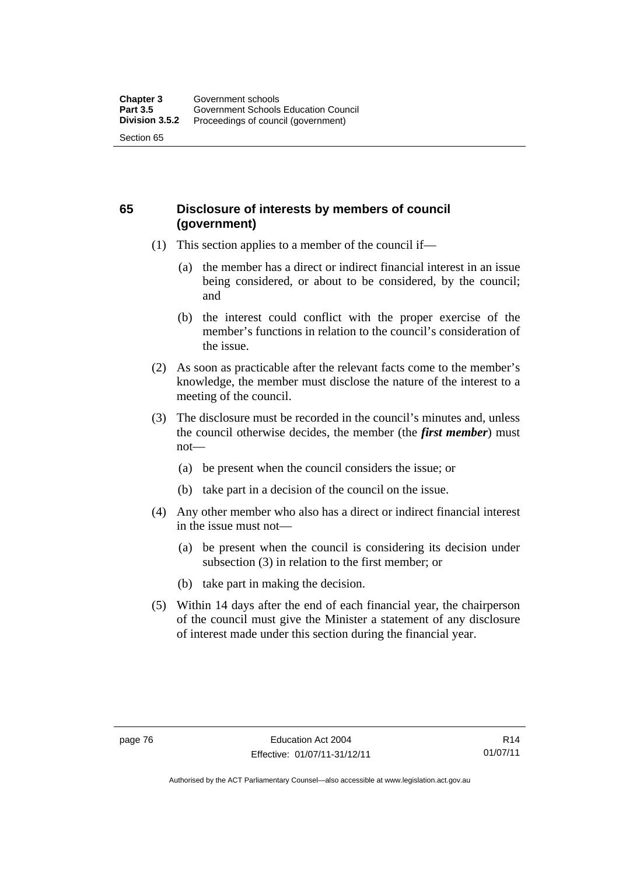### **65 Disclosure of interests by members of council (government)**

- (1) This section applies to a member of the council if—
	- (a) the member has a direct or indirect financial interest in an issue being considered, or about to be considered, by the council; and
	- (b) the interest could conflict with the proper exercise of the member's functions in relation to the council's consideration of the issue.
- (2) As soon as practicable after the relevant facts come to the member's knowledge, the member must disclose the nature of the interest to a meeting of the council.
- (3) The disclosure must be recorded in the council's minutes and, unless the council otherwise decides, the member (the *first member*) must not—
	- (a) be present when the council considers the issue; or
	- (b) take part in a decision of the council on the issue.
- (4) Any other member who also has a direct or indirect financial interest in the issue must not—
	- (a) be present when the council is considering its decision under subsection (3) in relation to the first member; or
	- (b) take part in making the decision.
- (5) Within 14 days after the end of each financial year, the chairperson of the council must give the Minister a statement of any disclosure of interest made under this section during the financial year.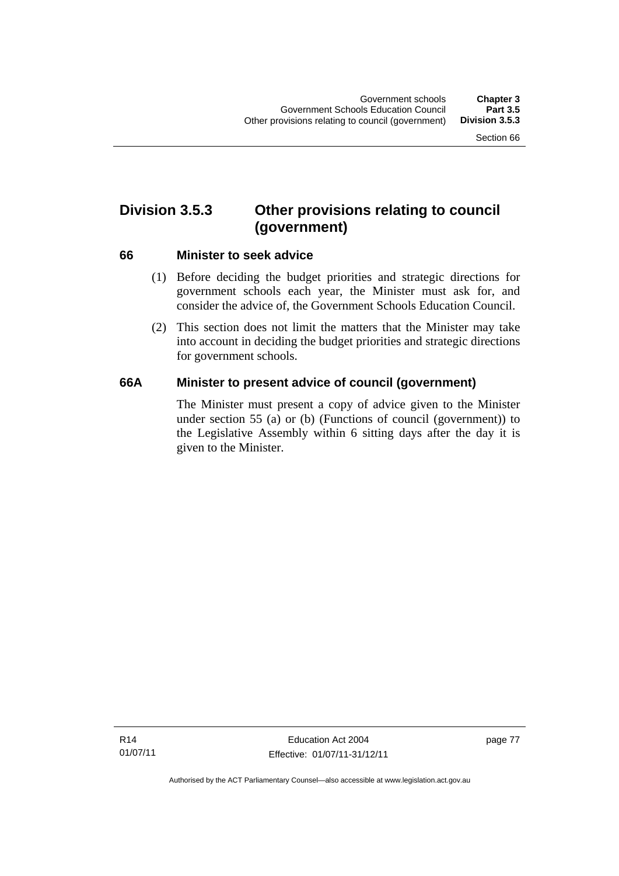# **Division 3.5.3 Other provisions relating to council (government)**

### **66 Minister to seek advice**

- (1) Before deciding the budget priorities and strategic directions for government schools each year, the Minister must ask for, and consider the advice of, the Government Schools Education Council.
- (2) This section does not limit the matters that the Minister may take into account in deciding the budget priorities and strategic directions for government schools.

### **66A Minister to present advice of council (government)**

The Minister must present a copy of advice given to the Minister under section 55 (a) or (b) (Functions of council (government)) to the Legislative Assembly within 6 sitting days after the day it is given to the Minister.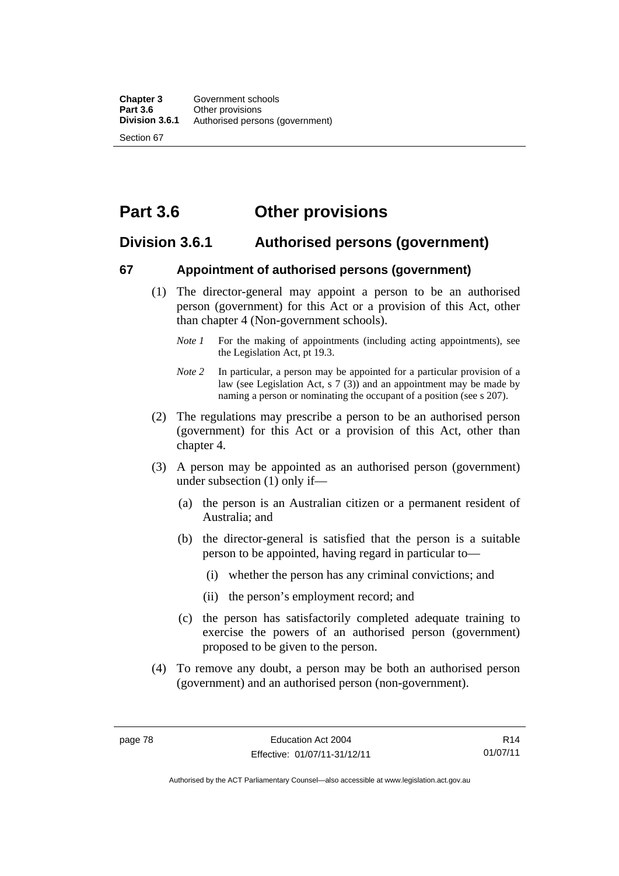# **Part 3.6 Other provisions**

# **Division 3.6.1 Authorised persons (government)**

### **67 Appointment of authorised persons (government)**

- (1) The director-general may appoint a person to be an authorised person (government) for this Act or a provision of this Act, other than chapter 4 (Non-government schools).
	- *Note 1* For the making of appointments (including acting appointments), see the Legislation Act, pt 19.3.
	- *Note 2* In particular, a person may be appointed for a particular provision of a law (see Legislation Act, s 7 (3)) and an appointment may be made by naming a person or nominating the occupant of a position (see s 207).
- (2) The regulations may prescribe a person to be an authorised person (government) for this Act or a provision of this Act, other than chapter 4.
- (3) A person may be appointed as an authorised person (government) under subsection (1) only if—
	- (a) the person is an Australian citizen or a permanent resident of Australia; and
	- (b) the director-general is satisfied that the person is a suitable person to be appointed, having regard in particular to—
		- (i) whether the person has any criminal convictions; and
		- (ii) the person's employment record; and
	- (c) the person has satisfactorily completed adequate training to exercise the powers of an authorised person (government) proposed to be given to the person.
- (4) To remove any doubt, a person may be both an authorised person (government) and an authorised person (non-government).

R14 01/07/11

Authorised by the ACT Parliamentary Counsel—also accessible at www.legislation.act.gov.au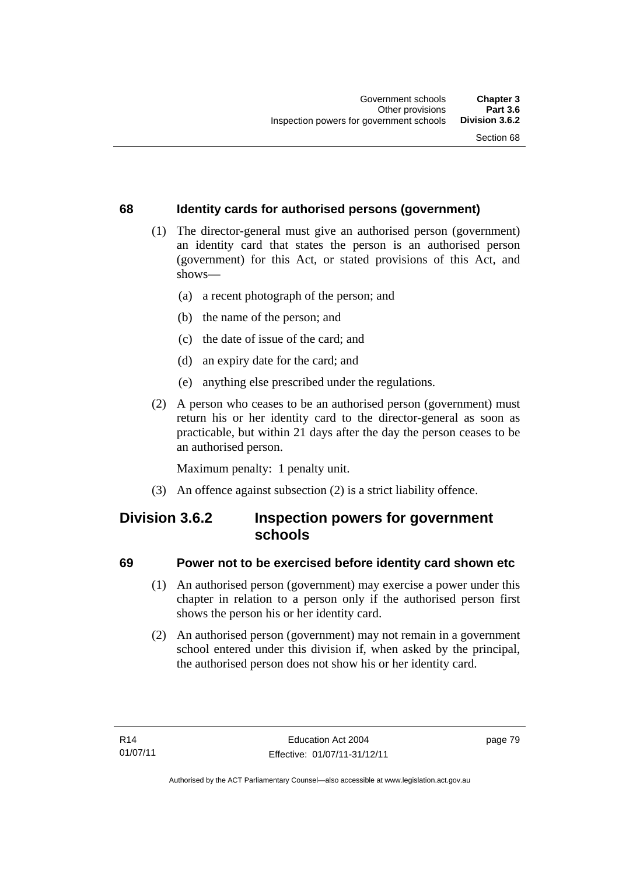### **68 Identity cards for authorised persons (government)**

- (1) The director-general must give an authorised person (government) an identity card that states the person is an authorised person (government) for this Act, or stated provisions of this Act, and shows—
	- (a) a recent photograph of the person; and
	- (b) the name of the person; and
	- (c) the date of issue of the card; and
	- (d) an expiry date for the card; and
	- (e) anything else prescribed under the regulations.
- (2) A person who ceases to be an authorised person (government) must return his or her identity card to the director-general as soon as practicable, but within 21 days after the day the person ceases to be an authorised person.

Maximum penalty: 1 penalty unit.

(3) An offence against subsection (2) is a strict liability offence.

# **Division 3.6.2 Inspection powers for government schools**

### **69 Power not to be exercised before identity card shown etc**

- (1) An authorised person (government) may exercise a power under this chapter in relation to a person only if the authorised person first shows the person his or her identity card.
- (2) An authorised person (government) may not remain in a government school entered under this division if, when asked by the principal, the authorised person does not show his or her identity card.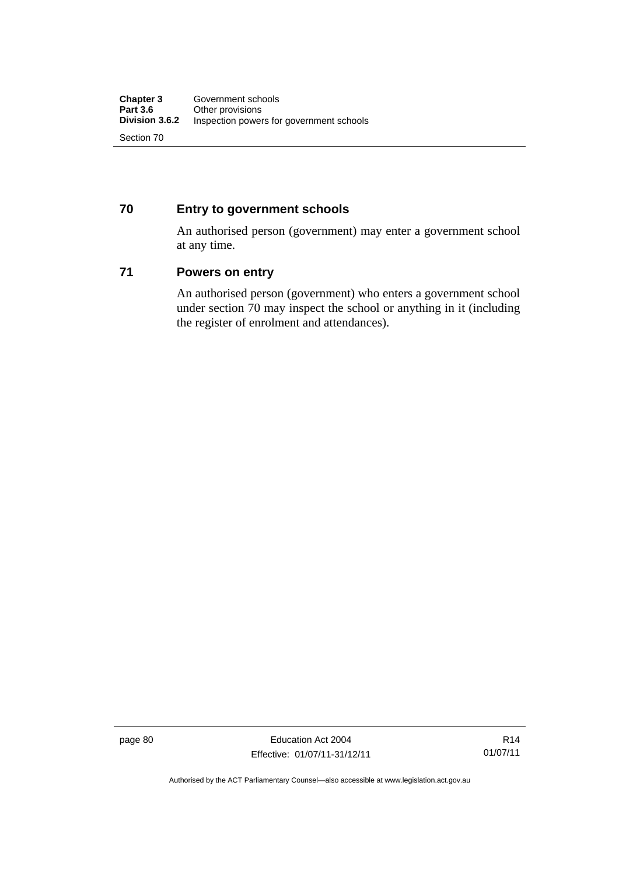### **70 Entry to government schools**

An authorised person (government) may enter a government school at any time.

### **71 Powers on entry**

An authorised person (government) who enters a government school under section 70 may inspect the school or anything in it (including the register of enrolment and attendances).

page 80 Education Act 2004 Effective: 01/07/11-31/12/11

Authorised by the ACT Parliamentary Counsel—also accessible at www.legislation.act.gov.au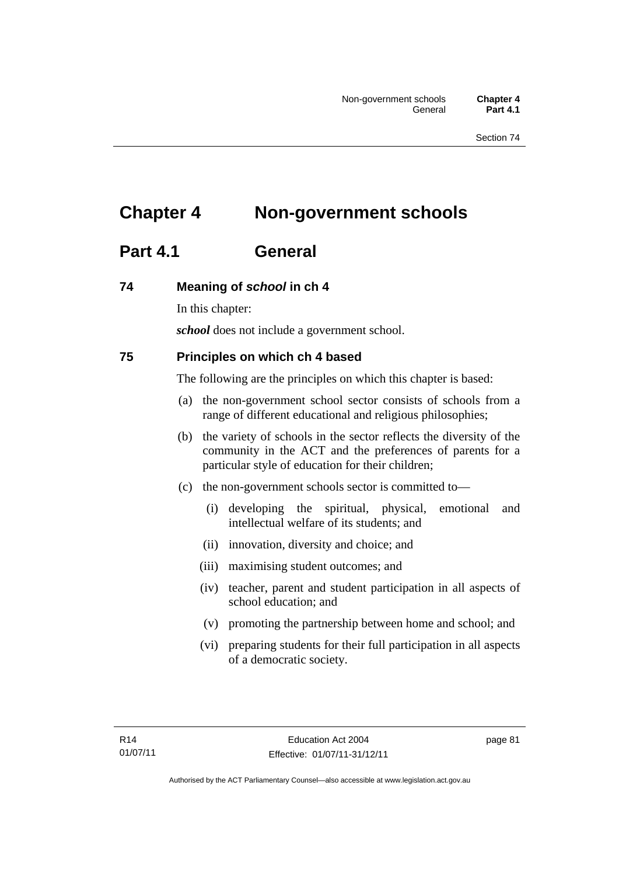# **Chapter 4 Non-government schools**

# **Part 4.1 General**

### **74 Meaning of** *school* **in ch 4**

In this chapter:

*school* does not include a government school.

### **75 Principles on which ch 4 based**

The following are the principles on which this chapter is based:

- (a) the non-government school sector consists of schools from a range of different educational and religious philosophies;
- (b) the variety of schools in the sector reflects the diversity of the community in the ACT and the preferences of parents for a particular style of education for their children;
- (c) the non-government schools sector is committed to—
	- (i) developing the spiritual, physical, emotional and intellectual welfare of its students; and
	- (ii) innovation, diversity and choice; and
	- (iii) maximising student outcomes; and
	- (iv) teacher, parent and student participation in all aspects of school education; and
	- (v) promoting the partnership between home and school; and
	- (vi) preparing students for their full participation in all aspects of a democratic society.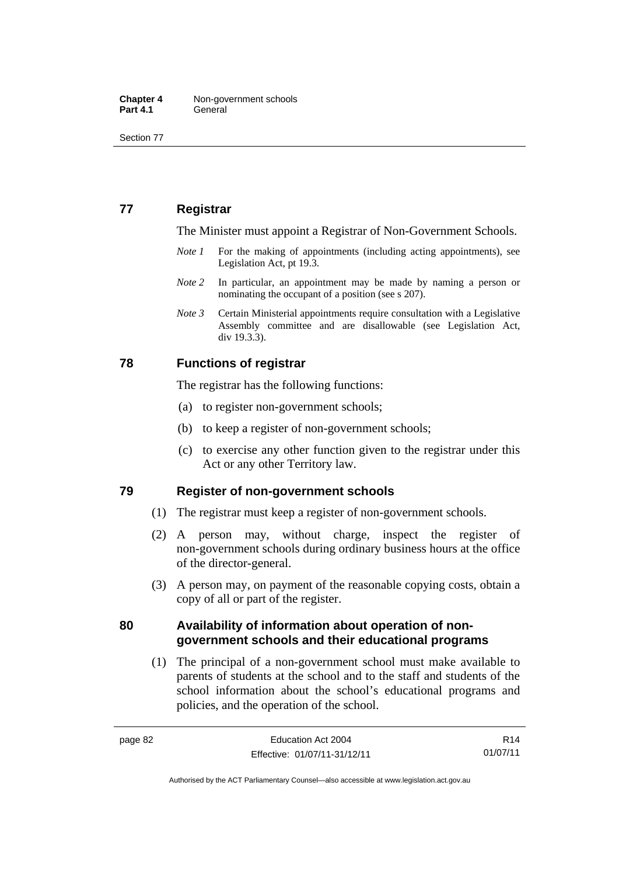Section 77

# **77 Registrar**

The Minister must appoint a Registrar of Non-Government Schools.

- *Note 1* For the making of appointments (including acting appointments), see Legislation Act, pt 19.3.
- *Note* 2 In particular, an appointment may be made by naming a person or nominating the occupant of a position (see s 207).
- *Note 3* Certain Ministerial appointments require consultation with a Legislative Assembly committee and are disallowable (see Legislation Act, div 19.3.3).

### **78 Functions of registrar**

The registrar has the following functions:

- (a) to register non-government schools;
- (b) to keep a register of non-government schools;
- (c) to exercise any other function given to the registrar under this Act or any other Territory law.

### **79 Register of non-government schools**

- (1) The registrar must keep a register of non-government schools.
- (2) A person may, without charge, inspect the register of non-government schools during ordinary business hours at the office of the director-general.
- (3) A person may, on payment of the reasonable copying costs, obtain a copy of all or part of the register.

### **80 Availability of information about operation of nongovernment schools and their educational programs**

(1) The principal of a non-government school must make available to parents of students at the school and to the staff and students of the school information about the school's educational programs and policies, and the operation of the school.

R14 01/07/11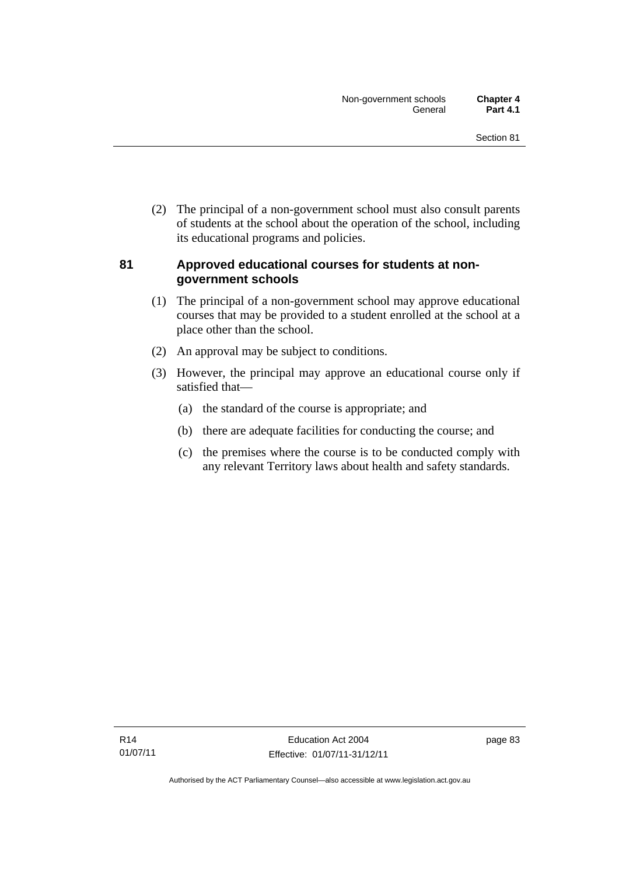(2) The principal of a non-government school must also consult parents of students at the school about the operation of the school, including its educational programs and policies.

### **81 Approved educational courses for students at nongovernment schools**

- (1) The principal of a non-government school may approve educational courses that may be provided to a student enrolled at the school at a place other than the school.
- (2) An approval may be subject to conditions.
- (3) However, the principal may approve an educational course only if satisfied that—
	- (a) the standard of the course is appropriate; and
	- (b) there are adequate facilities for conducting the course; and
	- (c) the premises where the course is to be conducted comply with any relevant Territory laws about health and safety standards.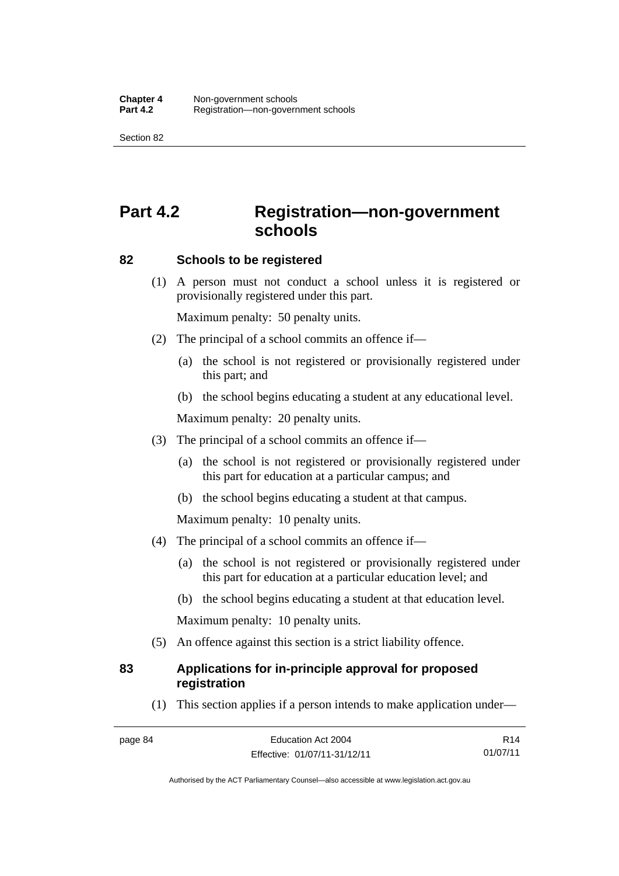Section 82

# **Part 4.2 Registration—non-government schools**

### **82 Schools to be registered**

 (1) A person must not conduct a school unless it is registered or provisionally registered under this part.

Maximum penalty: 50 penalty units.

- (2) The principal of a school commits an offence if—
	- (a) the school is not registered or provisionally registered under this part; and
	- (b) the school begins educating a student at any educational level.

Maximum penalty: 20 penalty units.

- (3) The principal of a school commits an offence if—
	- (a) the school is not registered or provisionally registered under this part for education at a particular campus; and
	- (b) the school begins educating a student at that campus.

Maximum penalty: 10 penalty units.

- (4) The principal of a school commits an offence if—
	- (a) the school is not registered or provisionally registered under this part for education at a particular education level; and
	- (b) the school begins educating a student at that education level.

Maximum penalty: 10 penalty units.

(5) An offence against this section is a strict liability offence.

### **83 Applications for in-principle approval for proposed registration**

(1) This section applies if a person intends to make application under—

R14 01/07/11

Authorised by the ACT Parliamentary Counsel—also accessible at www.legislation.act.gov.au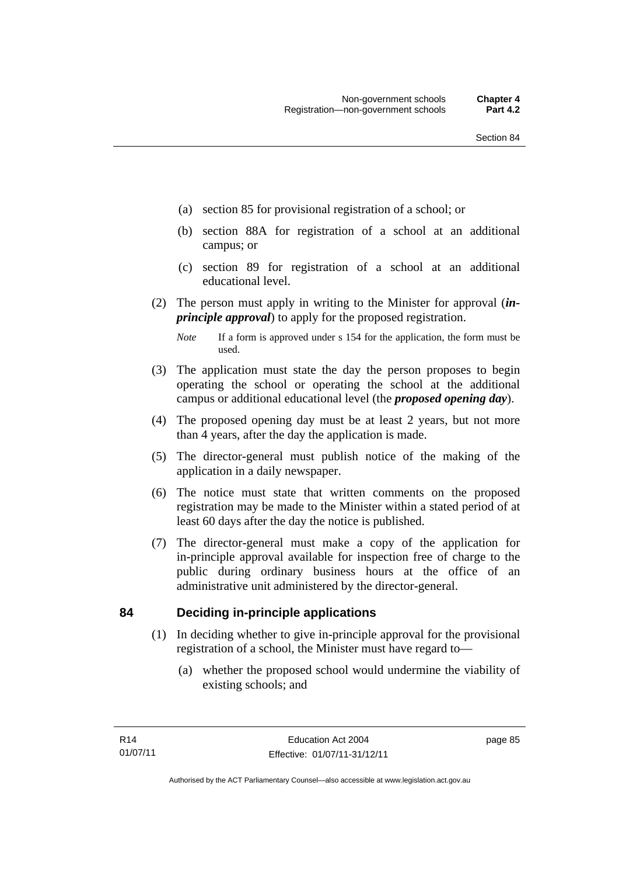- (a) section 85 for provisional registration of a school; or
- (b) section 88A for registration of a school at an additional campus; or
- (c) section 89 for registration of a school at an additional educational level.
- (2) The person must apply in writing to the Minister for approval (*inprinciple approval*) to apply for the proposed registration.
	- *Note* If a form is approved under s 154 for the application, the form must be used.
- (3) The application must state the day the person proposes to begin operating the school or operating the school at the additional campus or additional educational level (the *proposed opening day*).
- (4) The proposed opening day must be at least 2 years, but not more than 4 years, after the day the application is made.
- (5) The director-general must publish notice of the making of the application in a daily newspaper.
- (6) The notice must state that written comments on the proposed registration may be made to the Minister within a stated period of at least 60 days after the day the notice is published.
- (7) The director-general must make a copy of the application for in-principle approval available for inspection free of charge to the public during ordinary business hours at the office of an administrative unit administered by the director-general.

### **84 Deciding in-principle applications**

- (1) In deciding whether to give in-principle approval for the provisional registration of a school, the Minister must have regard to—
	- (a) whether the proposed school would undermine the viability of existing schools; and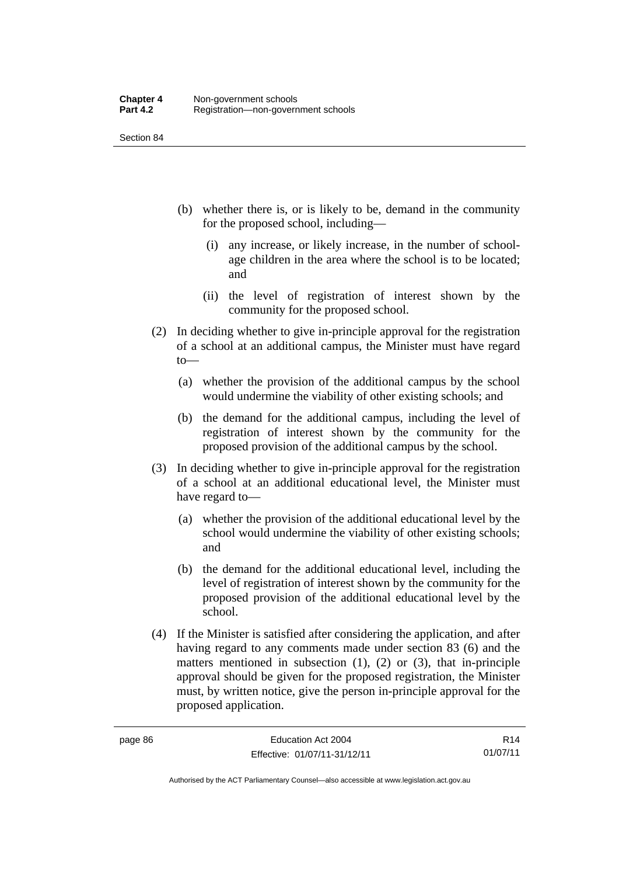Section 84

- (b) whether there is, or is likely to be, demand in the community for the proposed school, including—
	- (i) any increase, or likely increase, in the number of schoolage children in the area where the school is to be located; and
	- (ii) the level of registration of interest shown by the community for the proposed school.
- (2) In deciding whether to give in-principle approval for the registration of a school at an additional campus, the Minister must have regard to—
	- (a) whether the provision of the additional campus by the school would undermine the viability of other existing schools; and
	- (b) the demand for the additional campus, including the level of registration of interest shown by the community for the proposed provision of the additional campus by the school.
- (3) In deciding whether to give in-principle approval for the registration of a school at an additional educational level, the Minister must have regard to—
	- (a) whether the provision of the additional educational level by the school would undermine the viability of other existing schools; and
	- (b) the demand for the additional educational level, including the level of registration of interest shown by the community for the proposed provision of the additional educational level by the school.
- (4) If the Minister is satisfied after considering the application, and after having regard to any comments made under section 83 (6) and the matters mentioned in subsection  $(1)$ ,  $(2)$  or  $(3)$ , that in-principle approval should be given for the proposed registration, the Minister must, by written notice, give the person in-principle approval for the proposed application.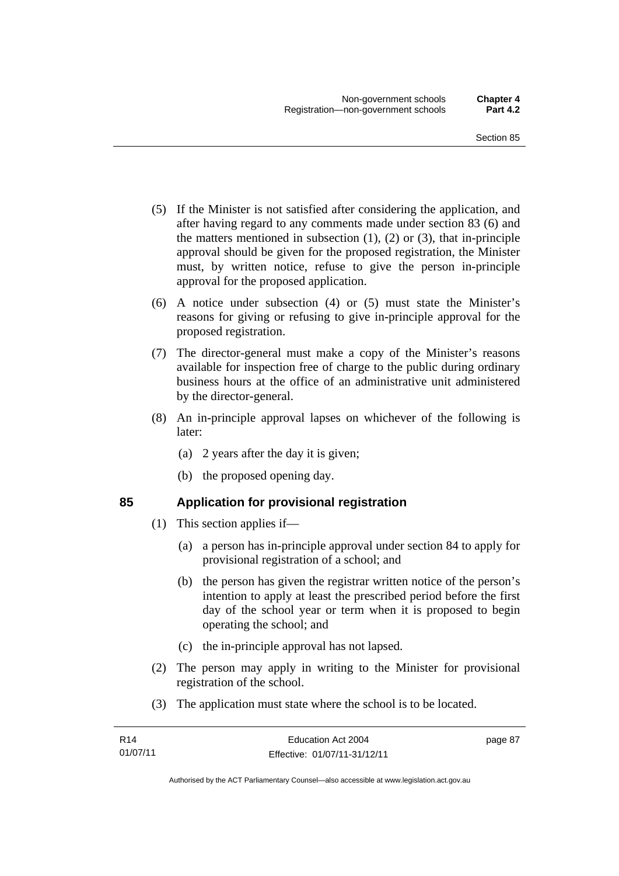- (5) If the Minister is not satisfied after considering the application, and after having regard to any comments made under section 83 (6) and the matters mentioned in subsection  $(1)$ ,  $(2)$  or  $(3)$ , that in-principle approval should be given for the proposed registration, the Minister must, by written notice, refuse to give the person in-principle approval for the proposed application.
- (6) A notice under subsection (4) or (5) must state the Minister's reasons for giving or refusing to give in-principle approval for the proposed registration.
- (7) The director-general must make a copy of the Minister's reasons available for inspection free of charge to the public during ordinary business hours at the office of an administrative unit administered by the director-general.
- (8) An in-principle approval lapses on whichever of the following is later:
	- (a) 2 years after the day it is given;
	- (b) the proposed opening day.

# **85 Application for provisional registration**

- (1) This section applies if—
	- (a) a person has in-principle approval under section 84 to apply for provisional registration of a school; and
	- (b) the person has given the registrar written notice of the person's intention to apply at least the prescribed period before the first day of the school year or term when it is proposed to begin operating the school; and
	- (c) the in-principle approval has not lapsed.
- (2) The person may apply in writing to the Minister for provisional registration of the school.
- (3) The application must state where the school is to be located.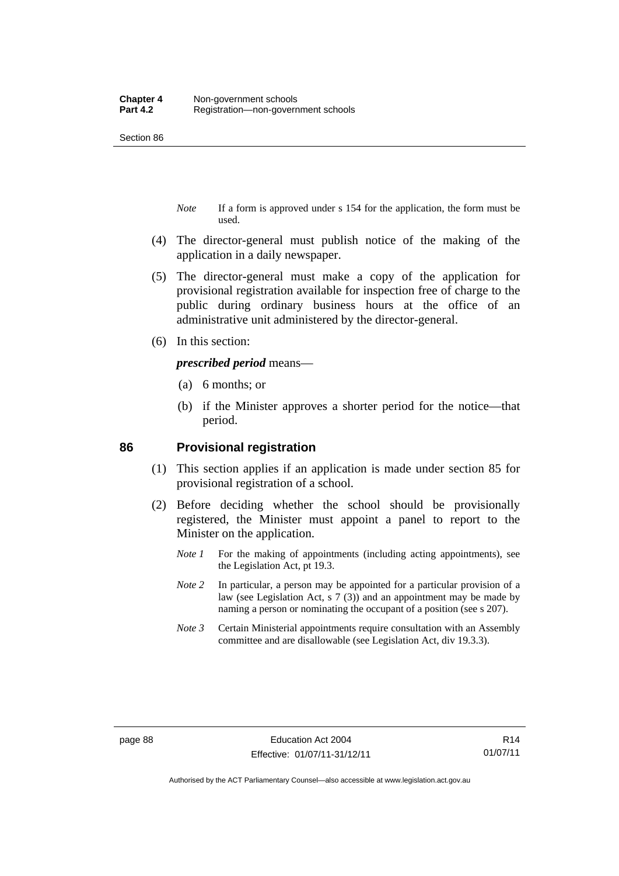Section 86

- *Note* If a form is approved under s 154 for the application, the form must be used.
- (4) The director-general must publish notice of the making of the application in a daily newspaper.
- (5) The director-general must make a copy of the application for provisional registration available for inspection free of charge to the public during ordinary business hours at the office of an administrative unit administered by the director-general.
- (6) In this section:

*prescribed period* means—

- (a) 6 months; or
- (b) if the Minister approves a shorter period for the notice—that period.

#### **86 Provisional registration**

- (1) This section applies if an application is made under section 85 for provisional registration of a school.
- (2) Before deciding whether the school should be provisionally registered, the Minister must appoint a panel to report to the Minister on the application.
	- *Note 1* For the making of appointments (including acting appointments), see the Legislation Act, pt 19.3.
	- *Note 2* In particular, a person may be appointed for a particular provision of a law (see Legislation Act, s 7 (3)) and an appointment may be made by naming a person or nominating the occupant of a position (see s 207).
	- *Note 3* Certain Ministerial appointments require consultation with an Assembly committee and are disallowable (see Legislation Act, div 19.3.3).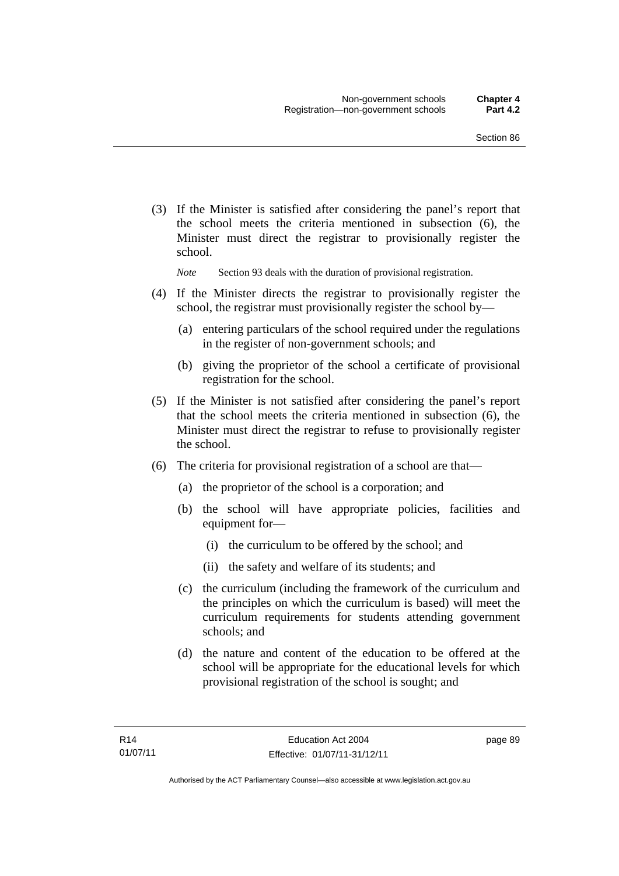(3) If the Minister is satisfied after considering the panel's report that the school meets the criteria mentioned in subsection (6), the Minister must direct the registrar to provisionally register the school.

*Note* Section 93 deals with the duration of provisional registration.

- (4) If the Minister directs the registrar to provisionally register the school, the registrar must provisionally register the school by—
	- (a) entering particulars of the school required under the regulations in the register of non-government schools; and
	- (b) giving the proprietor of the school a certificate of provisional registration for the school.
- (5) If the Minister is not satisfied after considering the panel's report that the school meets the criteria mentioned in subsection (6), the Minister must direct the registrar to refuse to provisionally register the school.
- (6) The criteria for provisional registration of a school are that—
	- (a) the proprietor of the school is a corporation; and
	- (b) the school will have appropriate policies, facilities and equipment for-
		- (i) the curriculum to be offered by the school; and
		- (ii) the safety and welfare of its students; and
	- (c) the curriculum (including the framework of the curriculum and the principles on which the curriculum is based) will meet the curriculum requirements for students attending government schools; and
	- (d) the nature and content of the education to be offered at the school will be appropriate for the educational levels for which provisional registration of the school is sought; and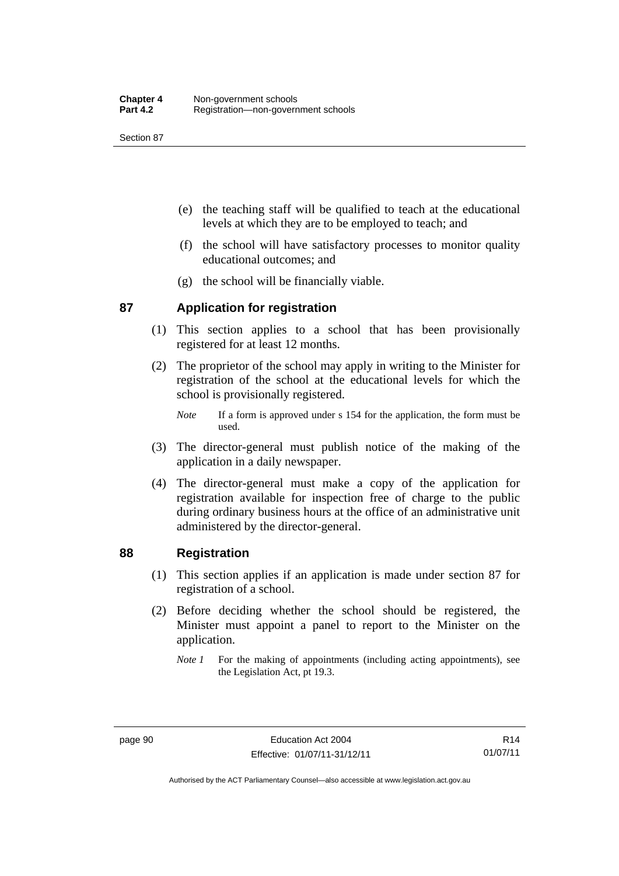Section 87

- (e) the teaching staff will be qualified to teach at the educational levels at which they are to be employed to teach; and
- (f) the school will have satisfactory processes to monitor quality educational outcomes; and
- (g) the school will be financially viable.

### **87 Application for registration**

- (1) This section applies to a school that has been provisionally registered for at least 12 months.
- (2) The proprietor of the school may apply in writing to the Minister for registration of the school at the educational levels for which the school is provisionally registered.
	- *Note* If a form is approved under s 154 for the application, the form must be used.
- (3) The director-general must publish notice of the making of the application in a daily newspaper.
- (4) The director-general must make a copy of the application for registration available for inspection free of charge to the public during ordinary business hours at the office of an administrative unit administered by the director-general.

### **88 Registration**

- (1) This section applies if an application is made under section 87 for registration of a school.
- (2) Before deciding whether the school should be registered, the Minister must appoint a panel to report to the Minister on the application.
	- *Note 1* For the making of appointments (including acting appointments), see the Legislation Act, pt 19.3.

Authorised by the ACT Parliamentary Counsel—also accessible at www.legislation.act.gov.au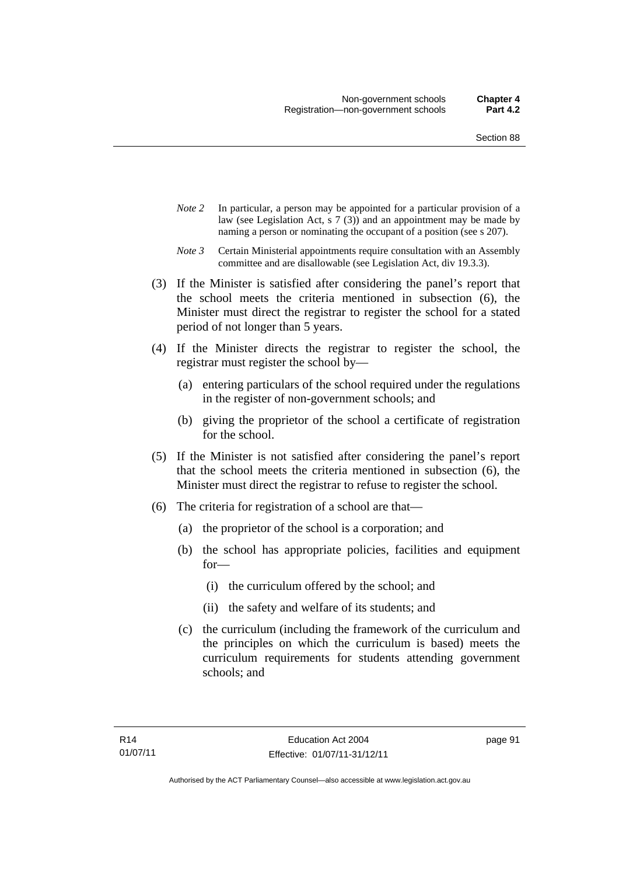- *Note 2* In particular, a person may be appointed for a particular provision of a law (see Legislation Act, s 7 (3)) and an appointment may be made by naming a person or nominating the occupant of a position (see s 207).
- *Note 3* Certain Ministerial appointments require consultation with an Assembly committee and are disallowable (see Legislation Act, div 19.3.3).
- (3) If the Minister is satisfied after considering the panel's report that the school meets the criteria mentioned in subsection (6), the Minister must direct the registrar to register the school for a stated period of not longer than 5 years.
- (4) If the Minister directs the registrar to register the school, the registrar must register the school by—
	- (a) entering particulars of the school required under the regulations in the register of non-government schools; and
	- (b) giving the proprietor of the school a certificate of registration for the school.
- (5) If the Minister is not satisfied after considering the panel's report that the school meets the criteria mentioned in subsection (6), the Minister must direct the registrar to refuse to register the school.
- (6) The criteria for registration of a school are that—
	- (a) the proprietor of the school is a corporation; and
	- (b) the school has appropriate policies, facilities and equipment for—
		- (i) the curriculum offered by the school; and
		- (ii) the safety and welfare of its students; and
	- (c) the curriculum (including the framework of the curriculum and the principles on which the curriculum is based) meets the curriculum requirements for students attending government schools; and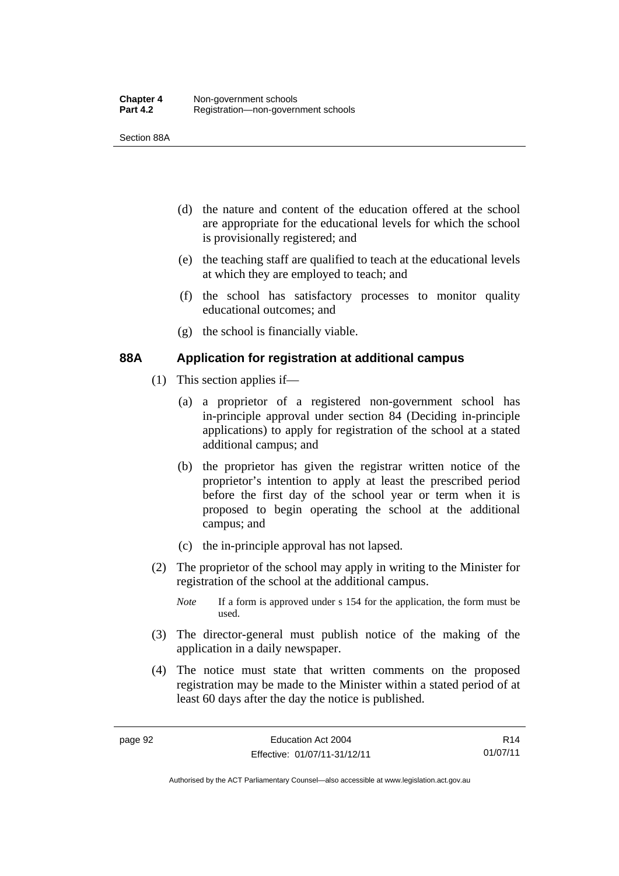Section 88A

- (d) the nature and content of the education offered at the school are appropriate for the educational levels for which the school is provisionally registered; and
- (e) the teaching staff are qualified to teach at the educational levels at which they are employed to teach; and
- (f) the school has satisfactory processes to monitor quality educational outcomes; and
- (g) the school is financially viable.

### **88A Application for registration at additional campus**

- (1) This section applies if—
	- (a) a proprietor of a registered non-government school has in-principle approval under section 84 (Deciding in-principle applications) to apply for registration of the school at a stated additional campus; and
	- (b) the proprietor has given the registrar written notice of the proprietor's intention to apply at least the prescribed period before the first day of the school year or term when it is proposed to begin operating the school at the additional campus; and
	- (c) the in-principle approval has not lapsed.
- (2) The proprietor of the school may apply in writing to the Minister for registration of the school at the additional campus.
	- *Note* If a form is approved under s 154 for the application, the form must be used.
- (3) The director-general must publish notice of the making of the application in a daily newspaper.
- (4) The notice must state that written comments on the proposed registration may be made to the Minister within a stated period of at least 60 days after the day the notice is published.

R14 01/07/11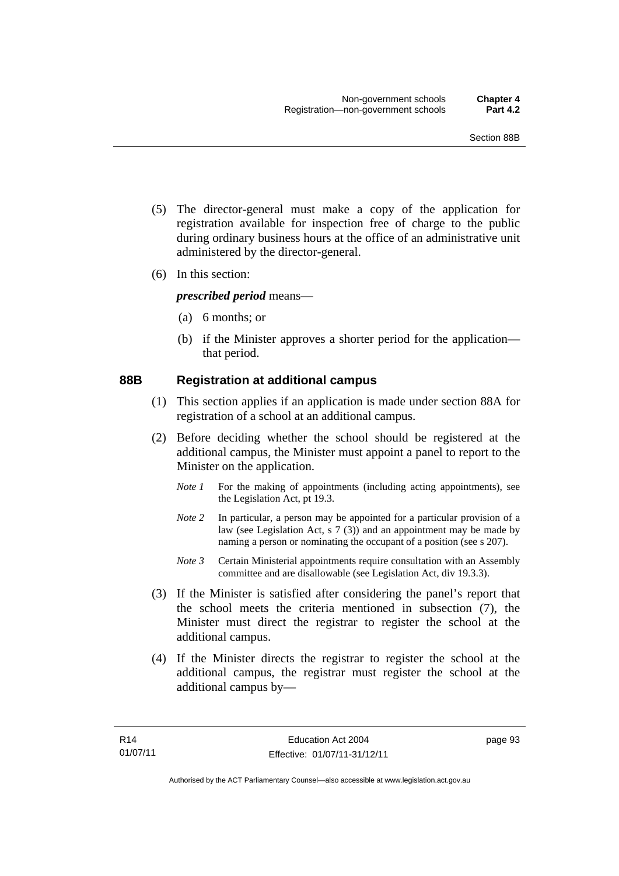- (5) The director-general must make a copy of the application for registration available for inspection free of charge to the public during ordinary business hours at the office of an administrative unit administered by the director-general.
- (6) In this section:

*prescribed period* means—

- (a) 6 months; or
- (b) if the Minister approves a shorter period for the application that period.

### **88B Registration at additional campus**

- (1) This section applies if an application is made under section 88A for registration of a school at an additional campus.
- (2) Before deciding whether the school should be registered at the additional campus, the Minister must appoint a panel to report to the Minister on the application.
	- *Note 1* For the making of appointments (including acting appointments), see the Legislation Act, pt 19.3.
	- *Note 2* In particular, a person may be appointed for a particular provision of a law (see Legislation Act, s 7 (3)) and an appointment may be made by naming a person or nominating the occupant of a position (see s 207).
	- *Note 3* Certain Ministerial appointments require consultation with an Assembly committee and are disallowable (see Legislation Act, div 19.3.3).
- (3) If the Minister is satisfied after considering the panel's report that the school meets the criteria mentioned in subsection (7), the Minister must direct the registrar to register the school at the additional campus.
- (4) If the Minister directs the registrar to register the school at the additional campus, the registrar must register the school at the additional campus by—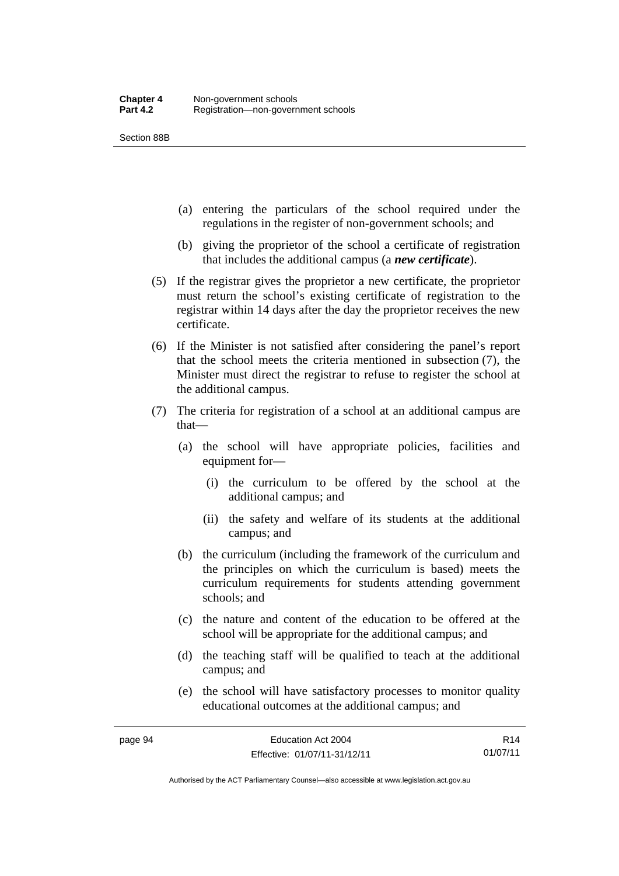Section 88B

- (a) entering the particulars of the school required under the regulations in the register of non-government schools; and
- (b) giving the proprietor of the school a certificate of registration that includes the additional campus (a *new certificate*).
- (5) If the registrar gives the proprietor a new certificate, the proprietor must return the school's existing certificate of registration to the registrar within 14 days after the day the proprietor receives the new certificate.
- (6) If the Minister is not satisfied after considering the panel's report that the school meets the criteria mentioned in subsection (7), the Minister must direct the registrar to refuse to register the school at the additional campus.
- (7) The criteria for registration of a school at an additional campus are that—
	- (a) the school will have appropriate policies, facilities and equipment for—
		- (i) the curriculum to be offered by the school at the additional campus; and
		- (ii) the safety and welfare of its students at the additional campus; and
	- (b) the curriculum (including the framework of the curriculum and the principles on which the curriculum is based) meets the curriculum requirements for students attending government schools; and
	- (c) the nature and content of the education to be offered at the school will be appropriate for the additional campus; and
	- (d) the teaching staff will be qualified to teach at the additional campus; and
	- (e) the school will have satisfactory processes to monitor quality educational outcomes at the additional campus; and

Authorised by the ACT Parliamentary Counsel—also accessible at www.legislation.act.gov.au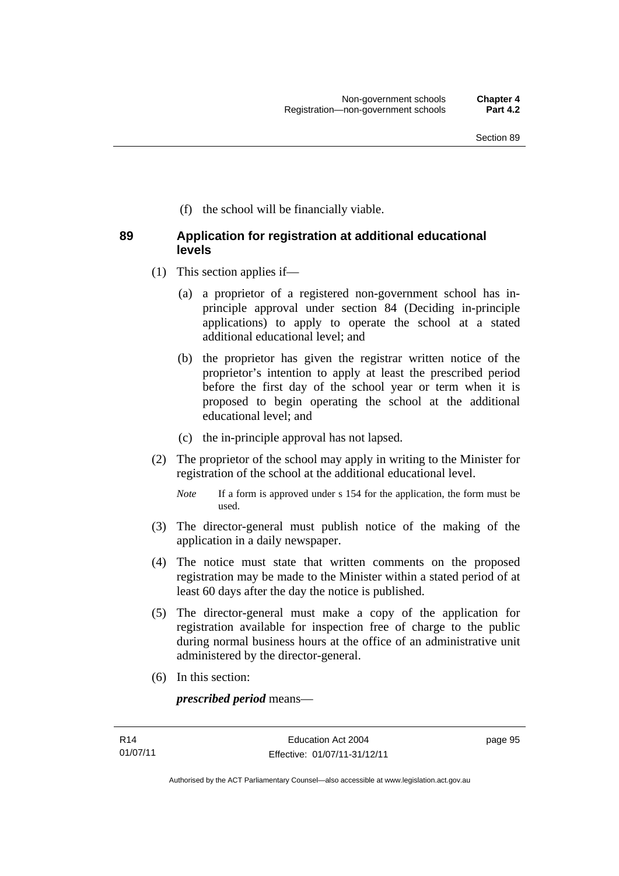(f) the school will be financially viable.

### **89 Application for registration at additional educational levels**

- (1) This section applies if—
	- (a) a proprietor of a registered non-government school has inprinciple approval under section 84 (Deciding in-principle applications) to apply to operate the school at a stated additional educational level; and
	- (b) the proprietor has given the registrar written notice of the proprietor's intention to apply at least the prescribed period before the first day of the school year or term when it is proposed to begin operating the school at the additional educational level; and
	- (c) the in-principle approval has not lapsed.
- (2) The proprietor of the school may apply in writing to the Minister for registration of the school at the additional educational level.
	- *Note* If a form is approved under s 154 for the application, the form must be used.
- (3) The director-general must publish notice of the making of the application in a daily newspaper.
- (4) The notice must state that written comments on the proposed registration may be made to the Minister within a stated period of at least 60 days after the day the notice is published.
- (5) The director-general must make a copy of the application for registration available for inspection free of charge to the public during normal business hours at the office of an administrative unit administered by the director-general.
- (6) In this section:

*prescribed period* means—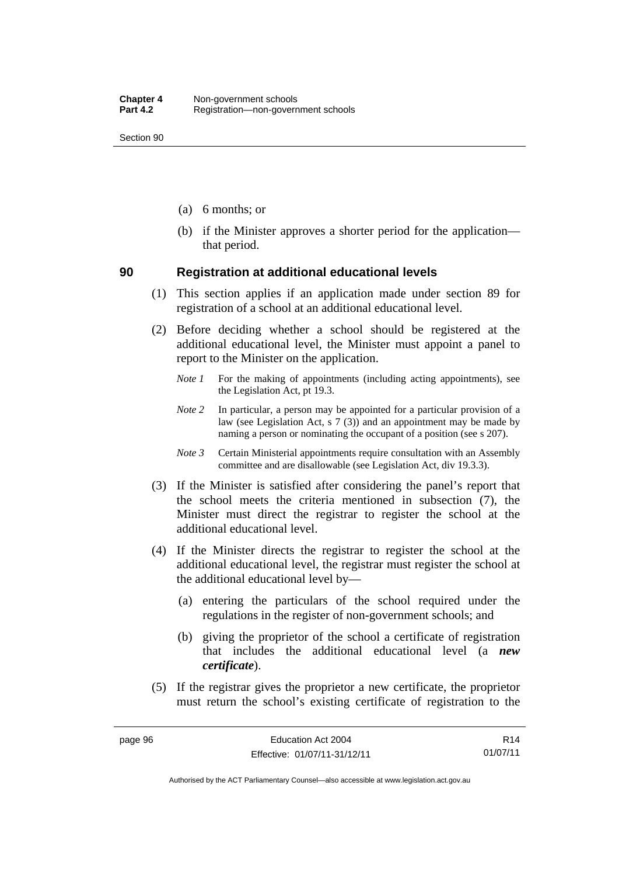Section 90

- (a) 6 months; or
- (b) if the Minister approves a shorter period for the application that period.

#### **90 Registration at additional educational levels**

- (1) This section applies if an application made under section 89 for registration of a school at an additional educational level.
- (2) Before deciding whether a school should be registered at the additional educational level, the Minister must appoint a panel to report to the Minister on the application.
	- *Note 1* For the making of appointments (including acting appointments), see the Legislation Act, pt 19.3.
	- *Note 2* In particular, a person may be appointed for a particular provision of a law (see Legislation Act, s 7 (3)) and an appointment may be made by naming a person or nominating the occupant of a position (see s 207).
	- *Note 3* Certain Ministerial appointments require consultation with an Assembly committee and are disallowable (see Legislation Act, div 19.3.3).
- (3) If the Minister is satisfied after considering the panel's report that the school meets the criteria mentioned in subsection (7), the Minister must direct the registrar to register the school at the additional educational level.
- (4) If the Minister directs the registrar to register the school at the additional educational level, the registrar must register the school at the additional educational level by—
	- (a) entering the particulars of the school required under the regulations in the register of non-government schools; and
	- (b) giving the proprietor of the school a certificate of registration that includes the additional educational level (a *new certificate*).
- (5) If the registrar gives the proprietor a new certificate, the proprietor must return the school's existing certificate of registration to the

R14 01/07/11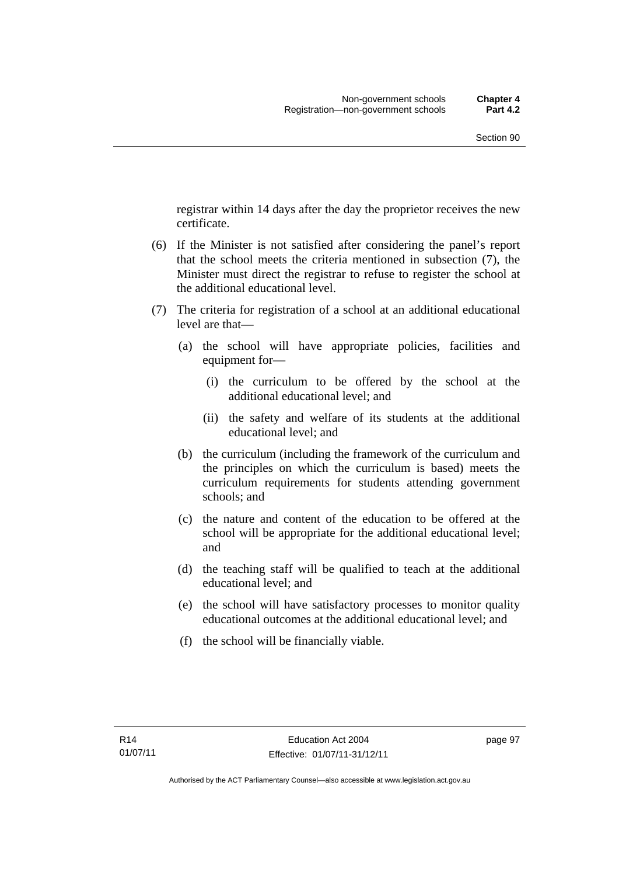registrar within 14 days after the day the proprietor receives the new certificate.

- (6) If the Minister is not satisfied after considering the panel's report that the school meets the criteria mentioned in subsection (7), the Minister must direct the registrar to refuse to register the school at the additional educational level.
- (7) The criteria for registration of a school at an additional educational level are that—
	- (a) the school will have appropriate policies, facilities and equipment for—
		- (i) the curriculum to be offered by the school at the additional educational level; and
		- (ii) the safety and welfare of its students at the additional educational level; and
	- (b) the curriculum (including the framework of the curriculum and the principles on which the curriculum is based) meets the curriculum requirements for students attending government schools; and
	- (c) the nature and content of the education to be offered at the school will be appropriate for the additional educational level; and
	- (d) the teaching staff will be qualified to teach at the additional educational level; and
	- (e) the school will have satisfactory processes to monitor quality educational outcomes at the additional educational level; and
	- (f) the school will be financially viable.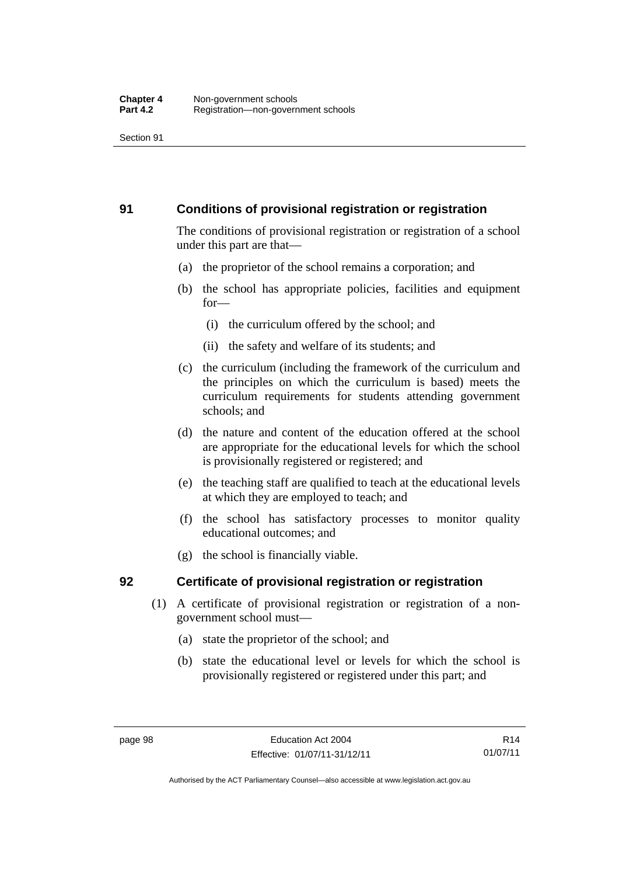#### **91 Conditions of provisional registration or registration**

The conditions of provisional registration or registration of a school under this part are that—

- (a) the proprietor of the school remains a corporation; and
- (b) the school has appropriate policies, facilities and equipment for—
	- (i) the curriculum offered by the school; and
	- (ii) the safety and welfare of its students; and
- (c) the curriculum (including the framework of the curriculum and the principles on which the curriculum is based) meets the curriculum requirements for students attending government schools; and
- (d) the nature and content of the education offered at the school are appropriate for the educational levels for which the school is provisionally registered or registered; and
- (e) the teaching staff are qualified to teach at the educational levels at which they are employed to teach; and
- (f) the school has satisfactory processes to monitor quality educational outcomes; and
- (g) the school is financially viable.

### **92 Certificate of provisional registration or registration**

- (1) A certificate of provisional registration or registration of a nongovernment school must—
	- (a) state the proprietor of the school; and
	- (b) state the educational level or levels for which the school is provisionally registered or registered under this part; and

Authorised by the ACT Parliamentary Counsel—also accessible at www.legislation.act.gov.au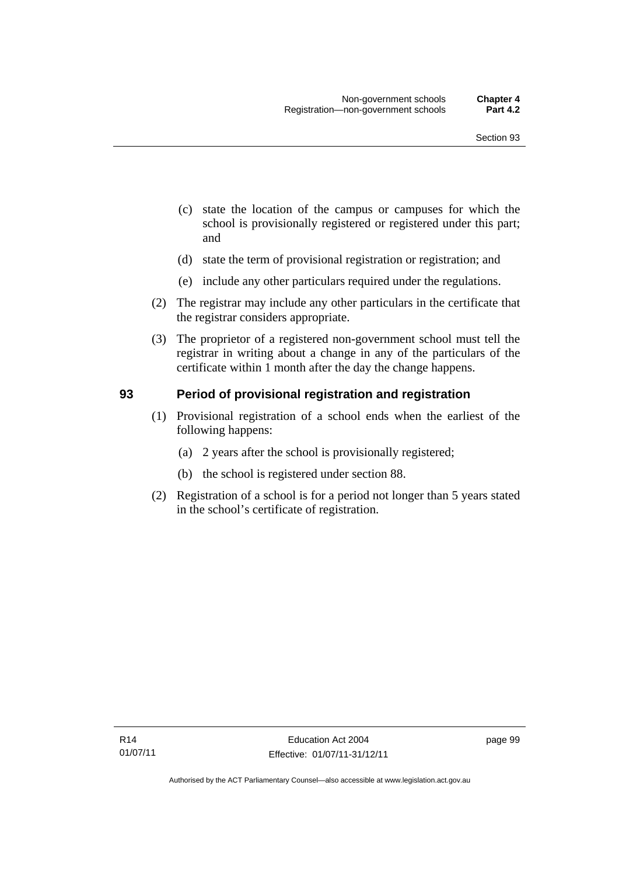- (c) state the location of the campus or campuses for which the school is provisionally registered or registered under this part; and
- (d) state the term of provisional registration or registration; and
- (e) include any other particulars required under the regulations.
- (2) The registrar may include any other particulars in the certificate that the registrar considers appropriate.
- (3) The proprietor of a registered non-government school must tell the registrar in writing about a change in any of the particulars of the certificate within 1 month after the day the change happens.

#### **93 Period of provisional registration and registration**

- (1) Provisional registration of a school ends when the earliest of the following happens:
	- (a) 2 years after the school is provisionally registered;
	- (b) the school is registered under section 88.
- (2) Registration of a school is for a period not longer than 5 years stated in the school's certificate of registration.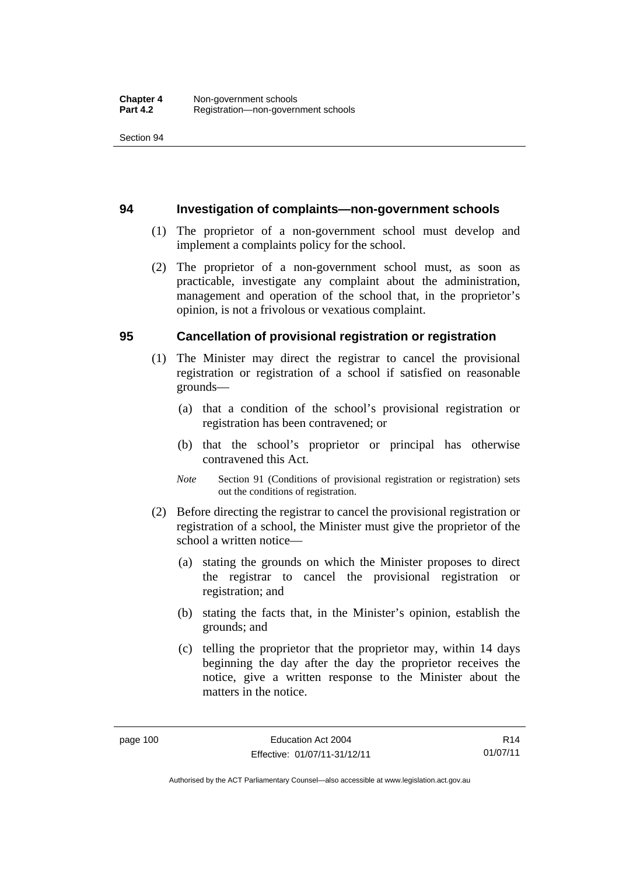#### **94 Investigation of complaints—non-government schools**

- (1) The proprietor of a non-government school must develop and implement a complaints policy for the school.
- (2) The proprietor of a non-government school must, as soon as practicable, investigate any complaint about the administration, management and operation of the school that, in the proprietor's opinion, is not a frivolous or vexatious complaint.

#### **95 Cancellation of provisional registration or registration**

- (1) The Minister may direct the registrar to cancel the provisional registration or registration of a school if satisfied on reasonable grounds—
	- (a) that a condition of the school's provisional registration or registration has been contravened; or
	- (b) that the school's proprietor or principal has otherwise contravened this Act.
	- *Note* Section 91 (Conditions of provisional registration or registration) sets out the conditions of registration.
- (2) Before directing the registrar to cancel the provisional registration or registration of a school, the Minister must give the proprietor of the school a written notice—
	- (a) stating the grounds on which the Minister proposes to direct the registrar to cancel the provisional registration or registration; and
	- (b) stating the facts that, in the Minister's opinion, establish the grounds; and
	- (c) telling the proprietor that the proprietor may, within 14 days beginning the day after the day the proprietor receives the notice, give a written response to the Minister about the matters in the notice.

R14 01/07/11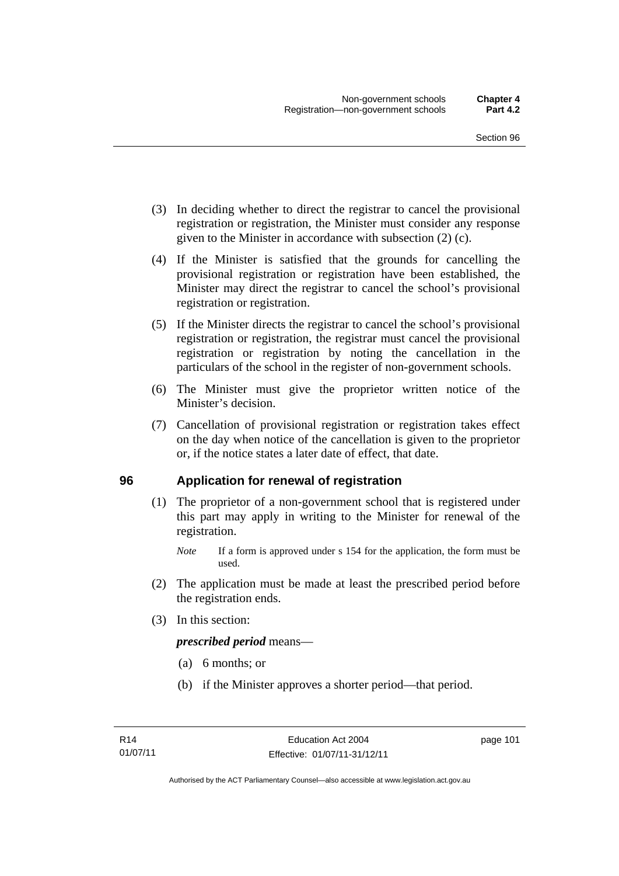- (3) In deciding whether to direct the registrar to cancel the provisional registration or registration, the Minister must consider any response given to the Minister in accordance with subsection (2) (c).
- (4) If the Minister is satisfied that the grounds for cancelling the provisional registration or registration have been established, the Minister may direct the registrar to cancel the school's provisional registration or registration.
- (5) If the Minister directs the registrar to cancel the school's provisional registration or registration, the registrar must cancel the provisional registration or registration by noting the cancellation in the particulars of the school in the register of non-government schools.
- (6) The Minister must give the proprietor written notice of the Minister's decision.
- (7) Cancellation of provisional registration or registration takes effect on the day when notice of the cancellation is given to the proprietor or, if the notice states a later date of effect, that date.

#### **96 Application for renewal of registration**

(1) The proprietor of a non-government school that is registered under this part may apply in writing to the Minister for renewal of the registration.

- (2) The application must be made at least the prescribed period before the registration ends.
- (3) In this section:

*prescribed period* means—

- (a) 6 months; or
- (b) if the Minister approves a shorter period—that period.

*Note* If a form is approved under s 154 for the application, the form must be used.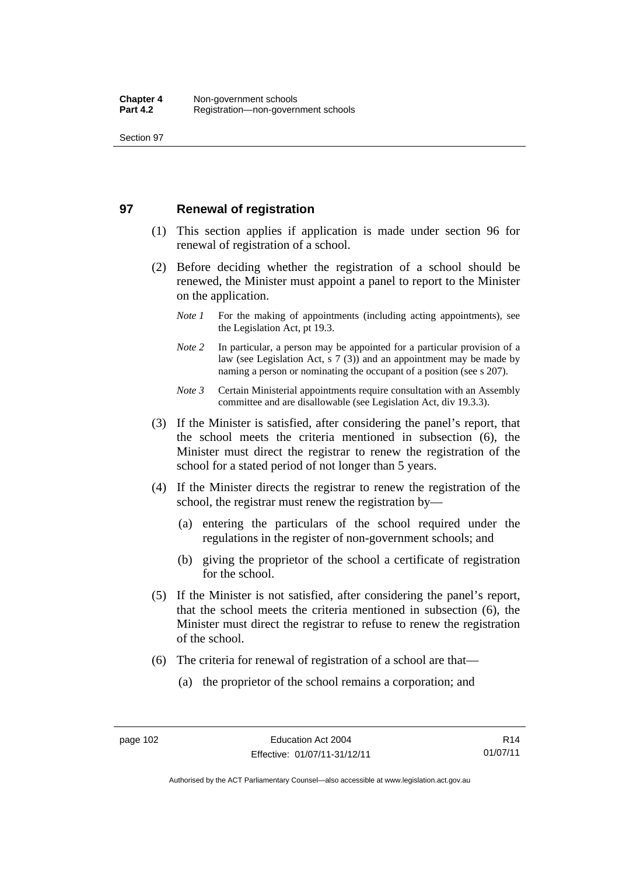#### **97 Renewal of registration**

- (1) This section applies if application is made under section 96 for renewal of registration of a school.
- (2) Before deciding whether the registration of a school should be renewed, the Minister must appoint a panel to report to the Minister on the application.
	- *Note 1* For the making of appointments (including acting appointments), see the Legislation Act, pt 19.3.
	- *Note* 2 In particular, a person may be appointed for a particular provision of a law (see Legislation Act, s 7 (3)) and an appointment may be made by naming a person or nominating the occupant of a position (see s 207).
	- *Note 3* Certain Ministerial appointments require consultation with an Assembly committee and are disallowable (see Legislation Act, div 19.3.3).
- (3) If the Minister is satisfied, after considering the panel's report, that the school meets the criteria mentioned in subsection (6), the Minister must direct the registrar to renew the registration of the school for a stated period of not longer than 5 years.
- (4) If the Minister directs the registrar to renew the registration of the school, the registrar must renew the registration by—
	- (a) entering the particulars of the school required under the regulations in the register of non-government schools; and
	- (b) giving the proprietor of the school a certificate of registration for the school.
- (5) If the Minister is not satisfied, after considering the panel's report, that the school meets the criteria mentioned in subsection (6), the Minister must direct the registrar to refuse to renew the registration of the school.
- (6) The criteria for renewal of registration of a school are that—
	- (a) the proprietor of the school remains a corporation; and

R14 01/07/11

Authorised by the ACT Parliamentary Counsel—also accessible at www.legislation.act.gov.au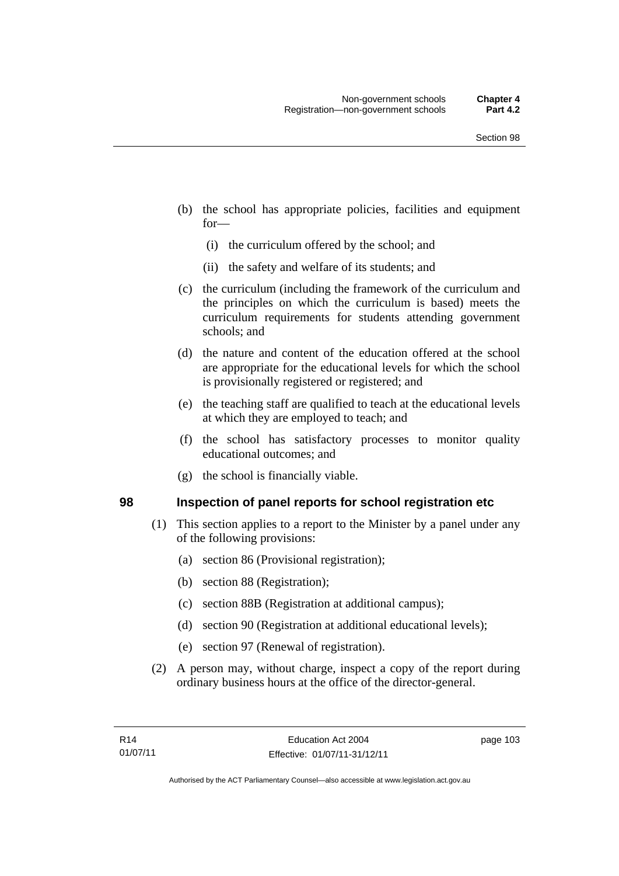- (b) the school has appropriate policies, facilities and equipment for—
	- (i) the curriculum offered by the school; and
	- (ii) the safety and welfare of its students; and
- (c) the curriculum (including the framework of the curriculum and the principles on which the curriculum is based) meets the curriculum requirements for students attending government schools; and
- (d) the nature and content of the education offered at the school are appropriate for the educational levels for which the school is provisionally registered or registered; and
- (e) the teaching staff are qualified to teach at the educational levels at which they are employed to teach; and
- (f) the school has satisfactory processes to monitor quality educational outcomes; and
- (g) the school is financially viable.

#### **98 Inspection of panel reports for school registration etc**

- (1) This section applies to a report to the Minister by a panel under any of the following provisions:
	- (a) section 86 (Provisional registration);
	- (b) section 88 (Registration);
	- (c) section 88B (Registration at additional campus);
	- (d) section 90 (Registration at additional educational levels);
	- (e) section 97 (Renewal of registration).
- (2) A person may, without charge, inspect a copy of the report during ordinary business hours at the office of the director-general.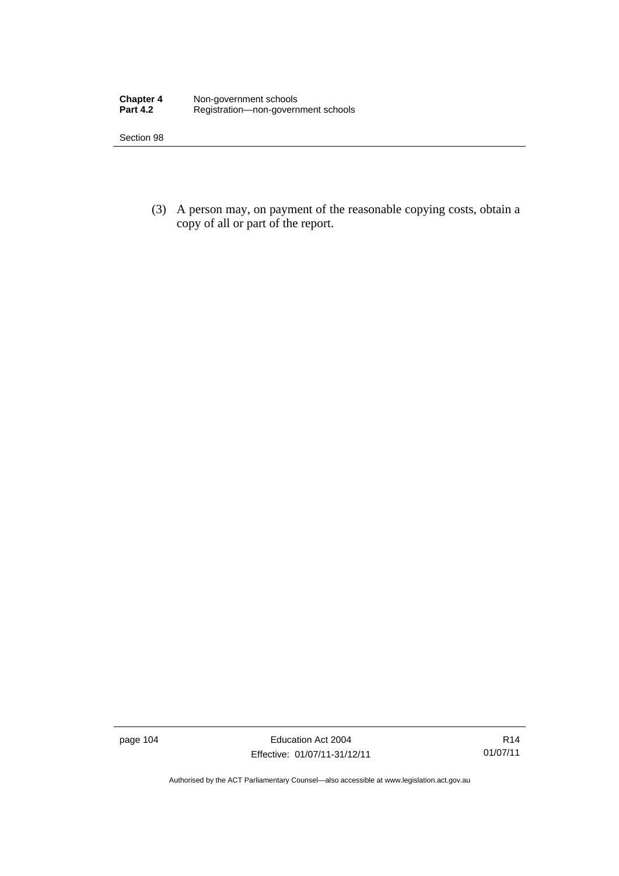| <b>Chapter 4</b> | Non-government schools              |
|------------------|-------------------------------------|
| <b>Part 4.2</b>  | Registration-non-government schools |

 (3) A person may, on payment of the reasonable copying costs, obtain a copy of all or part of the report.

page 104 Education Act 2004 Effective: 01/07/11-31/12/11

Authorised by the ACT Parliamentary Counsel—also accessible at www.legislation.act.gov.au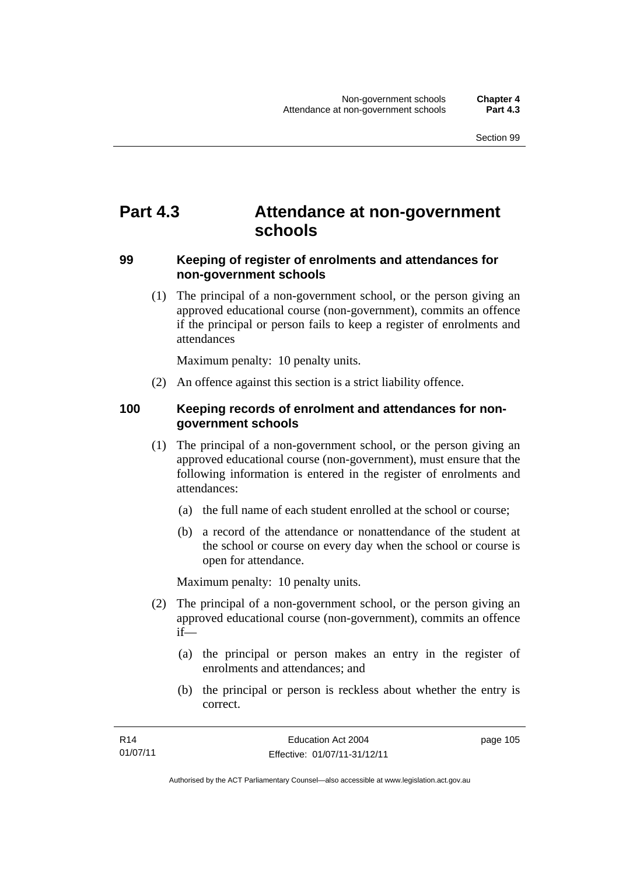## **Part 4.3 Attendance at non-government schools**

#### **99 Keeping of register of enrolments and attendances for non-government schools**

 (1) The principal of a non-government school, or the person giving an approved educational course (non-government), commits an offence if the principal or person fails to keep a register of enrolments and attendances

Maximum penalty: 10 penalty units.

(2) An offence against this section is a strict liability offence.

#### **100 Keeping records of enrolment and attendances for nongovernment schools**

- (1) The principal of a non-government school, or the person giving an approved educational course (non-government), must ensure that the following information is entered in the register of enrolments and attendances:
	- (a) the full name of each student enrolled at the school or course;
	- (b) a record of the attendance or nonattendance of the student at the school or course on every day when the school or course is open for attendance.

Maximum penalty: 10 penalty units.

- (2) The principal of a non-government school, or the person giving an approved educational course (non-government), commits an offence if—
	- (a) the principal or person makes an entry in the register of enrolments and attendances; and
	- (b) the principal or person is reckless about whether the entry is correct.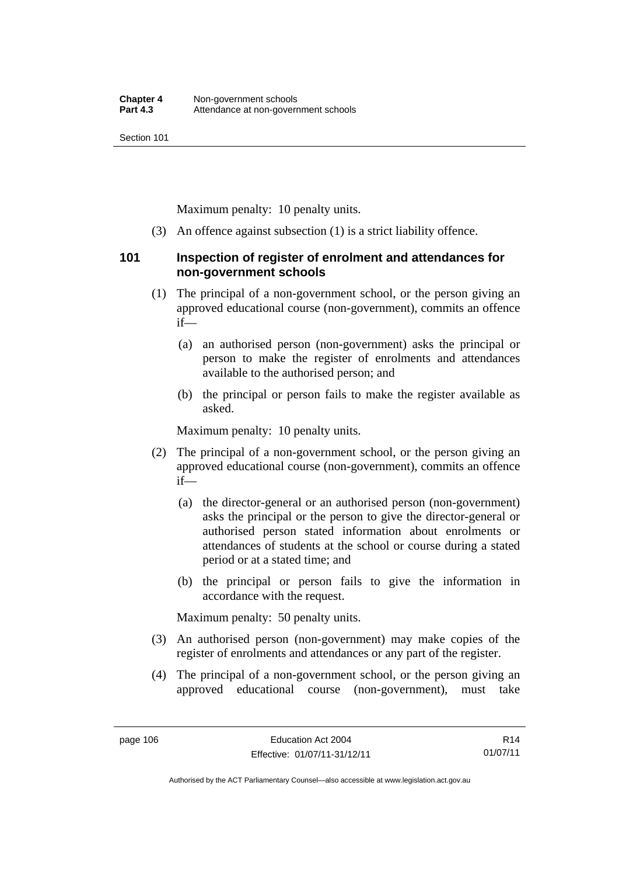Maximum penalty: 10 penalty units.

(3) An offence against subsection (1) is a strict liability offence.

#### **101 Inspection of register of enrolment and attendances for non-government schools**

- (1) The principal of a non-government school, or the person giving an approved educational course (non-government), commits an offence if—
	- (a) an authorised person (non-government) asks the principal or person to make the register of enrolments and attendances available to the authorised person; and
	- (b) the principal or person fails to make the register available as asked.

Maximum penalty: 10 penalty units.

- (2) The principal of a non-government school, or the person giving an approved educational course (non-government), commits an offence if—
	- (a) the director-general or an authorised person (non-government) asks the principal or the person to give the director-general or authorised person stated information about enrolments or attendances of students at the school or course during a stated period or at a stated time; and
	- (b) the principal or person fails to give the information in accordance with the request.

Maximum penalty: 50 penalty units.

- (3) An authorised person (non-government) may make copies of the register of enrolments and attendances or any part of the register.
- (4) The principal of a non-government school, or the person giving an approved educational course (non-government), must take

R14 01/07/11

Authorised by the ACT Parliamentary Counsel—also accessible at www.legislation.act.gov.au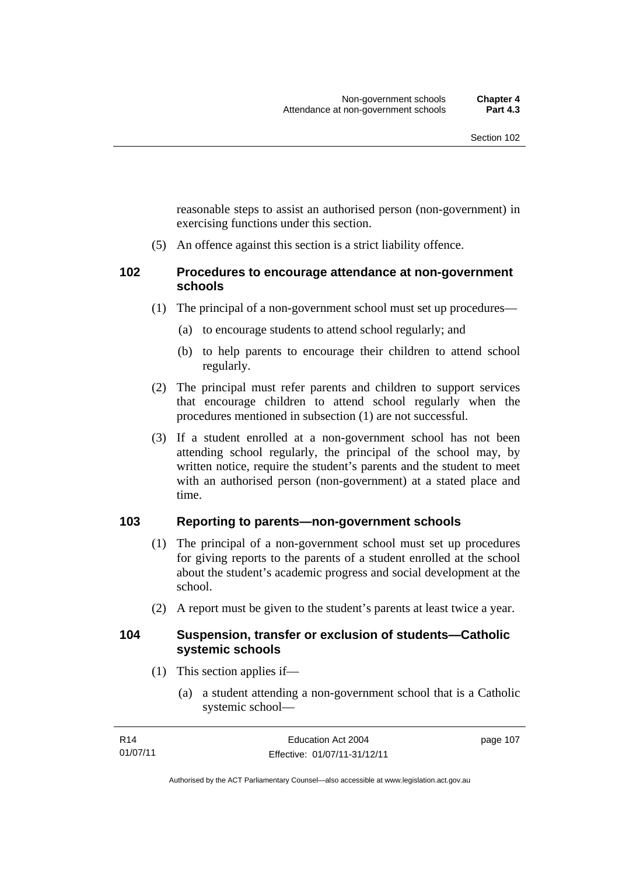reasonable steps to assist an authorised person (non-government) in exercising functions under this section.

(5) An offence against this section is a strict liability offence.

#### **102 Procedures to encourage attendance at non-government schools**

- (1) The principal of a non-government school must set up procedures—
	- (a) to encourage students to attend school regularly; and
	- (b) to help parents to encourage their children to attend school regularly.
- (2) The principal must refer parents and children to support services that encourage children to attend school regularly when the procedures mentioned in subsection (1) are not successful.
- (3) If a student enrolled at a non-government school has not been attending school regularly, the principal of the school may, by written notice, require the student's parents and the student to meet with an authorised person (non-government) at a stated place and time.

#### **103 Reporting to parents—non-government schools**

- (1) The principal of a non-government school must set up procedures for giving reports to the parents of a student enrolled at the school about the student's academic progress and social development at the school.
- (2) A report must be given to the student's parents at least twice a year.

#### **104 Suspension, transfer or exclusion of students—Catholic systemic schools**

- (1) This section applies if—
	- (a) a student attending a non-government school that is a Catholic systemic school—

| R14      | Education Act 2004           | page 107 |
|----------|------------------------------|----------|
| 01/07/11 | Effective: 01/07/11-31/12/11 |          |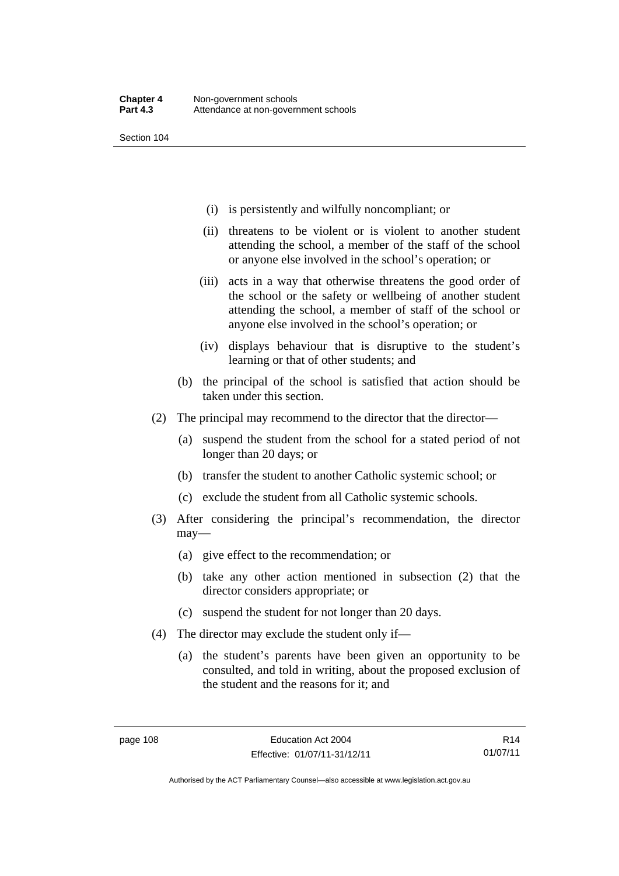- (i) is persistently and wilfully noncompliant; or
- (ii) threatens to be violent or is violent to another student attending the school, a member of the staff of the school or anyone else involved in the school's operation; or
- (iii) acts in a way that otherwise threatens the good order of the school or the safety or wellbeing of another student attending the school, a member of staff of the school or anyone else involved in the school's operation; or
- (iv) displays behaviour that is disruptive to the student's learning or that of other students; and
- (b) the principal of the school is satisfied that action should be taken under this section.
- (2) The principal may recommend to the director that the director—
	- (a) suspend the student from the school for a stated period of not longer than 20 days; or
	- (b) transfer the student to another Catholic systemic school; or
	- (c) exclude the student from all Catholic systemic schools.
- (3) After considering the principal's recommendation, the director may—
	- (a) give effect to the recommendation; or
	- (b) take any other action mentioned in subsection (2) that the director considers appropriate; or
	- (c) suspend the student for not longer than 20 days.
- (4) The director may exclude the student only if—
	- (a) the student's parents have been given an opportunity to be consulted, and told in writing, about the proposed exclusion of the student and the reasons for it; and

R14 01/07/11

Authorised by the ACT Parliamentary Counsel—also accessible at www.legislation.act.gov.au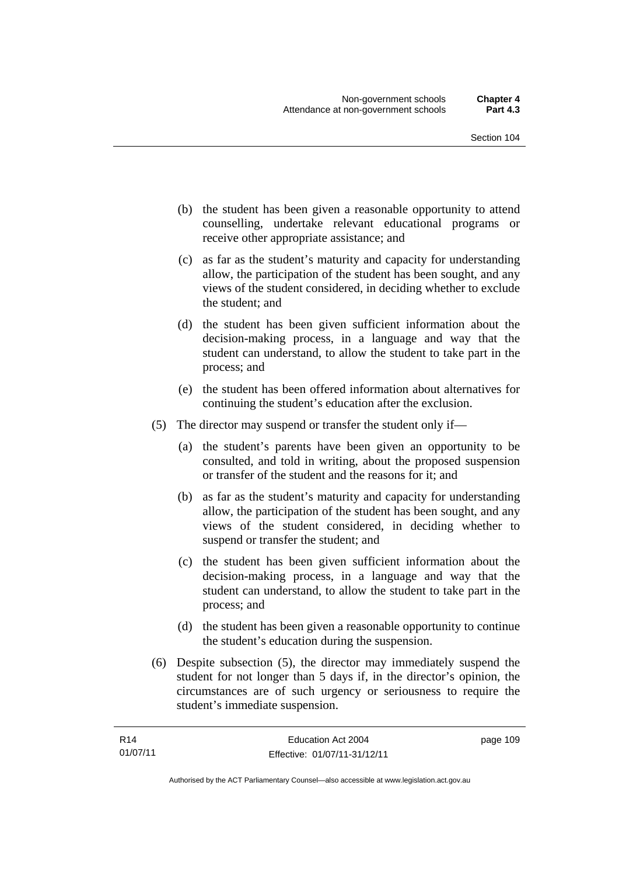- (b) the student has been given a reasonable opportunity to attend counselling, undertake relevant educational programs or receive other appropriate assistance; and
- (c) as far as the student's maturity and capacity for understanding allow, the participation of the student has been sought, and any views of the student considered, in deciding whether to exclude the student; and
- (d) the student has been given sufficient information about the decision-making process, in a language and way that the student can understand, to allow the student to take part in the process; and
- (e) the student has been offered information about alternatives for continuing the student's education after the exclusion.
- (5) The director may suspend or transfer the student only if—
	- (a) the student's parents have been given an opportunity to be consulted, and told in writing, about the proposed suspension or transfer of the student and the reasons for it; and
	- (b) as far as the student's maturity and capacity for understanding allow, the participation of the student has been sought, and any views of the student considered, in deciding whether to suspend or transfer the student; and
	- (c) the student has been given sufficient information about the decision-making process, in a language and way that the student can understand, to allow the student to take part in the process; and
	- (d) the student has been given a reasonable opportunity to continue the student's education during the suspension.
- (6) Despite subsection (5), the director may immediately suspend the student for not longer than 5 days if, in the director's opinion, the circumstances are of such urgency or seriousness to require the student's immediate suspension.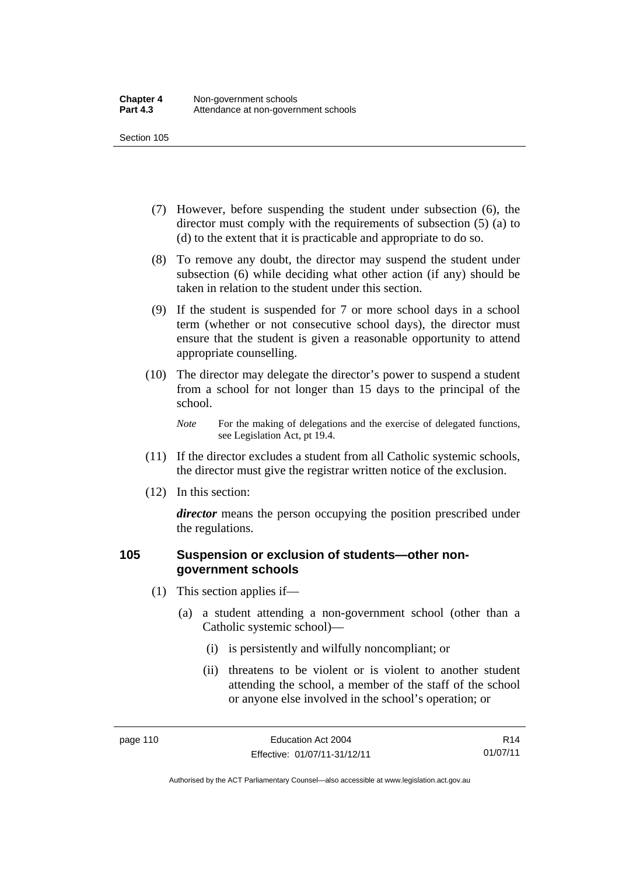- (7) However, before suspending the student under subsection (6), the director must comply with the requirements of subsection (5) (a) to (d) to the extent that it is practicable and appropriate to do so.
- (8) To remove any doubt, the director may suspend the student under subsection (6) while deciding what other action (if any) should be taken in relation to the student under this section.
- (9) If the student is suspended for 7 or more school days in a school term (whether or not consecutive school days), the director must ensure that the student is given a reasonable opportunity to attend appropriate counselling.
- (10) The director may delegate the director's power to suspend a student from a school for not longer than 15 days to the principal of the school.

*Note* For the making of delegations and the exercise of delegated functions, see Legislation Act, pt 19.4.

- (11) If the director excludes a student from all Catholic systemic schools, the director must give the registrar written notice of the exclusion.
- (12) In this section:

*director* means the person occupying the position prescribed under the regulations.

#### **105 Suspension or exclusion of students—other nongovernment schools**

- (1) This section applies if—
	- (a) a student attending a non-government school (other than a Catholic systemic school)—
		- (i) is persistently and wilfully noncompliant; or
		- (ii) threatens to be violent or is violent to another student attending the school, a member of the staff of the school or anyone else involved in the school's operation; or

R14 01/07/11

Authorised by the ACT Parliamentary Counsel—also accessible at www.legislation.act.gov.au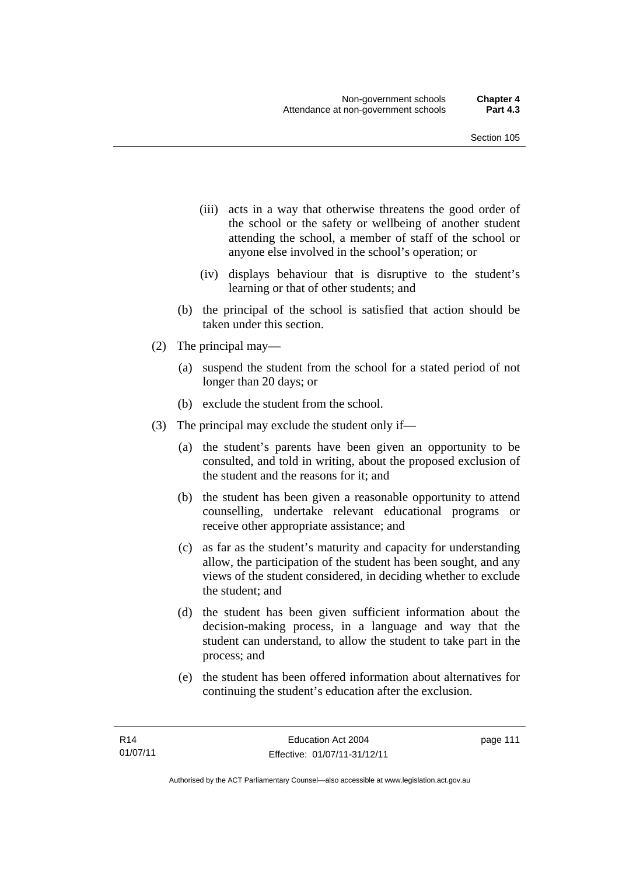- (iii) acts in a way that otherwise threatens the good order of the school or the safety or wellbeing of another student attending the school, a member of staff of the school or anyone else involved in the school's operation; or
- (iv) displays behaviour that is disruptive to the student's learning or that of other students; and
- (b) the principal of the school is satisfied that action should be taken under this section.
- (2) The principal may—
	- (a) suspend the student from the school for a stated period of not longer than 20 days; or
	- (b) exclude the student from the school.
- (3) The principal may exclude the student only if—
	- (a) the student's parents have been given an opportunity to be consulted, and told in writing, about the proposed exclusion of the student and the reasons for it; and
	- (b) the student has been given a reasonable opportunity to attend counselling, undertake relevant educational programs or receive other appropriate assistance; and
	- (c) as far as the student's maturity and capacity for understanding allow, the participation of the student has been sought, and any views of the student considered, in deciding whether to exclude the student; and
	- (d) the student has been given sufficient information about the decision-making process, in a language and way that the student can understand, to allow the student to take part in the process; and
	- (e) the student has been offered information about alternatives for continuing the student's education after the exclusion.

page 111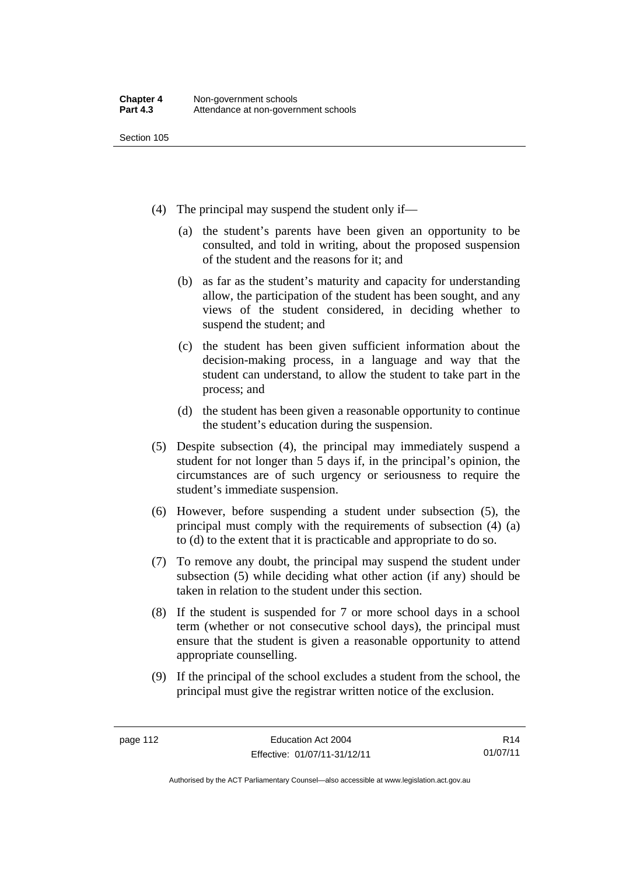- (4) The principal may suspend the student only if—
	- (a) the student's parents have been given an opportunity to be consulted, and told in writing, about the proposed suspension of the student and the reasons for it; and
	- (b) as far as the student's maturity and capacity for understanding allow, the participation of the student has been sought, and any views of the student considered, in deciding whether to suspend the student; and
	- (c) the student has been given sufficient information about the decision-making process, in a language and way that the student can understand, to allow the student to take part in the process; and
	- (d) the student has been given a reasonable opportunity to continue the student's education during the suspension.
- (5) Despite subsection (4), the principal may immediately suspend a student for not longer than 5 days if, in the principal's opinion, the circumstances are of such urgency or seriousness to require the student's immediate suspension.
- (6) However, before suspending a student under subsection (5), the principal must comply with the requirements of subsection (4) (a) to (d) to the extent that it is practicable and appropriate to do so.
- (7) To remove any doubt, the principal may suspend the student under subsection (5) while deciding what other action (if any) should be taken in relation to the student under this section.
- (8) If the student is suspended for 7 or more school days in a school term (whether or not consecutive school days), the principal must ensure that the student is given a reasonable opportunity to attend appropriate counselling.
- (9) If the principal of the school excludes a student from the school, the principal must give the registrar written notice of the exclusion.

R14 01/07/11

Authorised by the ACT Parliamentary Counsel—also accessible at www.legislation.act.gov.au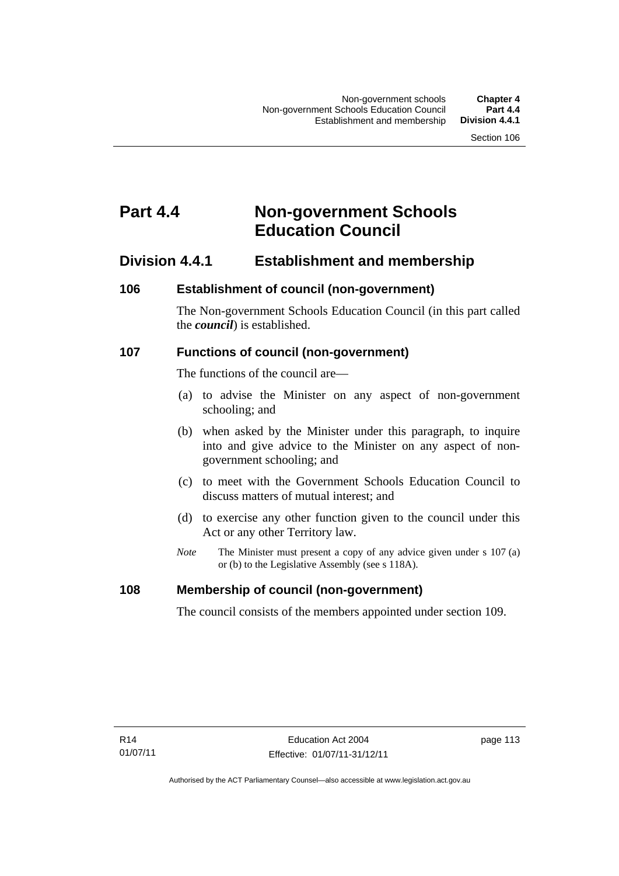## **Part 4.4 Non-government Schools Education Council**

### **Division 4.4.1 Establishment and membership**

#### **106 Establishment of council (non-government)**

The Non-government Schools Education Council (in this part called the *council*) is established.

#### **107 Functions of council (non-government)**

The functions of the council are—

- (a) to advise the Minister on any aspect of non-government schooling; and
- (b) when asked by the Minister under this paragraph, to inquire into and give advice to the Minister on any aspect of nongovernment schooling; and
- (c) to meet with the Government Schools Education Council to discuss matters of mutual interest; and
- (d) to exercise any other function given to the council under this Act or any other Territory law.
- *Note* The Minister must present a copy of any advice given under s 107 (a) or (b) to the Legislative Assembly (see s 118A).

#### **108 Membership of council (non-government)**

The council consists of the members appointed under section 109.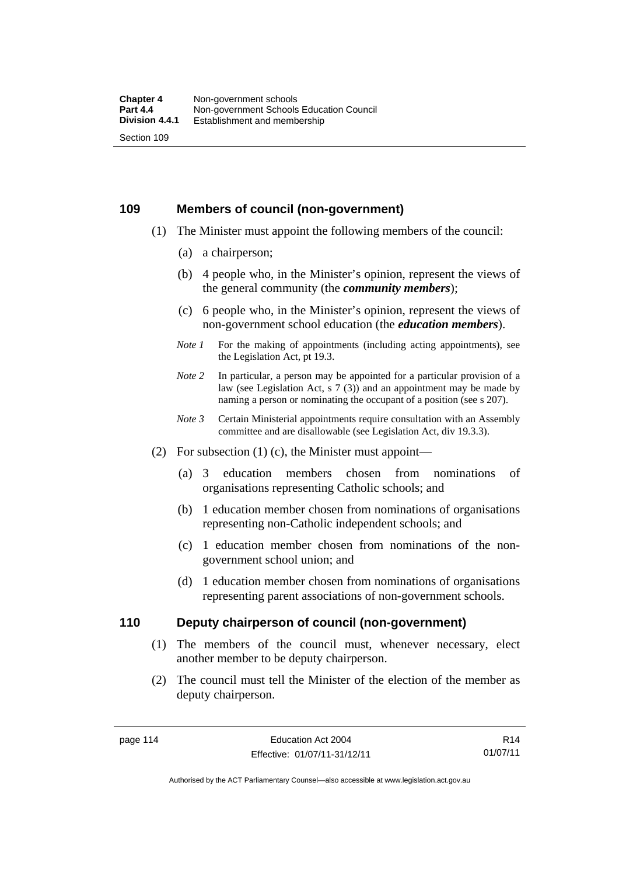#### **109 Members of council (non-government)**

- (1) The Minister must appoint the following members of the council:
	- (a) a chairperson;
	- (b) 4 people who, in the Minister's opinion, represent the views of the general community (the *community members*);
	- (c) 6 people who, in the Minister's opinion, represent the views of non-government school education (the *education members*).
	- *Note 1* For the making of appointments (including acting appointments), see the Legislation Act, pt 19.3.
	- *Note* 2 In particular, a person may be appointed for a particular provision of a law (see Legislation Act, s 7 (3)) and an appointment may be made by naming a person or nominating the occupant of a position (see s 207).
	- *Note 3* Certain Ministerial appointments require consultation with an Assembly committee and are disallowable (see Legislation Act, div 19.3.3).
- (2) For subsection  $(1)$  (c), the Minister must appoint—
	- (a) 3 education members chosen from nominations of organisations representing Catholic schools; and
	- (b) 1 education member chosen from nominations of organisations representing non-Catholic independent schools; and
	- (c) 1 education member chosen from nominations of the nongovernment school union; and
	- (d) 1 education member chosen from nominations of organisations representing parent associations of non-government schools.

#### **110 Deputy chairperson of council (non-government)**

- (1) The members of the council must, whenever necessary, elect another member to be deputy chairperson.
- (2) The council must tell the Minister of the election of the member as deputy chairperson.

R14 01/07/11

Authorised by the ACT Parliamentary Counsel—also accessible at www.legislation.act.gov.au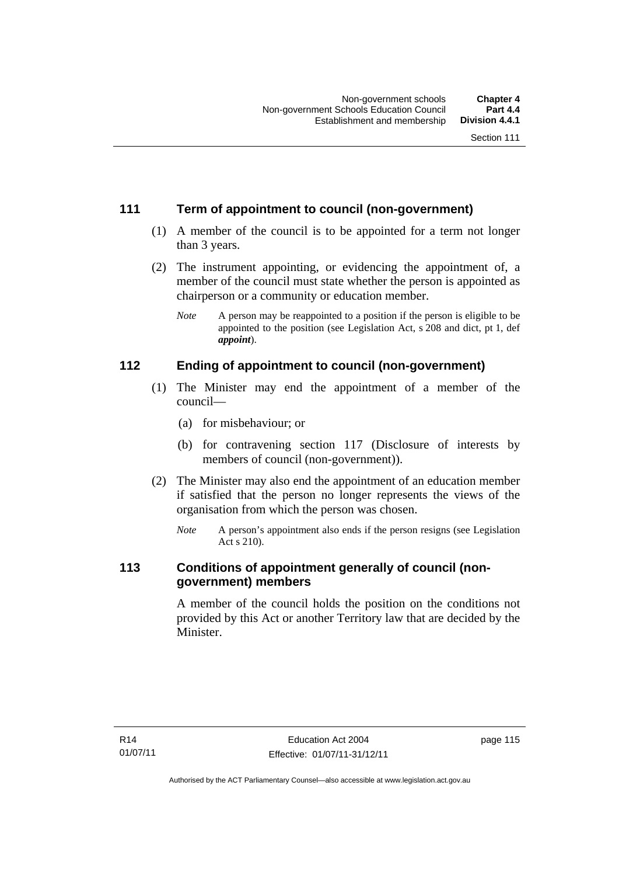### **111 Term of appointment to council (non-government)**

- (1) A member of the council is to be appointed for a term not longer than 3 years.
- (2) The instrument appointing, or evidencing the appointment of, a member of the council must state whether the person is appointed as chairperson or a community or education member.
	- *Note* A person may be reappointed to a position if the person is eligible to be appointed to the position (see Legislation Act, s 208 and dict, pt 1, def *appoint*).

### **112 Ending of appointment to council (non-government)**

- (1) The Minister may end the appointment of a member of the council—
	- (a) for misbehaviour; or
	- (b) for contravening section 117 (Disclosure of interests by members of council (non-government)).
- (2) The Minister may also end the appointment of an education member if satisfied that the person no longer represents the views of the organisation from which the person was chosen.
	- *Note* A person's appointment also ends if the person resigns (see Legislation Act s 210).

### **113 Conditions of appointment generally of council (nongovernment) members**

A member of the council holds the position on the conditions not provided by this Act or another Territory law that are decided by the Minister.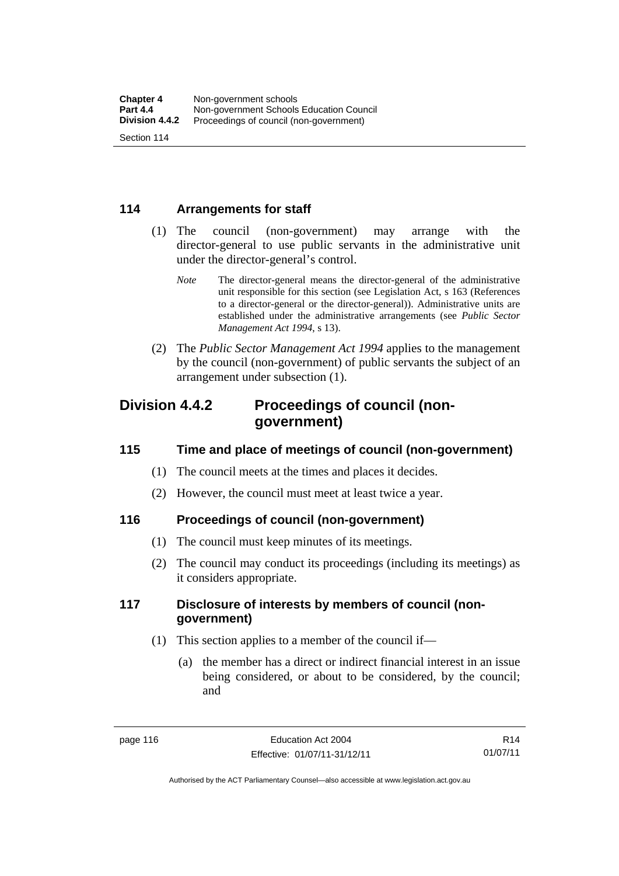### **114 Arrangements for staff**

- (1) The council (non-government) may arrange with the director-general to use public servants in the administrative unit under the director-general's control.
	- *Note* The director-general means the director-general of the administrative unit responsible for this section (see Legislation Act, s 163 (References to a director-general or the director-general)). Administrative units are established under the administrative arrangements (see *Public Sector Management Act 1994*, s 13).
- (2) The *Public Sector Management Act 1994* applies to the management by the council (non-government) of public servants the subject of an arrangement under subsection (1).

### **Division 4.4.2 Proceedings of council (nongovernment)**

#### **115 Time and place of meetings of council (non-government)**

- (1) The council meets at the times and places it decides.
- (2) However, the council must meet at least twice a year.

### **116 Proceedings of council (non-government)**

- (1) The council must keep minutes of its meetings.
- (2) The council may conduct its proceedings (including its meetings) as it considers appropriate.

### **117 Disclosure of interests by members of council (nongovernment)**

- (1) This section applies to a member of the council if—
	- (a) the member has a direct or indirect financial interest in an issue being considered, or about to be considered, by the council; and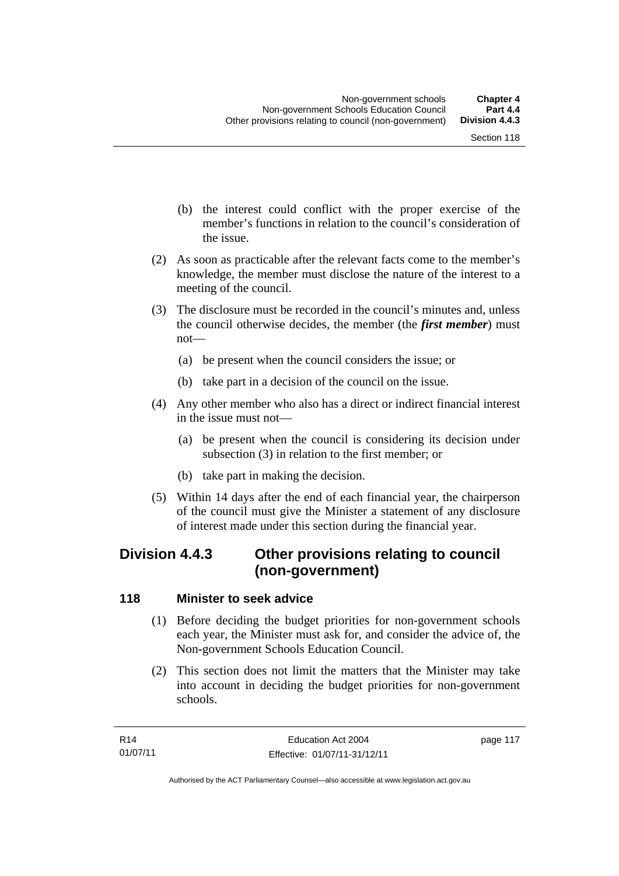- (b) the interest could conflict with the proper exercise of the member's functions in relation to the council's consideration of the issue.
- (2) As soon as practicable after the relevant facts come to the member's knowledge, the member must disclose the nature of the interest to a meeting of the council.
- (3) The disclosure must be recorded in the council's minutes and, unless the council otherwise decides, the member (the *first member*) must not—
	- (a) be present when the council considers the issue; or
	- (b) take part in a decision of the council on the issue.
- (4) Any other member who also has a direct or indirect financial interest in the issue must not—
	- (a) be present when the council is considering its decision under subsection (3) in relation to the first member; or
	- (b) take part in making the decision.
- (5) Within 14 days after the end of each financial year, the chairperson of the council must give the Minister a statement of any disclosure of interest made under this section during the financial year.

## **Division 4.4.3 Other provisions relating to council (non-government)**

#### **118 Minister to seek advice**

- (1) Before deciding the budget priorities for non-government schools each year, the Minister must ask for, and consider the advice of, the Non-government Schools Education Council.
- (2) This section does not limit the matters that the Minister may take into account in deciding the budget priorities for non-government schools.

page 117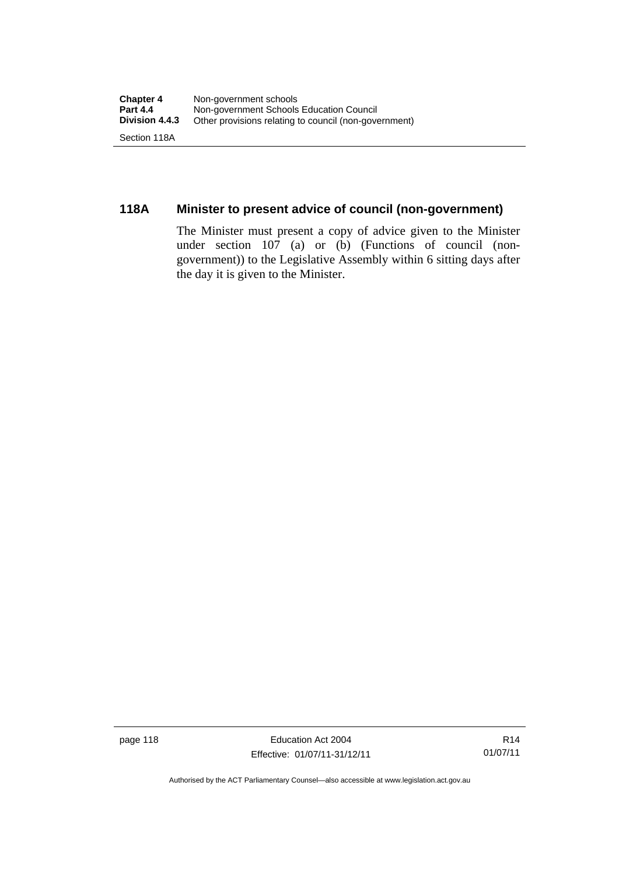### **118A Minister to present advice of council (non-government)**

The Minister must present a copy of advice given to the Minister under section 107 (a) or (b) (Functions of council (nongovernment)) to the Legislative Assembly within 6 sitting days after the day it is given to the Minister.

page 118 **Education Act 2004** Effective: 01/07/11-31/12/11

Authorised by the ACT Parliamentary Counsel—also accessible at www.legislation.act.gov.au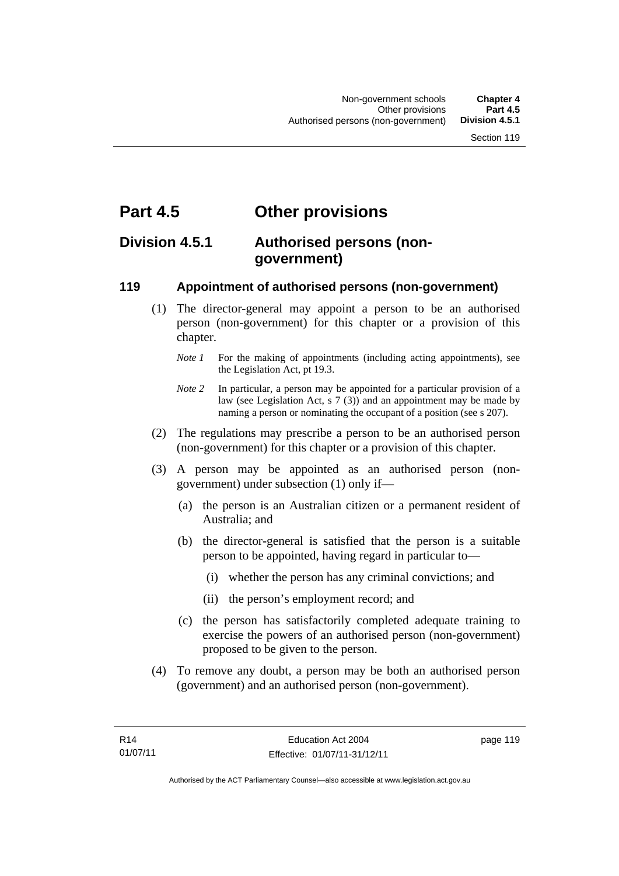## **Part 4.5 Other provisions**

### **Division 4.5.1 Authorised persons (nongovernment)**

#### **119 Appointment of authorised persons (non-government)**

- (1) The director-general may appoint a person to be an authorised person (non-government) for this chapter or a provision of this chapter.
	- *Note 1* For the making of appointments (including acting appointments), see the Legislation Act, pt 19.3.
	- *Note 2* In particular, a person may be appointed for a particular provision of a law (see Legislation Act, s 7 (3)) and an appointment may be made by naming a person or nominating the occupant of a position (see s 207).
- (2) The regulations may prescribe a person to be an authorised person (non-government) for this chapter or a provision of this chapter.
- (3) A person may be appointed as an authorised person (nongovernment) under subsection (1) only if—
	- (a) the person is an Australian citizen or a permanent resident of Australia; and
	- (b) the director-general is satisfied that the person is a suitable person to be appointed, having regard in particular to—
		- (i) whether the person has any criminal convictions; and
		- (ii) the person's employment record; and
	- (c) the person has satisfactorily completed adequate training to exercise the powers of an authorised person (non-government) proposed to be given to the person.
- (4) To remove any doubt, a person may be both an authorised person (government) and an authorised person (non-government).

page 119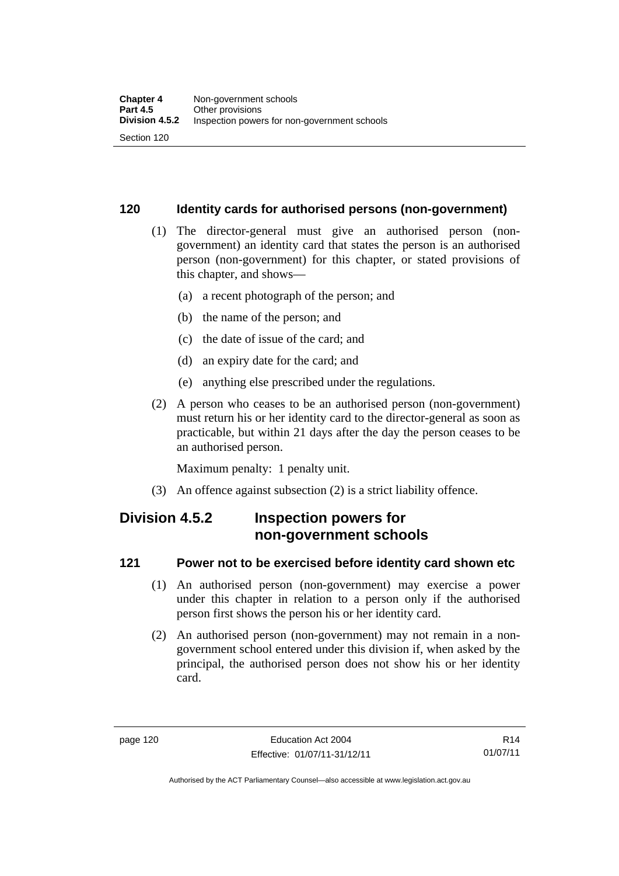#### **120 Identity cards for authorised persons (non-government)**

- (1) The director-general must give an authorised person (nongovernment) an identity card that states the person is an authorised person (non-government) for this chapter, or stated provisions of this chapter, and shows—
	- (a) a recent photograph of the person; and
	- (b) the name of the person; and
	- (c) the date of issue of the card; and
	- (d) an expiry date for the card; and
	- (e) anything else prescribed under the regulations.
- (2) A person who ceases to be an authorised person (non-government) must return his or her identity card to the director-general as soon as practicable, but within 21 days after the day the person ceases to be an authorised person.

Maximum penalty: 1 penalty unit.

(3) An offence against subsection (2) is a strict liability offence.

## **Division 4.5.2 Inspection powers for non-government schools**

#### **121 Power not to be exercised before identity card shown etc**

- (1) An authorised person (non-government) may exercise a power under this chapter in relation to a person only if the authorised person first shows the person his or her identity card.
- (2) An authorised person (non-government) may not remain in a nongovernment school entered under this division if, when asked by the principal, the authorised person does not show his or her identity card.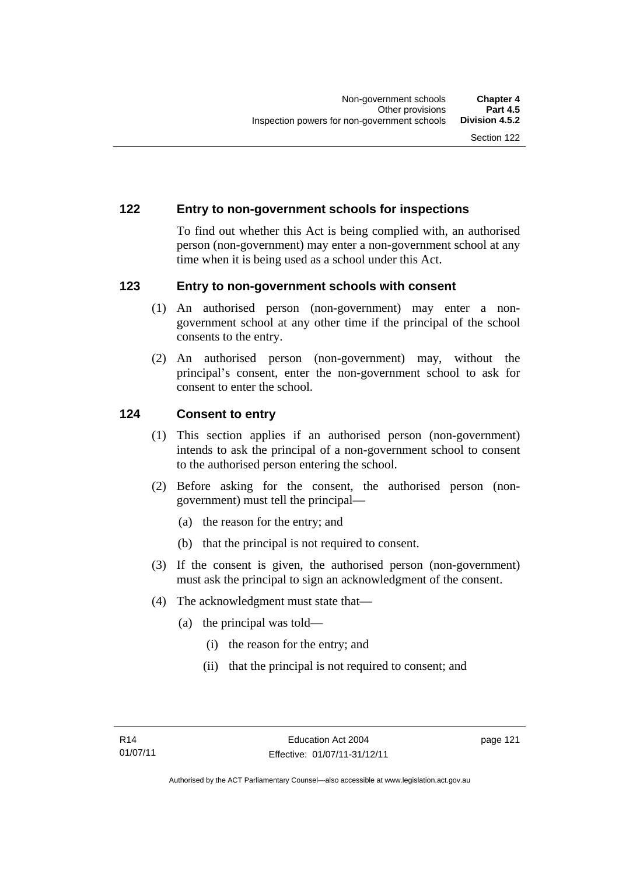#### **122 Entry to non-government schools for inspections**

To find out whether this Act is being complied with, an authorised person (non-government) may enter a non-government school at any time when it is being used as a school under this Act.

#### **123 Entry to non-government schools with consent**

- (1) An authorised person (non-government) may enter a nongovernment school at any other time if the principal of the school consents to the entry.
- (2) An authorised person (non-government) may, without the principal's consent, enter the non-government school to ask for consent to enter the school.

#### **124 Consent to entry**

- (1) This section applies if an authorised person (non-government) intends to ask the principal of a non-government school to consent to the authorised person entering the school.
- (2) Before asking for the consent, the authorised person (nongovernment) must tell the principal—
	- (a) the reason for the entry; and
	- (b) that the principal is not required to consent.
- (3) If the consent is given, the authorised person (non-government) must ask the principal to sign an acknowledgment of the consent.
- (4) The acknowledgment must state that—
	- (a) the principal was told—
		- (i) the reason for the entry; and
		- (ii) that the principal is not required to consent; and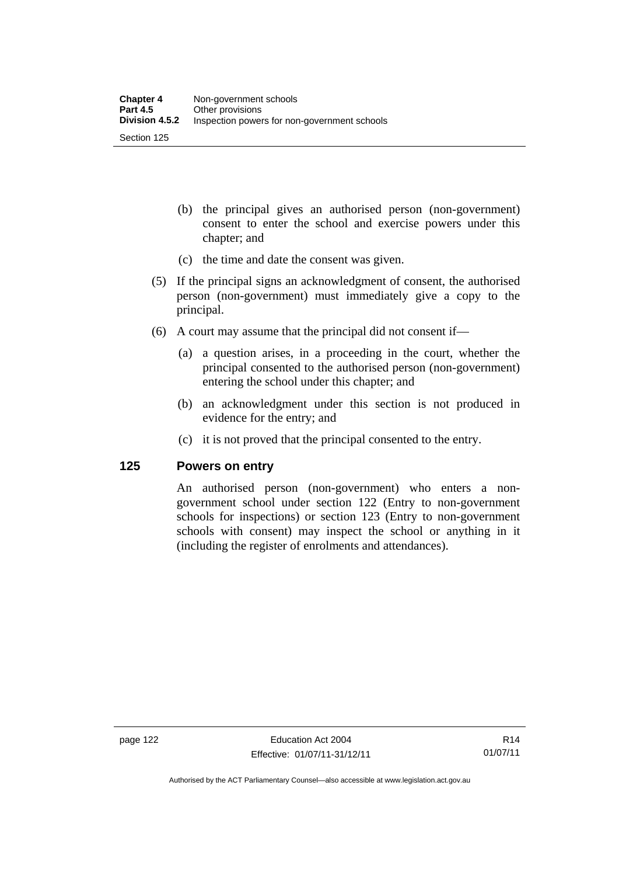- (b) the principal gives an authorised person (non-government) consent to enter the school and exercise powers under this chapter; and
- (c) the time and date the consent was given.
- (5) If the principal signs an acknowledgment of consent, the authorised person (non-government) must immediately give a copy to the principal.
- (6) A court may assume that the principal did not consent if—
	- (a) a question arises, in a proceeding in the court, whether the principal consented to the authorised person (non-government) entering the school under this chapter; and
	- (b) an acknowledgment under this section is not produced in evidence for the entry; and
	- (c) it is not proved that the principal consented to the entry.

#### **125 Powers on entry**

An authorised person (non-government) who enters a nongovernment school under section 122 (Entry to non-government schools for inspections) or section 123 (Entry to non-government schools with consent) may inspect the school or anything in it (including the register of enrolments and attendances).

Authorised by the ACT Parliamentary Counsel—also accessible at www.legislation.act.gov.au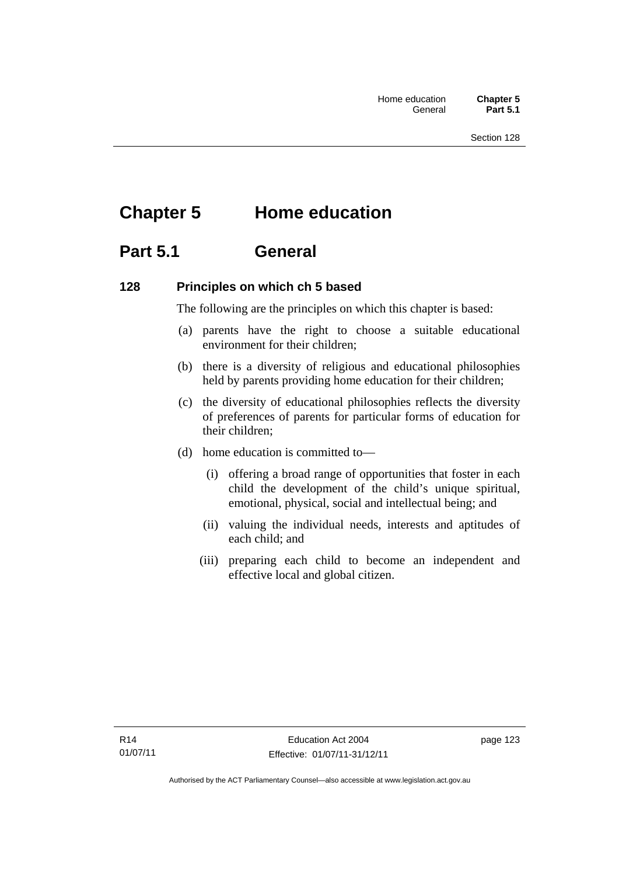# **Chapter 5 Home education**

## **Part 5.1 General**

#### **128 Principles on which ch 5 based**

The following are the principles on which this chapter is based:

- (a) parents have the right to choose a suitable educational environment for their children;
- (b) there is a diversity of religious and educational philosophies held by parents providing home education for their children;
- (c) the diversity of educational philosophies reflects the diversity of preferences of parents for particular forms of education for their children;
- (d) home education is committed to—
	- (i) offering a broad range of opportunities that foster in each child the development of the child's unique spiritual, emotional, physical, social and intellectual being; and
	- (ii) valuing the individual needs, interests and aptitudes of each child; and
	- (iii) preparing each child to become an independent and effective local and global citizen.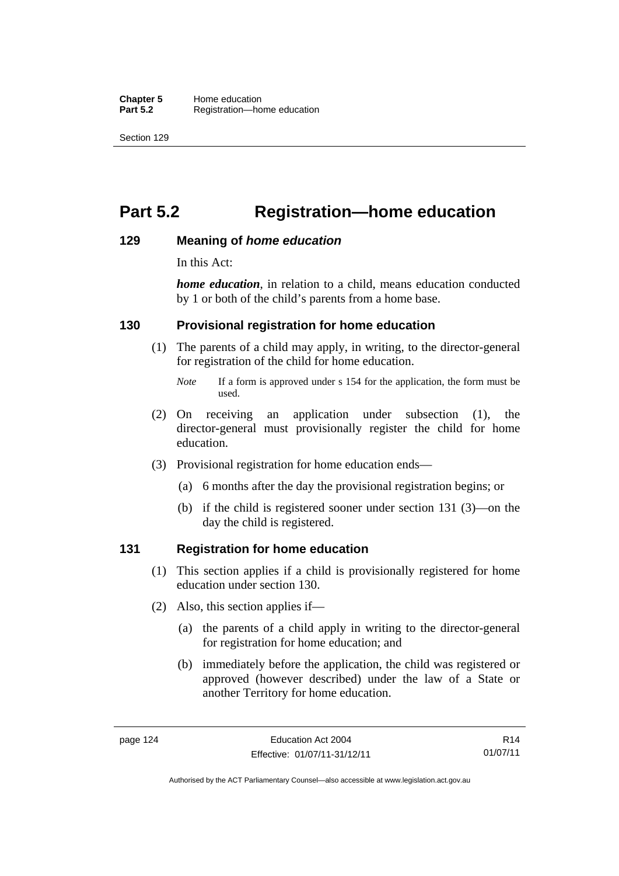# **Part 5.2 Registration—home education**

#### **129 Meaning of** *home education*

In this Act:

*home education*, in relation to a child, means education conducted by 1 or both of the child's parents from a home base.

#### **130 Provisional registration for home education**

(1) The parents of a child may apply, in writing, to the director-general for registration of the child for home education.

- (2) On receiving an application under subsection (1), the director-general must provisionally register the child for home education.
- (3) Provisional registration for home education ends—
	- (a) 6 months after the day the provisional registration begins; or
	- (b) if the child is registered sooner under section 131 (3)—on the day the child is registered.

#### **131 Registration for home education**

- (1) This section applies if a child is provisionally registered for home education under section 130.
- (2) Also, this section applies if—
	- (a) the parents of a child apply in writing to the director-general for registration for home education; and
	- (b) immediately before the application, the child was registered or approved (however described) under the law of a State or another Territory for home education.

R14 01/07/11

*Note* If a form is approved under s 154 for the application, the form must be used.

Authorised by the ACT Parliamentary Counsel—also accessible at www.legislation.act.gov.au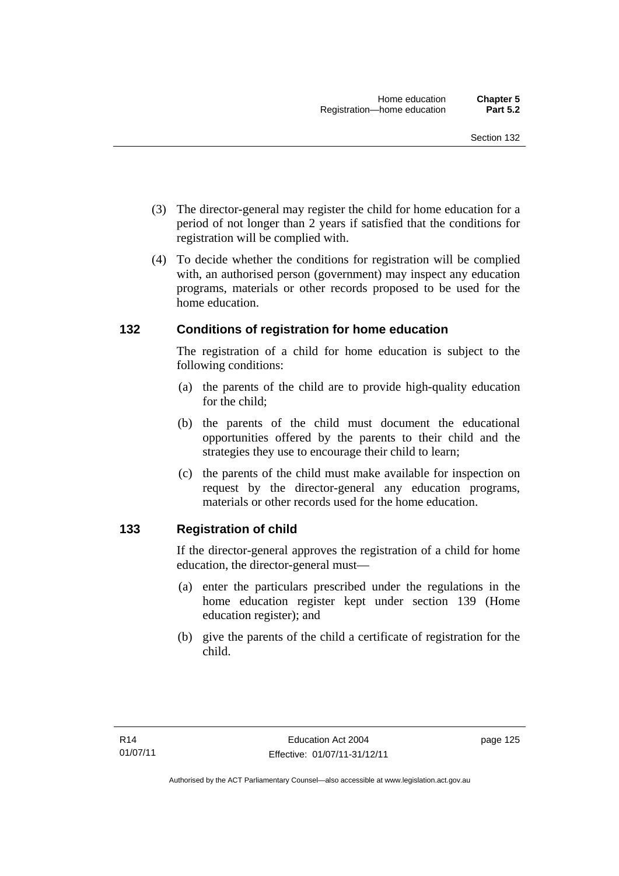- (3) The director-general may register the child for home education for a period of not longer than 2 years if satisfied that the conditions for registration will be complied with.
- (4) To decide whether the conditions for registration will be complied with, an authorised person (government) may inspect any education programs, materials or other records proposed to be used for the home education.

#### **132 Conditions of registration for home education**

The registration of a child for home education is subject to the following conditions:

- (a) the parents of the child are to provide high-quality education for the child;
- (b) the parents of the child must document the educational opportunities offered by the parents to their child and the strategies they use to encourage their child to learn;
- (c) the parents of the child must make available for inspection on request by the director-general any education programs, materials or other records used for the home education.

### **133 Registration of child**

If the director-general approves the registration of a child for home education, the director-general must—

- (a) enter the particulars prescribed under the regulations in the home education register kept under section 139 (Home education register); and
- (b) give the parents of the child a certificate of registration for the child.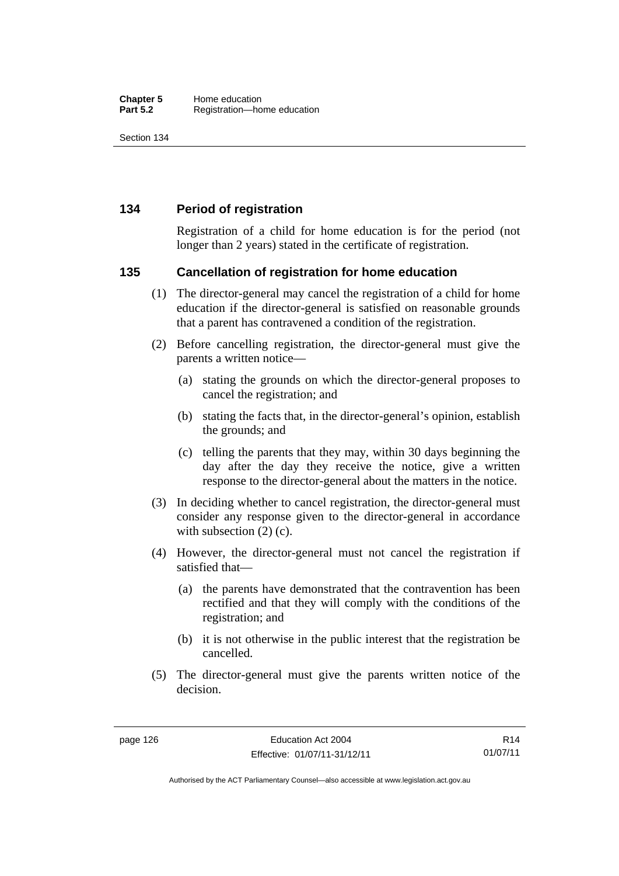#### **134 Period of registration**

Registration of a child for home education is for the period (not longer than 2 years) stated in the certificate of registration.

#### **135 Cancellation of registration for home education**

- (1) The director-general may cancel the registration of a child for home education if the director-general is satisfied on reasonable grounds that a parent has contravened a condition of the registration.
- (2) Before cancelling registration, the director-general must give the parents a written notice—
	- (a) stating the grounds on which the director-general proposes to cancel the registration; and
	- (b) stating the facts that, in the director-general's opinion, establish the grounds; and
	- (c) telling the parents that they may, within 30 days beginning the day after the day they receive the notice, give a written response to the director-general about the matters in the notice.
- (3) In deciding whether to cancel registration, the director-general must consider any response given to the director-general in accordance with subsection  $(2)$  (c).
- (4) However, the director-general must not cancel the registration if satisfied that—
	- (a) the parents have demonstrated that the contravention has been rectified and that they will comply with the conditions of the registration; and
	- (b) it is not otherwise in the public interest that the registration be cancelled.
- (5) The director-general must give the parents written notice of the decision.

R14 01/07/11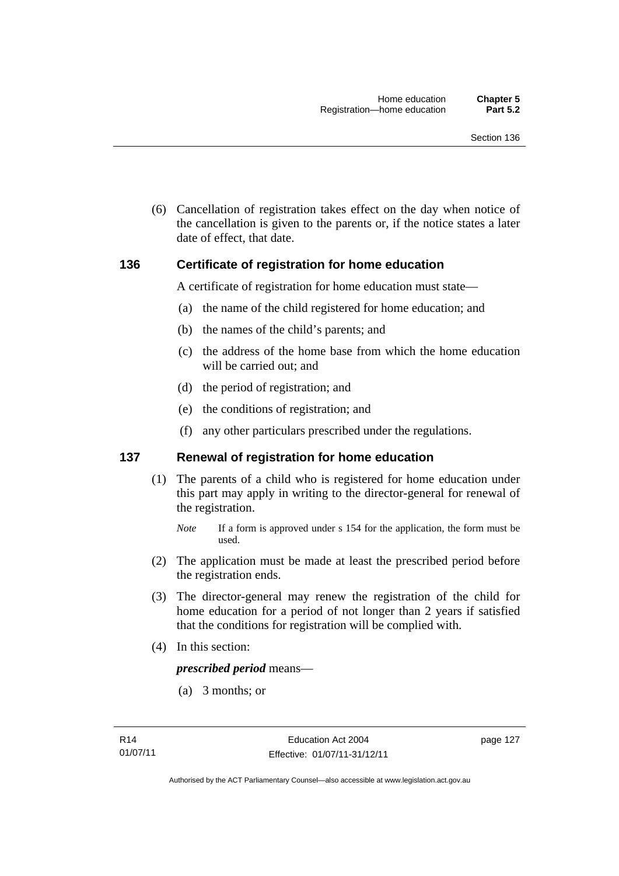(6) Cancellation of registration takes effect on the day when notice of the cancellation is given to the parents or, if the notice states a later date of effect, that date.

#### **136 Certificate of registration for home education**

A certificate of registration for home education must state—

- (a) the name of the child registered for home education; and
- (b) the names of the child's parents; and
- (c) the address of the home base from which the home education will be carried out; and
- (d) the period of registration; and
- (e) the conditions of registration; and
- (f) any other particulars prescribed under the regulations.

#### **137 Renewal of registration for home education**

(1) The parents of a child who is registered for home education under this part may apply in writing to the director-general for renewal of the registration.

- (2) The application must be made at least the prescribed period before the registration ends.
- (3) The director-general may renew the registration of the child for home education for a period of not longer than 2 years if satisfied that the conditions for registration will be complied with.
- (4) In this section:

*prescribed period* means—

(a) 3 months; or

*Note* If a form is approved under s 154 for the application, the form must be used.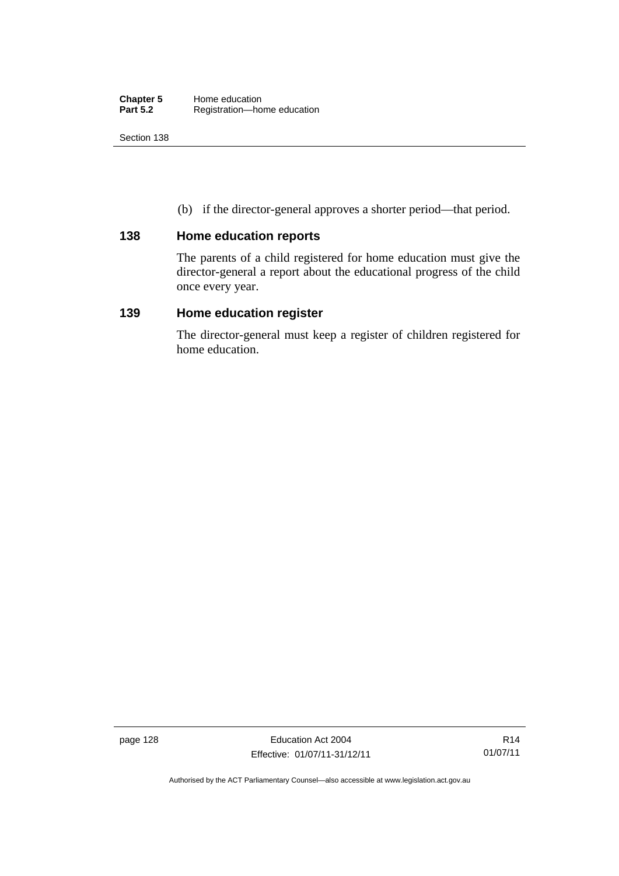(b) if the director-general approves a shorter period—that period.

#### **138 Home education reports**

The parents of a child registered for home education must give the director-general a report about the educational progress of the child once every year.

#### **139 Home education register**

The director-general must keep a register of children registered for home education.

page 128 **Education Act 2004** Effective: 01/07/11-31/12/11

Authorised by the ACT Parliamentary Counsel—also accessible at www.legislation.act.gov.au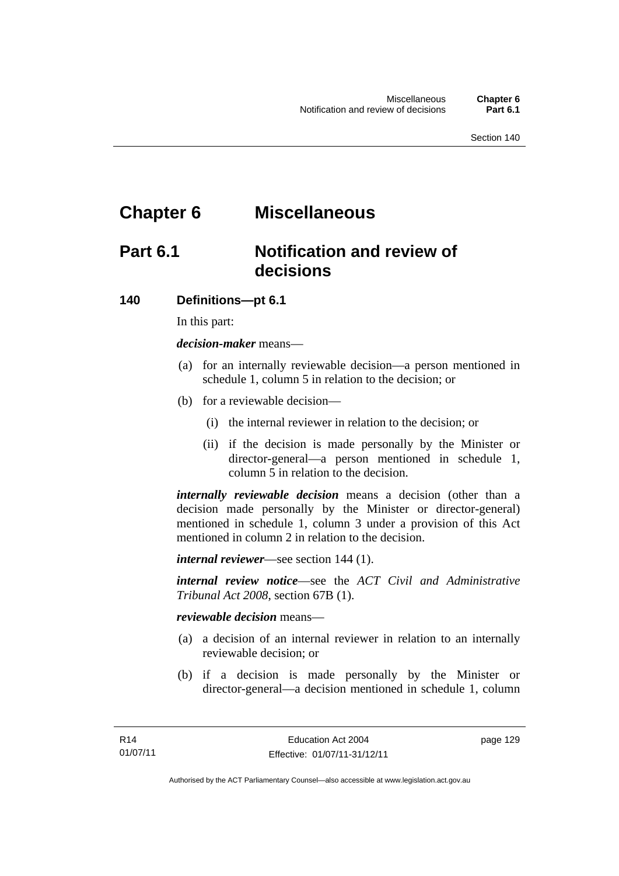# **Chapter 6 Miscellaneous**

## **Part 6.1 Notification and review of decisions**

#### **140 Definitions***—***pt 6.1**

In this part:

*decision-maker* means—

- (a) for an internally reviewable decision—a person mentioned in schedule 1, column 5 in relation to the decision; or
- (b) for a reviewable decision—
	- (i) the internal reviewer in relation to the decision; or
	- (ii) if the decision is made personally by the Minister or director-general—a person mentioned in schedule 1, column 5 in relation to the decision.

*internally reviewable decision* means a decision (other than a decision made personally by the Minister or director-general) mentioned in schedule 1, column 3 under a provision of this Act mentioned in column 2 in relation to the decision.

*internal reviewer*—see section 144 (1).

*internal review notice*—see the *ACT Civil and Administrative Tribunal Act 2008*, section 67B (1).

*reviewable decision* means—

- (a) a decision of an internal reviewer in relation to an internally reviewable decision; or
- (b) if a decision is made personally by the Minister or director-general—a decision mentioned in schedule 1, column

page 129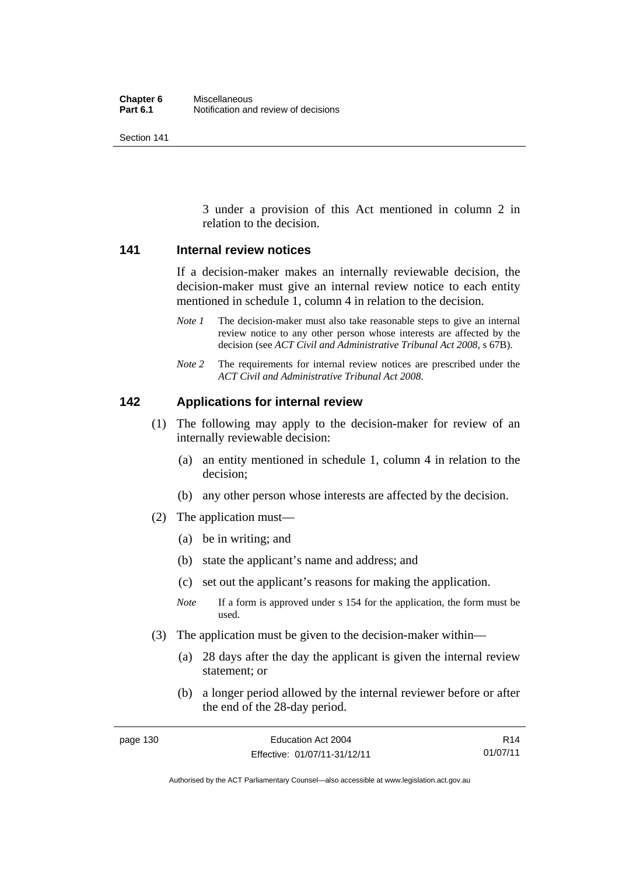3 under a provision of this Act mentioned in column 2 in relation to the decision.

#### **141 Internal review notices**

If a decision-maker makes an internally reviewable decision, the decision-maker must give an internal review notice to each entity mentioned in schedule 1, column 4 in relation to the decision.

- *Note 1* The decision-maker must also take reasonable steps to give an internal review notice to any other person whose interests are affected by the decision (see *ACT Civil and Administrative Tribunal Act 2008*, s 67B).
- *Note* 2 The requirements for internal review notices are prescribed under the *ACT Civil and Administrative Tribunal Act 2008*.

#### **142 Applications for internal review**

- (1) The following may apply to the decision-maker for review of an internally reviewable decision:
	- (a) an entity mentioned in schedule 1, column 4 in relation to the decision;
	- (b) any other person whose interests are affected by the decision.
- (2) The application must—
	- (a) be in writing; and
	- (b) state the applicant's name and address; and
	- (c) set out the applicant's reasons for making the application.
	- *Note* If a form is approved under s 154 for the application, the form must be used.
- (3) The application must be given to the decision-maker within—
	- (a) 28 days after the day the applicant is given the internal review statement; or
	- (b) a longer period allowed by the internal reviewer before or after the end of the 28-day period.

| page 130 | Education Act 2004           | R14      |
|----------|------------------------------|----------|
|          | Effective: 01/07/11-31/12/11 | 01/07/11 |

Authorised by the ACT Parliamentary Counsel—also accessible at www.legislation.act.gov.au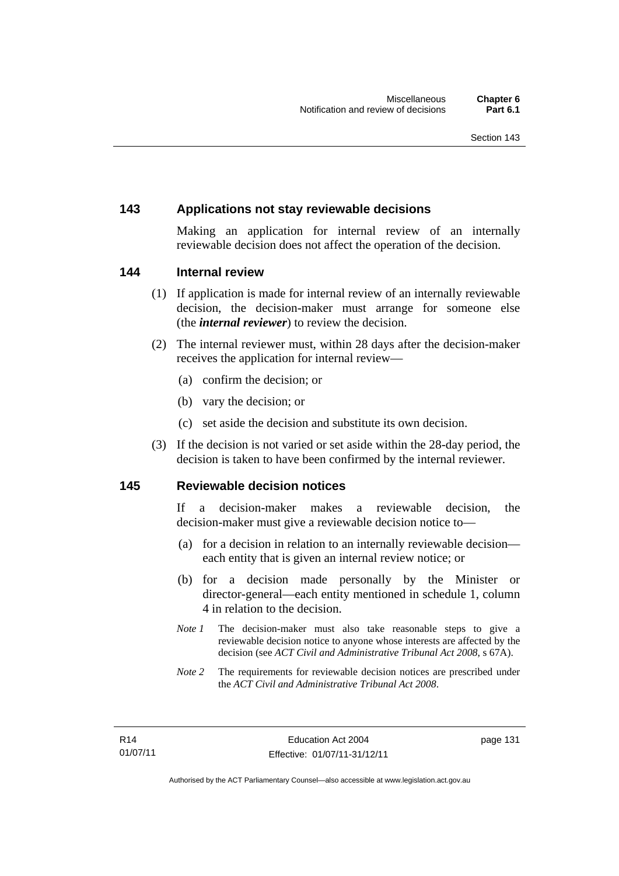#### **143 Applications not stay reviewable decisions**

Making an application for internal review of an internally reviewable decision does not affect the operation of the decision.

#### **144 Internal review**

- (1) If application is made for internal review of an internally reviewable decision, the decision-maker must arrange for someone else (the *internal reviewer*) to review the decision.
- (2) The internal reviewer must, within 28 days after the decision-maker receives the application for internal review—
	- (a) confirm the decision; or
	- (b) vary the decision; or
	- (c) set aside the decision and substitute its own decision.
- (3) If the decision is not varied or set aside within the 28-day period, the decision is taken to have been confirmed by the internal reviewer.

#### **145 Reviewable decision notices**

If a decision-maker makes a reviewable decision, the decision-maker must give a reviewable decision notice to—

- (a) for a decision in relation to an internally reviewable decision each entity that is given an internal review notice; or
- (b) for a decision made personally by the Minister or director-general—each entity mentioned in schedule 1, column 4 in relation to the decision.
- *Note 1* The decision-maker must also take reasonable steps to give a reviewable decision notice to anyone whose interests are affected by the decision (see *ACT Civil and Administrative Tribunal Act 2008*, s 67A).
- *Note* 2 The requirements for reviewable decision notices are prescribed under the *ACT Civil and Administrative Tribunal Act 2008*.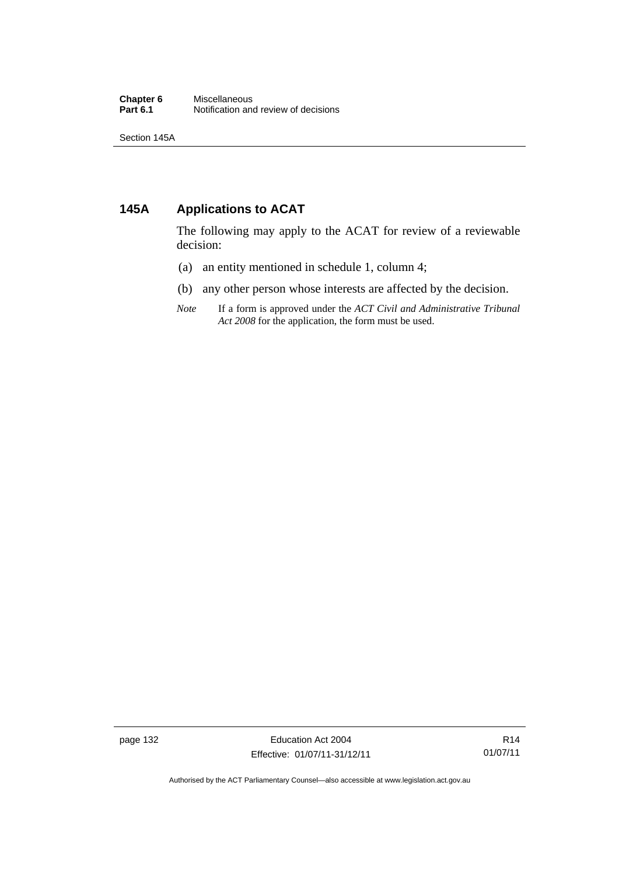#### **Chapter 6** Miscellaneous<br>**Part 6.1** Notification and **Part 6.1** Notification and review of decisions

Section 145A

### **145A Applications to ACAT**

The following may apply to the ACAT for review of a reviewable decision:

- (a) an entity mentioned in schedule 1, column 4;
- (b) any other person whose interests are affected by the decision.
- *Note* If a form is approved under the *ACT Civil and Administrative Tribunal Act 2008* for the application, the form must be used.

page 132 Education Act 2004 Effective: 01/07/11-31/12/11

Authorised by the ACT Parliamentary Counsel—also accessible at www.legislation.act.gov.au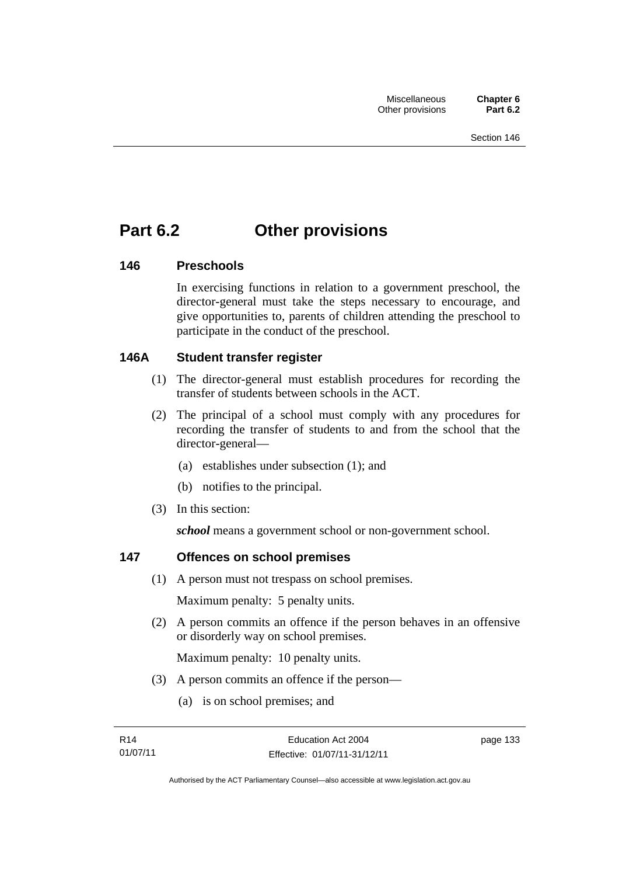# **Part 6.2 Other provisions**

# **146 Preschools**

In exercising functions in relation to a government preschool, the director-general must take the steps necessary to encourage, and give opportunities to, parents of children attending the preschool to participate in the conduct of the preschool.

# **146A Student transfer register**

- (1) The director-general must establish procedures for recording the transfer of students between schools in the ACT.
- (2) The principal of a school must comply with any procedures for recording the transfer of students to and from the school that the director-general—
	- (a) establishes under subsection (1); and
	- (b) notifies to the principal.
- (3) In this section:

*school* means a government school or non-government school.

# **147 Offences on school premises**

(1) A person must not trespass on school premises.

Maximum penalty: 5 penalty units.

 (2) A person commits an offence if the person behaves in an offensive or disorderly way on school premises.

Maximum penalty: 10 penalty units.

- (3) A person commits an offence if the person—
	- (a) is on school premises; and

page 133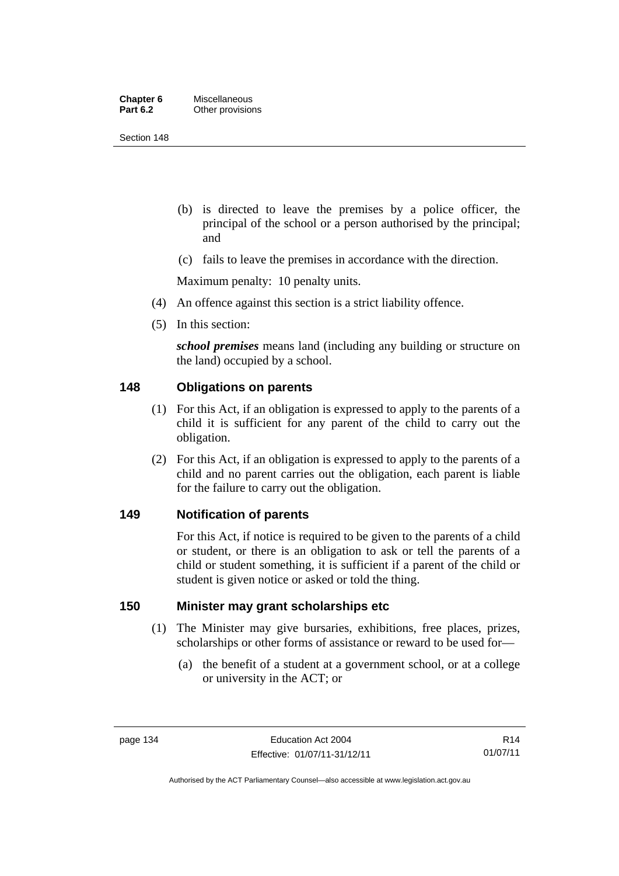| Chapter 6       | <b>Miscellaneous</b> |
|-----------------|----------------------|
| <b>Part 6.2</b> | Other provisions     |

Section 148

- (b) is directed to leave the premises by a police officer, the principal of the school or a person authorised by the principal; and
- (c) fails to leave the premises in accordance with the direction.

Maximum penalty: 10 penalty units.

- (4) An offence against this section is a strict liability offence.
- (5) In this section:

*school premises* means land (including any building or structure on the land) occupied by a school.

## **148 Obligations on parents**

- (1) For this Act, if an obligation is expressed to apply to the parents of a child it is sufficient for any parent of the child to carry out the obligation.
- (2) For this Act, if an obligation is expressed to apply to the parents of a child and no parent carries out the obligation, each parent is liable for the failure to carry out the obligation.

### **149 Notification of parents**

For this Act, if notice is required to be given to the parents of a child or student, or there is an obligation to ask or tell the parents of a child or student something, it is sufficient if a parent of the child or student is given notice or asked or told the thing.

## **150 Minister may grant scholarships etc**

- (1) The Minister may give bursaries, exhibitions, free places, prizes, scholarships or other forms of assistance or reward to be used for—
	- (a) the benefit of a student at a government school, or at a college or university in the ACT; or

Authorised by the ACT Parliamentary Counsel—also accessible at www.legislation.act.gov.au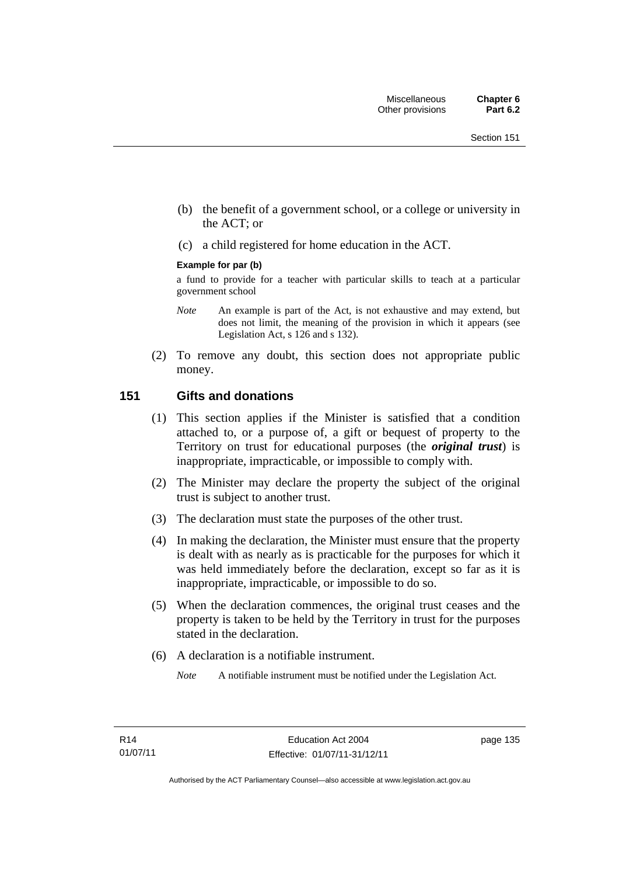- (b) the benefit of a government school, or a college or university in the ACT; or
- (c) a child registered for home education in the ACT.

#### **Example for par (b)**

a fund to provide for a teacher with particular skills to teach at a particular government school

- *Note* An example is part of the Act, is not exhaustive and may extend, but does not limit, the meaning of the provision in which it appears (see Legislation Act, s 126 and s 132).
- (2) To remove any doubt, this section does not appropriate public money.

## **151 Gifts and donations**

- (1) This section applies if the Minister is satisfied that a condition attached to, or a purpose of, a gift or bequest of property to the Territory on trust for educational purposes (the *original trust*) is inappropriate, impracticable, or impossible to comply with.
- (2) The Minister may declare the property the subject of the original trust is subject to another trust.
- (3) The declaration must state the purposes of the other trust.
- (4) In making the declaration, the Minister must ensure that the property is dealt with as nearly as is practicable for the purposes for which it was held immediately before the declaration, except so far as it is inappropriate, impracticable, or impossible to do so.
- (5) When the declaration commences, the original trust ceases and the property is taken to be held by the Territory in trust for the purposes stated in the declaration.
- (6) A declaration is a notifiable instrument.

*Note* A notifiable instrument must be notified under the Legislation Act.

page 135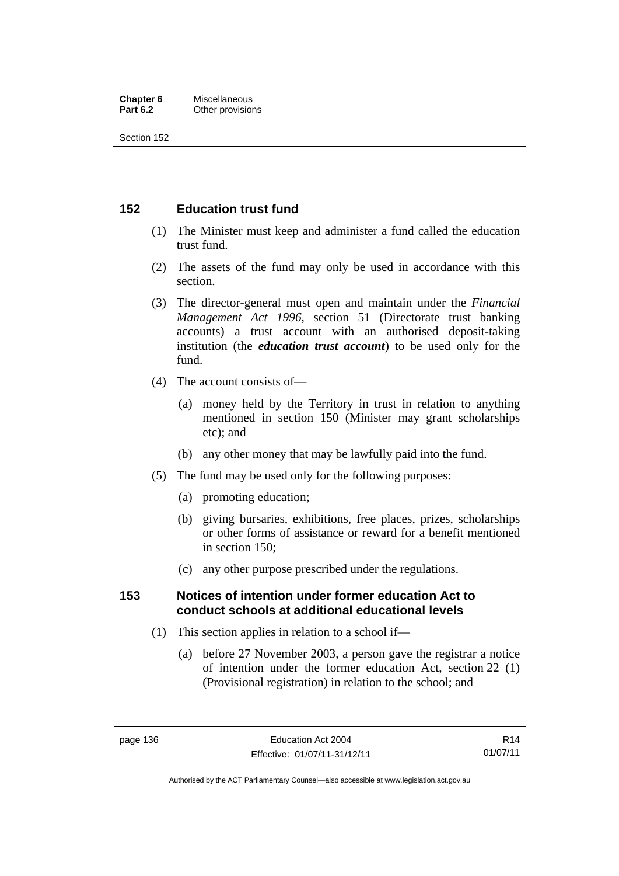#### **Chapter 6** Miscellaneous<br>**Part 6.2** Other provision **Other provisions**

Section 152

# **152 Education trust fund**

- (1) The Minister must keep and administer a fund called the education trust fund.
- (2) The assets of the fund may only be used in accordance with this section.
- (3) The director-general must open and maintain under the *Financial Management Act 1996*, section 51 (Directorate trust banking accounts) a trust account with an authorised deposit-taking institution (the *education trust account*) to be used only for the fund.
- (4) The account consists of—
	- (a) money held by the Territory in trust in relation to anything mentioned in section 150 (Minister may grant scholarships etc); and
	- (b) any other money that may be lawfully paid into the fund.
- (5) The fund may be used only for the following purposes:
	- (a) promoting education;
	- (b) giving bursaries, exhibitions, free places, prizes, scholarships or other forms of assistance or reward for a benefit mentioned in section 150;
	- (c) any other purpose prescribed under the regulations.

## **153 Notices of intention under former education Act to conduct schools at additional educational levels**

- (1) This section applies in relation to a school if—
	- (a) before 27 November 2003, a person gave the registrar a notice of intention under the former education Act, section 22 (1) (Provisional registration) in relation to the school; and

R14 01/07/11

Authorised by the ACT Parliamentary Counsel—also accessible at www.legislation.act.gov.au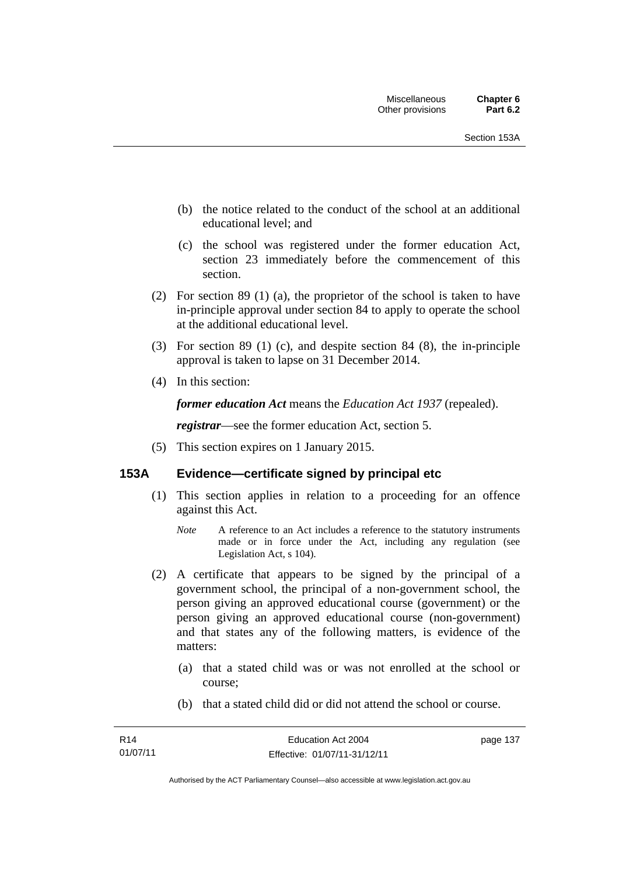- (b) the notice related to the conduct of the school at an additional educational level; and
- (c) the school was registered under the former education Act, section 23 immediately before the commencement of this section.
- (2) For section 89 (1) (a), the proprietor of the school is taken to have in-principle approval under section 84 to apply to operate the school at the additional educational level.
- (3) For section 89 (1) (c), and despite section 84 (8), the in-principle approval is taken to lapse on 31 December 2014.
- (4) In this section:

*former education Act* means the *Education Act 1937* (repealed).

*registrar*—see the former education Act, section 5.

(5) This section expires on 1 January 2015.

## **153A Evidence—certificate signed by principal etc**

- (1) This section applies in relation to a proceeding for an offence against this Act.
	- *Note* A reference to an Act includes a reference to the statutory instruments made or in force under the Act, including any regulation (see Legislation Act, s 104).
- (2) A certificate that appears to be signed by the principal of a government school, the principal of a non-government school, the person giving an approved educational course (government) or the person giving an approved educational course (non-government) and that states any of the following matters, is evidence of the matters:
	- (a) that a stated child was or was not enrolled at the school or course;
	- (b) that a stated child did or did not attend the school or course.

page 137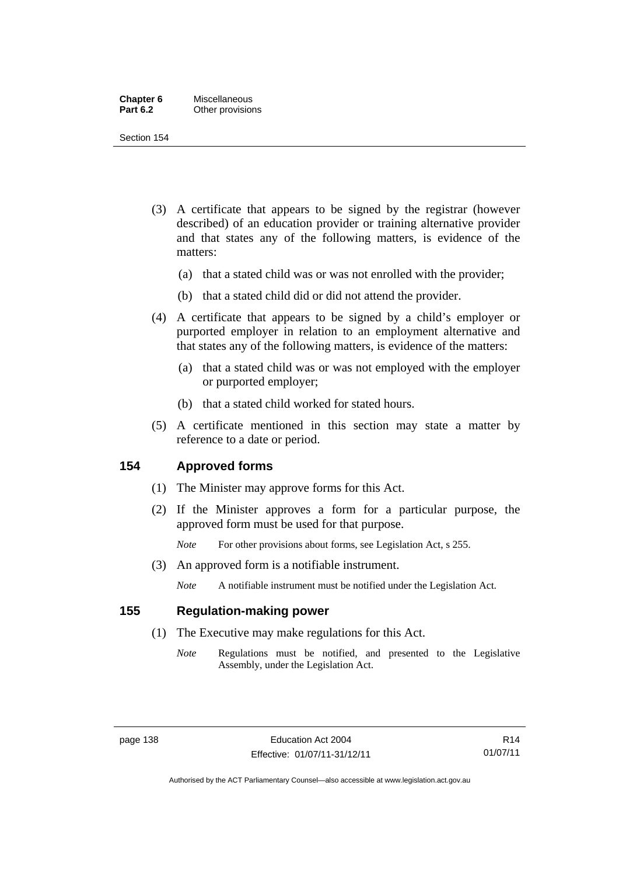| Chapter 6       | Miscellaneous    |
|-----------------|------------------|
| <b>Part 6.2</b> | Other provisions |

Section 154

- (3) A certificate that appears to be signed by the registrar (however described) of an education provider or training alternative provider and that states any of the following matters, is evidence of the matters:
	- (a) that a stated child was or was not enrolled with the provider;
	- (b) that a stated child did or did not attend the provider.
- (4) A certificate that appears to be signed by a child's employer or purported employer in relation to an employment alternative and that states any of the following matters, is evidence of the matters:
	- (a) that a stated child was or was not employed with the employer or purported employer;
	- (b) that a stated child worked for stated hours.
- (5) A certificate mentioned in this section may state a matter by reference to a date or period.

## **154 Approved forms**

- (1) The Minister may approve forms for this Act.
- (2) If the Minister approves a form for a particular purpose, the approved form must be used for that purpose.

*Note* For other provisions about forms, see Legislation Act, s 255.

(3) An approved form is a notifiable instrument.

*Note* A notifiable instrument must be notified under the Legislation Act.

## **155 Regulation-making power**

- (1) The Executive may make regulations for this Act.
	- *Note* Regulations must be notified, and presented to the Legislative Assembly, under the Legislation Act.

Authorised by the ACT Parliamentary Counsel—also accessible at www.legislation.act.gov.au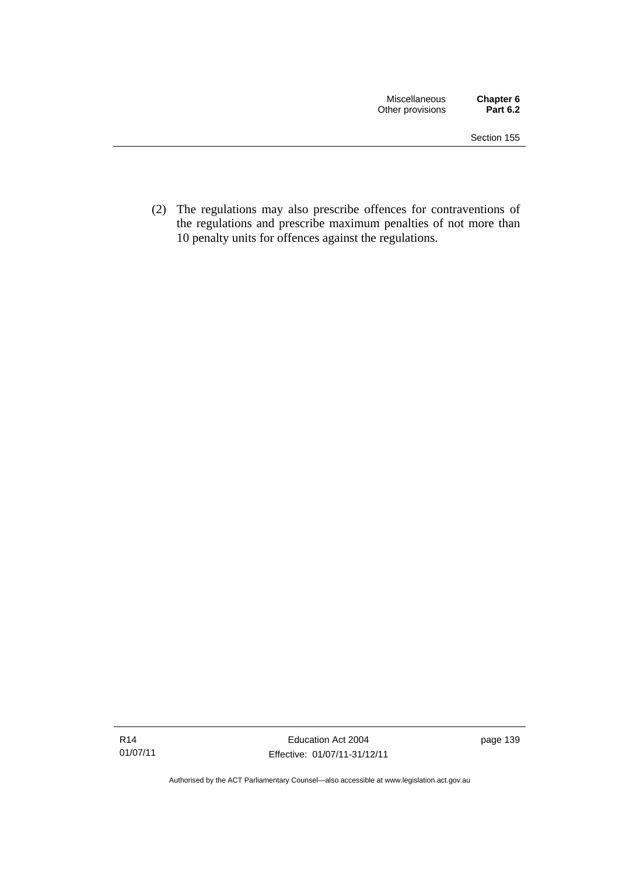(2) The regulations may also prescribe offences for contraventions of the regulations and prescribe maximum penalties of not more than 10 penalty units for offences against the regulations.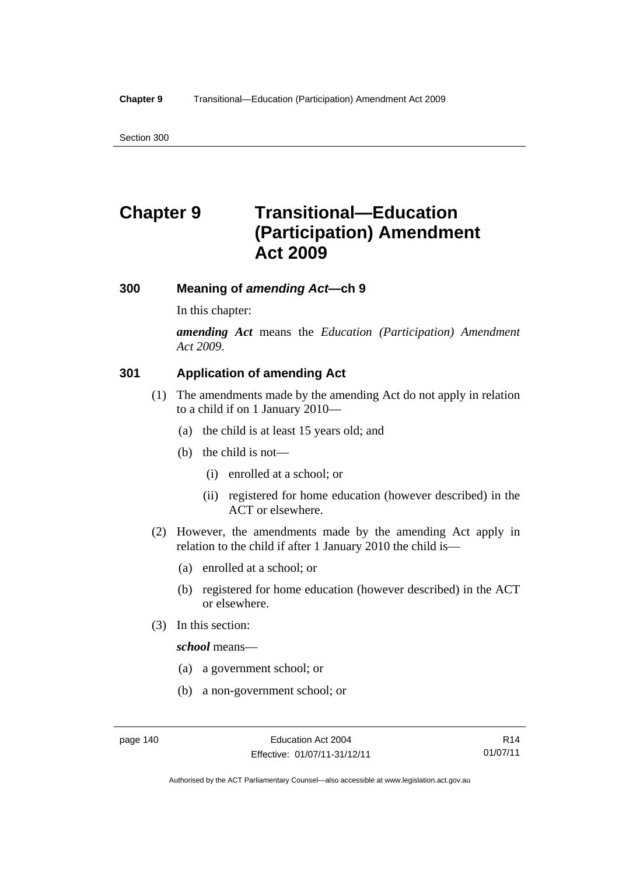Section 300

# **Chapter 9 Transitional—Education (Participation) Amendment Act 2009**

### **300 Meaning of** *amending Act***—ch 9**

In this chapter:

*amending Act* means the *Education (Participation) Amendment Act 2009*.

## **301 Application of amending Act**

- (1) The amendments made by the amending Act do not apply in relation to a child if on 1 January 2010—
	- (a) the child is at least 15 years old; and
	- (b) the child is not—
		- (i) enrolled at a school; or
		- (ii) registered for home education (however described) in the ACT or elsewhere.
- (2) However, the amendments made by the amending Act apply in relation to the child if after 1 January 2010 the child is—
	- (a) enrolled at a school; or
	- (b) registered for home education (however described) in the ACT or elsewhere.
- (3) In this section:

*school* means—

- (a) a government school; or
- (b) a non-government school; or

R14 01/07/11

Authorised by the ACT Parliamentary Counsel—also accessible at www.legislation.act.gov.au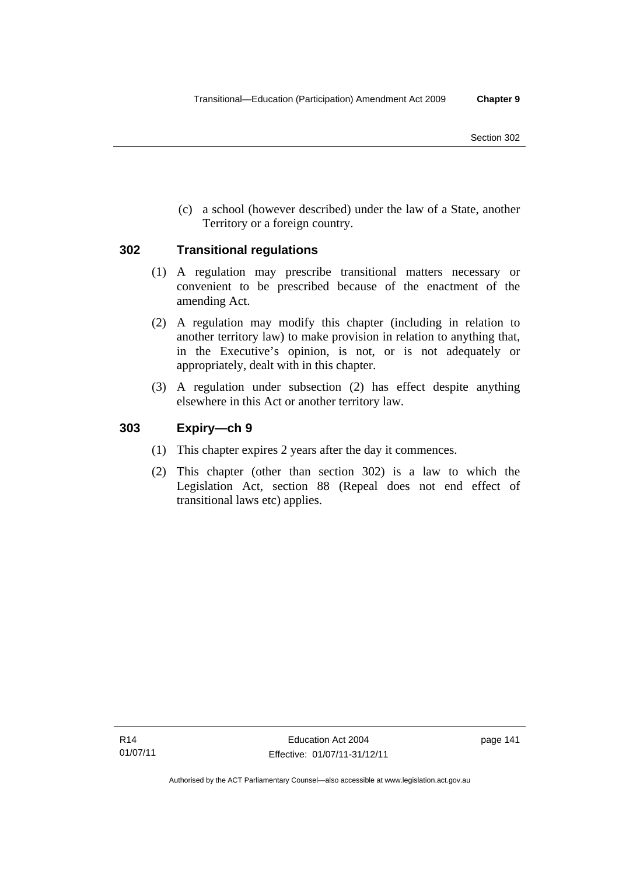(c) a school (however described) under the law of a State, another Territory or a foreign country.

## **302 Transitional regulations**

- (1) A regulation may prescribe transitional matters necessary or convenient to be prescribed because of the enactment of the amending Act.
- (2) A regulation may modify this chapter (including in relation to another territory law) to make provision in relation to anything that, in the Executive's opinion, is not, or is not adequately or appropriately, dealt with in this chapter.
- (3) A regulation under subsection (2) has effect despite anything elsewhere in this Act or another territory law.

# **303 Expiry—ch 9**

- (1) This chapter expires 2 years after the day it commences.
- (2) This chapter (other than section 302) is a law to which the Legislation Act, section 88 (Repeal does not end effect of transitional laws etc) applies.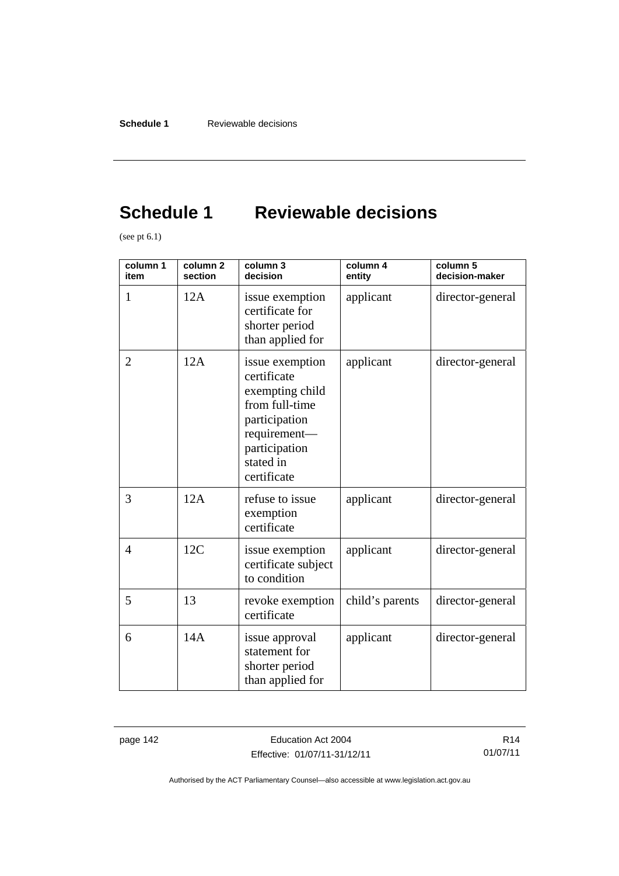# **Schedule 1 Reviewable decisions**

(see pt  $6.1$ )

| column 1<br>item | column <sub>2</sub><br>section | column 3<br>decision                                                                                                                              | column 4<br>entity | column 5<br>decision-maker |
|------------------|--------------------------------|---------------------------------------------------------------------------------------------------------------------------------------------------|--------------------|----------------------------|
| 1                | 12A                            | issue exemption<br>certificate for<br>shorter period<br>than applied for                                                                          | applicant          | director-general           |
| $\overline{2}$   | 12A                            | issue exemption<br>certificate<br>exempting child<br>from full-time<br>participation<br>requirement-<br>participation<br>stated in<br>certificate | applicant          | director-general           |
| 3                | 12A                            | refuse to issue<br>exemption<br>certificate                                                                                                       | applicant          | director-general           |
| $\overline{4}$   | 12C                            | issue exemption<br>certificate subject<br>to condition                                                                                            | applicant          | director-general           |
| 5                | 13                             | revoke exemption<br>certificate                                                                                                                   | child's parents    | director-general           |
| 6                | 14A                            | issue approval<br>statement for<br>shorter period<br>than applied for                                                                             | applicant          | director-general           |

page 142 **Education Act 2004** Effective: 01/07/11-31/12/11

R14 01/07/11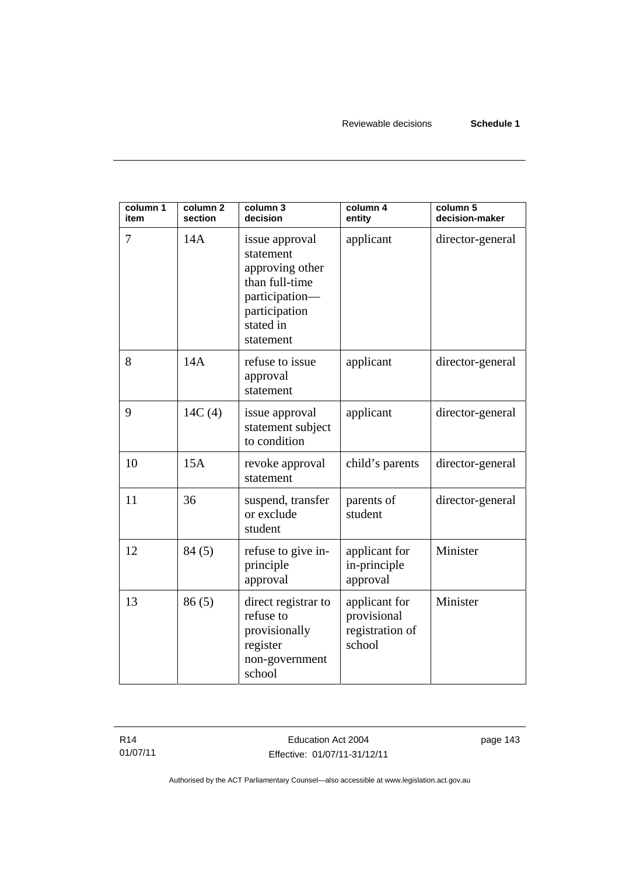| column 1<br>item | column <sub>2</sub><br>section | column 3<br>decision                                                                                                          | column 4<br>entity                                        | column 5<br>decision-maker |
|------------------|--------------------------------|-------------------------------------------------------------------------------------------------------------------------------|-----------------------------------------------------------|----------------------------|
| 7                | 14A                            | issue approval<br>statement<br>approving other<br>than full-time<br>participation-<br>participation<br>stated in<br>statement | applicant                                                 | director-general           |
| 8                | 14A                            | refuse to issue<br>approval<br>statement                                                                                      | applicant                                                 | director-general           |
| 9                | 14C(4)                         | issue approval<br>statement subject<br>to condition                                                                           | applicant                                                 | director-general           |
| 10               | 15A                            | revoke approval<br>statement                                                                                                  | child's parents                                           | director-general           |
| 11               | 36                             | suspend, transfer<br>or exclude<br>student                                                                                    | parents of<br>student                                     | director-general           |
| 12               | 84(5)                          | refuse to give in-<br>principle<br>approval                                                                                   | applicant for<br>in-principle<br>approval                 | Minister                   |
| 13               | 86(5)                          | direct registrar to<br>refuse to<br>provisionally<br>register<br>non-government<br>school                                     | applicant for<br>provisional<br>registration of<br>school | Minister                   |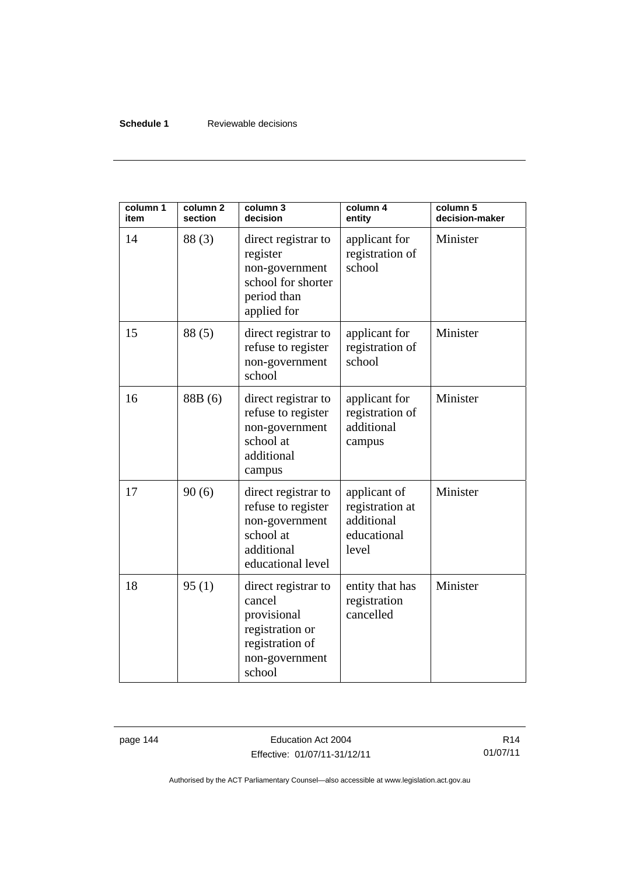### **Schedule 1** Reviewable decisions

| column 1<br>item | column <sub>2</sub><br>section | column 3<br>decision                                                                                           | column 4<br>entity                                                    | column 5<br>decision-maker |
|------------------|--------------------------------|----------------------------------------------------------------------------------------------------------------|-----------------------------------------------------------------------|----------------------------|
| 14               | 88(3)                          | direct registrar to<br>register<br>non-government<br>school for shorter<br>period than<br>applied for          | applicant for<br>registration of<br>school                            | Minister                   |
| 15               | 88(5)                          | direct registrar to<br>refuse to register<br>non-government<br>school                                          | applicant for<br>registration of<br>school                            | Minister                   |
| 16               | 88B (6)                        | direct registrar to<br>refuse to register<br>non-government<br>school at<br>additional<br>campus               | applicant for<br>registration of<br>additional<br>campus              | Minister                   |
| 17               | 90(6)                          | direct registrar to<br>refuse to register<br>non-government<br>school at<br>additional<br>educational level    | applicant of<br>registration at<br>additional<br>educational<br>level | Minister                   |
| 18               | 95(1)                          | direct registrar to<br>cancel<br>provisional<br>registration or<br>registration of<br>non-government<br>school | entity that has<br>registration<br>cancelled                          | Minister                   |

page 144 **Education Act 2004** Effective: 01/07/11-31/12/11

R14 01/07/11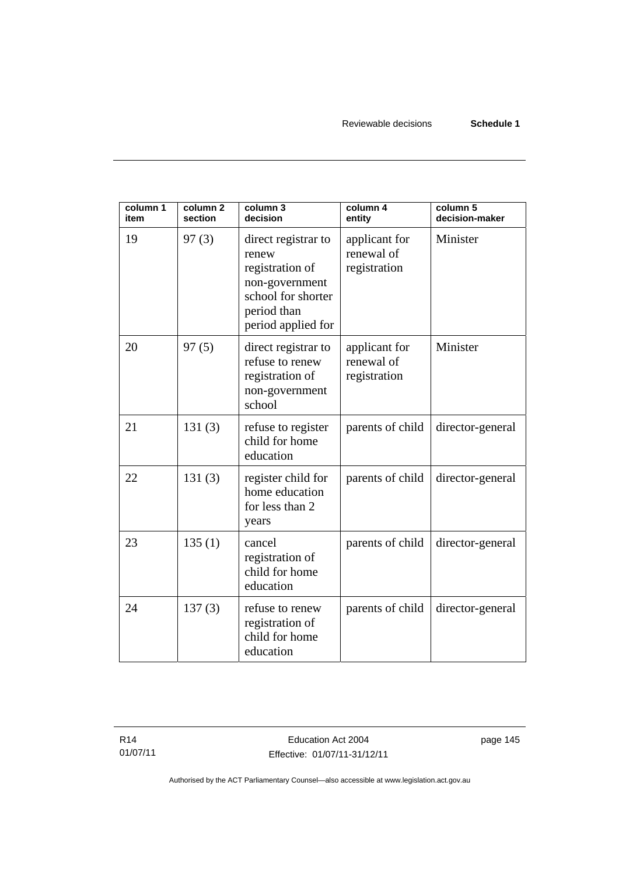| column 1<br>item | column <sub>2</sub><br>section | column 3<br>decision                                                                                                         | column 4<br>entity                          | column 5<br>decision-maker |
|------------------|--------------------------------|------------------------------------------------------------------------------------------------------------------------------|---------------------------------------------|----------------------------|
| 19               | 97(3)                          | direct registrar to<br>renew<br>registration of<br>non-government<br>school for shorter<br>period than<br>period applied for | applicant for<br>renewal of<br>registration | Minister                   |
| 20               | 97(5)                          | direct registrar to<br>refuse to renew<br>registration of<br>non-government<br>school                                        | applicant for<br>renewal of<br>registration | Minister                   |
| 21               | 131(3)                         | refuse to register<br>child for home<br>education                                                                            | parents of child                            | director-general           |
| 22               | 131(3)                         | register child for<br>home education<br>for less than 2<br>years                                                             | parents of child                            | director-general           |
| 23               | 135(1)                         | cancel<br>registration of<br>child for home<br>education                                                                     | parents of child                            | director-general           |
| 24               | 137(3)                         | refuse to renew<br>registration of<br>child for home<br>education                                                            | parents of child                            | director-general           |

R14 01/07/11 page 145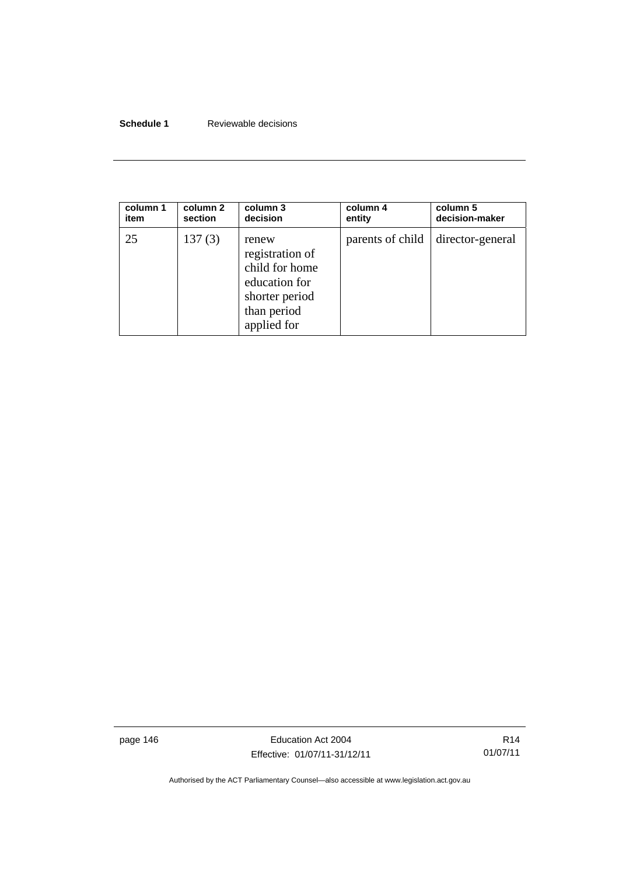## **Schedule 1** Reviewable decisions

| column 1 | column 2 | column 3                                                                                                    | column 4         | column 5         |
|----------|----------|-------------------------------------------------------------------------------------------------------------|------------------|------------------|
| item     | section  | decision                                                                                                    | entity           | decision-maker   |
| 25       | 137(3)   | renew<br>registration of<br>child for home<br>education for<br>shorter period<br>than period<br>applied for | parents of child | director-general |

page 146 **Education Act 2004** Effective: 01/07/11-31/12/11

R14 01/07/11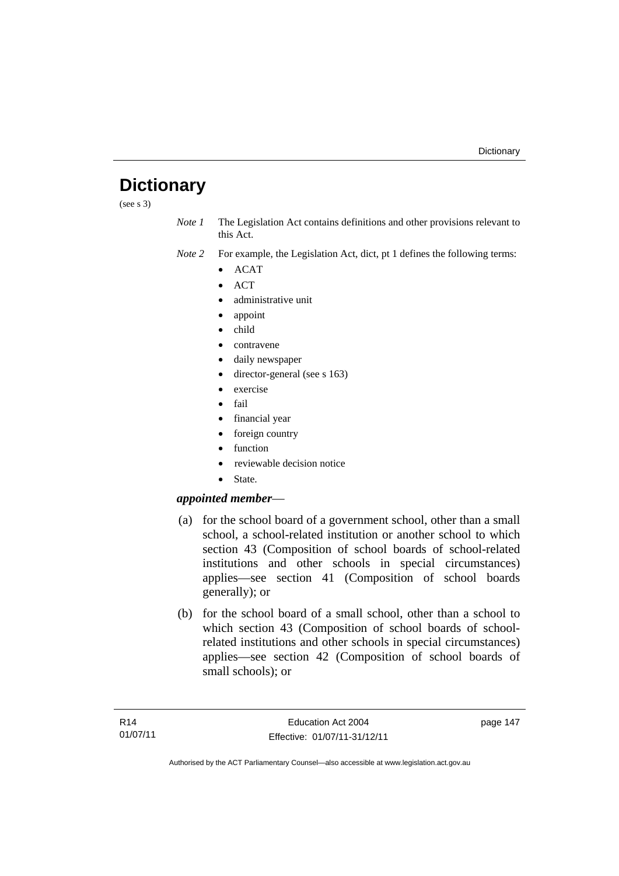# **Dictionary**

(see s 3)

- *Note 1* The Legislation Act contains definitions and other provisions relevant to this Act.
- *Note 2* For example, the Legislation Act, dict, pt 1 defines the following terms:
	- $\bullet$  ACAT
	- **ACT**
	- administrative unit
	- appoint
	- child
	- contravene
	- daily newspaper
	- director-general (see s 163)
	- exercise
	- fail
	- financial year
	- foreign country
	- function
	- reviewable decision notice
	- State.

## *appointed member*—

- (a) for the school board of a government school, other than a small school, a school-related institution or another school to which section 43 (Composition of school boards of school-related institutions and other schools in special circumstances) applies—see section 41 (Composition of school boards generally); or
- (b) for the school board of a small school, other than a school to which section 43 (Composition of school boards of schoolrelated institutions and other schools in special circumstances) applies—see section 42 (Composition of school boards of small schools); or

page 147

Authorised by the ACT Parliamentary Counsel—also accessible at www.legislation.act.gov.au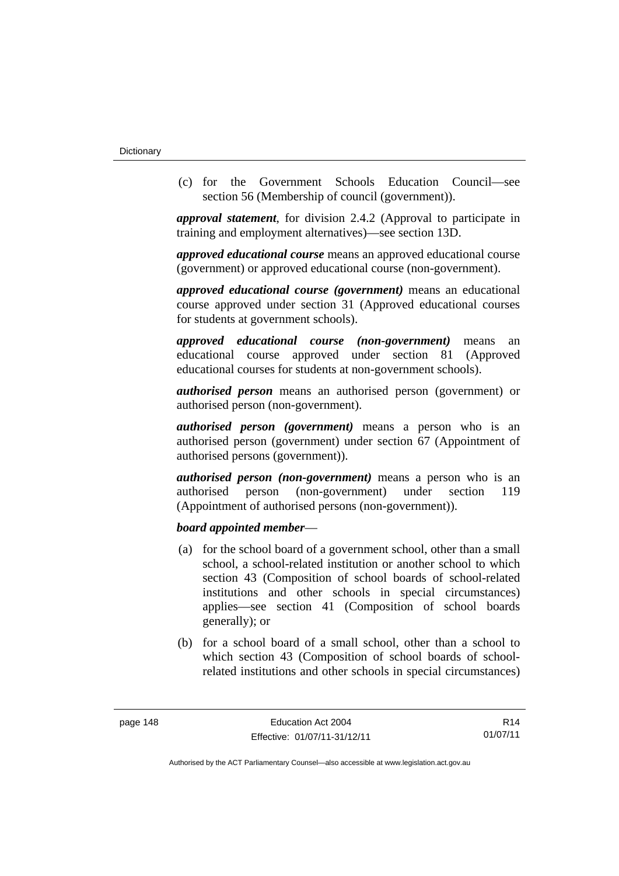(c) for the Government Schools Education Council—see section 56 (Membership of council (government)).

*approval statement*, for division 2.4.2 (Approval to participate in training and employment alternatives)—see section 13D.

*approved educational course* means an approved educational course (government) or approved educational course (non-government).

*approved educational course (government)* means an educational course approved under section 31 (Approved educational courses for students at government schools).

*approved educational course (non-government)* means an educational course approved under section 81 (Approved educational courses for students at non-government schools).

*authorised person* means an authorised person (government) or authorised person (non-government).

*authorised person (government)* means a person who is an authorised person (government) under section 67 (Appointment of authorised persons (government)).

*authorised person (non-government)* means a person who is an authorised person (non-government) under section 119 (Appointment of authorised persons (non-government)).

### *board appointed member*—

- (a) for the school board of a government school, other than a small school, a school-related institution or another school to which section 43 (Composition of school boards of school-related institutions and other schools in special circumstances) applies—see section 41 (Composition of school boards generally); or
- (b) for a school board of a small school, other than a school to which section 43 (Composition of school boards of schoolrelated institutions and other schools in special circumstances)

R14 01/07/11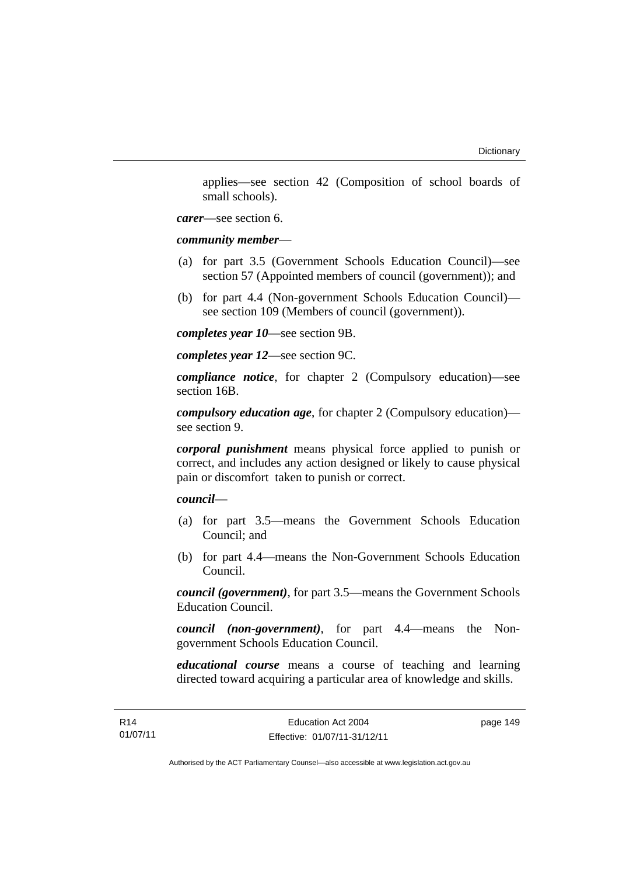applies—see section 42 (Composition of school boards of small schools).

*carer*—see section 6.

*community member*—

- (a) for part 3.5 (Government Schools Education Council)—see section 57 (Appointed members of council (government)); and
- (b) for part 4.4 (Non-government Schools Education Council) see section 109 (Members of council (government)).

*completes year 10*—see section 9B.

*completes year 12*—see section 9C.

*compliance notice*, for chapter 2 (Compulsory education)—see section 16B.

*compulsory education age*, for chapter 2 (Compulsory education) see section 9.

*corporal punishment* means physical force applied to punish or correct, and includes any action designed or likely to cause physical pain or discomfort taken to punish or correct.

*council*—

- (a) for part 3.5—means the Government Schools Education Council; and
- (b) for part 4.4—means the Non-Government Schools Education Council.

*council (government)*, for part 3.5—means the Government Schools Education Council.

*council (non-government)*, for part 4.4—means the Nongovernment Schools Education Council.

*educational course* means a course of teaching and learning directed toward acquiring a particular area of knowledge and skills.

page 149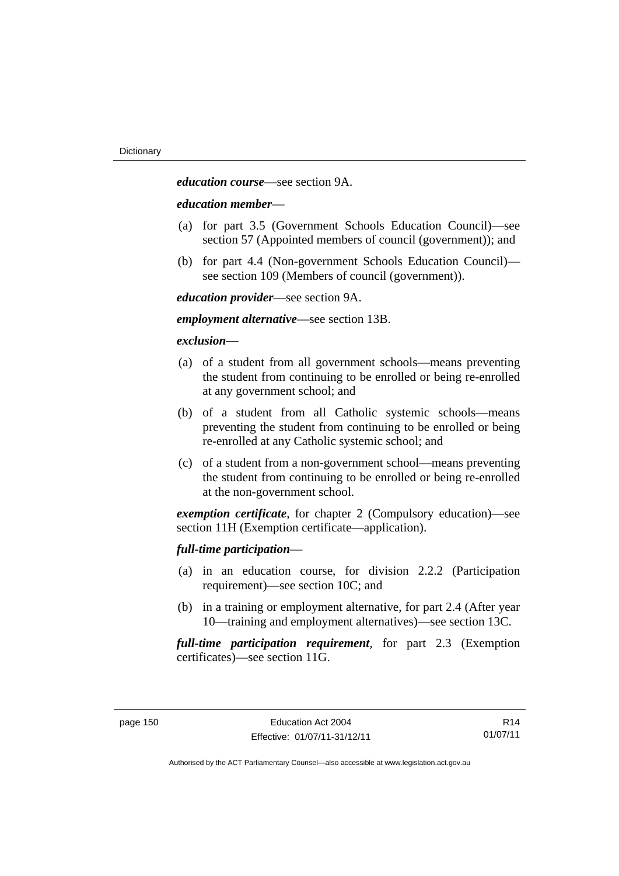*education course*—see section 9A.

#### *education member*—

- (a) for part 3.5 (Government Schools Education Council)—see section 57 (Appointed members of council (government)); and
- (b) for part 4.4 (Non-government Schools Education Council) see section 109 (Members of council (government)).

*education provider*—see section 9A.

*employment alternative*—see section 13B.

#### *exclusion***—**

- (a) of a student from all government schools—means preventing the student from continuing to be enrolled or being re-enrolled at any government school; and
- (b) of a student from all Catholic systemic schools—means preventing the student from continuing to be enrolled or being re-enrolled at any Catholic systemic school; and
- (c) of a student from a non-government school—means preventing the student from continuing to be enrolled or being re-enrolled at the non-government school.

*exemption certificate*, for chapter 2 (Compulsory education)—see section 11H (Exemption certificate—application).

### *full-time participation*—

- (a) in an education course, for division 2.2.2 (Participation requirement)—see section 10C; and
- (b) in a training or employment alternative, for part 2.4 (After year 10—training and employment alternatives)—see section 13C.

*full-time participation requirement*, for part 2.3 (Exemption certificates)—see section 11G.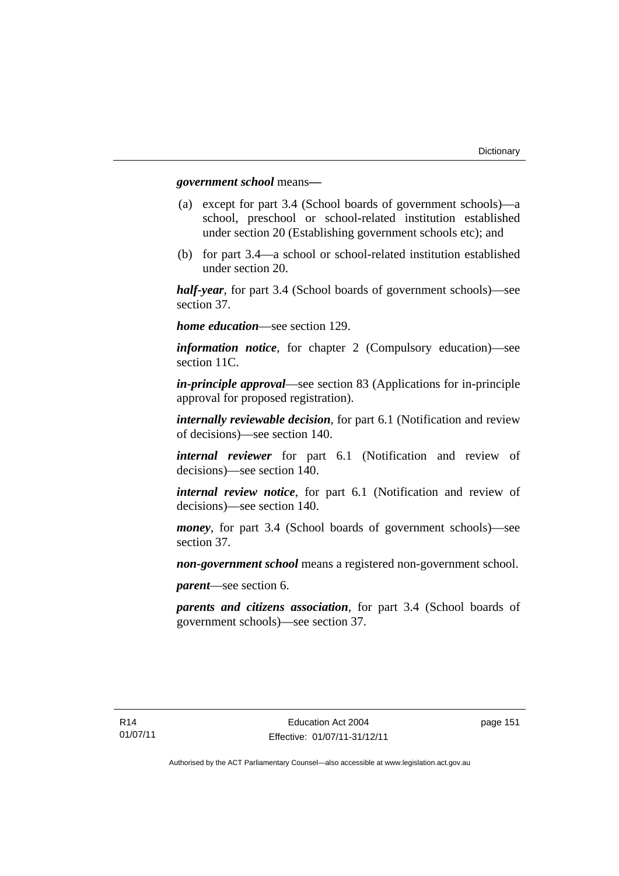#### *government school* means*—*

- (a) except for part 3.4 (School boards of government schools)—a school, preschool or school-related institution established under section 20 (Establishing government schools etc); and
- (b) for part 3.4—a school or school-related institution established under section 20.

*half-year*, for part 3.4 (School boards of government schools)—see section 37.

*home education*—see section 129.

*information notice*, for chapter 2 (Compulsory education)—see section 11C.

*in-principle approval*—see section 83 (Applications for in-principle approval for proposed registration).

*internally reviewable decision*, for part 6.1 (Notification and review of decisions)—see section 140.

*internal reviewer* for part 6.1 (Notification and review of decisions)—see section 140.

*internal review notice*, for part 6.1 (Notification and review of decisions)—see section 140.

*money*, for part 3.4 (School boards of government schools)—see section 37.

*non-government school* means a registered non-government school.

*parent*—see section 6.

*parents and citizens association*, for part 3.4 (School boards of government schools)—see section 37.

page 151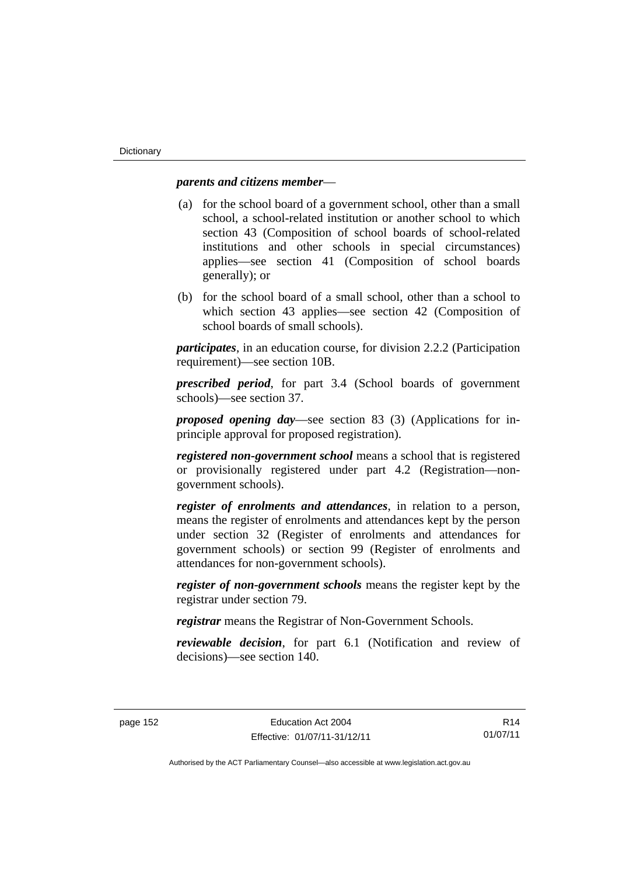#### *parents and citizens member*—

- (a) for the school board of a government school, other than a small school, a school-related institution or another school to which section 43 (Composition of school boards of school-related institutions and other schools in special circumstances) applies—see section 41 (Composition of school boards generally); or
- (b) for the school board of a small school, other than a school to which section 43 applies—see section 42 (Composition of school boards of small schools).

*participates*, in an education course, for division 2.2.2 (Participation requirement)—see section 10B.

*prescribed period*, for part 3.4 (School boards of government schools)—see section 37.

*proposed opening day*—see section 83 (3) (Applications for inprinciple approval for proposed registration).

*registered non-government school* means a school that is registered or provisionally registered under part 4.2 (Registration—nongovernment schools).

*register of enrolments and attendances*, in relation to a person, means the register of enrolments and attendances kept by the person under section 32 (Register of enrolments and attendances for government schools) or section 99 (Register of enrolments and attendances for non-government schools).

*register of non-government schools* means the register kept by the registrar under section 79.

*registrar* means the Registrar of Non-Government Schools.

*reviewable decision*, for part 6.1 (Notification and review of decisions)—see section 140.

R14 01/07/11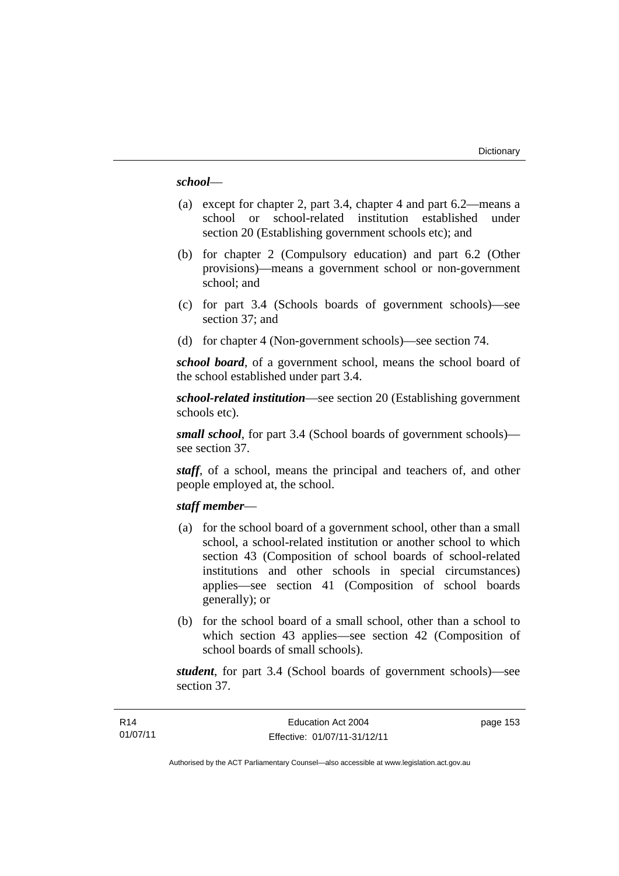#### *school*—

- (a) except for chapter 2, part 3.4, chapter 4 and part 6.2—means a school or school-related institution established under section 20 (Establishing government schools etc); and
- (b) for chapter 2 (Compulsory education) and part 6.2 (Other provisions)—means a government school or non-government school; and
- (c) for part 3.4 (Schools boards of government schools)—see section 37; and
- (d) for chapter 4 (Non-government schools)—see section 74.

*school board*, of a government school, means the school board of the school established under part 3.4.

*school-related institution*—see section 20 (Establishing government schools etc).

*small school*, for part 3.4 (School boards of government schools) see section 37.

*staff*, of a school, means the principal and teachers of, and other people employed at, the school.

#### *staff member*—

- (a) for the school board of a government school, other than a small school, a school-related institution or another school to which section 43 (Composition of school boards of school-related institutions and other schools in special circumstances) applies—see section 41 (Composition of school boards generally); or
- (b) for the school board of a small school, other than a school to which section 43 applies—see section 42 (Composition of school boards of small schools).

*student*, for part 3.4 (School boards of government schools)—see section 37.

page 153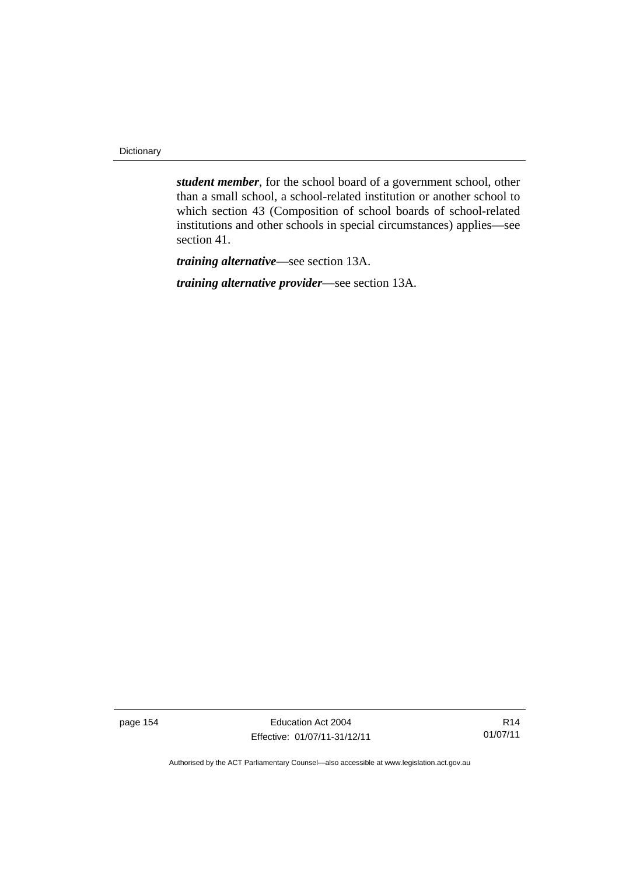**Dictionary** 

*student member*, for the school board of a government school, other than a small school, a school-related institution or another school to which section 43 (Composition of school boards of school-related institutions and other schools in special circumstances) applies—see section 41.

*training alternative*—see section 13A.

*training alternative provider*—see section 13A.

page 154 **Education Act 2004** Effective: 01/07/11-31/12/11

R14 01/07/11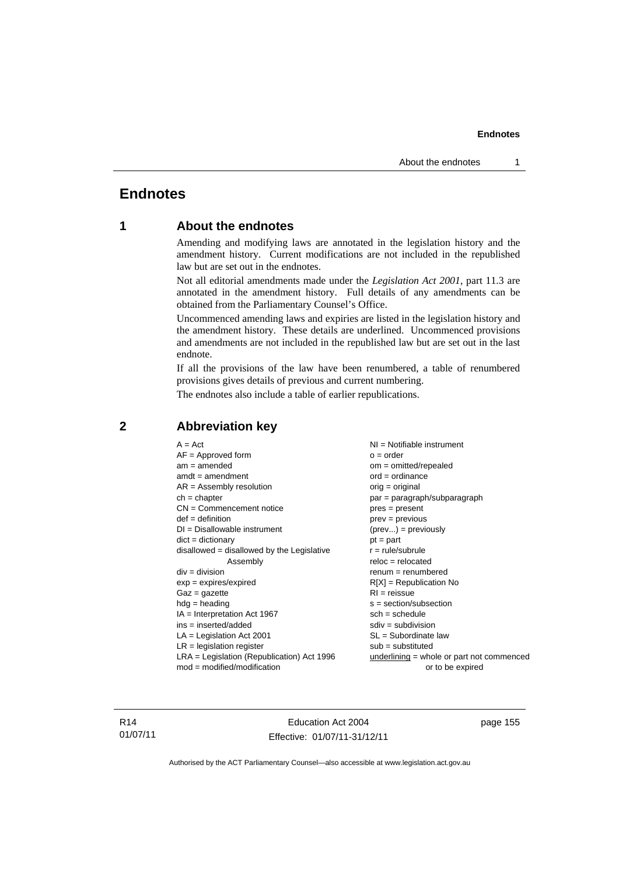# **Endnotes**

## **1 About the endnotes**

Amending and modifying laws are annotated in the legislation history and the amendment history. Current modifications are not included in the republished law but are set out in the endnotes.

Not all editorial amendments made under the *Legislation Act 2001*, part 11.3 are annotated in the amendment history. Full details of any amendments can be obtained from the Parliamentary Counsel's Office.

Uncommenced amending laws and expiries are listed in the legislation history and the amendment history. These details are underlined. Uncommenced provisions and amendments are not included in the republished law but are set out in the last endnote.

If all the provisions of the law have been renumbered, a table of renumbered provisions gives details of previous and current numbering.

The endnotes also include a table of earlier republications.

| $A = Act$                                    | NI = Notifiable instrument                |
|----------------------------------------------|-------------------------------------------|
| $AF =$ Approved form                         | $o = order$                               |
| $am = amended$                               | $om = omitted/repealed$                   |
| $amdt = amendment$                           | $ord = ordinance$                         |
| $AR = Assembly resolution$                   | $orig = original$                         |
| $ch = chapter$                               | $par = paragraph/subparagraph$            |
| $CN =$ Commencement notice                   | $pres = present$                          |
| $def = definition$                           | $prev = previous$                         |
| $DI = Disallowable instrument$               | $(\text{prev}) = \text{previously}$       |
| $dict = dictionary$                          | $pt = part$                               |
| disallowed = disallowed by the Legislative   | $r = rule/subrule$                        |
| Assembly                                     | $reloc = relocated$                       |
| $div = division$                             | $remum = renumbered$                      |
| $exp = expires/expired$                      | $R[X]$ = Republication No                 |
| $Gaz = gazette$                              | $RI = reissue$                            |
| $hdg = heading$                              | $s = section/subsection$                  |
| $IA = Interpretation Act 1967$               | $sch = schedule$                          |
| $ins = inserted/added$                       | $sdiv = subdivision$                      |
| $LA =$ Legislation Act 2001                  | $SL = Subordinate$ law                    |
| $LR =$ legislation register                  | $sub =$ substituted                       |
| $LRA =$ Legislation (Republication) Act 1996 | underlining = whole or part not commenced |
| $mod = modified/modification$                | or to be expired                          |
|                                              |                                           |

## **2 Abbreviation key**

R14 01/07/11

Education Act 2004 Effective: 01/07/11-31/12/11 page 155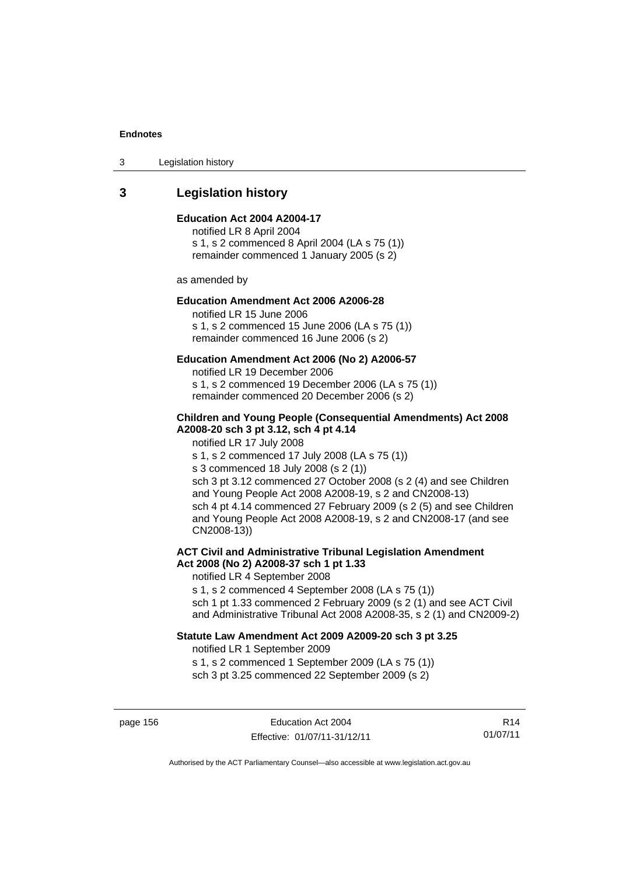3 Legislation history

# **3 Legislation history**

#### **Education Act 2004 A2004-17**

notified LR 8 April 2004 s 1, s 2 commenced 8 April 2004 (LA s 75 (1)) remainder commenced 1 January 2005 (s 2)

as amended by

#### **Education Amendment Act 2006 A2006-28**

notified LR 15 June 2006 s 1, s 2 commenced 15 June 2006 (LA s 75 (1)) remainder commenced 16 June 2006 (s 2)

#### **Education Amendment Act 2006 (No 2) A2006-57**

notified LR 19 December 2006 s 1, s 2 commenced 19 December 2006 (LA s 75 (1)) remainder commenced 20 December 2006 (s 2)

#### **Children and Young People (Consequential Amendments) Act 2008 A2008-20 sch 3 pt 3.12, sch 4 pt 4.14**

notified LR 17 July 2008

s 1, s 2 commenced 17 July 2008 (LA s 75 (1))

s 3 commenced 18 July 2008 (s 2 (1))

sch 3 pt 3.12 commenced 27 October 2008 (s 2 (4) and see Children and Young People Act 2008 A2008-19, s 2 and CN2008-13) sch 4 pt 4.14 commenced 27 February 2009 (s 2 (5) and see Children and Young People Act 2008 A2008-19, s 2 and CN2008-17 (and see CN2008-13))

## **ACT Civil and Administrative Tribunal Legislation Amendment Act 2008 (No 2) A2008-37 sch 1 pt 1.33**

notified LR 4 September 2008

s 1, s 2 commenced 4 September 2008 (LA s 75 (1))

sch 1 pt 1.33 commenced 2 February 2009 (s 2 (1) and see ACT Civil and Administrative Tribunal Act 2008 A2008-35, s 2 (1) and CN2009-2)

#### **Statute Law Amendment Act 2009 A2009-20 sch 3 pt 3.25**

notified LR 1 September 2009

s 1, s 2 commenced 1 September 2009 (LA s 75 (1)) sch 3 pt 3.25 commenced 22 September 2009 (s 2)

page 156 **Education Act 2004** Effective: 01/07/11-31/12/11

R14 01/07/11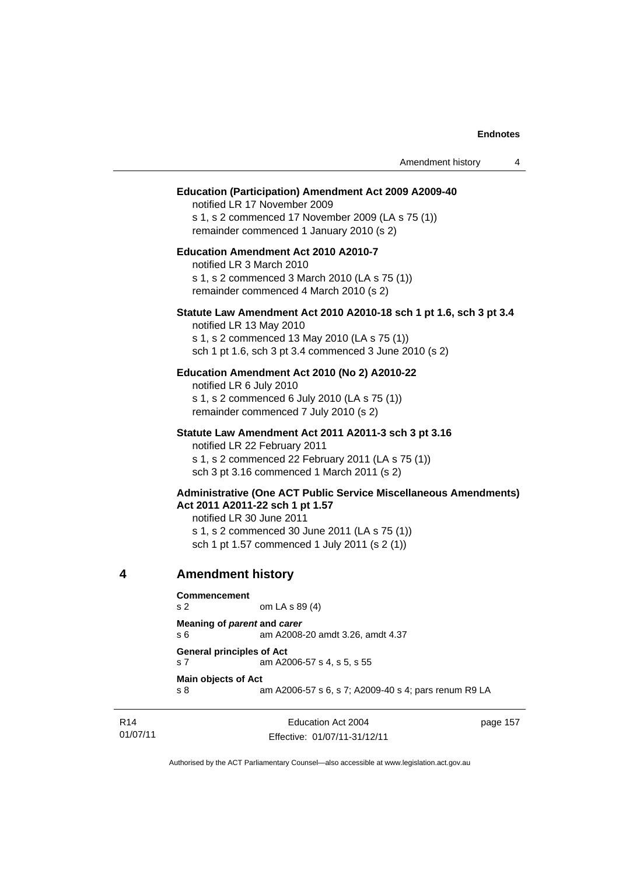|   |                                                             |                                                                                                                                                                                               | Amendment history | 4 |
|---|-------------------------------------------------------------|-----------------------------------------------------------------------------------------------------------------------------------------------------------------------------------------------|-------------------|---|
|   |                                                             | <b>Education (Participation) Amendment Act 2009 A2009-40</b><br>notified LR 17 November 2009<br>s 1, s 2 commenced 17 November 2009 (LA s 75 (1))<br>remainder commenced 1 January 2010 (s 2) |                   |   |
|   | notified LR 3 March 2010                                    | <b>Education Amendment Act 2010 A2010-7</b><br>s 1, s 2 commenced 3 March 2010 (LA s 75 (1))<br>remainder commenced 4 March 2010 (s 2)                                                        |                   |   |
|   | notified LR 13 May 2010                                     | Statute Law Amendment Act 2010 A2010-18 sch 1 pt 1.6, sch 3 pt 3.4<br>s 1, s 2 commenced 13 May 2010 (LA s 75 (1))<br>sch 1 pt 1.6, sch 3 pt 3.4 commenced 3 June 2010 (s 2)                  |                   |   |
|   | notified LR 6 July 2010                                     | Education Amendment Act 2010 (No 2) A2010-22<br>s 1, s 2 commenced 6 July 2010 (LA s 75 (1))<br>remainder commenced 7 July 2010 (s 2)                                                         |                   |   |
|   |                                                             | Statute Law Amendment Act 2011 A2011-3 sch 3 pt 3.16<br>notified LR 22 February 2011<br>s 1, s 2 commenced 22 February 2011 (LA s 75 (1))<br>sch 3 pt 3.16 commenced 1 March 2011 (s 2)       |                   |   |
|   | Act 2011 A2011-22 sch 1 pt 1.57<br>notified LR 30 June 2011 | <b>Administrative (One ACT Public Service Miscellaneous Amendments)</b><br>s 1, s 2 commenced 30 June 2011 (LA s 75 (1))<br>sch 1 pt 1.57 commenced 1 July 2011 (s 2 (1))                     |                   |   |
| 4 | <b>Amendment history</b>                                    |                                                                                                                                                                                               |                   |   |
|   | <b>Commencement</b><br>s 2                                  | om LA s 89 (4)                                                                                                                                                                                |                   |   |
|   | Meaning of parent and carer<br>s 6                          | am A2008-20 amdt 3.26, amdt 4.37                                                                                                                                                              |                   |   |
|   | <b>General principles of Act</b><br>s 7                     | am A2006-57 s 4, s 5, s 55                                                                                                                                                                    |                   |   |
|   | <b>Main objects of Act</b><br>s 8                           | am A2006-57 s 6, s 7; A2009-40 s 4; pars renum R9 LA                                                                                                                                          |                   |   |

Education Act 2004 Effective: 01/07/11-31/12/11 page 157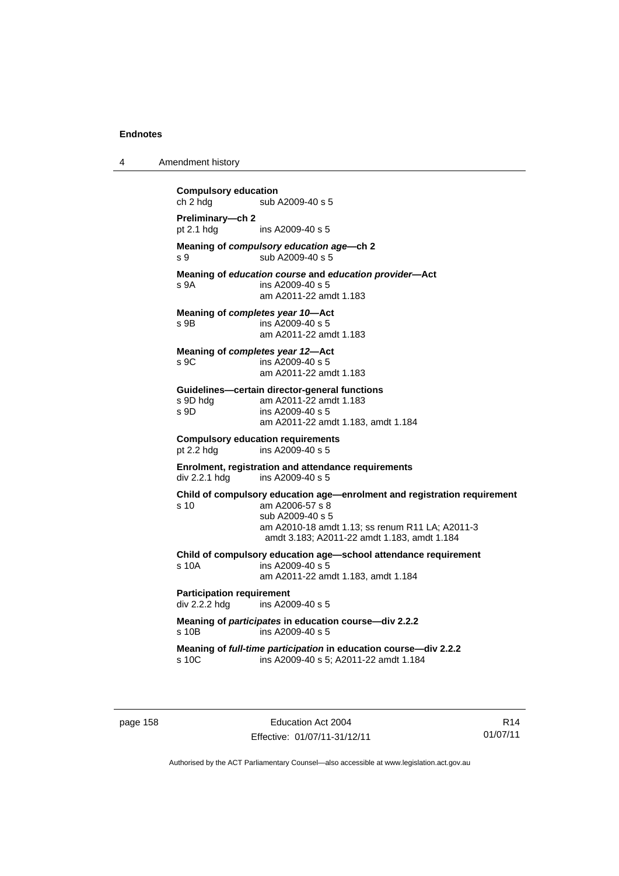| 4 | Amendment history                                                                                                                                                                                                         |
|---|---------------------------------------------------------------------------------------------------------------------------------------------------------------------------------------------------------------------------|
|   | <b>Compulsory education</b><br>ch 2 hdg<br>sub A2009-40 s 5                                                                                                                                                               |
|   | Preliminary-ch 2<br>pt 2.1 hdg<br>ins A2009-40 s 5                                                                                                                                                                        |
|   | Meaning of compulsory education age—ch 2<br>sub A2009-40 s 5<br>s 9                                                                                                                                                       |
|   | Meaning of education course and education provider-Act<br>ins A2009-40 s 5<br>s 9A<br>am A2011-22 amdt 1.183                                                                                                              |
|   | Meaning of completes year 10-Act<br>ins A2009-40 s 5<br>s 9B<br>am A2011-22 amdt 1.183                                                                                                                                    |
|   | Meaning of completes year 12-Act<br>S.9C<br>ins A2009-40 s 5<br>am A2011-22 amdt 1.183                                                                                                                                    |
|   | Guidelines-certain director-general functions<br>am A2011-22 amdt 1.183<br>s 9D hdg<br>s 9D<br>ins A2009-40 s 5<br>am A2011-22 amdt 1.183, amdt 1.184                                                                     |
|   | <b>Compulsory education requirements</b><br>pt 2.2 hdg<br>ins A2009-40 s 5                                                                                                                                                |
|   | Enrolment, registration and attendance requirements<br>div 2.2.1 hdg<br>ins A2009-40 s 5                                                                                                                                  |
|   | Child of compulsory education age—enrolment and registration requirement<br>s 10<br>am A2006-57 s 8<br>sub A2009-40 s 5<br>am A2010-18 amdt 1.13; ss renum R11 LA; A2011-3<br>amdt 3.183; A2011-22 amdt 1.183, amdt 1.184 |
|   | Child of compulsory education age-school attendance requirement<br>s 10A<br>ins A2009-40 s 5<br>am A2011-22 amdt 1.183, amdt 1.184                                                                                        |
|   | <b>Participation requirement</b><br>div 2.2.2 hdg<br>ins A2009-40 s 5                                                                                                                                                     |
|   | Meaning of participates in education course-div 2.2.2<br>s 10B<br>ins A2009-40 s 5                                                                                                                                        |
|   | Meaning of full-time participation in education course-div 2.2.2<br>s 10C<br>ins A2009-40 s 5; A2011-22 amdt 1.184                                                                                                        |
|   |                                                                                                                                                                                                                           |

page 158 **Education Act 2004** Effective: 01/07/11-31/12/11

R14 01/07/11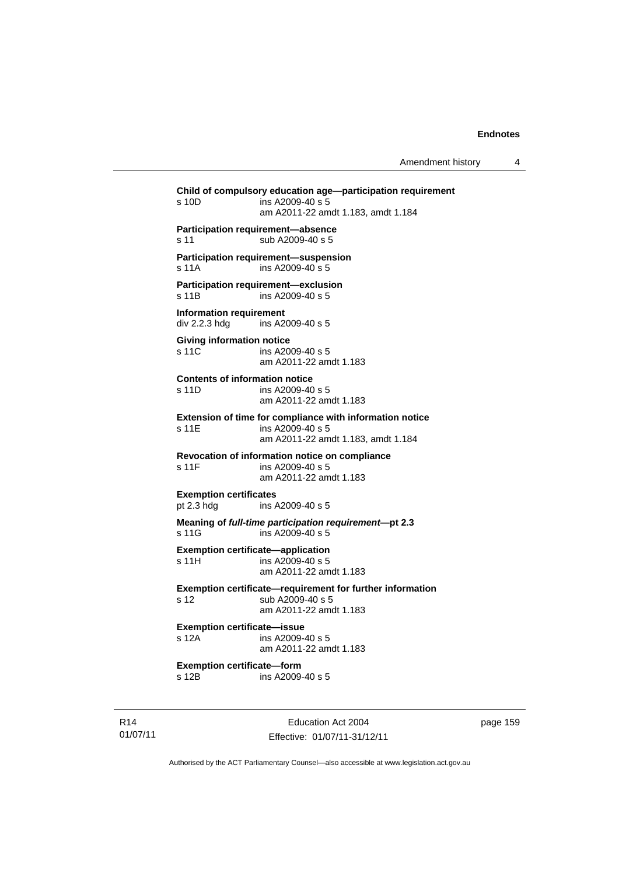**Child of compulsory education age—participation requirement**  s 10D ins A2009-40 s 5 am A2011-22 amdt 1.183, amdt 1.184 **Participation requirement—absence**  s 11 sub A2009-40 s 5 **Participation requirement—suspension**  s 11A ins A2009-40 s 5 **Participation requirement—exclusion**  s 11B ins A2009-40 s 5 **Information requirement**  div 2.2.3 hdg ins A2009-40 s 5 **Giving information notice**  s 11C ins A2009-40 s 5 am A2011-22 amdt 1.183 **Contents of information notice**  s 11D ins A2009-40 s 5 am A2011-22 amdt 1.183 **Extension of time for compliance with information notice**  s 11E ins A2009-40 s 5 am A2011-22 amdt 1.183, amdt 1.184 **Revocation of information notice on compliance**  s 11F ins A2009-40 s 5 am A2011-22 amdt 1.183 **Exemption certificates**<br>pt 2.3 hdg ins / ins A2009-40 s 5 **Meaning of** *full-time participation requirement***—pt 2.3**  s 11G ins A2009-40 s 5 **Exemption certificate—application**  s 11H ins A2009-40 s 5 am A2011-22 amdt 1.183 **Exemption certificate—requirement for further information**  s 12 sub A2009-40 s 5 am A2011-22 amdt 1.183 **Exemption certificate—issue**  s 12A ins A2009-40 s 5 am A2011-22 amdt 1.183 **Exemption certificate—form**  s 12B ins A2009-40 s 5

R14 01/07/11

Education Act 2004 Effective: 01/07/11-31/12/11 page 159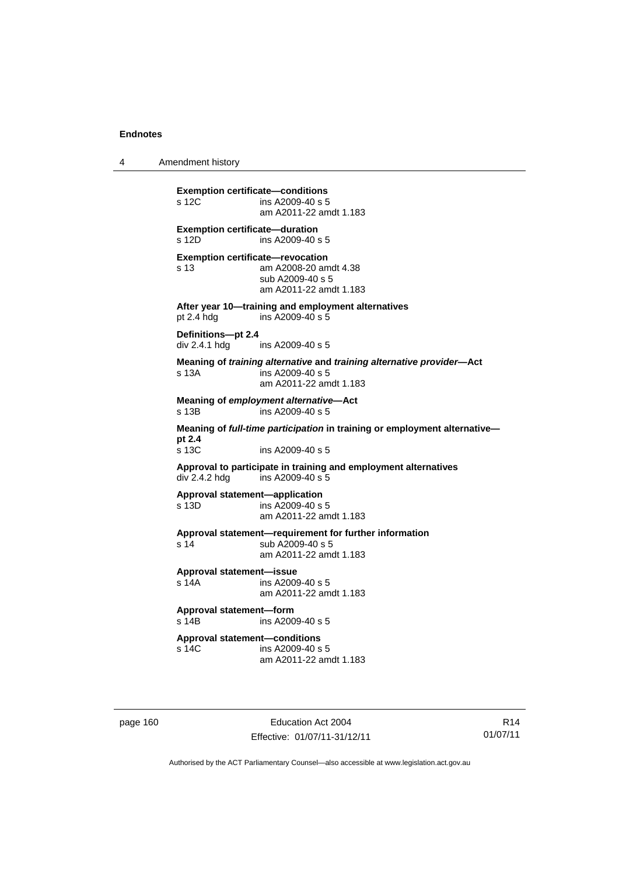4 Amendment history

```
Exemption certificate—conditions 
s 12C ins A2009-40 s 5
                  am A2011-22 amdt 1.183 
Exemption certificate—duration 
s 12D ins A2009-40 s 5
Exemption certificate—revocation 
s 13 am A2008-20 amdt 4.38 
                 sub A2009-40 s 5 
                 am A2011-22 amdt 1.183 
After year 10—training and employment alternatives 
pt 2.4 hdg ins A2009-40 s 5 
Definitions—pt 2.4 
div 2.4.1 hdg ins A2009-40 s 5 
Meaning of training alternative and training alternative provider—Act 
s 13A ins A2009-40 s 5
                 am A2011-22 amdt 1.183 
Meaning of employment alternative—Act 
s 13B ins A2009-40 s 5 
Meaning of full-time participation in training or employment alternative—
pt 2.4 
                 ins A2009-40 s 5
Approval to participate in training and employment alternatives 
div 2.4.2 hdg ins A2009-40 s 5 
Approval statement—application 
                ins A2009-40 s 5
                  am A2011-22 amdt 1.183 
Approval statement—requirement for further information 
s 14 sub A2009-40 s 5
                  am A2011-22 amdt 1.183 
Approval statement—issue 
s 14A ins A2009-40 s 5 
                 am A2011-22 amdt 1.183 
Approval statement—form 
s 14B ins A2009-40 s 5 
Approval statement—conditions 
s 14C ins A2009-40 s 5 
                  am A2011-22 amdt 1.183
```
page 160 Education Act 2004 Effective: 01/07/11-31/12/11

R14 01/07/11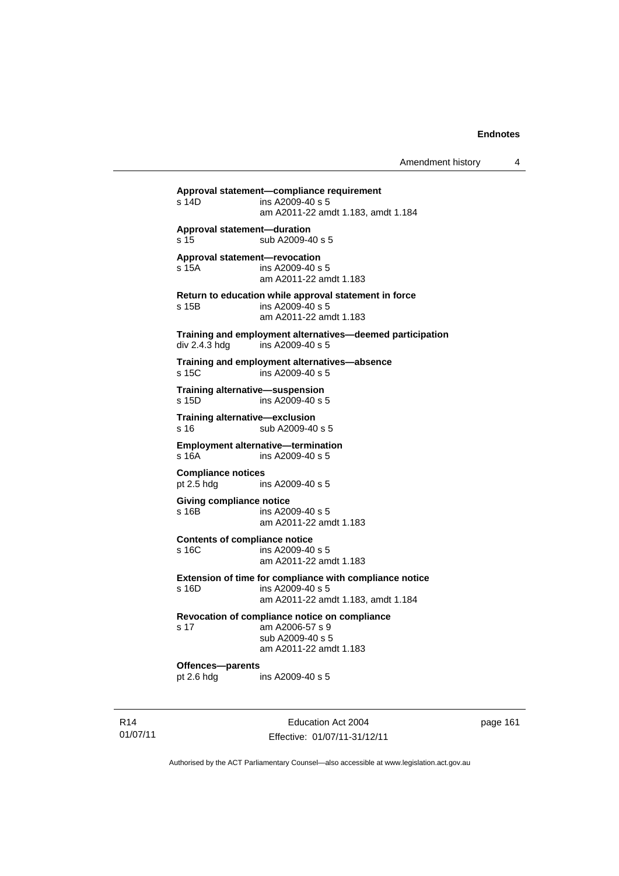**Approval statement—compliance requirement**   $ins$  A2009-40 s 5 am A2011-22 amdt 1.183, amdt 1.184 **Approval statement—duration**  s 15 sub A2009-40 s 5 **Approval statement—revocation**  s 15A ins A2009-40 s 5 am A2011-22 amdt 1.183 **Return to education while approval statement in force**  s 15B ins A2009-40 s 5 am A2011-22 amdt 1.183 **Training and employment alternatives—deemed participation**  div 2.4.3 hdg ins A2009-40 s 5 **Training and employment alternatives—absence**  s 15C ins A2009-40 s 5 **Training alternative—suspension**  s 15D ins A2009-40 s 5 **Training alternative—exclusion**  s 16 sub A2009-40 s 5 **Employment alternative—termination**  s 16A ins A2009-40 s 5 **Compliance notices**  pt 2.5 hdg ins A2009-40 s 5 **Giving compliance notice**  s 16B ins A2009-40 s 5 am A2011-22 amdt 1.183 **Contents of compliance notice**  s 16C ins A2009-40 s 5 am A2011-22 amdt 1.183 **Extension of time for compliance with compliance notice**  s 16D ins A2009-40 s 5 am A2011-22 amdt 1.183, amdt 1.184 **Revocation of compliance notice on compliance**  s 17 am A2006-57 s 9 sub A2009-40 s 5 am A2011-22 amdt 1.183 **Offences—parents**  pt 2.6 hdg ins A2009-40 s 5

R14 01/07/11

Education Act 2004 Effective: 01/07/11-31/12/11 page 161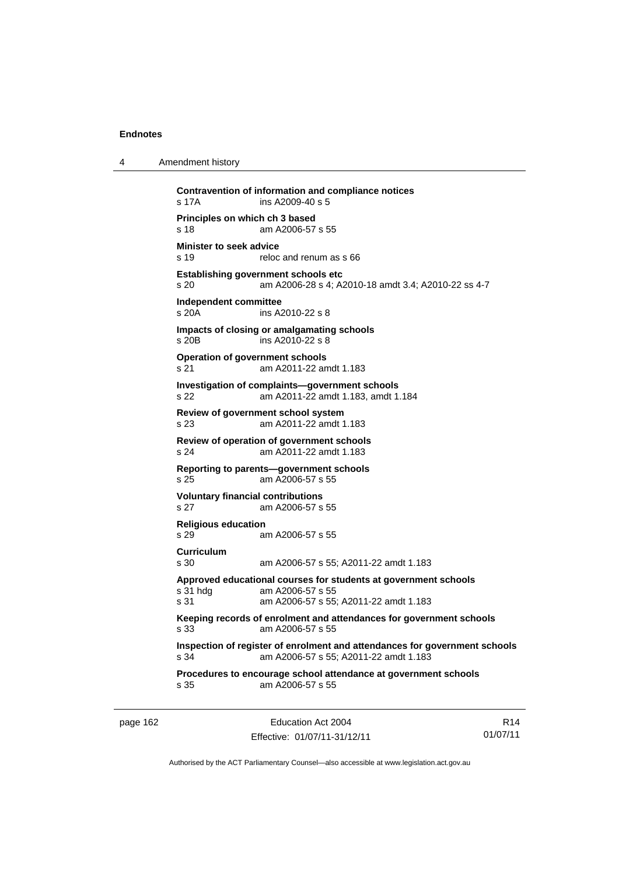4 Amendment history

| s 17A                                                       | Contravention of information and compliance notices<br>ins A2009-40 s 5                                                      |
|-------------------------------------------------------------|------------------------------------------------------------------------------------------------------------------------------|
| Principles on which ch 3 based<br>s 18                      | am A2006-57 s 55                                                                                                             |
| Minister to seek advice<br>s 19                             | reloc and renum as s 66                                                                                                      |
| <b>Establishing government schools etc</b><br>s 20          | am A2006-28 s 4; A2010-18 amdt 3.4; A2010-22 ss 4-7                                                                          |
| Independent committee<br>$s$ 20 $A$                         | ins A2010-22 s 8                                                                                                             |
| Impacts of closing or amalgamating schools<br>$s$ 20 $B$    | ins A2010-22 s 8                                                                                                             |
| <b>Operation of government schools</b><br>s 21              | am A2011-22 amdt 1.183                                                                                                       |
| s 22                                                        | Investigation of complaints-government schools<br>am A2011-22 amdt 1.183, amdt 1.184                                         |
| Review of government school system<br>s 23                  | am A2011-22 amdt 1.183                                                                                                       |
| Review of operation of government schools<br>s 24           | am A2011-22 amdt 1.183                                                                                                       |
| Reporting to parents-government schools<br>s 25             | am A2006-57 s 55                                                                                                             |
| <b>Voluntary financial contributions</b><br>s <sub>27</sub> | am A2006-57 s 55                                                                                                             |
| <b>Religious education</b><br>s 29                          | am A2006-57 s 55                                                                                                             |
| <b>Curriculum</b>                                           |                                                                                                                              |
| s 30                                                        | am A2006-57 s 55; A2011-22 amdt 1.183                                                                                        |
| s 31 hdg<br>s 31                                            | Approved educational courses for students at government schools<br>am A2006-57 s 55<br>am A2006-57 s 55; A2011-22 amdt 1.183 |
| s 33                                                        | Keeping records of enrolment and attendances for government schools<br>am A2006-57 s 55                                      |
| s 34                                                        | Inspection of register of enrolment and attendances for government schools<br>am A2006-57 s 55; A2011-22 amdt 1.183          |
| s 35                                                        | Procedures to encourage school attendance at government schools<br>am A2006-57 s 55                                          |

page 162 Education Act 2004 Effective: 01/07/11-31/12/11

R14 01/07/11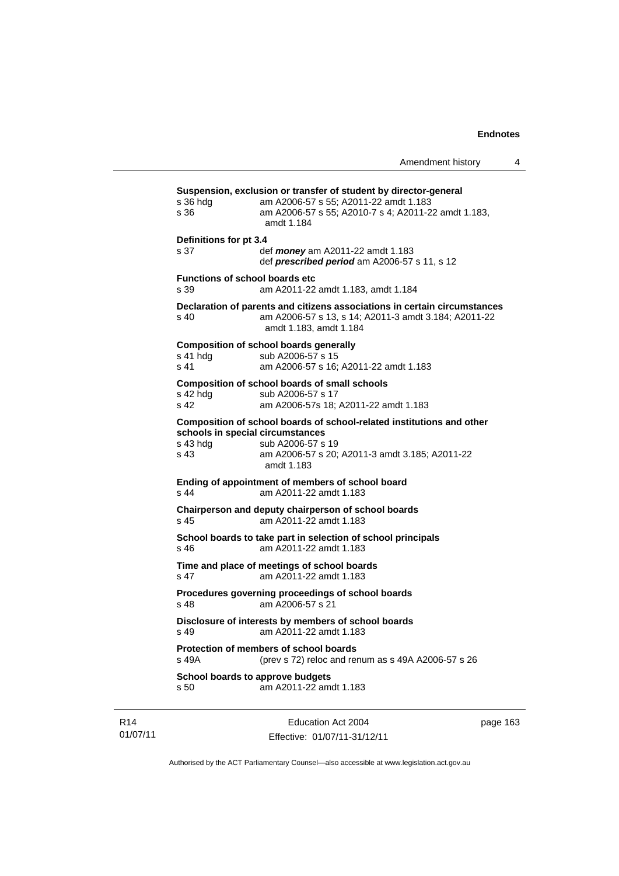|                                               | Amendment history                                                                                                                                                                              | 4 |
|-----------------------------------------------|------------------------------------------------------------------------------------------------------------------------------------------------------------------------------------------------|---|
| s 36 hdg<br>s.36                              | Suspension, exclusion or transfer of student by director-general<br>am A2006-57 s 55; A2011-22 amdt 1.183<br>am A2006-57 s 55; A2010-7 s 4; A2011-22 amdt 1.183,<br>amdt 1.184                 |   |
| Definitions for pt 3.4<br>s 37                | def <i>money</i> am A2011-22 amdt 1.183<br>def prescribed period am A2006-57 s 11, s 12                                                                                                        |   |
| <b>Functions of school boards etc</b><br>s 39 | am A2011-22 amdt 1.183, amdt 1.184                                                                                                                                                             |   |
| s <sub>40</sub>                               | Declaration of parents and citizens associations in certain circumstances<br>am A2006-57 s 13, s 14; A2011-3 amdt 3.184; A2011-22<br>amdt 1.183, amdt 1.184                                    |   |
| s 41 hdg<br>s 41                              | <b>Composition of school boards generally</b><br>sub A2006-57 s 15<br>am A2006-57 s 16; A2011-22 amdt 1.183                                                                                    |   |
| s 42 hda<br>s 42                              | <b>Composition of school boards of small schools</b><br>sub A2006-57 s 17<br>am A2006-57s 18; A2011-22 amdt 1.183                                                                              |   |
| s 43 hdg<br>s 43                              | Composition of school boards of school-related institutions and other<br>schools in special circumstances<br>sub A2006-57 s 19<br>am A2006-57 s 20; A2011-3 amdt 3.185; A2011-22<br>amdt 1.183 |   |
| $s$ 44                                        | Ending of appointment of members of school board<br>am A2011-22 amdt 1.183                                                                                                                     |   |
| s 45                                          | Chairperson and deputy chairperson of school boards<br>am A2011-22 amdt 1.183                                                                                                                  |   |
| s 46                                          | School boards to take part in selection of school principals<br>am A2011-22 amdt 1.183                                                                                                         |   |
| s <sub>47</sub>                               | Time and place of meetings of school boards<br>am A2011-22 amdt 1.183                                                                                                                          |   |
| s <sub>48</sub>                               | Procedures governing proceedings of school boards<br>am A2006-57 s 21                                                                                                                          |   |
| s 49                                          | Disclosure of interests by members of school boards<br>am A2011-22 amdt 1.183                                                                                                                  |   |
| s 49A                                         | Protection of members of school boards<br>(prev s 72) reloc and renum as s 49A A2006-57 s 26                                                                                                   |   |
| s 50                                          | School boards to approve budgets<br>am A2011-22 amdt 1.183                                                                                                                                     |   |
|                                               |                                                                                                                                                                                                |   |

R14 01/07/11

Education Act 2004 Effective: 01/07/11-31/12/11 page 163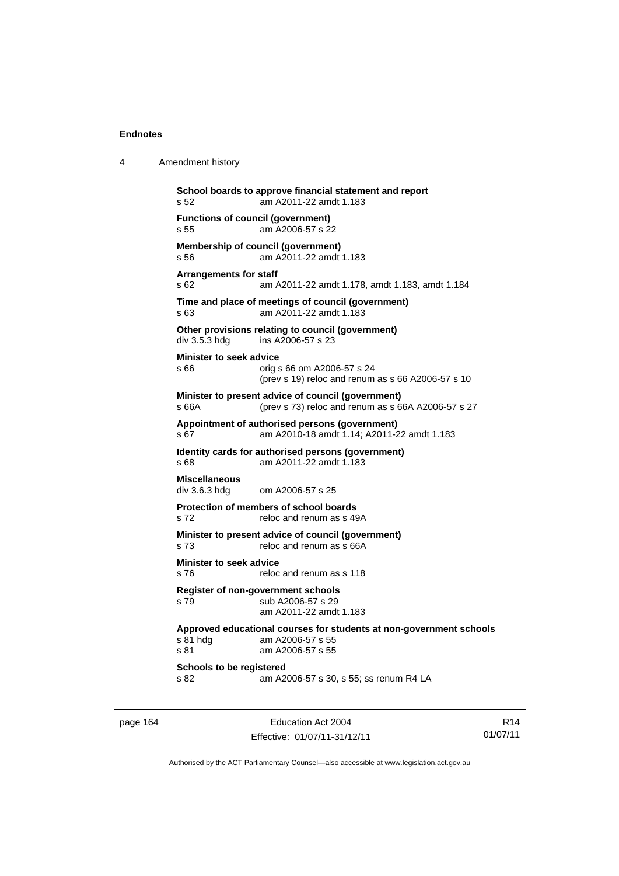| 4 | Amendment history                                                                                                               |
|---|---------------------------------------------------------------------------------------------------------------------------------|
|   | School boards to approve financial statement and report<br>am A2011-22 amdt 1.183<br>s 52                                       |
|   | <b>Functions of council (government)</b><br>am A2006-57 s 22<br>s 55                                                            |
|   | Membership of council (government)<br>am A2011-22 amdt 1.183<br>s 56                                                            |
|   | <b>Arrangements for staff</b><br>s 62.<br>am A2011-22 amdt 1.178, amdt 1.183, amdt 1.184                                        |
|   | Time and place of meetings of council (government)<br>am A2011-22 amdt 1.183<br>s 63                                            |
|   | Other provisions relating to council (government)<br>ins A2006-57 s 23<br>div 3.5.3 hdg                                         |
|   | <b>Minister to seek advice</b><br>s 66<br>orig s 66 om A2006-57 s 24<br>(prev s 19) reloc and renum as s 66 A2006-57 s 10       |
|   | Minister to present advice of council (government)<br>s 66A<br>(prev s 73) reloc and renum as s 66A A2006-57 s 27               |
|   | Appointment of authorised persons (government)<br>am A2010-18 amdt 1.14; A2011-22 amdt 1.183<br>s 67                            |
|   | Identity cards for authorised persons (government)<br>am A2011-22 amdt 1.183<br>s 68                                            |
|   | <b>Miscellaneous</b><br>div 3.6.3 hdg<br>om A2006-57 s 25                                                                       |
|   | Protection of members of school boards<br>s 72<br>reloc and renum as s 49A                                                      |
|   | Minister to present advice of council (government)<br>s 73<br>reloc and renum as s 66A                                          |
|   | <b>Minister to seek advice</b><br>s 76<br>reloc and renum as s 118                                                              |
|   | <b>Register of non-government schools</b><br>sub A2006-57 s 29<br>s 79<br>am A2011-22 amdt 1.183                                |
|   | Approved educational courses for students at non-government schools<br>s 81 hdg<br>am A2006-57 s 55<br>s 81<br>am A2006-57 s 55 |
|   | Schools to be registered<br>s 82<br>am A2006-57 s 30, s 55; ss renum R4 LA                                                      |

page 164 Education Act 2004 Effective: 01/07/11-31/12/11

R14 01/07/11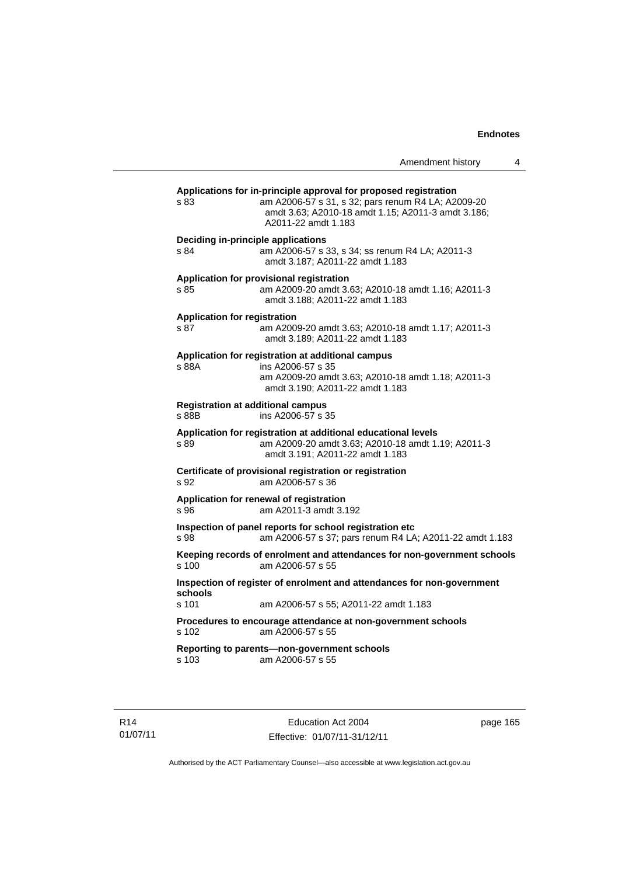| Amendment history |  |
|-------------------|--|
|-------------------|--|

| s 83                                | Applications for in-principle approval for proposed registration<br>am A2006-57 s 31, s 32; pars renum R4 LA; A2009-20<br>amdt 3.63; A2010-18 amdt 1.15; A2011-3 amdt 3.186;<br>A2011-22 amdt 1.183 |
|-------------------------------------|-----------------------------------------------------------------------------------------------------------------------------------------------------------------------------------------------------|
|                                     | <b>Deciding in-principle applications</b>                                                                                                                                                           |
| s.84                                | am A2006-57 s 33, s 34; ss renum R4 LA; A2011-3<br>amdt 3.187; A2011-22 amdt 1.183                                                                                                                  |
|                                     | Application for provisional registration                                                                                                                                                            |
| s 85                                | am A2009-20 amdt 3.63; A2010-18 amdt 1.16; A2011-3<br>amdt 3.188: A2011-22 amdt 1.183                                                                                                               |
| <b>Application for registration</b> |                                                                                                                                                                                                     |
| s.87                                | am A2009-20 amdt 3.63; A2010-18 amdt 1.17; A2011-3<br>amdt 3.189; A2011-22 amdt 1.183                                                                                                               |
|                                     | Application for registration at additional campus                                                                                                                                                   |
| s 88A                               | ins A2006-57 s 35                                                                                                                                                                                   |
|                                     | am A2009-20 amdt 3.63; A2010-18 amdt 1.18; A2011-3<br>amdt 3.190: A2011-22 amdt 1.183                                                                                                               |
| s 88B                               | <b>Registration at additional campus</b><br>ins A2006-57 s 35                                                                                                                                       |
|                                     | Application for registration at additional educational levels                                                                                                                                       |
| s 89                                | am A2009-20 amdt 3.63; A2010-18 amdt 1.19; A2011-3<br>amdt 3.191: A2011-22 amdt 1.183                                                                                                               |
| s 92                                | Certificate of provisional registration or registration<br>am A2006-57 s 36                                                                                                                         |
|                                     | Application for renewal of registration                                                                                                                                                             |
| s 96                                | am A2011-3 amdt 3.192                                                                                                                                                                               |
|                                     | Inspection of panel reports for school registration etc                                                                                                                                             |
| s 98                                | am A2006-57 s 37; pars renum R4 LA; A2011-22 amdt 1.183                                                                                                                                             |
| s 100                               | Keeping records of enrolment and attendances for non-government schools<br>am A2006-57 s 55                                                                                                         |
|                                     | Inspection of register of enrolment and attendances for non-government                                                                                                                              |
| schools<br>s 101                    | am A2006-57 s 55; A2011-22 amdt 1.183                                                                                                                                                               |
| s 102                               | Procedures to encourage attendance at non-government schools<br>am A2006-57 s 55                                                                                                                    |
|                                     |                                                                                                                                                                                                     |
|                                     | Reporting to parents-non-government schools                                                                                                                                                         |
| s 103                               | am A2006-57 s 55                                                                                                                                                                                    |

R14 01/07/11 page 165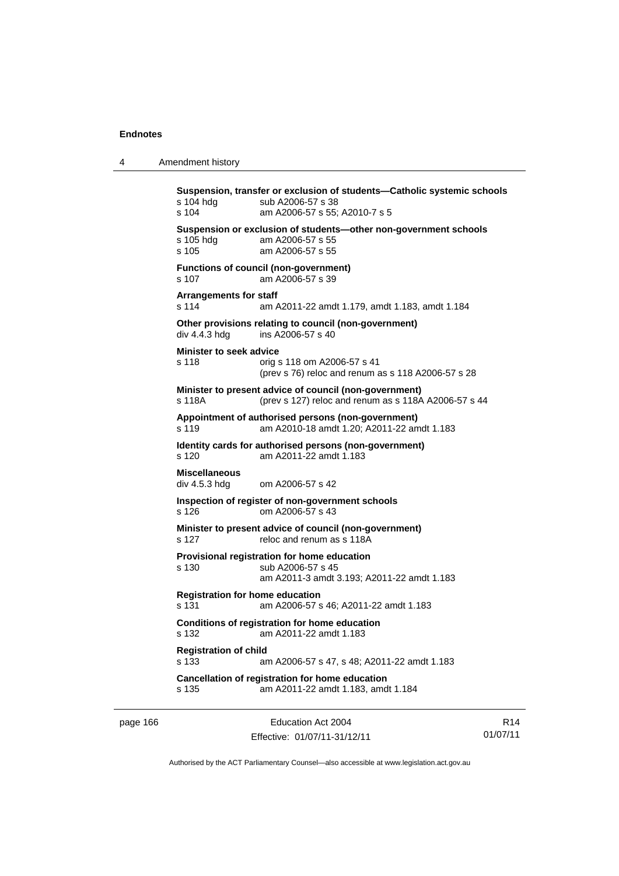4 Amendment history

```
Suspension, transfer or exclusion of students—Catholic systemic schools 
s 104 hdg sub A2006-57 s 38
s 104 am A2006-57 s 55; A2010-7 s 5 
Suspension or exclusion of students—other non-government schools 
                am A2006-57 s 55
s 105 am A2006-57 s 55 
Functions of council (non-government) 
s 107 am A2006-57 s 39 
Arrangements for staff 
s 114 am A2011-22 amdt 1.179, amdt 1.183, amdt 1.184 
Other provisions relating to council (non-government)<br>div 4.4.3 hdg ins A2006-57 s 40
                ins A2006-57 s 40
Minister to seek advice 
s 118 orig s 118 om A2006-57 s 41 
                  (prev s 76) reloc and renum as s 118 A2006-57 s 28 
Minister to present advice of council (non-government) 
s 118A (prev s 127) reloc and renum as s 118A A2006-57 s 44 
Appointment of authorised persons (non-government) 
s 119 am A2010-18 amdt 1.20; A2011-22 amdt 1.183 
Identity cards for authorised persons (non-government) 
s 120 am A2011-22 amdt 1.183 
Miscellaneous 
div 4.5.3 hdg om A2006-57 s 42 
Inspection of register of non-government schools 
s 126 om A2006-57 s 43 
Minister to present advice of council (non-government) 
s 127 reloc and renum as s 118A
Provisional registration for home education 
s 130 sub A2006-57 s 45 
                  am A2011-3 amdt 3.193; A2011-22 amdt 1.183 
Registration for home education 
s 131 am A2006-57 s 46; A2011-22 amdt 1.183 
Conditions of registration for home education 
s 132 am A2011-22 amdt 1.183 
Registration of child 
s 133 am A2006-57 s 47, s 48; A2011-22 amdt 1.183 
Cancellation of registration for home education 
s 135 am A2011-22 amdt 1.183, amdt 1.184
```
page 166 **Education Act 2004** Effective: 01/07/11-31/12/11

R14 01/07/11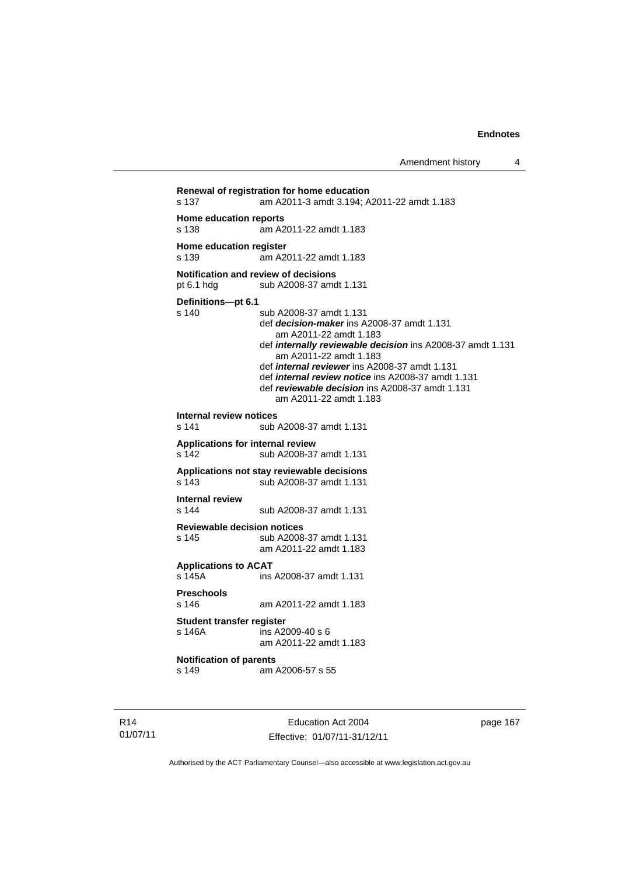Amendment history 4

```
Renewal of registration for home education 
s 137 am A2011-3 amdt 3.194; A2011-22 amdt 1.183 
Home education reports 
s 138 am A2011-22 amdt 1.183 
Home education register 
s 139 am A2011-22 amdt 1.183 
Notification and review of decisions 
pt 6.1 hdg sub A2008-37 amdt 1.131
Definitions—pt 6.1 
                 sub A2008-37 amdt 1.131
                  def decision-maker ins A2008-37 amdt 1.131 
                     am A2011-22 amdt 1.183 
                  def internally reviewable decision ins A2008-37 amdt 1.131 
                     am A2011-22 amdt 1.183 
                  def internal reviewer ins A2008-37 amdt 1.131 
                  def internal review notice ins A2008-37 amdt 1.131 
                  def reviewable decision ins A2008-37 amdt 1.131 
                     am A2011-22 amdt 1.183 
Internal review notices 
                 sub A2008-37 amdt 1.131
Applications for internal review 
s 142 sub A2008-37 amdt 1.131 
Applications not stay reviewable decisions 
s 143 sub A2008-37 amdt 1.131 
Internal review 
s 144 sub A2008-37 amdt 1.131 
Reviewable decision notices 
s 145 sub A2008-37 amdt 1.131 
                  am A2011-22 amdt 1.183 
Applications to ACAT 
                 ins A2008-37 amdt 1.131
Preschools 
s 146 am A2011-22 amdt 1.183 
Student transfer register 
                 ins A2009-40 s 6 am A2011-22 amdt 1.183 
Notification of parents 
s 149 am A2006-57 s 55
```
R14 01/07/11

Education Act 2004 Effective: 01/07/11-31/12/11 page 167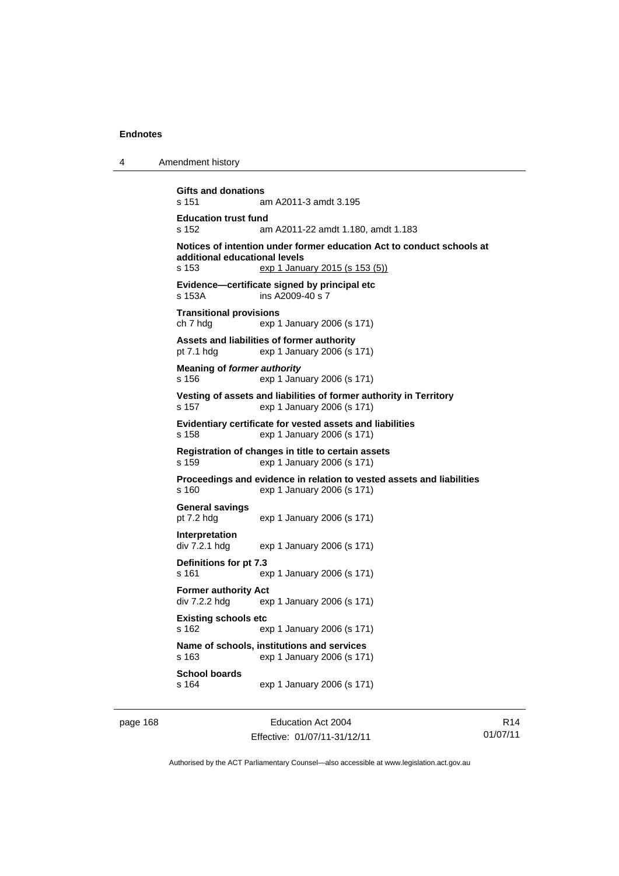4 Amendment history

**Gifts and donations**  s 151 am A2011-3 amdt 3.195 **Education trust fund**  s 152 am A2011-22 amdt 1.180, amdt 1.183 **Notices of intention under former education Act to conduct schools at additional educational levels**  s 153 exp 1 January 2015 (s 153 (5)) **Evidence—certificate signed by principal etc**  s 153A ins A2009-40 s 7 **Transitional provisions**  ch 7 hdg exp 1 January 2006 (s 171) **Assets and liabilities of former authority**  pt 7.1 hdg exp 1 January 2006 (s 171) **Meaning of** *former authority* s 156 exp 1 January 2006 (s 171) **Vesting of assets and liabilities of former authority in Territory**  s 157 exp 1 January 2006 (s 171) **Evidentiary certificate for vested assets and liabilities**  s 158 exp 1 January 2006 (s 171) **Registration of changes in title to certain assets**  s 159 exp 1 January 2006 (s 171) **Proceedings and evidence in relation to vested assets and liabilities**  s 160 exp 1 January 2006 (s 171) **General savings**  pt 7.2 hdg exp 1 January 2006 (s 171) **Interpretation**  div 7.2.1 hdg exp 1 January 2006 (s 171) **Definitions for pt 7.3**  s 161 exp 1 January 2006 (s 171) **Former authority Act**  div 7.2.2 hdg exp 1 January 2006 (s 171) **Existing schools etc**  s 162 exp 1 January 2006 (s 171) **Name of schools, institutions and services**  s 163 exp 1 January 2006 (s 171)

**School boards**  s 164 exp 1 January 2006 (s 171)

page 168 **Education Act 2004** Effective: 01/07/11-31/12/11

R14 01/07/11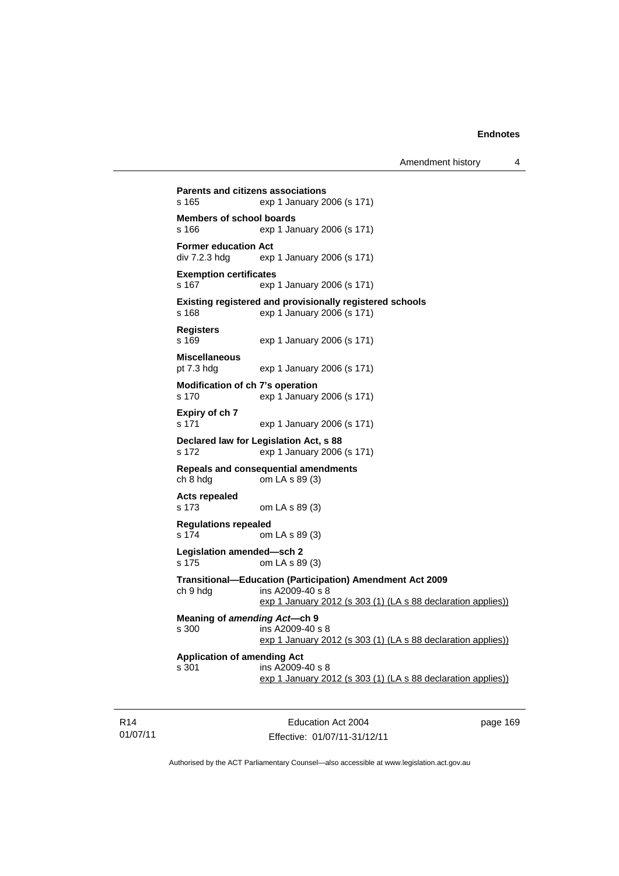**Parents and citizens associations**  s 165 exp 1 January 2006 (s 171) **Members of school boards**  s 166 exp 1 January 2006 (s 171) **Former education Act div 7.2.3 hdg exp** exp 1 January 2006 (s 171) **Exemption certificates**  s 167 exp 1 January 2006 (s 171) **Existing registered and provisionally registered schools**  s 168 exp 1 January 2006 (s 171) **Registers**  s 169 exp 1 January 2006 (s 171) **Miscellaneous**  pt 7.3 hdg exp 1 January 2006 (s 171) **Modification of ch 7's operation**  s 170 exp 1 January 2006 (s 171) **Expiry of ch 7**  s 171 exp 1 January 2006 (s 171) **Declared law for Legislation Act, s 88**  s 172 exp 1 January 2006 (s 171) **Repeals and consequential amendments**  ch 8 hdg om LA s 89 (3) **Acts repealed**  s 173 om LA s 89 (3) **Regulations repealed**  s 174 om LA s 89 (3) **Legislation amended—sch 2**  s 175 om LA s 89 (3) **Transitional—Education (Participation) Amendment Act 2009**   $ch 9 hda$  ins A2009-40 s 8 exp 1 January 2012 (s 303 (1) (LA s 88 declaration applies)) **Meaning of** *amending Act***—ch 9**  s 300 ins A2009-40 s 8 exp 1 January 2012 (s 303 (1) (LA s 88 declaration applies)) **Application of amending Act**  s 301 ins A2009-40 s 8 exp 1 January 2012 (s 303 (1) (LA s 88 declaration applies))

R14 01/07/11

Education Act 2004 Effective: 01/07/11-31/12/11 page 169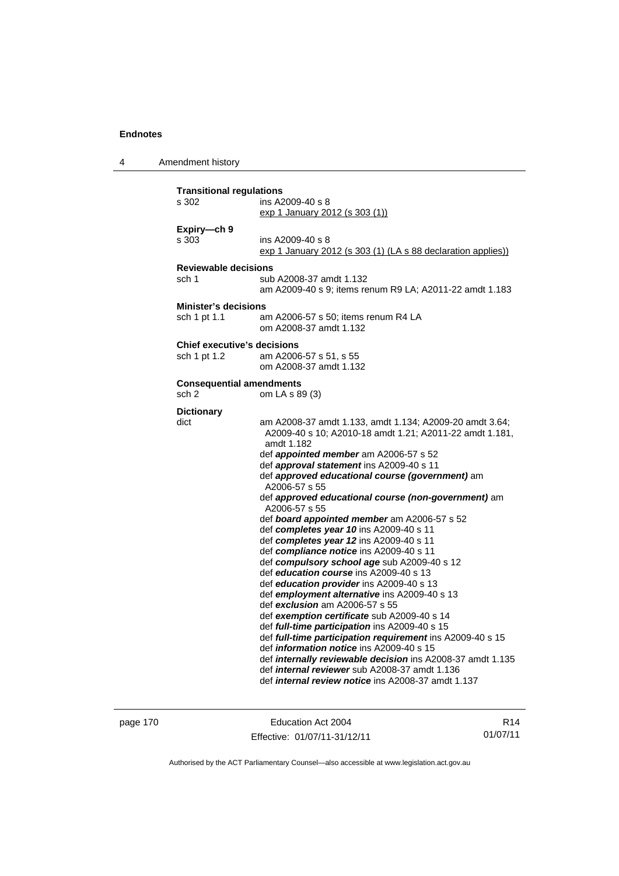4 Amendment history

| <b>Transitional regulations</b>    |                                                                                                              |
|------------------------------------|--------------------------------------------------------------------------------------------------------------|
| s 302                              | ins A2009-40 s 8                                                                                             |
|                                    | exp 1 January 2012 (s 303 (1))                                                                               |
| Expiry-ch 9                        |                                                                                                              |
| s 303                              | ins A2009-40 s 8                                                                                             |
|                                    | exp 1 January 2012 (s 303 (1) (LA s 88 declaration applies))                                                 |
| <b>Reviewable decisions</b>        |                                                                                                              |
| sch 1                              | sub A2008-37 amdt 1.132                                                                                      |
|                                    | am A2009-40 s 9; items renum R9 LA; A2011-22 amdt 1.183                                                      |
| <b>Minister's decisions</b>        |                                                                                                              |
| sch 1 pt 1.1                       | am A2006-57 s 50; items renum R4 LA                                                                          |
|                                    | om A2008-37 amdt 1.132                                                                                       |
| <b>Chief executive's decisions</b> |                                                                                                              |
| sch 1 pt 1.2                       | am A2006-57 s 51, s 55                                                                                       |
|                                    | om A2008-37 amdt 1.132                                                                                       |
| <b>Consequential amendments</b>    |                                                                                                              |
| sch <sub>2</sub>                   | om LA s 89 (3)                                                                                               |
| <b>Dictionary</b>                  |                                                                                                              |
| dict                               | am A2008-37 amdt 1.133, amdt 1.134; A2009-20 amdt 3.64;                                                      |
|                                    | A2009-40 s 10; A2010-18 amdt 1.21; A2011-22 amdt 1.181,                                                      |
|                                    | amdt 1.182                                                                                                   |
|                                    | def appointed member am A2006-57 s 52                                                                        |
|                                    | def approval statement ins A2009-40 s 11                                                                     |
|                                    | def approved educational course (government) am<br>A2006-57 s 55                                             |
|                                    | def approved educational course (non-government) am                                                          |
|                                    | A2006-57 s 55                                                                                                |
|                                    | def board appointed member am A2006-57 s 52                                                                  |
|                                    | def completes year 10 ins A2009-40 s 11                                                                      |
|                                    | def completes year 12 ins A2009-40 s 11                                                                      |
|                                    | def compliance notice ins A2009-40 s 11                                                                      |
|                                    | def compulsory school age sub A2009-40 s 12<br>def education course ins A2009-40 s 13                        |
|                                    | def education provider ins A2009-40 s 13                                                                     |
|                                    | def employment alternative ins A2009-40 s 13                                                                 |
|                                    | def <i>exclusion</i> am A2006-57 s 55                                                                        |
|                                    | def exemption certificate sub A2009-40 s 14                                                                  |
|                                    | def full-time participation ins A2009-40 s 15                                                                |
|                                    | def full-time participation requirement ins A2009-40 s 15<br>def <i>information notice</i> ins A2009-40 s 15 |
|                                    | def internally reviewable decision ins A2008-37 amdt 1.135                                                   |
|                                    | def <i>internal reviewer</i> sub A2008-37 amdt 1.136                                                         |
|                                    | def <i>internal review notice</i> ins A2008-37 amdt 1.137                                                    |
|                                    |                                                                                                              |

page 170 Education Act 2004 Effective: 01/07/11-31/12/11

R14 01/07/11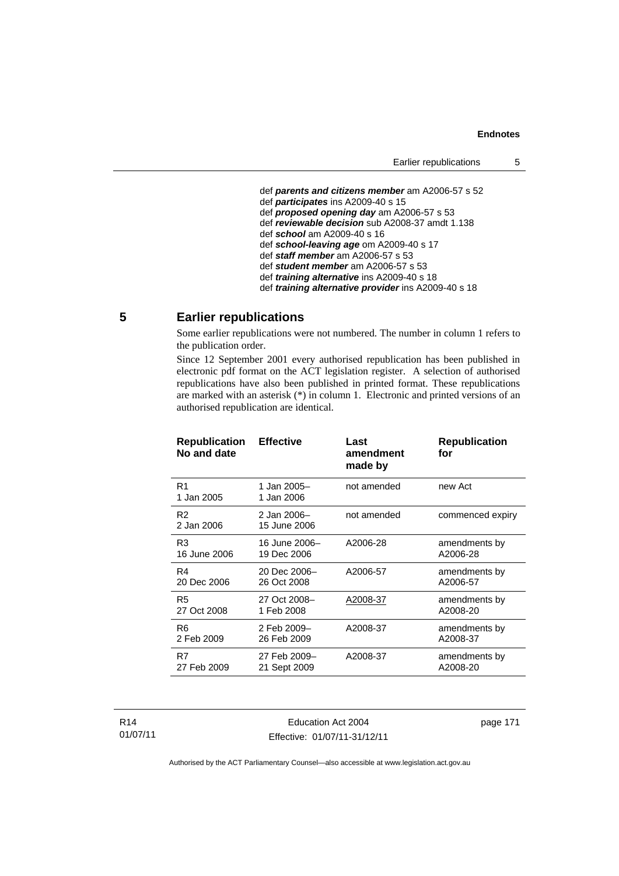def *parents and citizens member* am A2006-57 s 52 def *participates* ins A2009-40 s 15 def *proposed opening day* am A2006-57 s 53 def *reviewable decision* sub A2008-37 amdt 1.138 def *school* am A2009-40 s 16 def *school-leaving age* om A2009-40 s 17 def *staff member* am A2006-57 s 53 def *student member* am A2006-57 s 53 def *training alternative* ins A2009-40 s 18 def *training alternative provider* ins A2009-40 s 18

# **5 Earlier republications**

Some earlier republications were not numbered. The number in column 1 refers to the publication order.

Since 12 September 2001 every authorised republication has been published in electronic pdf format on the ACT legislation register. A selection of authorised republications have also been published in printed format. These republications are marked with an asterisk (\*) in column 1. Electronic and printed versions of an authorised republication are identical.

| <b>Republication</b><br>No and date | <b>Effective</b>            | Last<br>amendment<br>made by | <b>Republication</b><br>for |
|-------------------------------------|-----------------------------|------------------------------|-----------------------------|
| R1<br>1 Jan 2005                    | 1 Jan 2005-<br>1 Jan 2006   | not amended                  | new Act                     |
| R <sub>2</sub><br>2 Jan 2006        | 2 Jan 2006-<br>15 June 2006 | not amended                  | commenced expiry            |
| R <sub>3</sub>                      | 16 June 2006-               | A2006-28                     | amendments by               |
| 16 June 2006                        | 19 Dec 2006                 |                              | A2006-28                    |
| R4                                  | 20 Dec 2006-                | A2006-57                     | amendments by               |
| 20 Dec 2006                         | 26 Oct 2008                 |                              | A2006-57                    |
| R <sub>5</sub>                      | 27 Oct 2008-                | A2008-37                     | amendments by               |
| 27 Oct 2008                         | 1 Feb 2008                  |                              | A2008-20                    |
| R6                                  | 2 Feb 2009-                 | A2008-37                     | amendments by               |
| 2 Feb 2009                          | 26 Feb 2009                 |                              | A2008-37                    |
| R7                                  | 27 Feb 2009-                | A2008-37                     | amendments by               |
| 27 Feb 2009                         | 21 Sept 2009                |                              | A2008-20                    |
|                                     |                             |                              |                             |

R14 01/07/11

Education Act 2004 Effective: 01/07/11-31/12/11 page 171